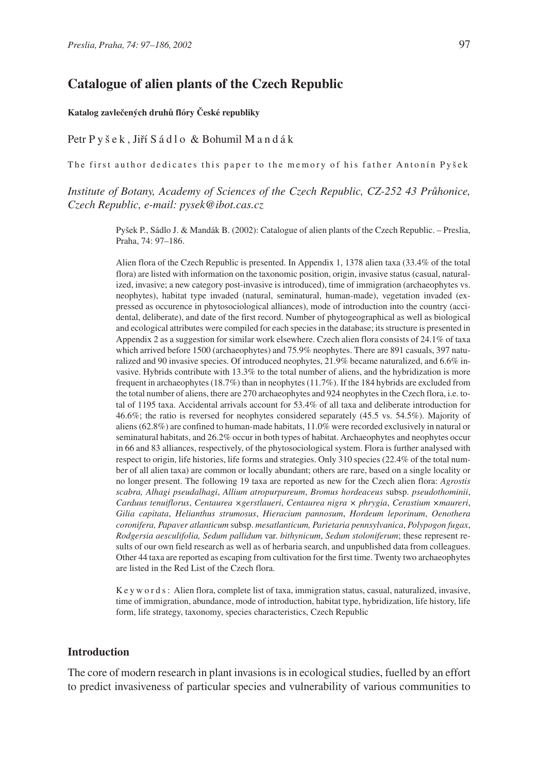# **Catalogue of alien plants of the Czech Republic**

#### **Katalog zavlečených druhů flóry České republiky**

#### Petr P y š e k, Jiří S á d l o & Bohumil M a n d á k

The first author dedicates this paper to the memory of his father Antonín Pyšek

# *Institute of Botany, Academy of Sciences of the Czech Republic, CZ-252 43 Průhonice, Czech Republic, e-mail: pysek@ibot.cas.cz*

Pyšek P., Sádlo J. & Mandák B. (2002): Catalogue of alien plants of the Czech Republic. – Preslia, Praha, 74: 97–186.

Alien flora of the Czech Republic is presented. In Appendix 1, 1378 alien taxa (33.4% of the total flora) are listed with information on the taxonomic position, origin, invasive status (casual, naturalized, invasive; a new category post-invasive is introduced), time of immigration (archaeophytes vs. neophytes), habitat type invaded (natural, seminatural, human-made), vegetation invaded (expressed as occurence in phytosociological alliances), mode of introduction into the country (accidental, deliberate), and date of the first record. Number of phytogeographical as well as biological and ecological attributes were compiled for each species in the database; its structure is presented in Appendix 2 as a suggestion for similar work elsewhere. Czech alien flora consists of 24.1% of taxa which arrived before 1500 (archaeophytes) and 75.9% neophytes. There are 891 casuals, 397 naturalized and 90 invasive species. Of introduced neophytes, 21.9% became naturalized, and 6.6% invasive. Hybrids contribute with 13.3% to the total number of aliens, and the hybridization is more frequent in archaeophytes (18.7%) than in neophytes (11.7%). If the 184 hybrids are excluded from the total number of aliens, there are 270 archaeophytes and 924 neophytes in the Czech flora, i.e. total of 1195 taxa. Accidental arrivals account for 53.4% of all taxa and deliberate introduction for 46.6%; the ratio is reversed for neophytes considered separately (45.5 vs. 54.5%). Majority of aliens (62.8%) are confined to human-made habitats, 11.0% were recorded exclusively in natural or seminatural habitats, and 26.2% occur in both types of habitat. Archaeophytes and neophytes occur in 66 and 83 alliances, respectively, of the phytosociological system. Flora is further analysed with respect to origin, life histories, life forms and strategies. Only 310 species (22.4% of the total number of all alien taxa) are common or locally abundant; others are rare, based on a single locality or no longer present. The following 19 taxa are reported as new for the Czech alien flora: *Agrostis scabra, Alhagi pseudalhagi*, *Allium atropurpureum*, *Bromus hordeaceus* subsp. *pseudothominii*, *Carduus tenuiflorus*, *Centaurea ×gerstlaueri*, *Centaurea nigra × phrygia*, *Cerastium ×maureri*, *Gilia capitata*, *Helianthus strumosus*, *Hieracium pannosum*, *Hordeum leporinum*, *Oenothera coronifera, Papaver atlanticum* subsp. *mesatlanticum, Parietaria pennsylvanica*, *Polypogon fugax*, *Rodgersia aesculifolia, Sedum pallidum* var. *bithynicum*, *Sedum stoloniferum*; these represent results of our own field research as well as of herbaria search, and unpublished data from colleagues. Other 44 taxa are reported as escaping from cultivation for the first time. Twenty two archaeophytes are listed in the Red List of the Czech flora.

Keywords: Alien flora, complete list of taxa, immigration status, casual, naturalized, invasive, time of immigration, abundance, mode of introduction, habitat type, hybridization, life history, life form, life strategy, taxonomy, species characteristics, Czech Republic

## **Introduction**

The core of modern research in plant invasions is in ecological studies, fuelled by an effort to predict invasiveness of particular species and vulnerability of various communities to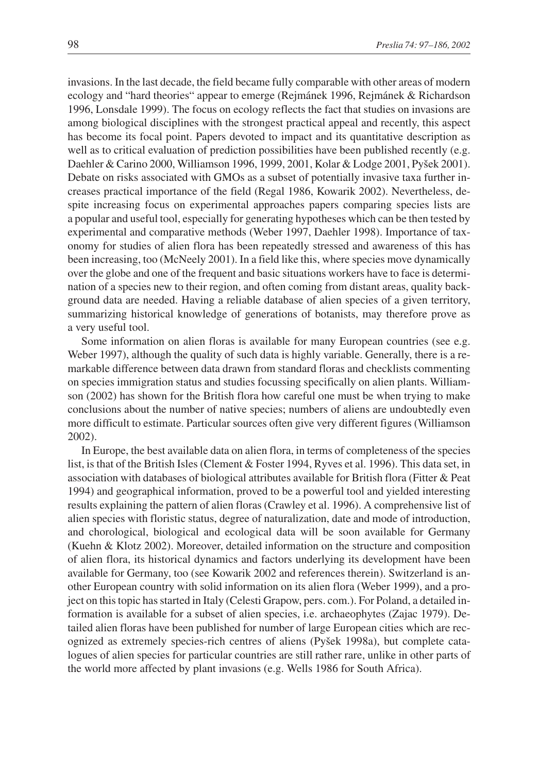invasions. In the last decade, the field became fully comparable with other areas of modern ecology and "hard theories" appear to emerge (Rejmánek 1996, Rejmánek & Richardson 1996, Lonsdale 1999). The focus on ecology reflects the fact that studies on invasions are among biological disciplines with the strongest practical appeal and recently, this aspect has become its focal point. Papers devoted to impact and its quantitative description as well as to critical evaluation of prediction possibilities have been published recently (e.g. Daehler & Carino 2000, Williamson 1996, 1999, 2001, Kolar & Lodge 2001, Pyšek 2001). Debate on risks associated with GMOs as a subset of potentially invasive taxa further increases practical importance of the field (Regal 1986, Kowarik 2002). Nevertheless, despite increasing focus on experimental approaches papers comparing species lists are a popular and useful tool, especially for generating hypotheses which can be then tested by experimental and comparative methods (Weber 1997, Daehler 1998). Importance of taxonomy for studies of alien flora has been repeatedly stressed and awareness of this has been increasing, too (McNeely 2001). In a field like this, where species move dynamically over the globe and one of the frequent and basic situations workers have to face is determination of a species new to their region, and often coming from distant areas, quality background data are needed. Having a reliable database of alien species of a given territory, summarizing historical knowledge of generations of botanists, may therefore prove as a very useful tool.

Some information on alien floras is available for many European countries (see e.g. Weber 1997), although the quality of such data is highly variable. Generally, there is a remarkable difference between data drawn from standard floras and checklists commenting on species immigration status and studies focussing specifically on alien plants. Williamson (2002) has shown for the British flora how careful one must be when trying to make conclusions about the number of native species; numbers of aliens are undoubtedly even more difficult to estimate. Particular sources often give very different figures (Williamson 2002).

In Europe, the best available data on alien flora, in terms of completeness of the species list, is that of the British Isles (Clement & Foster 1994, Ryves et al. 1996). This data set, in association with databases of biological attributes available for British flora (Fitter & Peat 1994) and geographical information, proved to be a powerful tool and yielded interesting results explaining the pattern of alien floras (Crawley et al. 1996). A comprehensive list of alien species with floristic status, degree of naturalization, date and mode of introduction, and chorological, biological and ecological data will be soon available for Germany (Kuehn & Klotz 2002). Moreover, detailed information on the structure and composition of alien flora, its historical dynamics and factors underlying its development have been available for Germany, too (see Kowarik 2002 and references therein). Switzerland is another European country with solid information on its alien flora (Weber 1999), and a project on this topic has started in Italy (Celesti Grapow, pers. com.). For Poland, a detailed information is available for a subset of alien species, i.e. archaeophytes (Zajac 1979). Detailed alien floras have been published for number of large European cities which are recognized as extremely species-rich centres of aliens (Pyšek 1998a), but complete catalogues of alien species for particular countries are still rather rare, unlike in other parts of the world more affected by plant invasions (e.g. Wells 1986 for South Africa).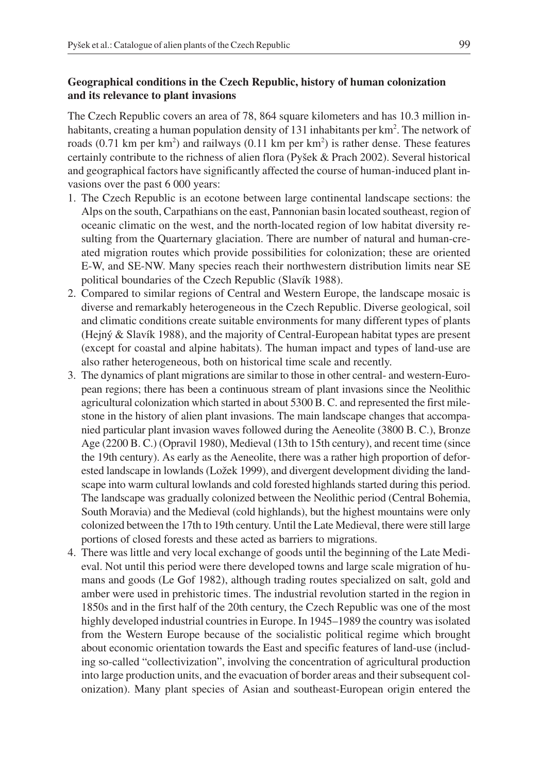## **Geographical conditions in the Czech Republic, history of human colonization and its relevance to plant invasions**

The Czech Republic covers an area of 78, 864 square kilometers and has 10.3 million inhabitants, creating a human population density of 131 inhabitants per  $km^2$ . The network of roads (0.71 km per km<sup>2</sup>) and railways (0.11 km per km<sup>2</sup>) is rather dense. These features certainly contribute to the richness of alien flora (Pyšek & Prach 2002). Several historical and geographical factors have significantly affected the course of human-induced plant invasions over the past 6 000 years:

- 1. The Czech Republic is an ecotone between large continental landscape sections: the Alps on the south, Carpathians on the east, Pannonian basin located southeast, region of oceanic climatic on the west, and the north-located region of low habitat diversity resulting from the Quarternary glaciation. There are number of natural and human-created migration routes which provide possibilities for colonization; these are oriented E-W, and SE-NW. Many species reach their northwestern distribution limits near SE political boundaries of the Czech Republic (Slavík 1988).
- 2. Compared to similar regions of Central and Western Europe, the landscape mosaic is diverse and remarkably heterogeneous in the Czech Republic. Diverse geological, soil and climatic conditions create suitable environments for many different types of plants (Hejný & Slavík 1988), and the majority of Central-European habitat types are present (except for coastal and alpine habitats). The human impact and types of land-use are also rather heterogeneous, both on historical time scale and recently.
- 3. The dynamics of plant migrations are similar to those in other central- and western-European regions; there has been a continuous stream of plant invasions since the Neolithic agricultural colonization which started in about 5300 B. C. and represented the first milestone in the history of alien plant invasions. The main landscape changes that accompanied particular plant invasion waves followed during the Aeneolite (3800 B. C.), Bronze Age (2200 B. C.) (Opravil 1980), Medieval (13th to 15th century), and recent time (since the 19th century). As early as the Aeneolite, there was a rather high proportion of deforested landscape in lowlands (Ložek 1999), and divergent development dividing the landscape into warm cultural lowlands and cold forested highlands started during this period. The landscape was gradually colonized between the Neolithic period (Central Bohemia, South Moravia) and the Medieval (cold highlands), but the highest mountains were only colonized between the 17th to 19th century. Until the Late Medieval, there were still large portions of closed forests and these acted as barriers to migrations.
- 4. There was little and very local exchange of goods until the beginning of the Late Medieval. Not until this period were there developed towns and large scale migration of humans and goods (Le Gof 1982), although trading routes specialized on salt, gold and amber were used in prehistoric times. The industrial revolution started in the region in 1850s and in the first half of the 20th century, the Czech Republic was one of the most highly developed industrial countries in Europe. In 1945–1989 the country was isolated from the Western Europe because of the socialistic political regime which brought about economic orientation towards the East and specific features of land-use (including so-called "collectivization", involving the concentration of agricultural production into large production units, and the evacuation of border areas and their subsequent colonization). Many plant species of Asian and southeast-European origin entered the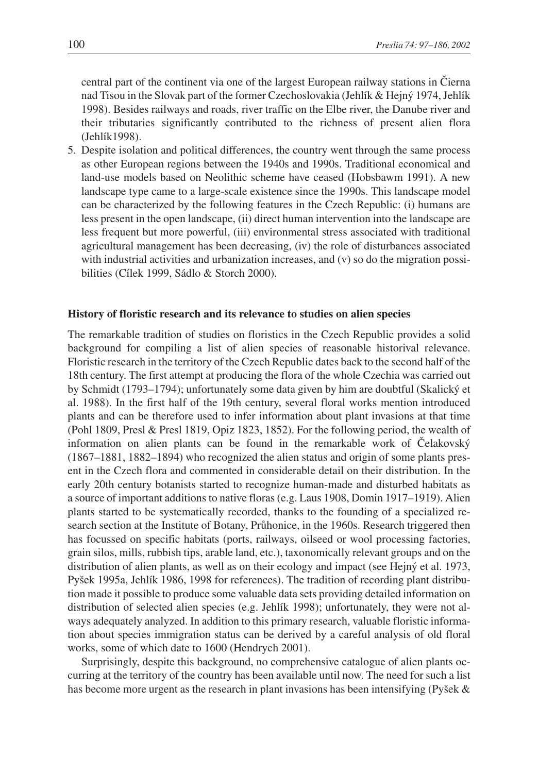central part of the continent via one of the largest European railway stations in Čierna nad Tisou in the Slovak part of the former Czechoslovakia (Jehlík & Hejný 1974, Jehlík 1998). Besides railways and roads, river traffic on the Elbe river, the Danube river and their tributaries significantly contributed to the richness of present alien flora (Jehlík1998).

5. Despite isolation and political differences, the country went through the same process as other European regions between the 1940s and 1990s. Traditional economical and land-use models based on Neolithic scheme have ceased (Hobsbawm 1991). A new landscape type came to a large-scale existence since the 1990s. This landscape model can be characterized by the following features in the Czech Republic: (i) humans are less present in the open landscape, (ii) direct human intervention into the landscape are less frequent but more powerful, (iii) environmental stress associated with traditional agricultural management has been decreasing, (iv) the role of disturbances associated with industrial activities and urbanization increases, and (v) so do the migration possibilities (Cílek 1999, Sádlo & Storch 2000).

## **History of floristic research and its relevance to studies on alien species**

The remarkable tradition of studies on floristics in the Czech Republic provides a solid background for compiling a list of alien species of reasonable historival relevance. Floristic research in the territory of the Czech Republic dates back to the second half of the 18th century. The first attempt at producing the flora of the whole Czechia was carried out by Schmidt (1793–1794); unfortunately some data given by him are doubtful (Skalický et al. 1988). In the first half of the 19th century, several floral works mention introduced plants and can be therefore used to infer information about plant invasions at that time (Pohl 1809, Presl & Presl 1819, Opiz 1823, 1852). For the following period, the wealth of information on alien plants can be found in the remarkable work of Čelakovský (1867–1881, 1882–1894) who recognized the alien status and origin of some plants present in the Czech flora and commented in considerable detail on their distribution. In the early 20th century botanists started to recognize human-made and disturbed habitats as a source of important additions to native floras (e.g. Laus 1908, Domin 1917–1919). Alien plants started to be systematically recorded, thanks to the founding of a specialized research section at the Institute of Botany, Průhonice, in the 1960s. Research triggered then has focussed on specific habitats (ports, railways, oilseed or wool processing factories, grain silos, mills, rubbish tips, arable land, etc.), taxonomically relevant groups and on the distribution of alien plants, as well as on their ecology and impact (see Hejný et al. 1973, Pyšek 1995a, Jehlík 1986, 1998 for references). The tradition of recording plant distribution made it possible to produce some valuable data sets providing detailed information on distribution of selected alien species (e.g. Jehlík 1998); unfortunately, they were not always adequately analyzed. In addition to this primary research, valuable floristic information about species immigration status can be derived by a careful analysis of old floral works, some of which date to 1600 (Hendrych 2001).

Surprisingly, despite this background, no comprehensive catalogue of alien plants occurring at the territory of the country has been available until now. The need for such a list has become more urgent as the research in plant invasions has been intensifying (Pyšek &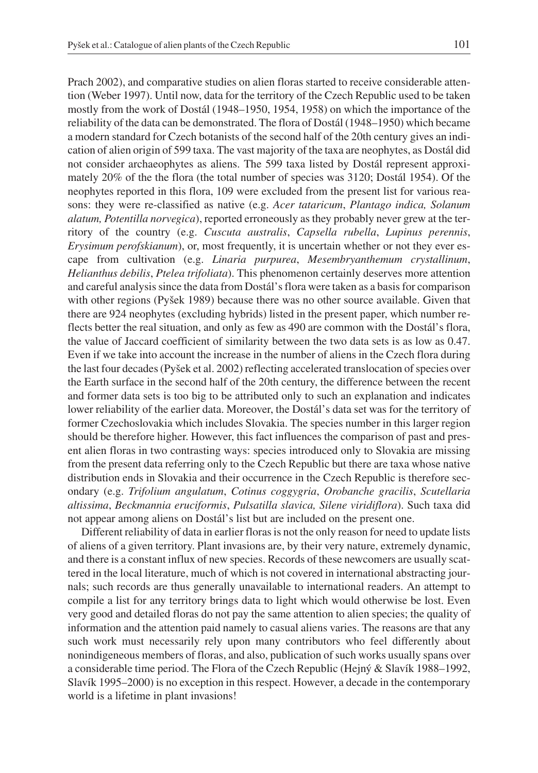Prach 2002), and comparative studies on alien floras started to receive considerable attention (Weber 1997). Until now, data for the territory of the Czech Republic used to be taken mostly from the work of Dostál (1948–1950, 1954, 1958) on which the importance of the reliability of the data can be demonstrated. The flora of Dostál (1948–1950) which became a modern standard for Czech botanists of the second half of the 20th century gives an indication of alien origin of 599 taxa. The vast majority of the taxa are neophytes, as Dostál did not consider archaeophytes as aliens. The 599 taxa listed by Dostál represent approximately 20% of the the flora (the total number of species was 3120; Dostál 1954). Of the neophytes reported in this flora, 109 were excluded from the present list for various reasons: they were re-classified as native (e.g. *Acer tataricum*, *Plantago indica, Solanum alatum, Potentilla norvegica*), reported erroneously as they probably never grew at the territory of the country (e.g. *Cuscuta australis*, *Capsella rubella*, *Lupinus perennis*, *Erysimum perofskianum*), or, most frequently, it is uncertain whether or not they ever escape from cultivation (e.g. *Linaria purpurea*, *Mesembryanthemum crystallinum*, *Helianthus debilis*, *Ptelea trifoliata*). This phenomenon certainly deserves more attention and careful analysis since the data from Dostál's flora were taken as a basis for comparison with other regions (Pyšek 1989) because there was no other source available. Given that there are 924 neophytes (excluding hybrids) listed in the present paper, which number reflects better the real situation, and only as few as 490 are common with the Dostál's flora, the value of Jaccard coefficient of similarity between the two data sets is as low as 0.47. Even if we take into account the increase in the number of aliens in the Czech flora during the last four decades (Pyšek et al. 2002) reflecting accelerated translocation of species over the Earth surface in the second half of the 20th century, the difference between the recent and former data sets is too big to be attributed only to such an explanation and indicates lower reliability of the earlier data. Moreover, the Dostál's data set was for the territory of former Czechoslovakia which includes Slovakia. The species number in this larger region should be therefore higher. However, this fact influences the comparison of past and present alien floras in two contrasting ways: species introduced only to Slovakia are missing from the present data referring only to the Czech Republic but there are taxa whose native distribution ends in Slovakia and their occurrence in the Czech Republic is therefore secondary (e.g. *Trifolium angulatum*, *Cotinus coggygria*, *Orobanche gracilis*, *Scutellaria altissima*, *Beckmannia eruciformis*, *Pulsatilla slavica, Silene viridiflora*). Such taxa did not appear among aliens on Dostál's list but are included on the present one.

Different reliability of data in earlier floras is not the only reason for need to update lists of aliens of a given territory. Plant invasions are, by their very nature, extremely dynamic, and there is a constant influx of new species. Records of these newcomers are usually scattered in the local literature, much of which is not covered in international abstracting journals; such records are thus generally unavailable to international readers. An attempt to compile a list for any territory brings data to light which would otherwise be lost. Even very good and detailed floras do not pay the same attention to alien species; the quality of information and the attention paid namely to casual aliens varies. The reasons are that any such work must necessarily rely upon many contributors who feel differently about nonindigeneous members of floras, and also, publication of such works usually spans over a considerable time period. The Flora of the Czech Republic (Hejný & Slavík 1988–1992, Slavík 1995–2000) is no exception in this respect. However, a decade in the contemporary world is a lifetime in plant invasions!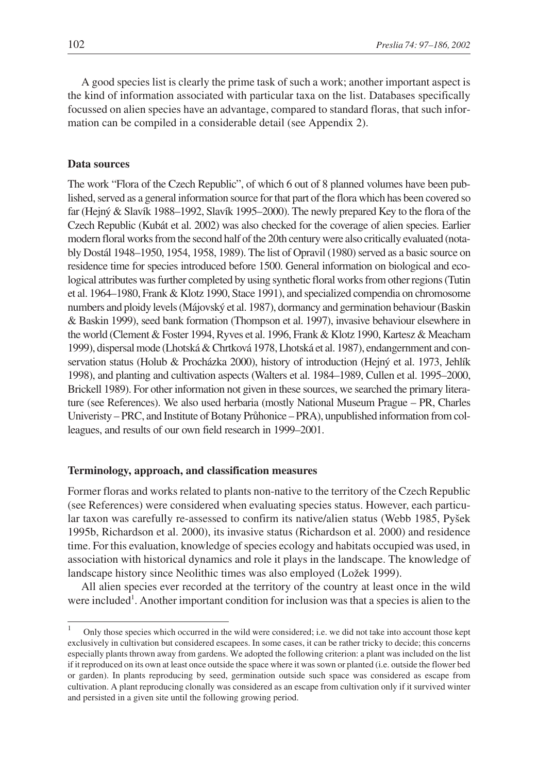A good species list is clearly the prime task of such a work; another important aspect is the kind of information associated with particular taxa on the list. Databases specifically focussed on alien species have an advantage, compared to standard floras, that such information can be compiled in a considerable detail (see Appendix 2).

## **Data sources**

The work "Flora of the Czech Republic", of which 6 out of 8 planned volumes have been published, served as a general information source for that part of the flora which has been covered so far (Hejný & Slavík 1988–1992, Slavík 1995–2000). The newly prepared Key to the flora of the Czech Republic (Kubát et al. 2002) was also checked for the coverage of alien species. Earlier modern floral works from the second half of the 20th century were also critically evaluated (notably Dostál 1948–1950, 1954, 1958, 1989). The list of Opravil (1980) served as a basic source on residence time for species introduced before 1500. General information on biological and ecological attributes was further completed by using synthetic floral works from other regions (Tutin et al. 1964–1980, Frank & Klotz 1990, Stace 1991), and specialized compendia on chromosome numbers and ploidy levels (Májovský et al. 1987), dormancy and germination behaviour (Baskin & Baskin 1999), seed bank formation (Thompson et al. 1997), invasive behaviour elsewhere in the world (Clement & Foster 1994, Ryves et al. 1996, Frank & Klotz 1990, Kartesz & Meacham 1999), dispersal mode (Lhotská & Chrtková 1978, Lhotská et al. 1987), endangernment and conservation status (Holub & Procházka 2000), history of introduction (Hejný et al. 1973, Jehlík 1998), and planting and cultivation aspects (Walters et al. 1984–1989, Cullen et al. 1995–2000, Brickell 1989). For other information not given in these sources, we searched the primary literature (see References). We also used herbaria (mostly National Museum Prague – PR, Charles Univeristy – PRC, and Institute of Botany Průhonice – PRA), unpublished information from colleagues, and results of our own field research in 1999–2001.

## **Terminology, approach, and classification measures**

Former floras and works related to plants non-native to the territory of the Czech Republic (see References) were considered when evaluating species status. However, each particular taxon was carefully re-assessed to confirm its native/alien status (Webb 1985, Pyšek 1995b, Richardson et al. 2000), its invasive status (Richardson et al. 2000) and residence time. For this evaluation, knowledge of species ecology and habitats occupied was used, in association with historical dynamics and role it plays in the landscape. The knowledge of landscape history since Neolithic times was also employed (Ložek 1999).

All alien species ever recorded at the territory of the country at least once in the wild were included<sup>1</sup>. Another important condition for inclusion was that a species is alien to the

<sup>1</sup> Only those species which occurred in the wild were considered; i.e. we did not take into account those kept exclusively in cultivation but considered escapees. In some cases, it can be rather tricky to decide; this concerns especially plants thrown away from gardens. We adopted the following criterion: a plant was included on the list if it reproduced on its own at least once outside the space where it was sown or planted (i.e. outside the flower bed or garden). In plants reproducing by seed, germination outside such space was considered as escape from cultivation. A plant reproducing clonally was considered as an escape from cultivation only if it survived winter and persisted in a given site until the following growing period.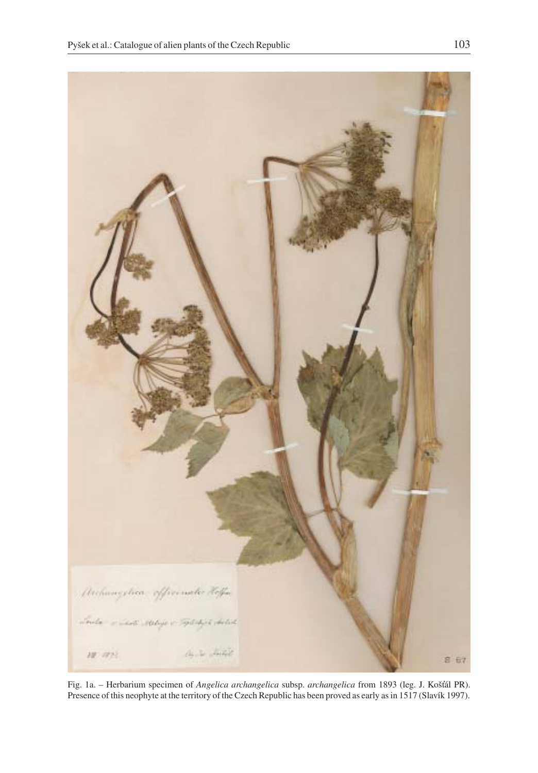

Fig. 1a. – Herbarium specimen of *Angelica archangelica* subsp. *archangelica* from 1893 (leg. J. Košál PR). Presence of this neophyte at the territory of the Czech Republic has been proved as early as in 1517 (Slavík 1997).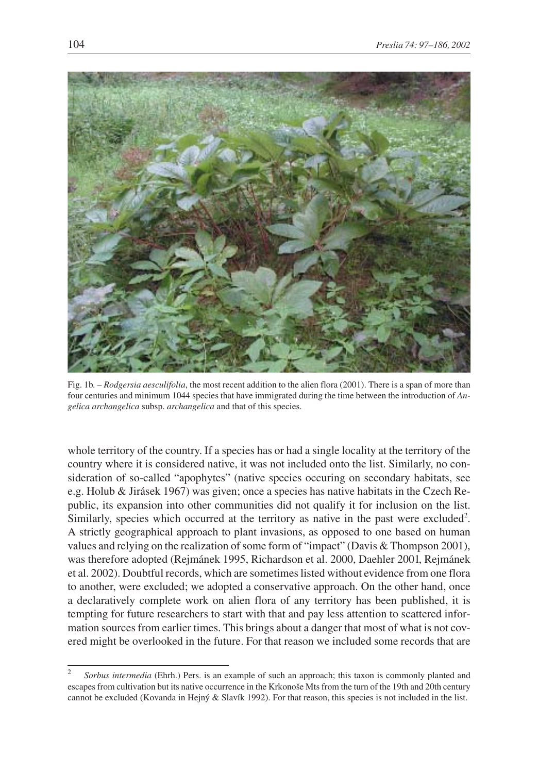

Fig. 1b. – *Rodgersia aesculifolia*, the most recent addition to the alien flora (2001). There is a span of more than four centuries and minimum 1044 species that have immigrated during the time between the introduction of *Angelica archangelica* subsp. *archangelica* and that of this species.

whole territory of the country. If a species has or had a single locality at the territory of the country where it is considered native, it was not included onto the list. Similarly, no consideration of so-called "apophytes" (native species occuring on secondary habitats, see e.g. Holub & Jirásek 1967) was given; once a species has native habitats in the Czech Republic, its expansion into other communities did not qualify it for inclusion on the list. Similarly, species which occurred at the territory as native in the past were excluded<sup>2</sup>. A strictly geographical approach to plant invasions, as opposed to one based on human values and relying on the realization of some form of "impact" (Davis & Thompson 2001), was therefore adopted (Rejmánek 1995, Richardson et al. 2000, Daehler 2001, Rejmánek et al. 2002). Doubtful records, which are sometimes listed without evidence from one flora to another, were excluded; we adopted a conservative approach. On the other hand, once a declaratively complete work on alien flora of any territory has been published, it is tempting for future researchers to start with that and pay less attention to scattered information sources from earlier times. This brings about a danger that most of what is not covered might be overlooked in the future. For that reason we included some records that are

<sup>2</sup> *Sorbus intermedia* (Ehrh.) Pers. is an example of such an approach; this taxon is commonly planted and escapes from cultivation but its native occurrence in the Krkonoše Mts from the turn of the 19th and 20th century cannot be excluded (Kovanda in Hejný & Slavík 1992). For that reason, this species is not included in the list.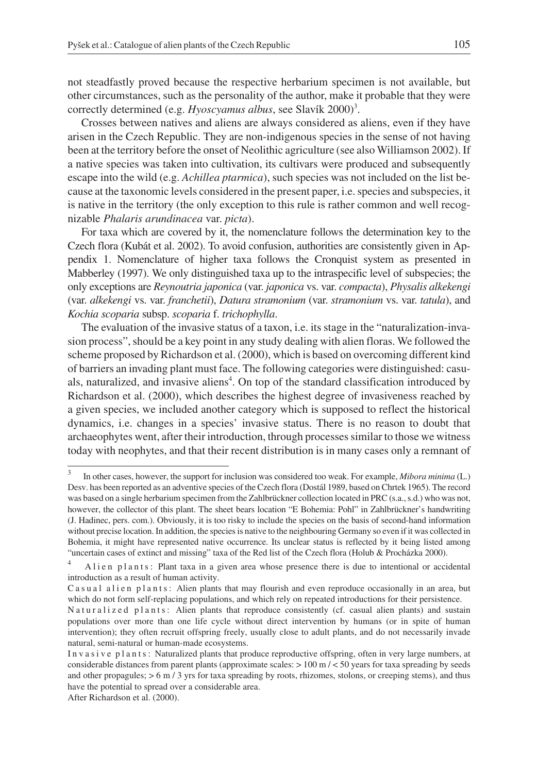not steadfastly proved because the respective herbarium specimen is not available, but other circumstances, such as the personality of the author, make it probable that they were correctly determined (e.g. *Hyoscyamus albus*, see Slavík 2000)<sup>3</sup>.

Crosses between natives and aliens are always considered as aliens, even if they have arisen in the Czech Republic. They are non-indigenous species in the sense of not having been at the territory before the onset of Neolithic agriculture (see also Williamson 2002). If a native species was taken into cultivation, its cultivars were produced and subsequently escape into the wild (e.g. *Achillea ptarmica*), such species was not included on the list because at the taxonomic levels considered in the present paper, i.e. species and subspecies, it is native in the territory (the only exception to this rule is rather common and well recognizable *Phalaris arundinacea* var. *picta*).

For taxa which are covered by it, the nomenclature follows the determination key to the Czech flora (Kubát et al. 2002). To avoid confusion, authorities are consistently given in Appendix 1. Nomenclature of higher taxa follows the Cronquist system as presented in Mabberley (1997). We only distinguished taxa up to the intraspecific level of subspecies; the only exceptions are *Reynoutria japonica* (var. *japonica* vs. var. *compacta*), *Physalis alkekengi* (var. *alkekengi* vs. var. *franchetii*), *Datura stramonium* (var. *stramonium* vs. var. *tatula*), and *Kochia scoparia* subsp. *scoparia* f. *trichophylla*.

The evaluation of the invasive status of a taxon, i.e. its stage in the "naturalization-invasion process", should be a key point in any study dealing with alien floras. We followed the scheme proposed by Richardson et al. (2000), which is based on overcoming different kind of barriers an invading plant must face. The following categories were distinguished: casuals, naturalized, and invasive aliens<sup>4</sup>. On top of the standard classification introduced by Richardson et al. (2000), which describes the highest degree of invasiveness reached by a given species, we included another category which is supposed to reflect the historical dynamics, i.e. changes in a species' invasive status. There is no reason to doubt that archaeophytes went, after their introduction, through processes similar to those we witness today with neophytes, and that their recent distribution is in many cases only a remnant of

<sup>3</sup> In other cases, however, the support for inclusion was considered too weak. For example, *Mibora minima* (L.) Desv. has been reported as an adventive species of the Czech flora (Dostál 1989, based on Chrtek 1965). The record was based on a single herbarium specimen from the Zahlbrückner collection located in PRC (s.a., s.d.) who was not, however, the collector of this plant. The sheet bears location "E Bohemia: Pohl" in Zahlbrückner's handwriting (J. Hadinec, pers. com.). Obviously, it is too risky to include the species on the basis of second-hand information without precise location. In addition, the species is native to the neighbouring Germany so even if it was collected in Bohemia, it might have represented native occurrence. Its unclear status is reflected by it being listed among "uncertain cases of extinct and missing" taxa of the Red list of the Czech flora (Holub & Procházka 2000).

<sup>4</sup> Alien plants: Plant taxa in a given area whose presence there is due to intentional or accidental introduction as a result of human activity.

Casual alien plants: Alien plants that may flourish and even reproduce occasionally in an area, but which do not form self-replacing populations, and which rely on repeated introductions for their persistence.

Naturalized plants: Alien plants that reproduce consistently (cf. casual alien plants) and sustain populations over more than one life cycle without direct intervention by humans (or in spite of human intervention); they often recruit offspring freely, usually close to adult plants, and do not necessarily invade natural, semi-natural or human-made ecosystems.

Invasive plants: Naturalized plants that produce reproductive offspring, often in very large numbers, at considerable distances from parent plants (approximate scales: > 100 m / < 50 years for taxa spreading by seeds and other propagules; > 6 m / 3 yrs for taxa spreading by roots, rhizomes, stolons, or creeping stems), and thus have the potential to spread over a considerable area.

After Richardson et al. (2000).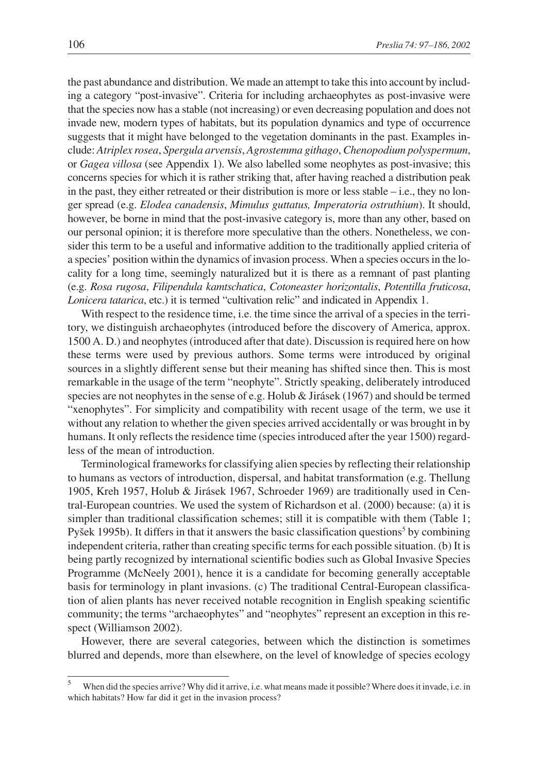the past abundance and distribution. We made an attempt to take this into account by including a category "post-invasive". Criteria for including archaeophytes as post-invasive were that the species now has a stable (not increasing) or even decreasing population and does not invade new, modern types of habitats, but its population dynamics and type of occurrence suggests that it might have belonged to the vegetation dominants in the past. Examples include: *Atriplex rosea*, *Spergula arvensis*, *Agrostemma githago*, *Chenopodium polyspermum*, or *Gagea villosa* (see Appendix 1). We also labelled some neophytes as post-invasive; this concerns species for which it is rather striking that, after having reached a distribution peak in the past, they either retreated or their distribution is more or less stable – i.e., they no longer spread (e.g. *Elodea canadensis*, *Mimulus guttatus, Imperatoria ostruthium*). It should, however, be borne in mind that the post-invasive category is, more than any other, based on our personal opinion; it is therefore more speculative than the others. Nonetheless, we consider this term to be a useful and informative addition to the traditionally applied criteria of a species' position within the dynamics of invasion process. When a species occurs in the locality for a long time, seemingly naturalized but it is there as a remnant of past planting (e.g. *Rosa rugosa*, *Filipendula kamtschatica*, *Cotoneaster horizontalis*, *Potentilla fruticosa*, *Lonicera tatarica*, etc.) it is termed "cultivation relic" and indicated in Appendix 1.

With respect to the residence time, i.e. the time since the arrival of a species in the territory, we distinguish archaeophytes (introduced before the discovery of America, approx. 1500 A. D.) and neophytes (introduced after that date). Discussion is required here on how these terms were used by previous authors. Some terms were introduced by original sources in a slightly different sense but their meaning has shifted since then. This is most remarkable in the usage of the term "neophyte". Strictly speaking, deliberately introduced species are not neophytes in the sense of e.g. Holub & Jirásek (1967) and should be termed "xenophytes". For simplicity and compatibility with recent usage of the term, we use it without any relation to whether the given species arrived accidentally or was brought in by humans. It only reflects the residence time (species introduced after the year 1500) regardless of the mean of introduction.

Terminological frameworks for classifying alien species by reflecting their relationship to humans as vectors of introduction, dispersal, and habitat transformation (e.g. Thellung 1905, Kreh 1957, Holub & Jirásek 1967, Schroeder 1969) are traditionally used in Central-European countries. We used the system of Richardson et al. (2000) because: (a) it is simpler than traditional classification schemes; still it is compatible with them (Table 1; Pyšek 1995b). It differs in that it answers the basic classification questions<sup>5</sup> by combining independent criteria, rather than creating specific terms for each possible situation. (b) It is being partly recognized by international scientific bodies such as Global Invasive Species Programme (McNeely 2001), hence it is a candidate for becoming generally acceptable basis for terminology in plant invasions. (c) The traditional Central-European classification of alien plants has never received notable recognition in English speaking scientific community; the terms "archaeophytes" and "neophytes" represent an exception in this respect (Williamson 2002).

However, there are several categories, between which the distinction is sometimes blurred and depends, more than elsewhere, on the level of knowledge of species ecology

<sup>&</sup>lt;sup>5</sup> When did the species arrive? Why did it arrive, i.e. what means made it possible? Where does it invade, i.e. in which habitats? How far did it get in the invasion process?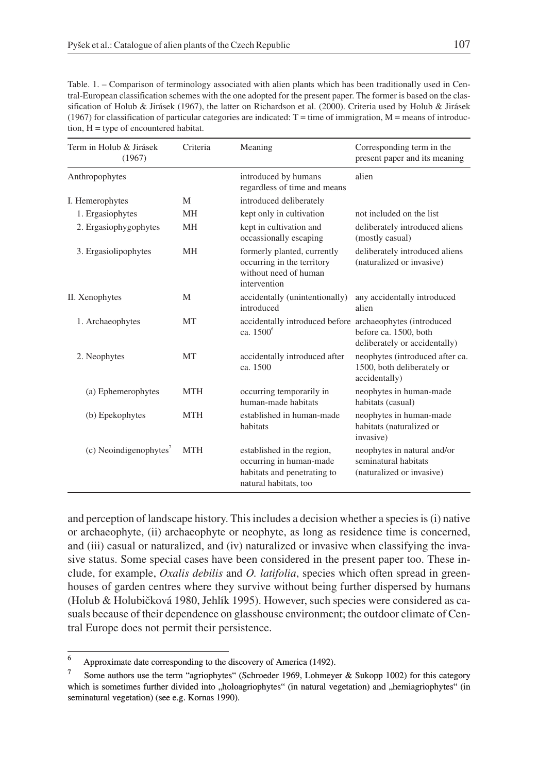Table. 1. – Comparison of terminology associated with alien plants which has been traditionally used in Central-European classification schemes with the one adopted for the present paper. The former is based on the classification of Holub & Jirásek (1967), the latter on Richardson et al. (2000). Criteria used by Holub & Jirásek (1967) for classification of particular categories are indicated:  $T =$  time of immigration,  $M =$  means of introduction,  $H =$  type of encountered habitat.

| Term in Holub & Jirásek<br>(1967)    | Criteria   | Meaning                                                                                                       | Corresponding term in the<br>present paper and its meaning                       |
|--------------------------------------|------------|---------------------------------------------------------------------------------------------------------------|----------------------------------------------------------------------------------|
| Anthropophytes                       |            | introduced by humans<br>regardless of time and means                                                          | alien                                                                            |
| I. Hemerophytes                      | M          | introduced deliberately                                                                                       |                                                                                  |
| 1. Ergasiophytes                     | <b>MH</b>  | kept only in cultivation                                                                                      | not included on the list                                                         |
| 2. Ergasiophygophytes                | MH         | kept in cultivation and<br>occassionally escaping                                                             | deliberately introduced aliens<br>(mostly casual)                                |
| 3. Ergasiolipophytes                 | <b>MH</b>  | formerly planted, currently<br>occurring in the territory<br>without need of human<br>intervention            | deliberately introduced aliens<br>(naturalized or invasive)                      |
| II. Xenophytes                       | M          | accidentally (unintentionally)<br>introduced                                                                  | any accidentally introduced<br>alien                                             |
| 1. Archaeophytes                     | <b>MT</b>  | accidentally introduced before archaeophytes (introduced<br>ca. 1500 <sup>6</sup>                             | before ca. 1500, both<br>deliberately or accidentally)                           |
| 2. Neophytes                         | <b>MT</b>  | accidentally introduced after<br>ca. 1500                                                                     | neophytes (introduced after ca.<br>1500, both deliberately or<br>accidentally)   |
| (a) Ephemerophytes                   | <b>MTH</b> | occurring temporarily in<br>human-made habitats                                                               | neophytes in human-made<br>habitats (casual)                                     |
| (b) Epekophytes                      | <b>MTH</b> | established in human-made<br>habitats                                                                         | neophytes in human-made<br>habitats (naturalized or<br>invasive)                 |
| $(c)$ Neoindigenophytes <sup>'</sup> | <b>MTH</b> | established in the region,<br>occurring in human-made<br>habitats and penetrating to<br>natural habitats, too | neophytes in natural and/or<br>seminatural habitats<br>(naturalized or invasive) |

and perception of landscape history. This includes a decision whether a species is (i) native or archaeophyte, (ii) archaeophyte or neophyte, as long as residence time is concerned, and (iii) casual or naturalized, and (iv) naturalized or invasive when classifying the invasive status. Some special cases have been considered in the present paper too. These include, for example, *Oxalis debilis* and *O. latifolia*, species which often spread in greenhouses of garden centres where they survive without being further dispersed by humans (Holub & Holubičková 1980, Jehlík 1995). However, such species were considered as casuals because of their dependence on glasshouse environment; the outdoor climate of Central Europe does not permit their persistence.

<sup>6</sup> Approximate date corresponding to the discovery of America (1492).

<sup>&</sup>lt;sup>7</sup> Some authors use the term "agriophytes" (Schroeder 1969, Lohmeyer & Sukopp 1002) for this category which is sometimes further divided into "holoagriophytes" (in natural vegetation) and "hemiagriophytes" (in seminatural vegetation) (see e.g. Kornas 1990).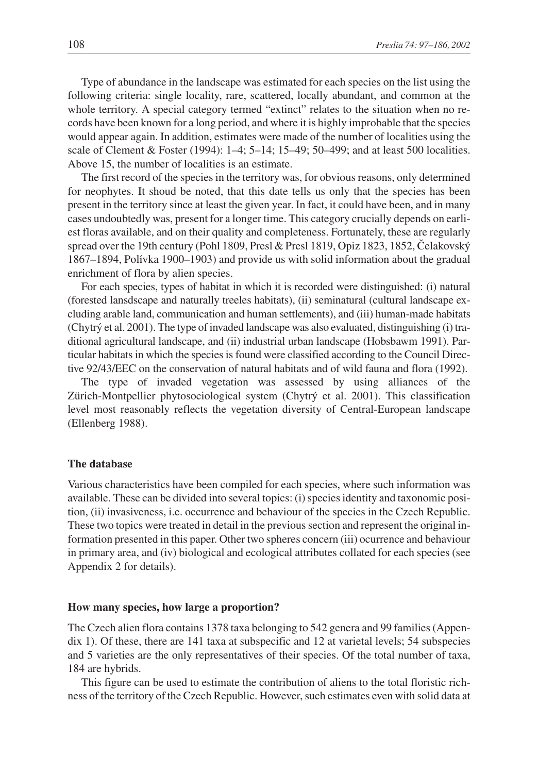Type of abundance in the landscape was estimated for each species on the list using the following criteria: single locality, rare, scattered, locally abundant, and common at the whole territory. A special category termed "extinct" relates to the situation when no records have been known for a long period, and where it is highly improbable that the species would appear again. In addition, estimates were made of the number of localities using the scale of Clement & Foster (1994): 1–4; 5–14; 15–49; 50–499; and at least 500 localities. Above 15, the number of localities is an estimate.

The first record of the species in the territory was, for obvious reasons, only determined for neophytes. It shoud be noted, that this date tells us only that the species has been present in the territory since at least the given year. In fact, it could have been, and in many cases undoubtedly was, present for a longer time. This category crucially depends on earliest floras available, and on their quality and completeness. Fortunately, these are regularly spread over the 19th century (Pohl 1809, Presl & Presl 1819, Opiz 1823, 1852, Čelakovský 1867–1894, Polívka 1900–1903) and provide us with solid information about the gradual enrichment of flora by alien species.

For each species, types of habitat in which it is recorded were distinguished: (i) natural (forested lansdscape and naturally treeles habitats), (ii) seminatural (cultural landscape excluding arable land, communication and human settlements), and (iii) human-made habitats (Chytrý et al. 2001). The type of invaded landscape was also evaluated, distinguishing (i) traditional agricultural landscape, and (ii) industrial urban landscape (Hobsbawm 1991). Particular habitats in which the species is found were classified according to the Council Directive 92/43/EEC on the conservation of natural habitats and of wild fauna and flora (1992).

The type of invaded vegetation was assessed by using alliances of the Zürich-Montpellier phytosociological system (Chytrý et al. 2001). This classification level most reasonably reflects the vegetation diversity of Central-European landscape (Ellenberg 1988).

## **The database**

Various characteristics have been compiled for each species, where such information was available. These can be divided into several topics: (i) species identity and taxonomic position, (ii) invasiveness, i.e. occurrence and behaviour of the species in the Czech Republic. These two topics were treated in detail in the previous section and represent the original information presented in this paper. Other two spheres concern (iii) ocurrence and behaviour in primary area, and (iv) biological and ecological attributes collated for each species (see Appendix 2 for details).

#### **How many species, how large a proportion?**

The Czech alien flora contains 1378 taxa belonging to 542 genera and 99 families (Appendix 1). Of these, there are 141 taxa at subspecific and 12 at varietal levels; 54 subspecies and 5 varieties are the only representatives of their species. Of the total number of taxa, 184 are hybrids.

This figure can be used to estimate the contribution of aliens to the total floristic richness of the territory of the Czech Republic. However, such estimates even with solid data at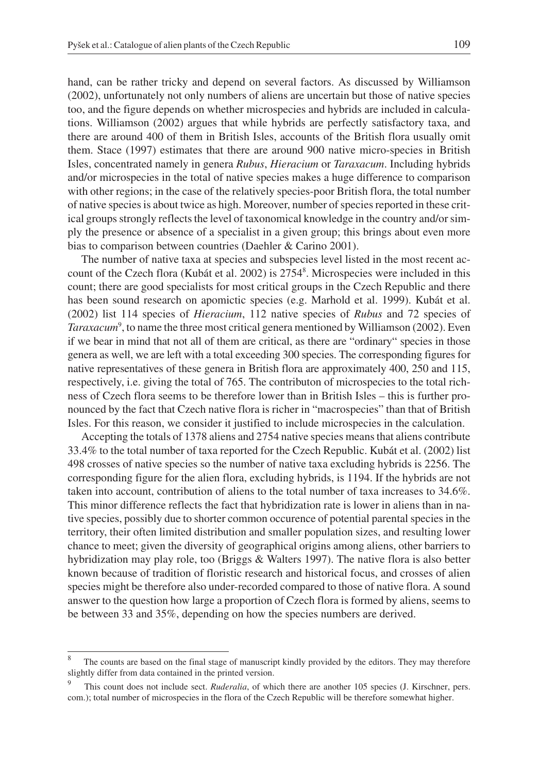hand, can be rather tricky and depend on several factors. As discussed by Williamson (2002), unfortunately not only numbers of aliens are uncertain but those of native species too, and the figure depends on whether microspecies and hybrids are included in calculations. Williamson (2002) argues that while hybrids are perfectly satisfactory taxa, and there are around 400 of them in British Isles, accounts of the British flora usually omit them. Stace (1997) estimates that there are around 900 native micro-species in British Isles, concentrated namely in genera *Rubus*, *Hieracium* or *Taraxacum*. Including hybrids and/or microspecies in the total of native species makes a huge difference to comparison with other regions; in the case of the relatively species-poor British flora, the total number of native species is about twice as high. Moreover, number of species reported in these critical groups strongly reflects the level of taxonomical knowledge in the country and/or simply the presence or absence of a specialist in a given group; this brings about even more bias to comparison between countries (Daehler & Carino 2001).

The number of native taxa at species and subspecies level listed in the most recent account of the Czech flora (Kubát et al. 2002) is 27548 . Microspecies were included in this count; there are good specialists for most critical groups in the Czech Republic and there has been sound research on apomictic species (e.g. Marhold et al. 1999). Kubát et al. (2002) list 114 species of *Hieracium*, 112 native species of *Rubus* and 72 species of Taraxacum<sup>9</sup>, to name the three most critical genera mentioned by Williamson (2002). Even if we bear in mind that not all of them are critical, as there are "ordinary" species in those genera as well, we are left with a total exceeding 300 species. The corresponding figures for native representatives of these genera in British flora are approximately 400, 250 and 115, respectively, i.e. giving the total of 765. The contributon of microspecies to the total richness of Czech flora seems to be therefore lower than in British Isles – this is further pronounced by the fact that Czech native flora is richer in "macrospecies" than that of British Isles. For this reason, we consider it justified to include microspecies in the calculation.

Accepting the totals of 1378 aliens and 2754 native species means that aliens contribute 33.4% to the total number of taxa reported for the Czech Republic. Kubát et al. (2002) list 498 crosses of native species so the number of native taxa excluding hybrids is 2256. The corresponding figure for the alien flora, excluding hybrids, is 1194. If the hybrids are not taken into account, contribution of aliens to the total number of taxa increases to 34.6%. This minor difference reflects the fact that hybridization rate is lower in aliens than in native species, possibly due to shorter common occurence of potential parental species in the territory, their often limited distribution and smaller population sizes, and resulting lower chance to meet; given the diversity of geographical origins among aliens, other barriers to hybridization may play role, too (Briggs & Walters 1997). The native flora is also better known because of tradition of floristic research and historical focus, and crosses of alien species might be therefore also under-recorded compared to those of native flora. A sound answer to the question how large a proportion of Czech flora is formed by aliens, seems to be between 33 and 35%, depending on how the species numbers are derived.

The counts are based on the final stage of manuscript kindly provided by the editors. They may therefore slightly differ from data contained in the printed version.

This count does not include sect. *Ruderalia*, of which there are another 105 species (J. Kirschner, pers. com.); total number of microspecies in the flora of the Czech Republic will be therefore somewhat higher.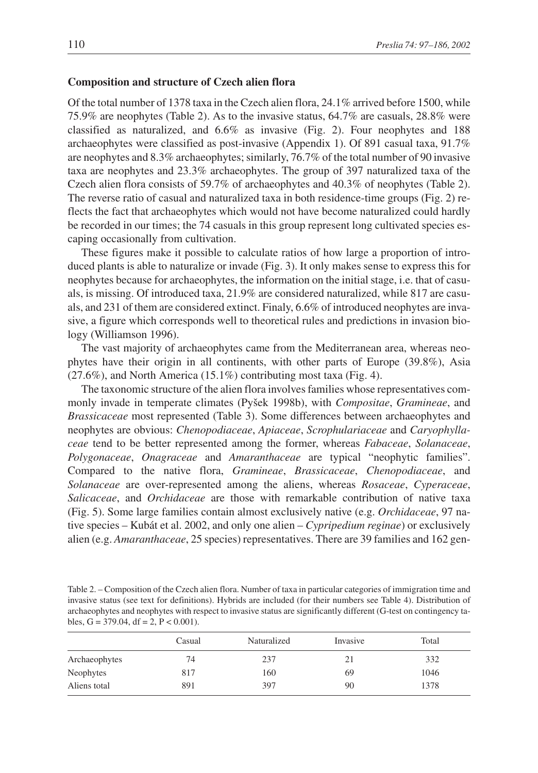#### **Composition and structure of Czech alien flora**

Of the total number of 1378 taxa in the Czech alien flora, 24.1% arrived before 1500, while 75.9% are neophytes (Table 2). As to the invasive status, 64.7% are casuals, 28.8% were classified as naturalized, and 6.6% as invasive (Fig. 2). Four neophytes and 188 archaeophytes were classified as post-invasive (Appendix 1). Of 891 casual taxa, 91.7% are neophytes and 8.3% archaeophytes; similarly, 76.7% of the total number of 90 invasive taxa are neophytes and 23.3% archaeophytes. The group of 397 naturalized taxa of the Czech alien flora consists of 59.7% of archaeophytes and 40.3% of neophytes (Table 2). The reverse ratio of casual and naturalized taxa in both residence-time groups (Fig. 2) reflects the fact that archaeophytes which would not have become naturalized could hardly be recorded in our times; the 74 casuals in this group represent long cultivated species escaping occasionally from cultivation.

These figures make it possible to calculate ratios of how large a proportion of introduced plants is able to naturalize or invade (Fig. 3). It only makes sense to express this for neophytes because for archaeophytes, the information on the initial stage, i.e. that of casuals, is missing. Of introduced taxa, 21.9% are considered naturalized, while 817 are casuals, and 231 of them are considered extinct. Finaly, 6.6% of introduced neophytes are invasive, a figure which corresponds well to theoretical rules and predictions in invasion biology (Williamson 1996).

The vast majority of archaeophytes came from the Mediterranean area, whereas neophytes have their origin in all continents, with other parts of Europe (39.8%), Asia (27.6%), and North America (15.1%) contributing most taxa (Fig. 4).

The taxonomic structure of the alien flora involves families whose representatives commonly invade in temperate climates (Pyšek 1998b), with *Compositae*, *Gramineae*, and *Brassicaceae* most represented (Table 3). Some differences between archaeophytes and neophytes are obvious: *Chenopodiaceae*, *Apiaceae*, *Scrophulariaceae* and *Caryophyllaceae* tend to be better represented among the former, whereas *Fabaceae*, *Solanaceae*, *Polygonaceae*, *Onagraceae* and *Amaranthaceae* are typical "neophytic families". Compared to the native flora, *Gramineae*, *Brassicaceae*, *Chenopodiaceae*, and *Solanaceae* are over-represented among the aliens, whereas *Rosaceae*, *Cyperaceae*, *Salicaceae*, and *Orchidaceae* are those with remarkable contribution of native taxa (Fig. 5). Some large families contain almost exclusively native (e.g. *Orchidaceae*, 97 native species – Kubát et al. 2002, and only one alien – *Cypripedium reginae*) or exclusively alien (e.g. *Amaranthaceae*, 25 species) representatives. There are 39 families and 162 gen-

Table 2. – Composition of the Czech alien flora. Number of taxa in particular categories of immigration time and invasive status (see text for definitions). Hybrids are included (for their numbers see Table 4). Distribution of archaeophytes and neophytes with respect to invasive status are significantly different (G-test on contingency tables,  $G = 379.04$ ,  $df = 2$ ,  $P < 0.001$ ).

|               | Casual | Naturalized | Invasive | Total |
|---------------|--------|-------------|----------|-------|
| Archaeophytes | 74     | 237         | 21       | 332   |
| Neophytes     | 817    | 160         | 69       | 1046  |
| Aliens total  | 891    | 397         | 90       | 1378  |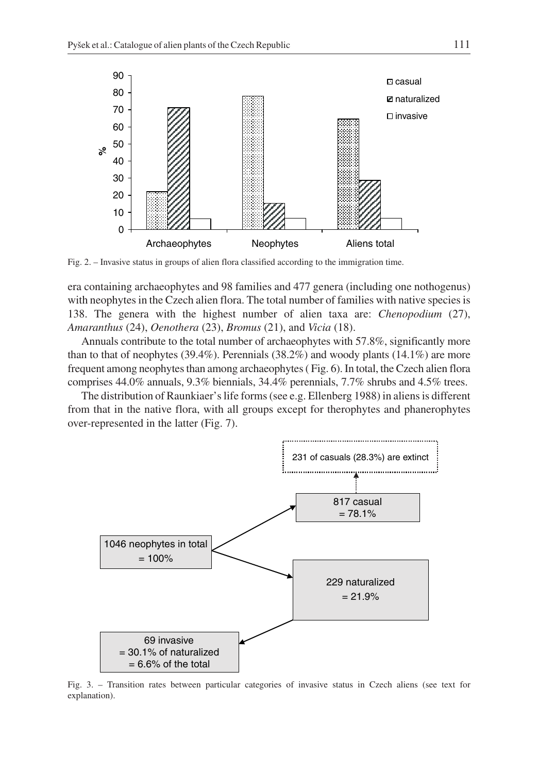

Fig. 2. – Invasive status in groups of alien flora classified according to the immigration time.

era containing archaeophytes and 98 families and 477 genera (including one nothogenus) with neophytes in the Czech alien flora. The total number of families with native species is 138. The genera with the highest number of alien taxa are: *Chenopodium* (27), *Amaranthus* (24), *Oenothera* (23), *Bromus* (21), and *Vicia* (18).

Annuals contribute to the total number of archaeophytes with 57.8%, significantly more than to that of neophytes  $(39.4\%)$ . Perennials  $(38.2\%)$  and woody plants  $(14.1\%)$  are more frequent among neophytes than among archaeophytes ( Fig. 6). In total, the Czech alien flora comprises 44.0% annuals, 9.3% biennials, 34.4% perennials, 7.7% shrubs and 4.5% trees.

The distribution of Raunkiaer's life forms (see e.g. Ellenberg 1988) in aliens is different from that in the native flora, with all groups except for therophytes and phanerophytes over-represented in the latter (Fig. 7).



Fig. 3. – Transition rates between particular categories of invasive status in Czech aliens (see text for explanation).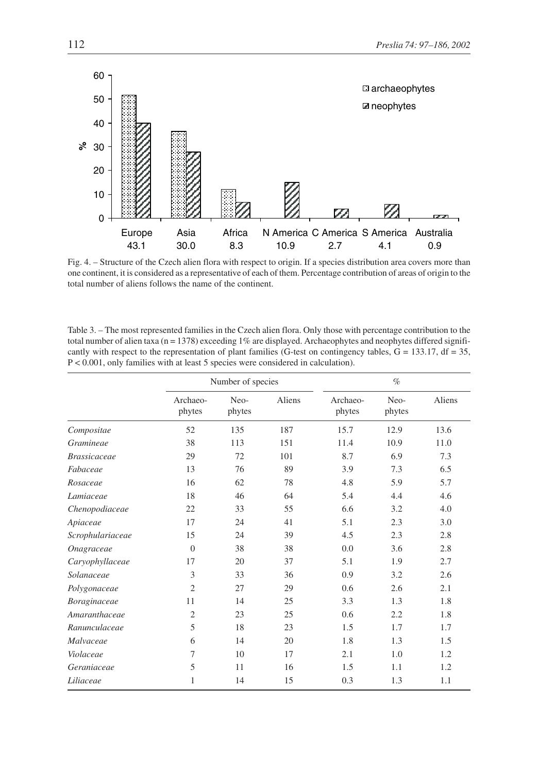

Fig. 4. – Structure of the Czech alien flora with respect to origin. If a species distribution area covers more than one continent, it is considered as a representative of each of them. Percentage contribution of areas of origin to the total number of aliens follows the name of the continent.

| Table 3. – The most represented families in the Czech alien flora. Only those with percentage contribution to the   |
|---------------------------------------------------------------------------------------------------------------------|
| total number of alien taxa ( $n = 1378$ ) exceeding 1% are displayed. Archaeophytes and neophytes differed signifi- |
| cantly with respect to the representation of plant families (G-test on contingency tables, $G = 133.17$ , df = 35,  |
| $P < 0.001$ , only families with at least 5 species were considered in calculation).                                |

|                     |                    | Number of species |        |                    | $\%$           |        |
|---------------------|--------------------|-------------------|--------|--------------------|----------------|--------|
|                     | Archaeo-<br>phytes | Neo-<br>phytes    | Aliens | Archaeo-<br>phytes | Neo-<br>phytes | Aliens |
| Compositae          | 52                 | 135               | 187    | 15.7               | 12.9           | 13.6   |
| Gramineae           | 38                 | 113               | 151    | 11.4               | 10.9           | 11.0   |
| <b>Brassicaceae</b> | 29                 | 72                | 101    | 8.7                | 6.9            | 7.3    |
| Fabaceae            | 13                 | 76                | 89     | 3.9                | 7.3            | 6.5    |
| Rosaceae            | 16                 | 62                | 78     | 4.8                | 5.9            | 5.7    |
| Lamiaceae           | 18                 | 46                | 64     | 5.4                | 4.4            | 4.6    |
| Chenopodiaceae      | 22                 | 33                | 55     | 6.6                | 3.2            | 4.0    |
| Apiaceae            | 17                 | 24                | 41     | 5.1                | 2.3            | 3.0    |
| Scrophulariaceae    | 15                 | 24                | 39     | 4.5                | 2.3            | 2.8    |
| Onagraceae          | $\Omega$           | 38                | 38     | 0.0                | 3.6            | 2.8    |
| Caryophyllaceae     | 17                 | 20                | 37     | 5.1                | 1.9            | 2.7    |
| Solanaceae          | 3                  | 33                | 36     | 0.9                | 3.2            | 2.6    |
| Polygonaceae        | $\overline{2}$     | 27                | 29     | 0.6                | 2.6            | 2.1    |
| Boraginaceae        | 11                 | 14                | 25     | 3.3                | 1.3            | 1.8    |
| Amaranthaceae       | $\overline{2}$     | 23                | 25     | 0.6                | 2.2            | 1.8    |
| Ranunculaceae       | 5                  | 18                | 23     | 1.5                | 1.7            | 1.7    |
| Malvaceae           | 6                  | 14                | 20     | 1.8                | 1.3            | 1.5    |
| Violaceae           | 7                  | 10                | 17     | 2.1                | 1.0            | 1.2    |
| Geraniaceae         | 5                  | 11                | 16     | 1.5                | 1.1            | 1.2    |
| Liliaceae           | 1                  | 14                | 15     | 0.3                | 1.3            | 1.1    |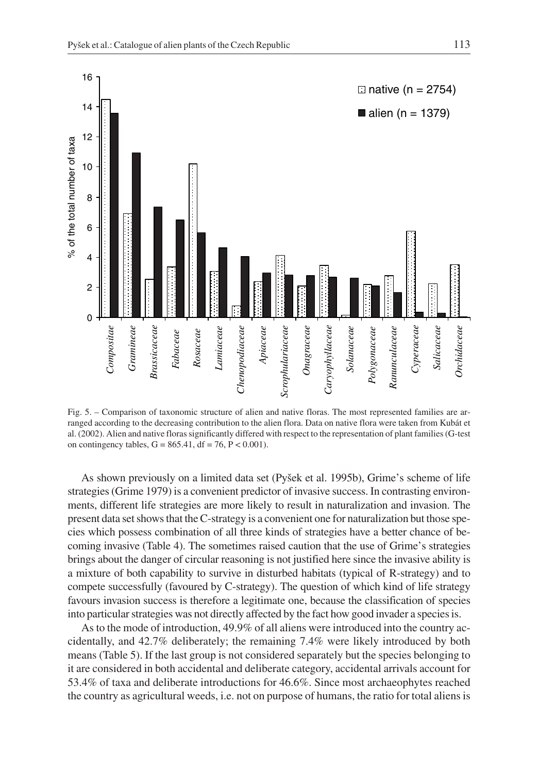

Fig. 5. – Comparison of taxonomic structure of alien and native floras. The most represented families are arranged according to the decreasing contribution to the alien flora. Data on native flora were taken from Kubát et al. (2002). Alien and native floras significantly differed with respect to the representation of plant families (G-test on contingency tables,  $G = 865.41$ ,  $df = 76$ ,  $P < 0.001$ ).

As shown previously on a limited data set (Pyšek et al. 1995b), Grime's scheme of life strategies (Grime 1979) is a convenient predictor of invasive success. In contrasting environments, different life strategies are more likely to result in naturalization and invasion. The present data set shows that the C-strategy is a convenient one for naturalization but those species which possess combination of all three kinds of strategies have a better chance of becoming invasive (Table 4). The sometimes raised caution that the use of Grime's strategies brings about the danger of circular reasoning is not justified here since the invasive ability is a mixture of both capability to survive in disturbed habitats (typical of R-strategy) and to compete successfully (favoured by C-strategy). The question of which kind of life strategy favours invasion success is therefore a legitimate one, because the classification of species into particular strategies was not directly affected by the fact how good invader a species is.

As to the mode of introduction, 49.9% of all aliens were introduced into the country accidentally, and 42.7% deliberately; the remaining 7.4% were likely introduced by both means (Table 5). If the last group is not considered separately but the species belonging to it are considered in both accidental and deliberate category, accidental arrivals account for 53.4% of taxa and deliberate introductions for 46.6%. Since most archaeophytes reached the country as agricultural weeds, i.e. not on purpose of humans, the ratio for total aliens is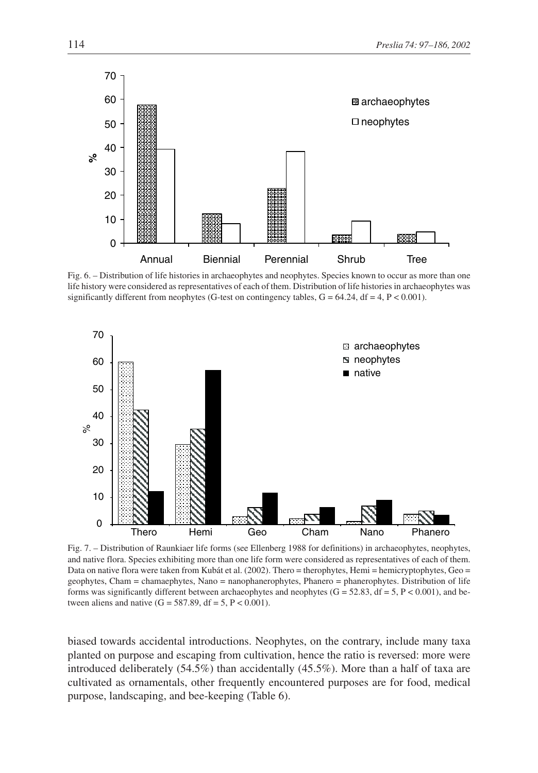

Fig. 6. – Distribution of life histories in archaeophytes and neophytes. Species known to occur as more than one life history were considered as representatives of each of them. Distribution of life histories in archaeophytes was significantly different from neophytes (G-test on contingency tables,  $G = 64.24$ ,  $df = 4$ ,  $P < 0.001$ ).



Fig. 7. – Distribution of Raunkiaer life forms (see Ellenberg 1988 for definitions) in archaeophytes, neophytes, and native flora. Species exhibiting more than one life form were considered as representatives of each of them. Data on native flora were taken from Kubát et al. (2002). Thero = therophytes, Hemi = hemicryptophytes, Geo = geophytes, Cham = chamaephytes, Nano = nanophanerophytes, Phanero = phanerophytes. Distribution of life forms was significantly different between archaeophytes and neophytes  $(G = 52.83, df = 5, P < 0.001)$ , and between aliens and native  $(G = 587.89, df = 5, P < 0.001)$ .

biased towards accidental introductions. Neophytes, on the contrary, include many taxa planted on purpose and escaping from cultivation, hence the ratio is reversed: more were introduced deliberately (54.5%) than accidentally (45.5%). More than a half of taxa are cultivated as ornamentals, other frequently encountered purposes are for food, medical purpose, landscaping, and bee-keeping (Table 6).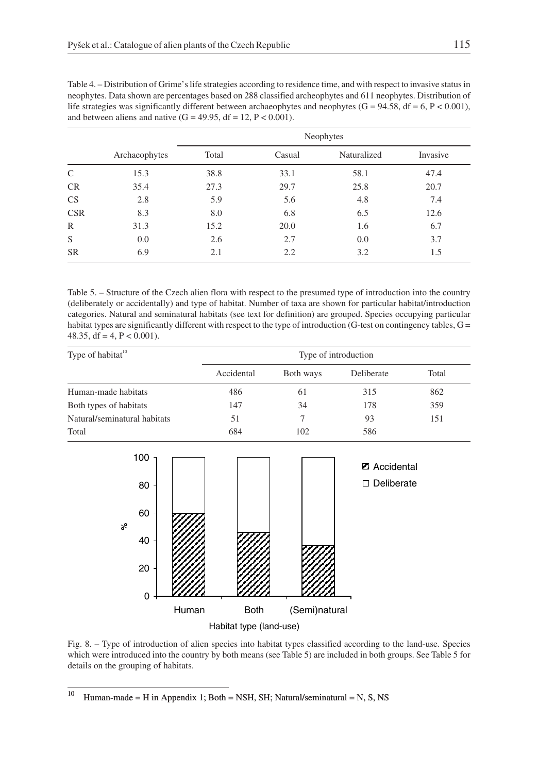| Table 4. – Distribution of Grime's life strategies according to residence time, and with respect to invasive status in |
|------------------------------------------------------------------------------------------------------------------------|
| neophytes. Data shown are percentages based on 288 classified archeophytes and 611 neophytes. Distribution of          |
| life strategies was significantly different between archaeophytes and neophytes $(G = 94.58, df = 6, P < 0.001)$ ,     |
| and between aliens and native $(G = 49.95, df = 12, P < 0.001)$ .                                                      |

|               |               | Neophytes |        |             |          |  |  |
|---------------|---------------|-----------|--------|-------------|----------|--|--|
|               | Archaeophytes | Total     | Casual | Naturalized | Invasive |  |  |
| $\mathcal{C}$ | 15.3          | 38.8      | 33.1   | 58.1        | 47.4     |  |  |
| CR            | 35.4          | 27.3      | 29.7   | 25.8        | 20.7     |  |  |
| CS            | 2.8           | 5.9       | 5.6    | 4.8         | 7.4      |  |  |
| <b>CSR</b>    | 8.3           | 8.0       | 6.8    | 6.5         | 12.6     |  |  |
| $\mathbb{R}$  | 31.3          | 15.2      | 20.0   | 1.6         | 6.7      |  |  |
| S             | 0.0           | 2.6       | 2.7    | 0.0         | 3.7      |  |  |
| <b>SR</b>     | 6.9           | 2.1       | 2.2    | 3.2         | 1.5      |  |  |

Table 5. – Structure of the Czech alien flora with respect to the presumed type of introduction into the country (deliberately or accidentally) and type of habitat. Number of taxa are shown for particular habitat/introduction categories. Natural and seminatural habitats (see text for definition) are grouped. Species occupying particular habitat types are significantly different with respect to the type of introduction (G-test on contingency tables, G = 48.35, df = 4,  $P < 0.001$ ).

| Type of habitat <sup>10</sup> |            | Type of introduction |            |       |  |  |  |
|-------------------------------|------------|----------------------|------------|-------|--|--|--|
|                               | Accidental | Both ways            | Deliberate | Total |  |  |  |
| Human-made habitats           | 486        | 61                   | 315        | 862   |  |  |  |
| Both types of habitats        | 147        | 34                   | 178        | 359   |  |  |  |
| Natural/seminatural habitats  | 51         |                      | 93         | 151   |  |  |  |
| Total                         | 684        | 102                  | 586        |       |  |  |  |



Fig. 8. – Type of introduction of alien species into habitat types classified according to the land-use. Species which were introduced into the country by both means (see Table 5) are included in both groups. See Table 5 for details on the grouping of habitats.

<sup>&</sup>lt;sup>10</sup> Human-made = H in Appendix 1; Both = NSH, SH; Natural/seminatural = N, S, NS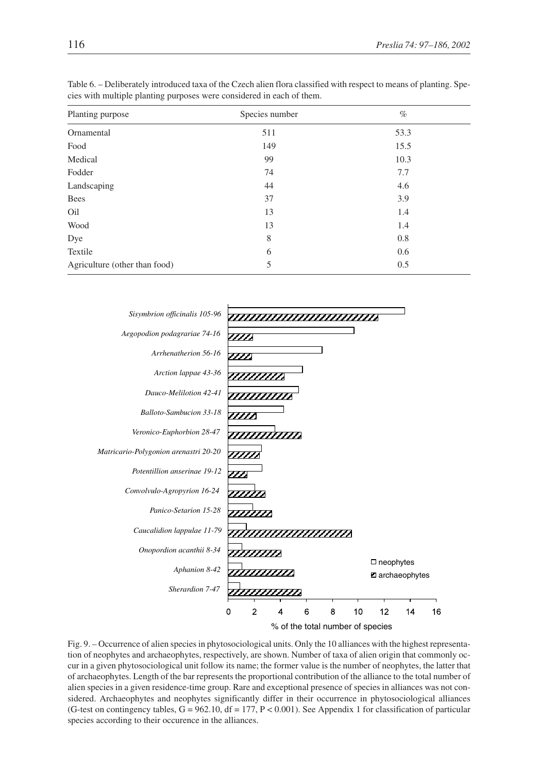| Planting purpose              | Species number | $\%$ |
|-------------------------------|----------------|------|
| Ornamental                    | 511            | 53.3 |
| Food                          | 149            | 15.5 |
| Medical                       | 99             | 10.3 |
| Fodder                        | 74             | 7.7  |
| Landscaping                   | 44             | 4.6  |
| Bees                          | 37             | 3.9  |
| Oil                           | 13             | 1.4  |
| Wood                          | 13             | 1.4  |
| Dye                           | 8              | 0.8  |
| Textile                       | 6              | 0.6  |
| Agriculture (other than food) | 5              | 0.5  |

Table 6. – Deliberately introduced taxa of the Czech alien flora classified with respect to means of planting. Species with multiple planting purposes were considered in each of them.



Fig. 9. – Occurrence of alien species in phytosociological units. Only the 10 alliances with the highest representation of neophytes and archaeophytes, respectively, are shown. Number of taxa of alien origin that commonly occur in a given phytosociological unit follow its name; the former value is the number of neophytes, the latter that of archaeophytes. Length of the bar represents the proportional contribution of the alliance to the total number of alien species in a given residence-time group. Rare and exceptional presence of species in alliances was not considered. Archaeophytes and neophytes significantly differ in their occurrence in phytosociological alliances (G-test on contingency tables,  $G = 962.10$ ,  $df = 177$ ,  $P < 0.001$ ). See Appendix 1 for classification of particular species according to their occurence in the alliances.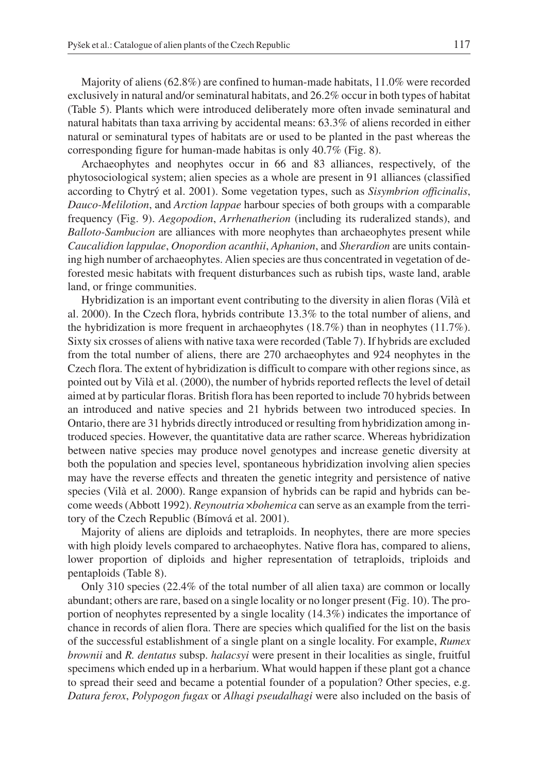Majority of aliens (62.8%) are confined to human-made habitats, 11.0% were recorded exclusively in natural and/or seminatural habitats, and 26.2% occur in both types of habitat (Table 5). Plants which were introduced deliberately more often invade seminatural and natural habitats than taxa arriving by accidental means: 63.3% of aliens recorded in either natural or seminatural types of habitats are or used to be planted in the past whereas the corresponding figure for human-made habitas is only 40.7% (Fig. 8).

Archaeophytes and neophytes occur in 66 and 83 alliances, respectively, of the phytosociological system; alien species as a whole are present in 91 alliances (classified according to Chytrý et al. 2001). Some vegetation types, such as *Sisymbrion officinalis*, *Dauco-Melilotion*, and *Arction lappae* harbour species of both groups with a comparable frequency (Fig. 9). *Aegopodion*, *Arrhenatherion* (including its ruderalized stands), and *Balloto-Sambucion* are alliances with more neophytes than archaeophytes present while *Caucalidion lappulae*, *Onopordion acanthii*, *Aphanion*, and *Sherardion* are units containing high number of archaeophytes. Alien species are thus concentrated in vegetation of deforested mesic habitats with frequent disturbances such as rubish tips, waste land, arable land, or fringe communities.

Hybridization is an important event contributing to the diversity in alien floras (Vila` et al. 2000). In the Czech flora, hybrids contribute 13.3% to the total number of aliens, and the hybridization is more frequent in archaeophytes (18.7%) than in neophytes (11.7%). Sixty six crosses of aliens with native taxa were recorded (Table 7). If hybrids are excluded from the total number of aliens, there are 270 archaeophytes and 924 neophytes in the Czech flora. The extent of hybridization is difficult to compare with other regions since, as pointed out by Vila` et al. (2000), the number of hybrids reported reflects the level of detail aimed at by particular floras. British flora has been reported to include 70 hybrids between an introduced and native species and 21 hybrids between two introduced species. In Ontario, there are 31 hybrids directly introduced or resulting from hybridization among introduced species. However, the quantitative data are rather scarce. Whereas hybridization between native species may produce novel genotypes and increase genetic diversity at both the population and species level, spontaneous hybridization involving alien species may have the reverse effects and threaten the genetic integrity and persistence of native species (Vilà et al. 2000). Range expansion of hybrids can be rapid and hybrids can become weeds (Abbott 1992). *Reynoutria* ×*bohemica* can serve as an example from the territory of the Czech Republic (Bímová et al. 2001).

Majority of aliens are diploids and tetraploids. In neophytes, there are more species with high ploidy levels compared to archaeophytes. Native flora has, compared to aliens, lower proportion of diploids and higher representation of tetraploids, triploids and pentaploids (Table 8).

Only 310 species (22.4% of the total number of all alien taxa) are common or locally abundant; others are rare, based on a single locality or no longer present (Fig. 10). The proportion of neophytes represented by a single locality (14.3%) indicates the importance of chance in records of alien flora. There are species which qualified for the list on the basis of the successful establishment of a single plant on a single locality. For example, *Rumex brownii* and *R. dentatus* subsp. *halacsyi* were present in their localities as single, fruitful specimens which ended up in a herbarium. What would happen if these plant got a chance to spread their seed and became a potential founder of a population? Other species, e.g. *Datura ferox*, *Polypogon fugax* or *Alhagi pseudalhagi* were also included on the basis of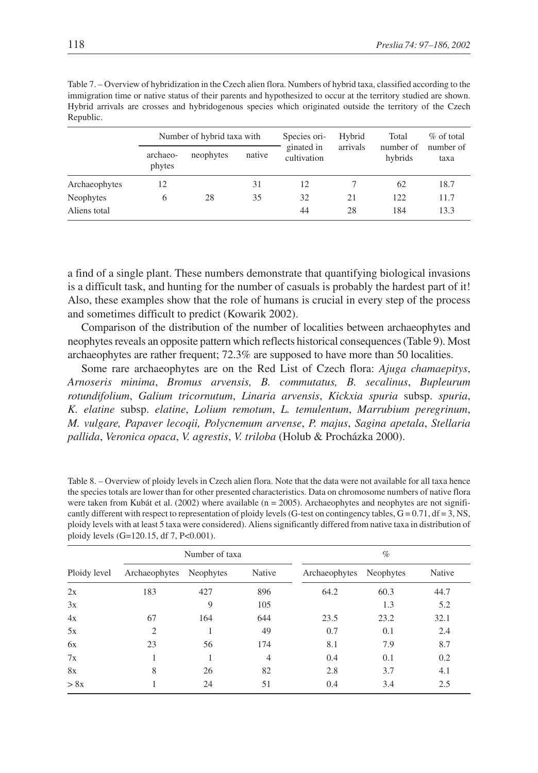| Republic.     |                            |           |        |                           |          |                      |                   |  |  |
|---------------|----------------------------|-----------|--------|---------------------------|----------|----------------------|-------------------|--|--|
|               | Number of hybrid taxa with |           |        | Species ori-              | Hybrid   | Total                | $\%$ of total     |  |  |
|               | archaeo-<br>phytes         | neophytes | native | ginated in<br>cultivation | arrivals | number of<br>hybrids | number of<br>taxa |  |  |
| Archaeophytes | 12                         |           | 31     | 12                        |          | 62                   | 18.7              |  |  |
| Neophytes     | 6                          | 28        | 35     | 32                        | 21       | 122                  | 11.7              |  |  |
| Aliens total  |                            |           |        | 44                        | 28       | 184                  | 13.3              |  |  |

Table 7. – Overview of hybridization in the Czech alien flora. Numbers of hybrid taxa, classified according to the immigration time or native status of their parents and hypothesized to occur at the territory studied are shown. Hybrid arrivals are crosses and hybridogenous species which originated outside the territory of the Czech  $P_{\text{anub}}$ 

a find of a single plant. These numbers demonstrate that quantifying biological invasions is a difficult task, and hunting for the number of casuals is probably the hardest part of it! Also, these examples show that the role of humans is crucial in every step of the process and sometimes difficult to predict (Kowarik 2002).

Comparison of the distribution of the number of localities between archaeophytes and neophytes reveals an opposite pattern which reflects historical consequences (Table 9). Most archaeophytes are rather frequent; 72.3% are supposed to have more than 50 localities.

Some rare archaeophytes are on the Red List of Czech flora: *Ajuga chamaepitys*, *Arnoseris minima*, *Bromus arvensis, B. commutatus, B. secalinus*, *Bupleurum rotundifolium*, *Galium tricornutum*, *Linaria arvensis*, *Kickxia spuria* subsp. *spuria*, *K. elatine* subsp. *elatine*, *Lolium remotum*, *L. temulentum*, *Marrubium peregrinum*, *M. vulgare, Papaver lecoqii, Polycnemum arvense*, *P. majus*, *Sagina apetala*, *Stellaria pallida*, *Veronica opaca*, *V. agrestis*, *V. triloba* (Holub & Procházka 2000).

Table 8. – Overview of ploidy levels in Czech alien flora. Note that the data were not available for all taxa hence the species totals are lower than for other presented characteristics. Data on chromosome numbers of native flora were taken from Kubát et al. (2002) where available (n = 2005). Archaeophytes and neophytes are not significantly different with respect to representation of ploidy levels (G-test on contingency tables,  $G = 0.71$ ,  $df = 3$ , NS, ploidy levels with at least 5 taxa were considered). Aliens significantly differed from native taxa in distribution of ploidy levels (G=120.15, df 7, P<0.001).

|              | Number of taxa |           |        | $\%$          |           |        |  |
|--------------|----------------|-----------|--------|---------------|-----------|--------|--|
| Ploidy level | Archaeophytes  | Neophytes | Native | Archaeophytes | Neophytes | Native |  |
| 2x           | 183            | 427       | 896    | 64.2          | 60.3      | 44.7   |  |
| 3x           |                | 9         | 105    |               | 1.3       | 5.2    |  |
| 4x           | 67             | 164       | 644    | 23.5          | 23.2      | 32.1   |  |
| 5x           | $\overline{c}$ |           | 49     | 0.7           | 0.1       | 2.4    |  |
| 6x           | 23             | 56        | 174    | 8.1           | 7.9       | 8.7    |  |
| 7x           |                |           | 4      | 0.4           | 0.1       | 0.2    |  |
| 8x           | 8              | 26        | 82     | 2.8           | 3.7       | 4.1    |  |
| > 8x         |                | 24        | 51     | 0.4           | 3.4       | 2.5    |  |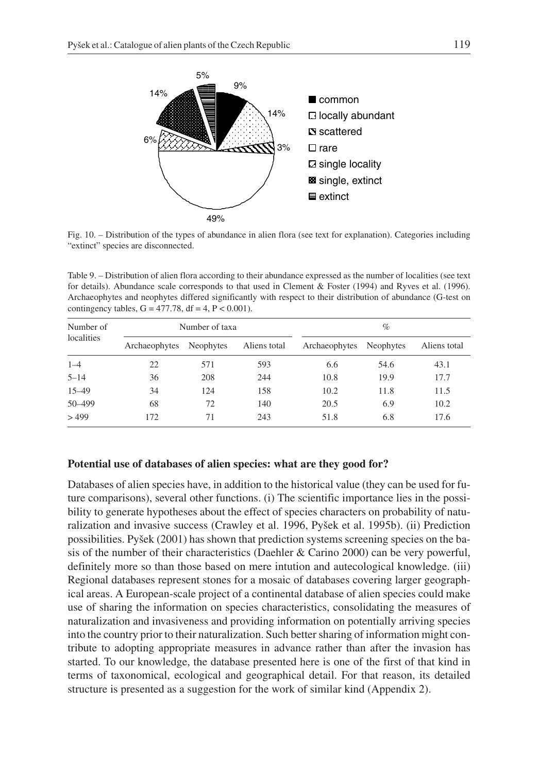

Fig. 10. – Distribution of the types of abundance in alien flora (see text for explanation). Categories including "extinct" species are disconnected.

Table 9. – Distribution of alien flora according to their abundance expressed as the number of localities (see text for details). Abundance scale corresponds to that used in Clement & Foster (1994) and Ryves et al. (1996). Archaeophytes and neophytes differed significantly with respect to their distribution of abundance (G-test on contingency tables,  $G = 477.78$ ,  $df = 4$ ,  $P < 0.001$ ).

| Number of<br>localities | Number of taxa |           |              | $\%$          |                  |              |
|-------------------------|----------------|-----------|--------------|---------------|------------------|--------------|
|                         | Archaeophytes  | Neophytes | Aliens total | Archaeophytes | <b>Neophytes</b> | Aliens total |
| $1 - 4$                 | 22             | 571       | 593          | 6.6           | 54.6             | 43.1         |
| $5 - 14$                | 36             | 208       | 244          | 10.8          | 19.9             | 17.7         |
| $15 - 49$               | 34             | 124       | 158          | 10.2          | 11.8             | 11.5         |
| 50-499                  | 68             | 72        | 140          | 20.5          | 6.9              | 10.2         |
| >499                    | 172            | 71        | 243          | 51.8          | 6.8              | 17.6         |

## **Potential use of databases of alien species: what are they good for?**

Databases of alien species have, in addition to the historical value (they can be used for future comparisons), several other functions. (i) The scientific importance lies in the possibility to generate hypotheses about the effect of species characters on probability of naturalization and invasive success (Crawley et al. 1996, Pyšek et al. 1995b). (ii) Prediction possibilities. Pyšek (2001) has shown that prediction systems screening species on the basis of the number of their characteristics (Daehler & Carino 2000) can be very powerful, definitely more so than those based on mere intution and autecological knowledge. (iii) Regional databases represent stones for a mosaic of databases covering larger geographical areas. A European-scale project of a continental database of alien species could make use of sharing the information on species characteristics, consolidating the measures of naturalization and invasiveness and providing information on potentially arriving species into the country prior to their naturalization. Such better sharing of information might contribute to adopting appropriate measures in advance rather than after the invasion has started. To our knowledge, the database presented here is one of the first of that kind in terms of taxonomical, ecological and geographical detail. For that reason, its detailed structure is presented as a suggestion for the work of similar kind (Appendix 2).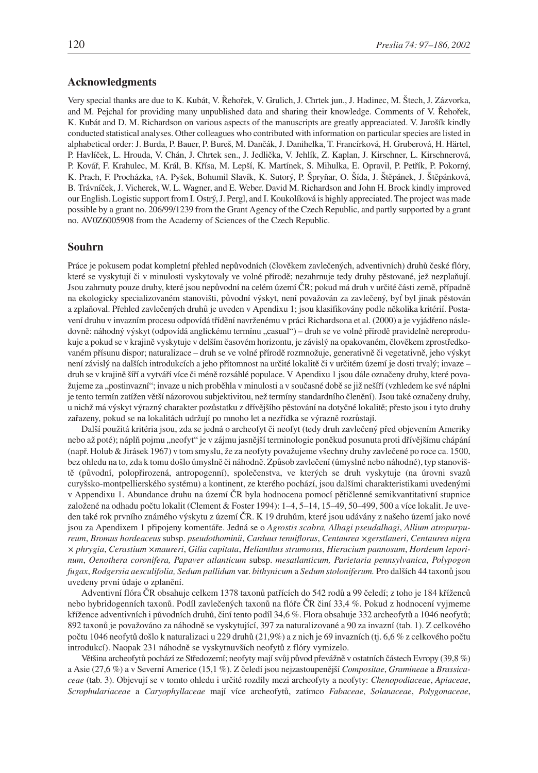#### **Acknowledgments**

Very special thanks are due to K. Kubát, V. Řehořek, V. Grulich, J. Chrtek jun., J. Hadinec, M. Štech, J. Zázvorka, and M. Pejchal for providing many unpublished data and sharing their knowledge. Comments of V. Řehořek, K. Kubát and D. M. Richardson on various aspects of the manuscripts are greatly appreaciated. V. Jarošík kindly conducted statistical analyses. Other colleagues who contributed with information on particular species are listed in alphabetical order: J. Burda, P. Bauer, P. Bureš, M. Dančák, J. Danihelka, T. Francírková, H. Gruberová, H. Härtel, P. Havlíček, L. Hrouda, V. Chán, J. Chrtek sen., J. Jedlička, V. Jehlík, Z. Kaplan, J. Kirschner, L. Kirschnerová, P. Kovář, F. Krahulec, M. Král, B. Křísa, M. Lepší, K. Martínek, S. Mihulka, E. Opravil, P. Petřík, P. Pokorný, K. Prach, F. Procházka, †A. Pyšek, Bohumil Slavík, K. Sutorý, P. Špryňar, O. Šída, J. Štěpánek, J. Štěpánková, B. Trávníček, J. Vicherek, W. L. Wagner, and E. Weber. David M. Richardson and John H. Brock kindly improved our English. Logistic support from I. Ostrý, J. Pergl, and I. Koukolíková is highly appreciated. The project was made possible by a grant no. 206/99/1239 from the Grant Agency of the Czech Republic, and partly supported by a grant no. AV0Z6005908 from the Academy of Sciences of the Czech Republic.

#### **Souhrn**

Práce je pokusem podat kompletní přehled nepůvodních (člověkem zavlečených, adventivních) druhů české flóry, které se vyskytují či v minulosti vyskytovaly ve volné přírodě; nezahrnuje tedy druhy pěstované, jež nezplaňují. Jsou zahrnuty pouze druhy, které jsou nepůvodní na celém území ČR; pokud má druh v určité části země, případně na ekologicky specializovaném stanovišti, původní výskyt, není považován za zavlečený, byť byl jinak pěstován a zplaňoval. Přehled zavlečených druhů je uveden v Apendixu 1; jsou klasifikovány podle několika kritérií. Postavení druhu v invazním procesu odpovídá třídění navrženému v práci Richardsona et al. (2000) a je vyjádřeno následovně: náhodný výskyt (odpovídá anglickému termínu "casual") – druh se ve volné přírodě pravidelně nereprodukuje a pokud se v krajině vyskytuje v delším časovém horizontu, je závislý na opakovaném, člověkem zprostředkovaném přísunu dispor; naturalizace – druh se ve volné přírodě rozmnožuje, generativně či vegetativně, jeho výskyt není závislý na dalších introdukcích a jeho přítomnost na určité lokalitě či v určitém území je dosti trvalý; invaze – druh se v krajině šíří a vytváří více či méně rozsáhlé populace. V Apendixu 1 jsou dále označeny druhy, které považujeme za "postinvazní"; invaze u nich proběhla v minulosti a v současné době se již nešíří (vzhledem ke své náplni je tento termín zatížen větší názorovou subjektivitou, než termíny standardního členění). Jsou také označeny druhy, u nichž má výskyt výrazný charakter pozůstatku z dřívějšího pěstování na dotyčné lokalitě; přesto jsou i tyto druhy zařazeny, pokud se na lokalitách udržují po mnoho let a nezřídka se výrazně rozrůstají.

Další použitá kritéria jsou, zda se jedná o archeofyt či neofyt (tedy druh zavlečený před objevením Ameriky nebo až poté); náplň pojmu "neofyt" je v zájmu jasnější terminologie poněkud posunuta proti dřívějšímu chápání (např. Holub & Jirásek 1967) v tom smyslu, že za neofyty považujeme všechny druhy zavlečené po roce ca. 1500, bez ohledu na to, zda k tomu došlo úmyslně či náhodně. Způsob zavlečení (úmyslné nebo náhodné), typ stanoviště (původní, polopřirozená, antropogenní), společenstva, ve kterých se druh vyskytuje (na úrovni svazů curyšsko-montpellierského systému) a kontinent, ze kterého pochází, jsou dalšími charakteristikami uvedenými v Appendixu 1. Abundance druhu na území ČR byla hodnocena pomocí pětičlenné semikvantitativní stupnice založené na odhadu počtu lokalit (Clement & Foster 1994): 1–4, 5–14, 15–49, 50–499, 500 a více lokalit. Je uveden také rok prvního známého výskytu z území ČR. K 19 druhům, které jsou udávány z našeho území jako nové jsou za Apendixem 1 připojeny komentáře. Jedná se o *Agrostis scabra, Alhagi pseudalhagi*, *Allium atropurpureum*, *Bromus hordeaceus* subsp. *pseudothominii*, *Carduus tenuiflorus*, *Centaurea ×gerstlaueri*, *Centaurea nigra × phrygia*, *Cerastium ×maureri*, *Gilia capitata*, *Helianthus strumosus*, *Hieracium pannosum*, *Hordeum leporinum*, *Oenothera coronifera, Papaver atlanticum* subsp. *mesatlanticum, Parietaria pennsylvanica*, *Polypogon fugax*, *Rodgersia aesculifolia, Sedum pallidum* var. *bithynicum* a *Sedum stoloniferum.* Pro dalších 44 taxonů jsou uvedeny první údaje o zplanění.

Adventivní flóra ČR obsahuje celkem 1378 taxonů patřících do 542 rodů a 99 čeledí; z toho je 184 kříženců nebo hybridogenních taxonů. Podíl zavlečených taxonů na flóře ČR činí 33,4 %. Pokud z hodnocení vyjmeme křížence adventivních i původních druhů, činí tento podíl 34,6 %. Flora obsahuje 332 archeofytů a 1046 neofytů; 892 taxonů je považováno za náhodně se vyskytující, 397 za naturalizované a 90 za invazní (tab. 1). Z celkového počtu 1046 neofytů došlo k naturalizaci u 229 druhů (21,9%) a z nich je 69 invazních (tj. 6,6 % z celkového počtu introdukcí). Naopak 231 náhodně se vyskytnuvších neofytů z flóry vymizelo.

Většina archeofytů pochází ze Středozemí; neofyty mají svůj původ převážně v ostatních částech Evropy (39,8 %) a Asie (27,6 %) a v Severní Americe (15,1 %). Z čeledí jsou nejzastoupenější *Compositae*, *Gramineae* a *Brassicaceae* (tab. 3). Objevují se v tomto ohledu i určité rozdíly mezi archeofyty a neofyty: *Chenopodiaceae*, *Apiaceae*, *Scrophulariaceae* a *Caryophyllaceae* mají více archeofytů, zatímco *Fabaceae*, *Solanaceae*, *Polygonaceae*,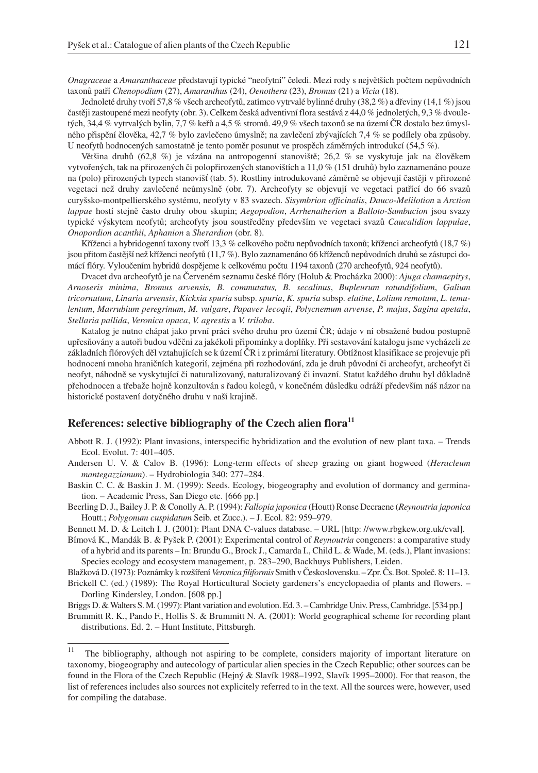*Onagraceae* a *Amaranthaceae* představují typické "neofytní" čeledi. Mezi rody s největších počtem nepůvodních taxonů patří *Chenopodium* (27), *Amaranthus* (24), *Oenothera* (23), *Bromus* (21) a *Vicia* (18).

Jednoleté druhy tvoří 57,8 % všech archeofytů, zatímco vytrvalé bylinné druhy (38,2 %) a dřeviny (14,1 %) jsou častěji zastoupené mezi neofyty (obr. 3). Celkem česká adventivní flora sestává z 44,0 % jednoletých, 9,3 % dvouletých, 34,4 % vytrvalých bylin, 7,7 % keřů a 4,5 % stromů. 49,9 % všech taxonů se na území ČR dostalo bez úmyslného přispění člověka, 42,7 % bylo zavlečeno úmyslně; na zavlečení zbývajících 7,4 % se podílely oba způsoby. U neofytů hodnocených samostatně je tento poměr posunut ve prospěch záměrných introdukcí (54,5 %).

Většina druhů (62,8 %) je vázána na antropogenní stanoviště; 26,2 % se vyskytuje jak na člověkem vytvořených, tak na přirozených či polopřirozených stanovištích a 11,0 % (151 druhů) bylo zaznamenáno pouze na (polo) přirozených typech stanovišť (tab. 5). Rostliny introdukované záměrně se objevují častěji v přirozené vegetaci než druhy zavlečené neúmyslně (obr. 7). Archeofyty se objevují ve vegetaci patřící do 66 svazů curyšsko-montpellierského systému, neofyty v 83 svazech. *Sisymbrion officinalis*, *Dauco-Melilotion* a *Arction lappae* hostí stejně často druhy obou skupin; *Aegopodion*, *Arrhenatherion* a *Balloto-Sambucion* jsou svazy typické výskytem neofytů; archeofyty jsou soustředěny především ve vegetaci svazů *Caucalidion lappulae*, *Onopordion acanthii*, *Aphanion* a *Sherardion* (obr. 8).

Kříženci a hybridogenní taxony tvoří 13,3 % celkového počtu nepůvodních taxonů; kříženci archeofytů (18,7 %) jsou přitom častější než kříženci neofytů (11,7 %). Bylo zaznamenáno 66 kříženců nepůvodních druhů se zástupci domácí flóry. Vyloučením hybridů dospějeme k celkovému počtu 1194 taxonů (270 archeofytů, 924 neofytů).

Dvacet dva archeofytů je na Červeném seznamu české flóry (Holub & Procházka 2000): *Ajuga chamaepitys*, *Arnoseris minima*, *Bromus arvensis, B. commutatus, B. secalinus*, *Bupleurum rotundifolium*, *Galium tricornutum*, *Linaria arvensis*, *Kickxia spuria* subsp. *spuria*, *K. spuria* subsp. *elatine*, *Lolium remotum*, *L. temulentum*, *Marrubium peregrinum*, *M. vulgare*, *Papaver lecoqii*, *Polycnemum arvense*, *P. majus*, *Sagina apetala*, *Stellaria pallida*, *Veronica opaca*, *V. agrestis* a *V. triloba*.

Katalog je nutno chápat jako první práci svého druhu pro území ČR; údaje v ní obsažené budou postupně upřesňovány a autoři budou vděčni za jakékoli připomínky a doplňky. Při sestavování katalogu jsme vycházeli ze základních flórových děl vztahujících se k území ČR i z primární literatury. Obtížnost klasifikace se projevuje při hodnocení mnoha hraničních kategorií, zejména při rozhodování, zda je druh původní či archeofyt, archeofyt či neofyt, náhodně se vyskytující či naturalizovaný, naturalizovaný či invazní. Statut každého druhu byl důkladně přehodnocen a třebaže hojně konzultován s řadou kolegů, v konečném důsledku odráží především náš názor na historické postavení dotyčného druhu v naší krajině.

# **References: selective bibliography of the Czech alien flora11**

- Abbott R. J. (1992): Plant invasions, interspecific hybridization and the evolution of new plant taxa. Trends Ecol. Evolut. 7: 401–405.
- Andersen U. V. & Calov B. (1996): Long-term effects of sheep grazing on giant hogweed (*Heracleum mantegazzianum*). – Hydrobiologia 340: 277–284.

Baskin C. C. & Baskin J. M. (1999): Seeds. Ecology, biogeography and evolution of dormancy and germination. – Academic Press, San Diego etc. [666 pp.]

Beerling D. J., Bailey J. P. & Conolly A. P. (1994): *Fallopia japonica* (Houtt) Ronse Decraene (*Reynoutria japonica* Houtt.; *Polygonum cuspidatum* Seib. et Zucc.). – J. Ecol. 82: 959–979.

Bennett M. D. & Leitch I. J. (2001): Plant DNA C-values database. – URL [http: //www.rbgkew.org.uk/cval].

Bímová K., Mandák B. & Pyšek P. (2001): Experimental control of *Reynoutria* congeners: a comparative study of a hybrid and its parents – In: Brundu G., Brock J., Camarda I., Child L. & Wade, M. (eds.), Plant invasions: Species ecology and ecosystem management, p. 283–290, Backhuys Publishers, Leiden.

Blažková D. (1973): Poznámky k rozšíření*Veronica filiformis* Smith v Československu. – Zpr. Čs. Bot. Společ. 8: 11–13.

Brickell C. (ed.) (1989): The Royal Horticultural Society gardeners's encyclopaedia of plants and flowers. – Dorling Kindersley, London. [608 pp.]

Briggs D. & Walters S. M. (1997): Plant variation and evolution. Ed. 3. – Cambridge Univ. Press, Cambridge. [534 pp.]

Brummitt R. K., Pando F., Hollis S. & Brummitt N. A. (2001): World geographical scheme for recording plant distributions. Ed. 2. – Hunt Institute, Pittsburgh.

<sup>&</sup>lt;sup>11</sup> The bibliography, although not aspiring to be complete, considers majority of important literature on taxonomy, biogeography and autecology of particular alien species in the Czech Republic; other sources can be found in the Flora of the Czech Republic (Hejný & Slavík 1988–1992, Slavík 1995–2000). For that reason, the list of references includes also sources not explicitely referred to in the text. All the sources were, however, used for compiling the database.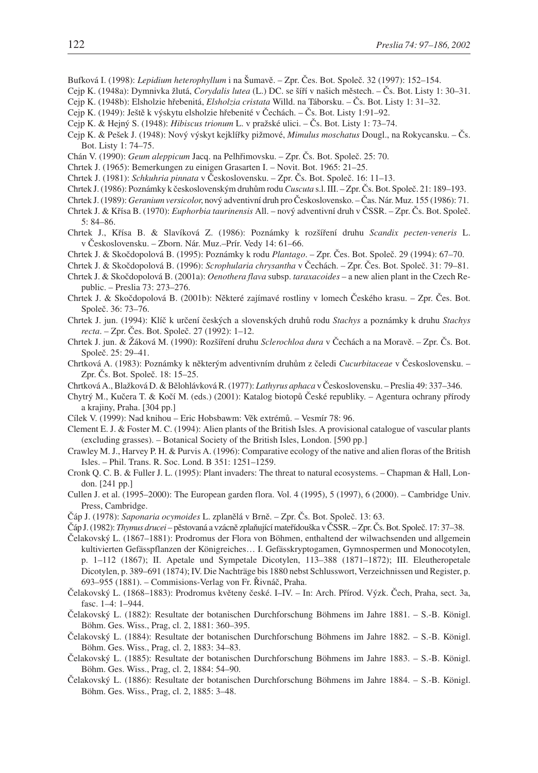- Bufková I. (1998): *Lepidium heterophyllum* i na Šumavě. Zpr. Čes. Bot. Společ. 32 (1997): 152–154.
- Cejp K. (1948a): Dymnivka žlutá, *Corydalis lutea* (L.) DC. se šíří v našich městech. Čs. Bot. Listy 1: 30–31.
- Cejp K. (1948b): Elsholzie hřebenitá, *Elsholzia cristata* Willd. na Táborsku. Čs. Bot. Listy 1: 31–32.
- Cejp K. (1949): Ještě k výskytu elsholzie hřebenité v Čechách. Čs. Bot. Listy 1:91–92.
- Cejp K. & Hejný S. (1948): *Hibiscus trionum* L. v pražské ulici. Čs. Bot. Listy 1: 73–74.
- Cejp K. & Pešek J. (1948): Nový výskyt kejklířky pižmové, *Mimulus moschatus* Dougl., na Rokycansku. Čs. Bot. Listy 1: 74–75.
- Chán V. (1990): *Geum aleppicum* Jacq. na Pelhřimovsku. Zpr. Čs. Bot. Společ. 25: 70.
- Chrtek J. (1965): Bemerkungen zu einigen Grasarten I. Novit. Bot. 1965: 21–25.
- Chrtek J. (1981): *Schkuhria pinnata* v Československu. Zpr. Čs. Bot. Společ. 16: 11–13.
- Chrtek J. (1986): Poznámky k československým druhům rodu*Cuscuta* s.l. III. Zpr. Čs. Bot. Společ. 21: 189–193.
- Chrtek J. (1989): *Geranium versicolor*, nový adventivní druh pro Československo. Čas. Nár. Muz. 155 (1986): 71.
- Chrtek J. & Křísa B. (1970): *Euphorbia taurinensis* All. nový adventivní druh v ČSSR. Zpr. Čs. Bot. Společ. 5: 84–86.
- Chrtek J., Křísa B. & Slavíková Z. (1986): Poznámky k rozšíření druhu *Scandix pecten-veneris* L. v Československu. – Zborn. Nár. Muz.–Prír. Vedy 14: 61–66.
- Chrtek J. & Skočdopolová B. (1995): Poznámky k rodu *Plantago*. Zpr. Čes. Bot. Společ. 29 (1994): 67–70.
- Chrtek J. & Skočdopolová B. (1996): *Scrophularia chrysantha* v Čechách. Zpr. Čes. Bot. Společ. 31: 79–81.
- Chrtek J. & Skočdopolová B. (2001a): *Oenothera flava* subsp. *taraxacoides* a new alien plant in the Czech Republic. – Preslia 73: 273–276.
- Chrtek J. & Skočdopolová B. (2001b): Některé zajímavé rostliny v lomech Českého krasu. Zpr. Čes. Bot. Společ. 36: 73–76.
- Chrtek J. jun. (1994): Klíč k určení českých a slovenských druhů rodu *Stachys* a poznámky k druhu *Stachys recta*. – Zpr. Čes. Bot. Společ. 27 (1992): 1–12.
- Chrtek J. jun. & Žáková M. (1990): Rozšíření druhu *Sclerochloa dura* v Čechách a na Moravě. Zpr. Čs. Bot. Společ. 25: 29–41.
- Chrtková A. (1983): Poznámky k některým adventivním druhům z čeledi *Cucurbitaceae* v Československu. Zpr. Čs. Bot. Společ. 18: 15–25.
- Chrtková A., Blažková D. & Bělohlávková R. (1977): *Lathyrus aphaca* v Československu. Preslia 49: 337–346.
- Chytrý M., Kučera T. & Kočí M. (eds.) (2001): Katalog biotopů České republiky. Agentura ochrany přírody a krajiny, Praha. [304 pp.]
- Cílek V. (1999): Nad knihou Eric Hobsbawm: Věk extrémů. Vesmír 78: 96.
- Clement E. J. & Foster M. C. (1994): Alien plants of the British Isles. A provisional catalogue of vascular plants (excluding grasses). – Botanical Society of the British Isles, London. [590 pp.]
- Crawley M. J., Harvey P. H. & Purvis A. (1996): Comparative ecology of the native and alien floras of the British Isles. – Phil. Trans. R. Soc. Lond. B 351: 1251–1259.
- Cronk Q. C. B. & Fuller J. L. (1995): Plant invaders: The threat to natural ecosystems. Chapman & Hall, London. [241 pp.]
- Cullen J. et al. (1995–2000): The European garden flora. Vol. 4 (1995), 5 (1997), 6 (2000). Cambridge Univ. Press, Cambridge.
- Čáp J. (1978): *Saponaria ocymoides* L. zplanělá v Brně. Zpr. Čs. Bot. Společ. 13: 63.
- Čáp J. (1982): *Thymus drucei* pěstovaná a vzácně zplaňující mateřídouška v ČSSR. Zpr. Čs. Bot. Společ. 17: 37–38.
- Čelakovský L. (1867–1881): Prodromus der Flora von Böhmen, enthaltend der wilwachsenden und allgemein kultivierten Gefässpflanzen der Königreiches… I. Gefässkryptogamen, Gymnospermen und Monocotylen, p. 1–112 (1867); II. Apetale und Sympetale Dicotylen, 113–388 (1871–1872); III. Eleutheropetale Dicotylen, p. 389–691 (1874); IV. Die Nachträge bis 1880 nebst Schlusswort, Verzeichnissen und Register, p. 693–955 (1881). – Commisions-Verlag von Fr. Řivnáč, Praha.
- Čelakovský L. (1868–1883): Prodromus květeny české. I–IV. In: Arch. Přírod. Výzk. Čech, Praha, sect. 3a, fasc. 1–4: 1–944.
- Čelakovský L. (1882): Resultate der botanischen Durchforschung Böhmens im Jahre 1881. S.-B. Königl. Böhm. Ges. Wiss., Prag, cl. 2, 1881: 360–395.
- Čelakovský L. (1884): Resultate der botanischen Durchforschung Böhmens im Jahre 1882. S.-B. Königl. Böhm. Ges. Wiss., Prag, cl. 2, 1883: 34–83.
- Čelakovský L. (1885): Resultate der botanischen Durchforschung Böhmens im Jahre 1883. S.-B. Königl. Böhm. Ges. Wiss., Prag, cl. 2, 1884: 54–90.
- Čelakovský L. (1886): Resultate der botanischen Durchforschung Böhmens im Jahre 1884. S.-B. Königl. Böhm. Ges. Wiss., Prag, cl. 2, 1885: 3–48.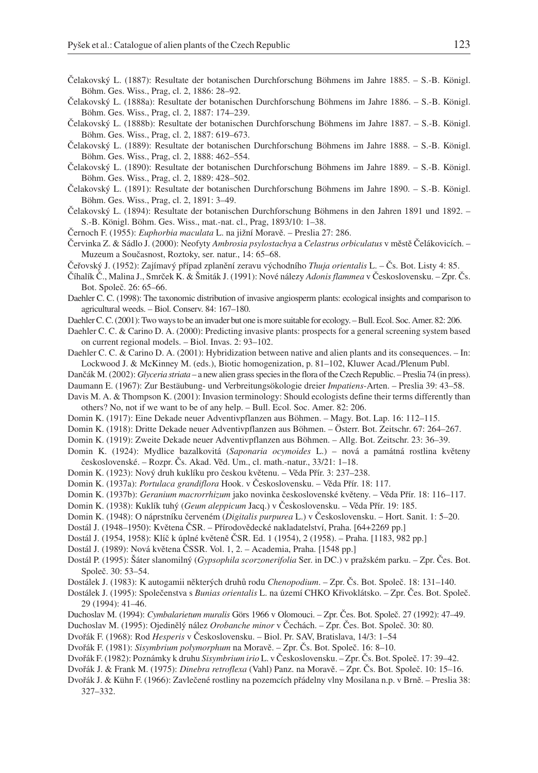- Čelakovský L. (1887): Resultate der botanischen Durchforschung Böhmens im Jahre 1885. S.-B. Königl. Böhm. Ges. Wiss., Prag, cl. 2, 1886: 28–92.
- Čelakovský L. (1888a): Resultate der botanischen Durchforschung Böhmens im Jahre 1886. S.-B. Königl. Böhm. Ges. Wiss., Prag, cl. 2, 1887: 174–239.
- Čelakovský L. (1888b): Resultate der botanischen Durchforschung Böhmens im Jahre 1887. S.-B. Königl. Böhm. Ges. Wiss., Prag, cl. 2, 1887: 619–673.
- Čelakovský L. (1889): Resultate der botanischen Durchforschung Böhmens im Jahre 1888. S.-B. Königl. Böhm. Ges. Wiss., Prag, cl. 2, 1888: 462–554.
- Čelakovský L. (1890): Resultate der botanischen Durchforschung Böhmens im Jahre 1889. S.-B. Königl. Böhm. Ges. Wiss., Prag, cl. 2, 1889: 428–502.
- Čelakovský L. (1891): Resultate der botanischen Durchforschung Böhmens im Jahre 1890. S.-B. Königl. Böhm. Ges. Wiss., Prag, cl. 2, 1891: 3–49.
- Čelakovský L. (1894): Resultate der botanischen Durchforschung Böhmens in den Jahren 1891 und 1892. S.-B. Königl. Böhm. Ges. Wiss., mat.-nat. cl., Prag, 1893/10: 1–38.
- Černoch F. (1955): *Euphorbia maculata* L. na jižní Moravě. Preslia 27: 286.
- Červinka Z. & Sádlo J. (2000): Neofyty *Ambrosia psylostachya* a *Celastrus orbiculatus* v městě Čelákovicích. Muzeum a Současnost, Roztoky, ser. natur., 14: 65–68.
- Čeřovský J. (1952): Zajímavý případ zplanění zeravu východního *Thuja orientalis* L. Čs. Bot. Listy 4: 85.
- Číhalík Č., Malina J., Smrček K. & Šmiták J. (1991): Nové nálezy *Adonis flammea* v Československu. Zpr. Čs. Bot. Společ. 26: 65–66.
- Daehler C. C. (1998): The taxonomic distribution of invasive angiosperm plants: ecological insights and comparison to agricultural weeds. – Biol. Conserv. 84: 167–180.
- Daehler C. C. (2001): Two ways to be an invader but one is more suitable for ecology. Bull. Ecol. Soc. Amer. 82: 206.
- Daehler C. C. & Carino D. A. (2000): Predicting invasive plants: prospects for a general screening system based on current regional models. – Biol. Invas. 2: 93–102.
- Daehler C. C. & Carino D. A. (2001): Hybridization between native and alien plants and its consequences. In: Lockwood J. & McKinney M. (eds.), Biotic homogenization, p. 81–102, Kluwer Acad./Plenum Publ.
- Dančák M. (2002): *Glyceria striata* a new alien grass species in the flora of the Czech Republic. Preslia 74 (in press).
- Daumann E. (1967): Zur Bestäubung- und Verbreitungsökologie dreier *Impatiens*-Arten. Preslia 39: 43–58.
- Davis M. A. & Thompson K. (2001): Invasion terminology: Should ecologists define their terms differently than others? No, not if we want to be of any help. – Bull. Ecol. Soc. Amer. 82: 206.
- Domin K. (1917): Eine Dekade neuer Adventivpflanzen aus Böhmen. Magy. Bot. Lap. 16: 112–115.
- Domin K. (1918): Dritte Dekade neuer Adventivpflanzen aus Böhmen. Österr. Bot. Zeitschr. 67: 264–267.
- Domin K. (1919): Zweite Dekade neuer Adventivpflanzen aus Böhmen. Allg. Bot. Zeitschr. 23: 36–39.
- Domin K. (1924): Mydlice bazalkovitá (*Saponaria ocymoides* L.) nová a památná rostlina květeny československé. – Rozpr. Čs. Akad. Věd. Um., cl. math.-natur., 33/21: 1–18.
- Domin K. (1923): Nový druh kuklíku pro českou květenu. Věda Přír. 3: 237–238.
- Domin K. (1937a): *Portulaca grandiflora* Hook. v Československu. Věda Přír. 18: 117.
- Domin K. (1937b): *Geranium macrorrhizum* jako novinka československé květeny. Věda Přír. 18: 116–117.
- Domin K. (1938): Kuklík tuhý (*Geum aleppicum* Jacq.) v Československu. Věda Přír. 19: 185.
- Domin K. (1948): O náprstníku červeném (*Digitalis purpurea* L.) v Československu. Hort. Sanit. 1: 5–20.
- Dostál J. (1948–1950): Květena ČSR. Přírodovědecké nakladatelství, Praha. [64+2269 pp.]
- Dostál J. (1954, 1958): Klíč k úplné květeně ČSR. Ed. 1 (1954), 2 (1958). Praha. [1183, 982 pp.]
- Dostál J. (1989): Nová květena ČSSR. Vol. 1, 2. Academia, Praha. [1548 pp.]
- Dostál P. (1995): Šáter slanomilný (*Gypsophila scorzonerifolia* Ser. in DC.) v pražském parku. Zpr. Čes. Bot. Společ. 30: 53–54.
- Dostálek J. (1983): K autogamii některých druhů rodu *Chenopodium*. Zpr. Čs. Bot. Společ. 18: 131–140.
- Dostálek J. (1995): Společenstva s *Bunias orientalis* L. na území CHKO Křivoklátsko. Zpr. Čes. Bot. Společ. 29 (1994): 41–46.
- Duchoslav M. (1994): *Cymbalarietum muralis* Görs 1966 v Olomouci. Zpr. Čes. Bot. Společ. 27 (1992): 47–49.
- Duchoslav M. (1995): Ojedinělý nález *Orobanche minor* v Čechách. Zpr. Čes. Bot. Společ. 30: 80.
- Dvořák F. (1968): Rod *Hesperis* v Československu. Biol. Pr. SAV, Bratislava, 14/3: 1–54
- Dvořák F. (1981): *Sisymbrium polymorphum* na Moravě. Zpr. Čs. Bot. Společ. 16: 8–10.
- Dvořák F. (1982): Poznámky k druhu *Sisymbrium irio* L. v Československu. Zpr. Čs. Bot. Společ. 17: 39–42.
- Dvořák J. & Frank M. (1975): *Dinebra retroflexa* (Vahl) Panz. na Moravě. Zpr. Čs. Bot. Společ. 10: 15–16.
- Dvořák J. & Kühn F. (1966): Zavlečené rostliny na pozemcích přádelny vlny Mosilana n.p. v Brně. Preslia 38: 327–332.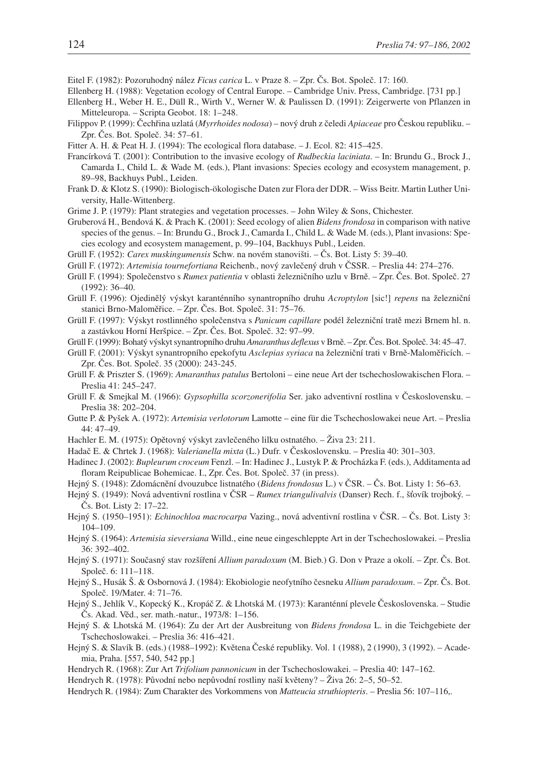Eitel F. (1982): Pozoruhodný nález *Ficus carica* L. v Praze 8. – Zpr. Čs. Bot. Společ. 17: 160.

- Ellenberg H. (1988): Vegetation ecology of Central Europe. Cambridge Univ. Press, Cambridge. [731 pp.]
- Ellenberg H., Weber H. E., Düll R., Wirth V., Werner W. & Paulissen D. (1991): Zeigerwerte von Pflanzen in Mitteleuropa. – Scripta Geobot. 18: 1–248.
- Filippov P. (1999): Čechřina uzlatá (*Myrrhoides nodosa*) nový druh z čeledi *Apiaceae* pro Českou republiku. Zpr. Čes. Bot. Společ. 34: 57–61.
- Fitter A. H. & Peat H. J. (1994): The ecological flora database. J. Ecol. 82: 415–425.
- Francírková T. (2001): Contribution to the invasive ecology of *Rudbeckia laciniata*. In: Brundu G., Brock J., Camarda I., Child L. & Wade M. (eds.), Plant invasions: Species ecology and ecosystem management, p. 89–98, Backhuys Publ., Leiden.
- Frank D. & Klotz S. (1990): Biologisch-ökologische Daten zur Flora der DDR. Wiss Beitr. Martin Luther University, Halle-Wittenberg.
- Grime J. P. (1979): Plant strategies and vegetation processes. John Wiley & Sons, Chichester.
- Gruberová H., Bendová K. & Prach K. (2001): Seed ecology of alien *Bidens frondosa* in comparison with native species of the genus. – In: Brundu G., Brock J., Camarda I., Child L. & Wade M. (eds.), Plant invasions: Species ecology and ecosystem management, p. 99–104, Backhuys Publ., Leiden.
- Grüll F. (1952): *Carex muskingumensis* Schw. na novém stanovišti. Čs. Bot. Listy 5: 39–40.
- Grüll F. (1972): *Artemisia tournefortiana* Reichenb., nový zavlečený druh v ČSSR. Preslia 44: 274–276.
- Grüll F. (1994): Společenstvo s *Rumex patientia* v oblasti železničního uzlu v Brně. Zpr. Čes. Bot. Společ. 27 (1992): 36–40.
- Grüll F. (1996): Ojedinělý výskyt karanténního synantropního druhu *Acroptylon* [sic!] *repens* na železniční stanici Brno-Maloměřice. – Zpr. Čes. Bot. Společ. 31: 75–76.
- Grüll F. (1997): Výskyt rostlinného společenstva s *Panicum capillare* podél železniční tratě mezi Brnem hl. n. a zastávkou Horní Heršpice. – Zpr. Čes. Bot. Společ. 32: 97–99.
- Grüll F. (1999): Bohatý výskyt synantropního druhu *Amaranthus deflexus* v Brně. Zpr. Čes. Bot. Společ. 34: 45–47.
- Grüll F. (2001): Výskyt synantropního epekofytu *Asclepias syriaca* na železniční trati v Brně-Maloměřicích. Zpr. Čes. Bot. Společ. 35 (2000): 243-245.
- Grüll F. & Priszter S. (1969): *Amaranthus patulus* Bertoloni eine neue Art der tschechoslowakischen Flora. Preslia 41: 245–247.
- Grüll F. & Smejkal M. (1966): *Gypsophilla scorzonerifolia* Ser. jako adventivní rostlina v Československu. Preslia 38: 202–204.
- Gutte P. & Pyšek A. (1972): *Artemisia verlotorum* Lamotte eine für die Tschechoslowakei neue Art. Preslia 44: 47–49.
- Hachler E. M. (1975): Opětovný výskyt zavlečeného lilku ostnatého. Živa 23: 211.
- Hadač E. & Chrtek J. (1968): *Valerianella mixta* (L.) Dufr. v Československu. Preslia 40: 301–303.
- Hadinec J. (2002): *Bupleurum croceum* Fenzl. In: Hadinec J., Lustyk P. & Procházka F. (eds.), Additamenta ad floram Reipublicae Bohemicae. I., Zpr. Čes. Bot. Společ. 37 (in press).
- Hejný S. (1948): Zdomácnění dvouzubce listnatého (*Bidens frondosus* L.) v ČSR. Čs. Bot. Listy 1: 56–63.
- Hejný S. (1949): Nová adventivní rostlina v ČSR *Rumex triangulivalvis* (Danser) Rech. f., šťovík trojboký. Čs. Bot. Listy 2: 17–22.
- Hejný S. (1950–1951): *Echinochloa macrocarpa* Vazing., nová adventivní rostlina v ČSR. Čs. Bot. Listy 3: 104–109.
- Hejný S. (1964): *Artemisia sieversiana* Willd., eine neue eingeschleppte Art in der Tschechoslowakei. Preslia 36: 392–402.
- Hejný S. (1971): Současný stav rozšíření *Allium paradoxum* (M. Bieb.) G. Don v Praze a okolí. Zpr. Čs. Bot. Společ. 6: 111–118.
- Hejný S., Husák Š. & Osbornová J. (1984): Ekobiologie neofytního česneku *Allium paradoxum*. Zpr. Čs. Bot. Společ. 19/Mater. 4: 71–76.
- Hejný S., Jehlík V., Kopecký K., Kropáč Z. & Lhotská M. (1973): Karanténní plevele Československa. Studie Čs. Akad. Věd., ser. math.-natur., 1973/8: 1–156.
- Hejný S. & Lhotská M. (1964): Zu der Art der Ausbreitung von *Bidens frondosa* L. in die Teichgebiete der Tschechoslowakei. – Preslia 36: 416–421.
- Hejný S. & Slavík B. (eds.) (1988–1992): Květena České republiky. Vol. 1 (1988), 2 (1990), 3 (1992). Academia, Praha. [557, 540, 542 pp.]
- Hendrych R. (1968): Zur Art *Trifolium pannonicum* in der Tschechoslowakei. Preslia 40: 147–162.
- Hendrych R. (1978): Původní nebo nepůvodní rostliny naší květeny? Živa 26: 2–5, 50–52.
- Hendrych R. (1984): Zum Charakter des Vorkommens von *Matteucia struthiopteris*. Preslia 56: 107–116,.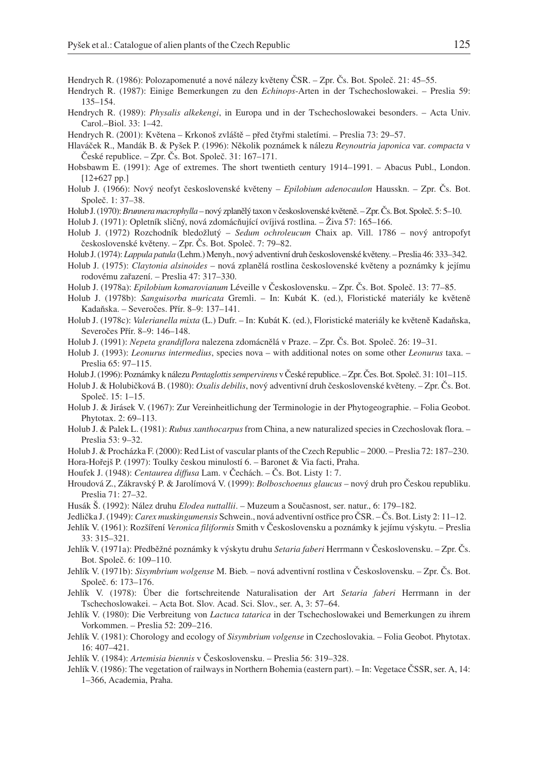- Hendrych R. (1986): Polozapomenuté a nové nálezy květeny ČSR. Zpr. Čs. Bot. Společ. 21: 45–55.
- Hendrych R. (1987): Einige Bemerkungen zu den *Echinops*-Arten in der Tschechoslowakei. Preslia 59: 135–154.
- Hendrych R. (1989): *Physalis alkekengi*, in Europa und in der Tschechoslowakei besonders. Acta Univ. Carol.–Biol. 33: 1–42.
- Hendrych R. (2001): Květena Krkonoš zvláště před čtyřmi staletími. Preslia 73: 29–57.
- Hlaváček R., Mandák B. & Pyšek P. (1996): Několik poznámek k nálezu *Reynoutria japonica* var. *compacta* v České republice. – Zpr. Čs. Bot. Společ. 31: 167–171.
- Hobsbawm E. (1991): Age of extremes. The short twentieth century 1914–1991. Abacus Publ., London. [12+627 pp.]
- Holub J. (1966): Nový neofyt československé květeny *Epilobium adenocaulon* Hausskn. Zpr. Čs. Bot. Společ. 1: 37–38.
- Holub J. (1970):*Brunnera macrophylla* nový zplanělý taxon v československé květeně. Zpr. Čs. Bot. Společ. 5: 5–10.

Holub J. (1971): Opletník sličný, nová zdomácňující ovíjivá rostlina. – Živa 57: 165–166.

- Holub J. (1972) Rozchodník bledožlutý *Sedum ochroleucum* Chaix ap. Vill. 1786 nový antropofyt československé květeny. – Zpr. Čs. Bot. Společ. 7: 79–82.
- Holub J. (1974): *Lappula patula* (Lehm.) Menyh., nový adventivní druh československé květeny. Preslia 46: 333–342.
- Holub J. (1975): *Claytonia alsinoides* nová zplanělá rostlina československé květeny a poznámky k jejímu rodovému zařazení. – Preslia 47: 317–330.
- Holub J. (1978a): *Epilobium komarovianum* Léveille v Československu. Zpr. Čs. Bot. Společ. 13: 77–85.
- Holub J. (1978b): *Sanguisorba muricata* Gremli. In: Kubát K. (ed.), Floristické materiály ke květeně Kadaňska. – Severočes. Přír. 8–9: 137–141.
- Holub J. (1978c): *Valerianella mixta* (L.) Dufr. In: Kubát K. (ed.), Floristické materiály ke květeně Kadaňska, Severočes Přír. 8–9: 146–148.
- Holub J. (1991): *Nepeta grandiflora* nalezena zdomácnělá v Praze. Zpr. Čs. Bot. Společ. 26: 19–31.

Holub J. (1993): *Leonurus intermedius*, species nova – with additional notes on some other *Leonurus* taxa. – Preslia 65: 97–115.

Holub J. (1996): Poznámky k nálezu*Pentaglottis sempervirens* v České republice. – Zpr. Čes. Bot. Společ. 31: 101–115.

- Holub J. & Holubičková B. (1980): *Oxalis debilis*, nový adventivní druh československé květeny. Zpr. Čs. Bot. Společ. 15: 1–15.
- Holub J. & Jirásek V. (1967): Zur Vereinheitlichung der Terminologie in der Phytogeographie. Folia Geobot. Phytotax. 2: 69–113.
- Holub J. & Palek L. (1981): *Rubus xanthocarpus* from China, a new naturalized species in Czechoslovak flora. Preslia 53: 9–32.
- Holub J. & Procházka F. (2000): Red List of vascular plants of the Czech Republic 2000. Preslia 72: 187–230. Hora-Hořejš P. (1997): Toulky českou minulostí 6. – Baronet & Via facti, Praha.
- Houfek J. (1948): *Centaurea diffusa* Lam. v Čechách. Čs. Bot. Listy 1: 7.
- Hroudová Z., Zákravský P. & Jarolímová V. (1999): *Bolboschoenus glaucus* nový druh pro Českou republiku. Preslia 71: 27–32.
- Husák Š. (1992): Nález druhu *Elodea nuttallii*. Muzeum a Současnost, ser. natur., 6: 179–182.
- Jedlička J. (1949): *Carex muskingumensis* Schwein., nová adventivní ostřice pro ČSR. Čs. Bot. Listy 2: 11–12.
- Jehlík V. (1961): Rozšíření *Veronica filiformis* Smith v Československu a poznámky k jejímu výskytu. Preslia 33: 315–321.
- Jehlík V. (1971a): Předběžné poznámky k výskytu druhu *Setaria faberi* Herrmann v Československu. Zpr. Čs. Bot. Společ. 6: 109–110.
- Jehlík V. (1971b): *Sisymbrium wolgense* M. Bieb. nová adventivní rostlina v Československu. Zpr. Čs. Bot. Společ. 6: 173–176.
- Jehlík V. (1978): Über die fortschreitende Naturalisation der Art *Setaria faberi* Herrmann in der Tschechoslowakei. – Acta Bot. Slov. Acad. Sci. Slov., ser. A, 3: 57–64.
- Jehlík V. (1980): Die Verbreitung von *Lactuca tatarica* in der Tschechoslowakei und Bemerkungen zu ihrem Vorkommen. – Preslia 52: 209–216.
- Jehlík V. (1981): Chorology and ecology of *Sisymbrium volgense* in Czechoslovakia. Folia Geobot. Phytotax. 16: 407–421.
- Jehlík V. (1984): *Artemisia biennis* v Československu. Preslia 56: 319–328.
- Jehlík V. (1986): The vegetation of railways in Northern Bohemia (eastern part). In: Vegetace ČSSR, ser. A, 14: 1–366, Academia, Praha.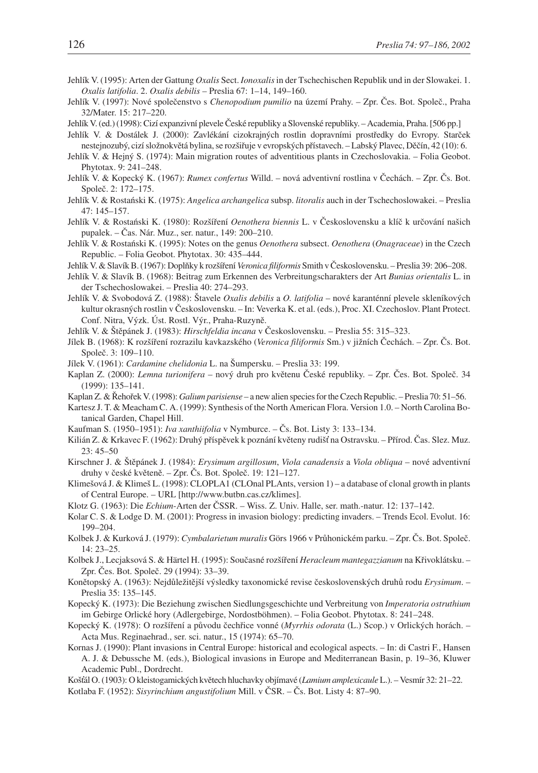- Jehlík V. (1995): Arten der Gattung *Oxalis* Sect. *Ionoxalis*in der Tschechischen Republik und in der Slowakei. 1. *Oxalis latifolia*. 2. *Oxalis debilis* – Preslia 67: 1–14, 149–160.
- Jehlík V. (1997): Nové společenstvo s *Chenopodium pumilio* na území Prahy. Zpr. Čes. Bot. Společ., Praha 32/Mater. 15: 217–220.
- Jehlík V. (ed.) (1998): Cizí expanzivní plevele České republiky a Slovenské republiky. Academia, Praha. [506 pp.]
- Jehlík V. & Dostálek J. (2000): Zavlékání cizokrajných rostlin dopravními prostředky do Evropy. Starček nestejnozubý, cizí složnokvětá bylina, se rozšiřuje v evropských přístavech. – Labský Plavec, Děčín, 42 (10): 6.
- Jehlík V. & Hejný S. (1974): Main migration routes of adventitious plants in Czechoslovakia. Folia Geobot. Phytotax. 9: 241–248.
- Jehlík V. & Kopecký K. (1967): *Rumex confertus* Willd. nová adventivní rostlina v Čechách. Zpr. Čs. Bot. Společ. 2: 172–175.
- Jehlík V. & Rostański K. (1975): *Angelica archangelica* subsp. *litoralis* auch in der Tschechoslowakei. Preslia 47: 145–157.
- Jehlík V. & Rostański K. (1980): Rozšíření *Oenothera biennis* L. v Československu a klíč k určování našich pupalek. – Čas. Nár. Muz., ser. natur., 149: 200–210.
- Jehlík V. & Rostański K. (1995): Notes on the genus *Oenothera* subsect. *Oenothera* (*Onagraceae*) in the Czech Republic. – Folia Geobot. Phytotax. 30: 435–444.
- Jehlík V. & Slavík B. (1967): Doplňky k rozšíření *Veronica filiformis* Smith v Československu. Preslia 39: 206–208.
- Jehlík V. & Slavík B. (1968): Beitrag zum Erkennen des Verbreitungscharakters der Art *Bunias orientalis* L. in der Tschechoslowakei. – Preslia 40: 274–293.
- Jehlík V. & Svobodová Z. (1988): Štavele *Oxalis debilis* a *O. latifolia* nové karanténní plevele skleníkových kultur okrasných rostlin v Československu. – In: Veverka K. et al. (eds.), Proc. XI. Czechoslov. Plant Protect. Conf. Nitra, Výzk. Úst. Rostl. Výr., Praha-Ruzyně.
- Jehlík V. & Štěpánek J. (1983): *Hirschfeldia incana* v Československu. Preslia 55: 315–323.
- Jílek B. (1968): K rozšíření rozrazilu kavkazského (*Veronica filiformis* Sm.) v jižních Čechách. Zpr. Čs. Bot. Společ. 3: 109–110.
- Jílek V. (1961): *Cardamine chelidonia* L. na Šumpersku. Preslia 33: 199.
- Kaplan Z. (2000): *Lemna turionifera* nový druh pro květenu České republiky. Zpr. Čes. Bot. Společ. 34 (1999): 135–141.
- Kaplan Z. & Řehořek V. (1998): *Galium parisiense* a new alien species for the Czech Republic. Preslia 70: 51–56.
- Kartesz J. T. & Meacham C. A. (1999): Synthesis of the North American Flora. Version 1.0. North Carolina Botanical Garden, Chapel Hill.
- Kaufman S. (1950–1951): *Iva xanthiifolia* v Nymburce. Čs. Bot. Listy 3: 133–134.
- Kilián Z. & Krkavec F. (1962): Druhý příspěvek k poznání květeny rudišť na Ostravsku. Přírod. Čas. Slez. Muz. 23: 45–50
- Kirschner J. & Štěpánek J. (1984): *Erysimum argillosum*, *Viola canadensis* a *Viola obliqua* nové adventivní druhy v české květeně. – Zpr. Čs. Bot. Společ. 19: 121–127.
- Klimešová J. & Klimeš L. (1998): CLOPLA1 (CLOnal PLAnts, version 1) a database of clonal growth in plants of Central Europe. – URL [http://www.butbn.cas.cz/klimes].
- Klotz G. (1963): Die *Echium*-Arten der ČSSR. Wiss. Z. Univ. Halle, ser. math.-natur. 12: 137–142.
- Kolar C. S. & Lodge D. M. (2001): Progress in invasion biology: predicting invaders. Trends Ecol. Evolut. 16: 199–204.
- Kolbek J. & Kurková J. (1979): *Cymbalarietum muralis* Görs 1966 v Průhonickém parku. Zpr. Čs. Bot. Společ. 14: 23–25.
- Kolbek J., Lecjaksová S. & Härtel H. (1995): Současné rozšíření *Heracleum mantegazzianum* na Křivoklátsku. Zpr. Čes. Bot. Společ. 29 (1994): 33–39.
- Konětopský A. (1963): Nejdůležitější výsledky taxonomické revise československých druhů rodu *Erysimum*. Preslia 35: 135–145.
- Kopecký K. (1973): Die Beziehung zwischen Siedlungsgeschichte und Verbreitung von *Imperatoria ostruthium* im Gebirge Orlické hory (Adlergebirge, Nordostböhmen). – Folia Geobot. Phytotax. 8: 241–248.
- Kopecký K. (1978): O rozšíření a původu čechřice vonné (*Myrrhis odorata* (L.) Scop.) v Orlických horách. Acta Mus. Reginaehrad., ser. sci. natur., 15 (1974): 65–70.
- Kornas J. (1990): Plant invasions in Central Europe: historical and ecological aspects. In: di Castri F., Hansen A. J. & Debussche M. (eds.), Biological invasions in Europe and Mediterranean Basin, p. 19–36, Kluwer Academic Publ., Dordrecht.
- Košál O. (1903): O kleistogamických květech hluchavky objímavé (*Lamium amplexicaule* L.). Vesmír 32: 21–22. Kotlaba F. (1952): *Sisyrinchium angustifolium* Mill. v ČSR. – Čs. Bot. Listy 4: 87–90.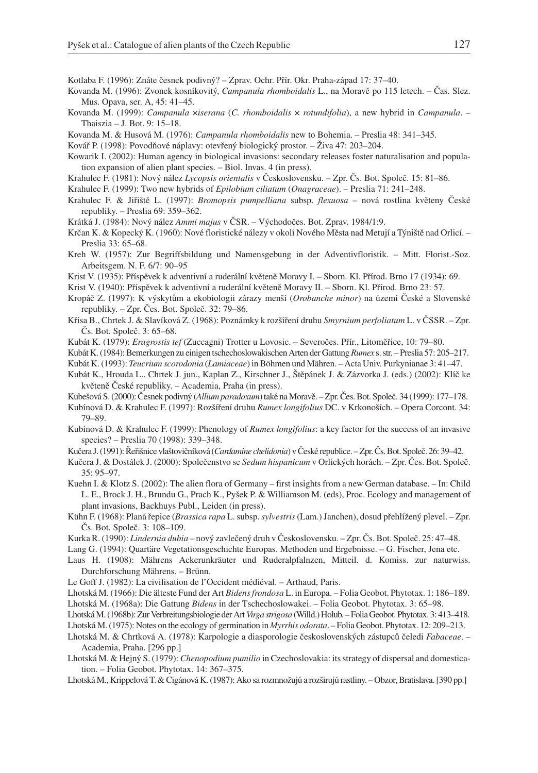Kotlaba F. (1996): Znáte česnek podivný? – Zprav. Ochr. Přír. Okr. Praha-západ 17: 37–40.

- Kovanda M. (1996): Zvonek kosníkovitý, *Campanula rhomboidalis* L., na Moravě po 115 letech. Čas. Slez. Mus. Opava, ser. A, 45: 41–45.
- Kovanda M. (1999): *Campanula* ×*iserana* (*C. rhomboidalis* × *rotundifolia*), a new hybrid in *Campanula*. Thaiszia – J. Bot. 9: 15–18.
- Kovanda M. & Husová M. (1976): *Campanula rhomboidalis* new to Bohemia. Preslia 48: 341–345.
- Kovář P. (1998): Povodňové náplavy: otevřený biologický prostor. Živa 47: 203–204.
- Kowarik I. (2002): Human agency in biological invasions: secondary releases foster naturalisation and population expansion of alien plant species. – Biol. Invas. 4 (in press).
- Krahulec F. (1981): Nový nález *Lycopsis orientalis* v Československu. Zpr. Čs. Bot. Společ. 15: 81–86.
- Krahulec F. (1999): Two new hybrids of *Epilobium ciliatum* (*Onagraceae*). Preslia 71: 241–248.
- Krahulec F. & Jiřiště L. (1997): *Bromopsis pumpelliana* subsp. *flexuosa* nová rostlina květeny České republiky. – Preslia 69: 359–362.
- Krátká J. (1984): Nový nález *Ammi majus* v ČSR. Východočes. Bot. Zprav. 1984/1:9.
- Krčan K. & Kopecký K. (1960): Nové floristické nálezy v okolí Nového Města nad Metují a Týniště nad Orlicí. Preslia 33: 65–68.
- Kreh W. (1957): Zur Begriffsbildung und Namensgebung in der Adventivfloristik. Mitt. Florist.-Soz. Arbeitsgem. N. F. 6/7: 90–95
- Krist V. (1935): Příspěvek k adventivní a ruderální květeně Moravy I. Sborn. Kl. Přírod. Brno 17 (1934): 69.
- Krist V. (1940): Příspěvek k adventivní a ruderální květeně Moravy II. Sborn. Kl. Přírod. Brno 23: 57.
- Kropáč Z. (1997): K výskytům a ekobiologii zárazy menší (*Orobanche minor*) na území České a Slovenské republiky. – Zpr. Čes. Bot. Společ. 32: 79–86.
- Křísa B., Chrtek J. & Slavíková Z. (1968): Poznámky k rozšíření druhu *Smyrnium perfoliatum* L. v ČSSR. Zpr. Čs. Bot. Společ. 3: 65–68.
- Kubát K. (1979): *Eragrostis tef* (Zuccagni) Trotter u Lovosic. Severočes. Přír., Litoměřice, 10: 79–80.
- Kubát K. (1984): Bemerkungen zu einigen tschechoslowakischen Arten der Gattung*Rumex* s. str. Preslia 57: 205–217.
- Kubát K. (1993): *Teucrium scorodonia* (*Lamiaceae*) in Böhmen und Mähren. Acta Univ. Purkynianae 3: 41–47.
- Kubát K., Hrouda L., Chrtek J. jun., Kaplan Z., Kirschner J., Štěpánek J. & Zázvorka J. (eds.) (2002): Klíč ke květeně České republiky. – Academia, Praha (in press).
- Kubešová S. (2000): Česnek podivný (*Allium paradoxum*) také na Moravě. Zpr. Čes. Bot. Společ. 34 (1999): 177–178.
- Kubínová D. & Krahulec F. (1997): Rozšíření druhu *Rumex longifolius* DC. v Krkonoších. Opera Corcont. 34: 79–89.
- Kubínová D. & Krahulec F. (1999): Phenology of *Rumex longifolius*: a key factor for the success of an invasive species? – Preslia 70 (1998): 339–348.
- Kučera J. (1991): Řeřišnice vlaštovičníková (*Cardamine chelidonia*) v České republice. Zpr. Čs. Bot. Společ. 26: 39–42.
- Kučera J. & Dostálek J. (2000): Společenstvo se *Sedum hispanicum* v Orlických horách. Zpr. Čes. Bot. Společ. 35: 95–97.
- Kuehn I. & Klotz S. (2002): The alien flora of Germany first insights from a new German database. In: Child L. E., Brock J. H., Brundu G., Prach K., Pyšek P. & Williamson M. (eds), Proc. Ecology and management of plant invasions, Backhuys Publ., Leiden (in press).
- Kühn F. (1968): Planá řepice (*Brassica rapa* L. subsp.*sylvestris*(Lam.) Janchen), dosud přehlížený plevel. Zpr. Čs. Bot. Společ. 3: 108–109.
- Kurka R. (1990): *Lindernia dubia* nový zavlečený druh v Československu. Zpr. Čs. Bot. Společ. 25: 47–48.
- Lang G. (1994): Quartäre Vegetationsgeschichte Europas. Methoden und Ergebnisse. G. Fischer, Jena etc.
- Laus H. (1908): Mährens Ackerunkräuter und Ruderalpfalnzen, Mitteil. d. Komiss. zur naturwiss. Durchforschung Mährens. – Brünn.
- Le Goff J. (1982): La civilisation de l'Occident médiéval. Arthaud, Paris.
- Lhotská M. (1966): Die älteste Fund der Art *Bidens frondosa* L. in Europa. Folia Geobot. Phytotax. 1: 186–189. Lhotská M. (1968a): Die Gattung *Bidens* in der Tschechoslowakei. – Folia Geobot. Phytotax. 3: 65–98.
- 
- Lhotská M. (1968b): Zur Verbreitungsbiologie der Art*Virga strigosa* (Willd.) Holub. Folia Geobot. Phytotax. 3: 413–418.
- Lhotská M. (1975): Notes on the ecology of germination in *Myrrhis odorata*. Folia Geobot. Phytotax. 12: 209–213.
- Lhotská M. & Chrtková A. (1978): Karpologie a diasporologie československých zástupců čeledi *Fabaceae*. Academia, Praha. [296 pp.]
- Lhotská M. & Hejný S. (1979): *Chenopodium pumilio* in Czechoslovakia: its strategy of dispersal and domestication. – Folia Geobot. Phytotax. 14: 367–375.
- Lhotská M., Krippelová T. & Cigánová K. (1987): Ako sa rozmnožujú a rozširujú rastliny. Obzor, Bratislava. [390 pp.]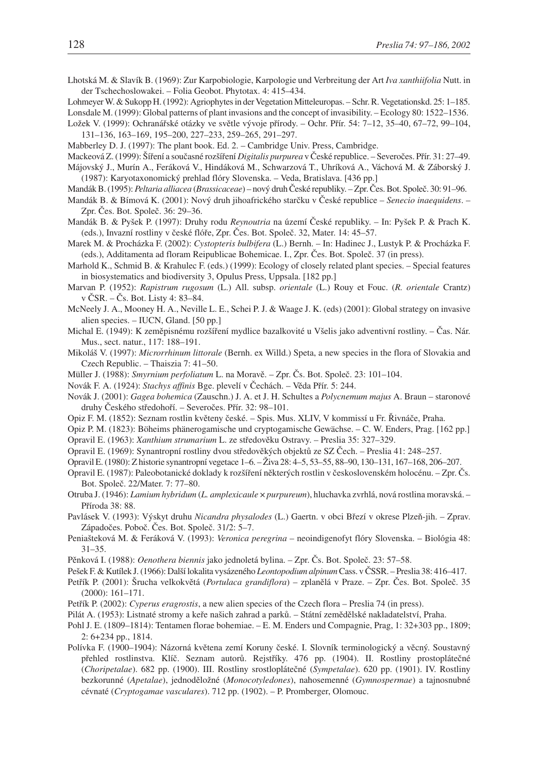- 
- Lhotská M. & Slavík B. (1969): Zur Karpobiologie, Karpologie und Verbreitung der Art *Iva xanthiifolia* Nutt. in der Tschechoslowakei. – Folia Geobot. Phytotax. 4: 415–434.
- Lohmeyer W. & Sukopp H. (1992): Agriophytes in der Vegetation Mitteleuropas. Schr. R. Vegetationskd. 25: 1–185.
- Lonsdale M. (1999): Global patterns of plant invasions and the concept of invasibility. Ecology 80: 1522–1536. Ložek V. (1999): Ochranářské otázky ve světle vývoje přírody. – Ochr. Přír. 54: 7–12, 35–40, 67–72, 99–104, 131–136, 163–169, 195–200, 227–233, 259–265, 291–297.
- Mabberley D. J. (1997): The plant book. Ed. 2. Cambridge Univ. Press, Cambridge.
- Mackeová Z. (1999): Šíření a současné rozšíření *Digitalis purpurea* v České republice. Severočes. Přír. 31: 27–49.
- Májovský J., Murín A., Feráková V., Hindáková M., Schwarzová T., Uhríková A., Váchová M. & Záborský J. (1987): Karyotaxonomický prehlad flóry Slovenska. – Veda, Bratislava. [436 pp.]
- Mandák B. (1995): *Peltaria alliacea* (*Brassicaceae*) nový druh České republiky. Zpr. Čes. Bot. Společ. 30: 91–96.
- Mandák B. & Bímová K. (2001): Nový druh jihoafrického starčku v České republice *Senecio inaequidens*. Zpr. Čes. Bot. Společ. 36: 29–36.
- Mandák B. & Pyšek P. (1997): Druhy rodu *Reynoutria* na území České republiky. In: Pyšek P. & Prach K. (eds.), Invazní rostliny v české flóře, Zpr. Čes. Bot. Společ. 32, Mater. 14: 45–57.
- Marek M. & Procházka F. (2002): *Cystopteris bulbifera* (L.) Bernh. In: Hadinec J., Lustyk P. & Procházka F. (eds.), Additamenta ad floram Reipublicae Bohemicae. I., Zpr. Čes. Bot. Společ. 37 (in press).
- Marhold K., Schmid B. & Krahulec F. (eds.) (1999): Ecology of closely related plant species. Special features in biosystematics and biodiversity 3, Opulus Press, Uppsala. [182 pp.]
- Marvan P. (1952): *Rapistrum rugosum* (L.) All. subsp. *orientale* (L.) Rouy et Fouc. (*R. orientale* Crantz) v ČSR. – Čs. Bot. Listy 4: 83–84.
- McNeely J. A., Mooney H. A., Neville L. E., Schei P. J. & Waage J. K. (eds) (2001): Global strategy on invasive alien species. – IUCN, Gland. [50 pp.]
- Michal E. (1949): K zeměpisnému rozšíření mydlice bazalkovité u Všelis jako adventivní rostliny. Čas. Nár. Mus., sect. natur., 117: 188–191.
- Mikoláš V. (1997): *Microrrhinum littorale* (Bernh. ex Willd.) Speta, a new species in the flora of Slovakia and Czech Republic. – Thaiszia 7: 41–50.
- Müller J. (1988): *Smyrnium perfoliatum* L. na Moravě. Zpr. Čs. Bot. Společ. 23: 101–104.
- Novák F. A. (1924): *Stachys affinis* Bge. plevelí v Čechách. Věda Přír. 5: 244.
- Novák J. (2001): *Gagea bohemica* (Zauschn.) J. A. et J. H. Schultes a *Polycnemum majus* A. Braun staronové druhy Českého středohoří. – Severočes. Přír. 32: 98–101.
- Opiz F. M. (1852): Seznam rostlin květeny české. Spis. Mus. XLIV, V kommissí u Fr. Řivnáče, Praha.
- Opiz P. M. (1823): Böheims phänerogamische und cryptogamische Gewächse. C. W. Enders, Prag. [162 pp.]
- Opravil E. (1963): *Xanthium strumarium* L. ze středověku Ostravy. Preslia 35: 327–329.
- Opravil E. (1969): Synantropní rostliny dvou středověkých objektů ze SZ Čech. Preslia 41: 248–257.
- Opravil E. (1980): Z historie synantropní vegetace 1–6. Živa 28: 4–5, 53–55, 88–90, 130–131, 167–168, 206–207.
- Opravil E. (1987): Paleobotanické doklady k rozšíření některých rostlin v československém holocénu. Zpr. Čs. Bot. Společ. 22/Mater. 7: 77–80.
- Otruba J. (1946): *Lamium hybridum* (*L. amplexicaule* × *purpureum*), hluchavka zvrhlá, nová rostlina moravská. Příroda 38: 88.
- Pavlásek V. (1993): Výskyt druhu *Nicandra physalodes* (L.) Gaertn. v obci Březí v okrese Plzeň-jih. Zprav. Západočes. Poboč. Čes. Bot. Společ. 31/2: 5–7.
- Peniašteková M. & Feráková V. (1993): *Veronica peregrina* neoindigenofyt flóry Slovenska. Biológia 48: 31–35.
- Pěnková I. (1988): *Oenothera biennis* jako jednoletá bylina. Zpr. Čs. Bot. Společ. 23: 57–58.
- Pešek F. & Kutílek J. (1966): Další lokalita vysázeného *Leontopodium alpinum* Cass. v ČSSR. Preslia 38: 416–417.
- Petřík P. (2001): Šrucha velkokvětá (*Portulaca grandiflora*) zplanělá v Praze. Zpr. Čes. Bot. Společ. 35 (2000): 161–171.
- Petřík P. (2002): *Cyperus eragrostis*, a new alien species of the Czech flora Preslia 74 (in press).
- Pilát A. (1953): Listnaté stromy a keře našich zahrad a parků. Státní zemědělské nakladatelství, Praha.
- Pohl J. E. (1809–1814): Tentamen florae bohemiae. E. M. Enders und Compagnie, Prag, 1: 32+303 pp., 1809; 2: 6+234 pp., 1814.
- Polívka F. (1900–1904): Názorná květena zemí Koruny české. I. Slovník terminologický a věcný. Soustavný přehled rostlinstva. Klíč. Seznam autorů. Rejstříky. 476 pp. (1904). II. Rostliny prostoplátečné (*Choripetalae*). 682 pp. (1900). III. Rostliny srostloplátečné (*Sympetalae*). 620 pp. (1901). IV. Rostliny bezkorunné (*Apetalae*), jednoděložné (*Monocotyledones*), nahosemenné (*Gymnospermae*) a tajnosnubné cévnaté (*Cryptogamae vasculares*). 712 pp. (1902). – P. Promberger, Olomouc.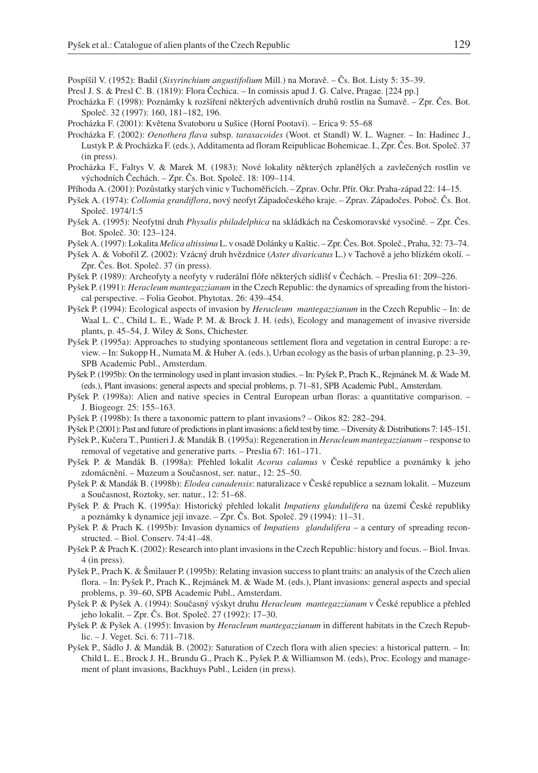Pospíšil V. (1952): Badil (*Sisyrinchium angustifolium* Mill.) na Moravě. – Čs. Bot. Listy 5: 35–39.

- Presl J. S. & Presl C. B. (1819): Flora Čechica. In comissis apud J. G. Calve, Pragae. [224 pp.]
- Procházka F. (1998): Poznámky k rozšíření některých adventivních druhů rostlin na Šumavě. Zpr. Čes. Bot. Společ. 32 (1997): 160, 181–182, 196.
- Procházka F. (2001): Květena Svatoboru u Sušice (Horní Pootaví). Erica 9: 55–68
- Procházka F. (2002): *Oenothera flava* subsp. *taraxacoides* (Woot. et Standl) W. L. Wagner. In: Hadinec J., Lustyk P. & Procházka F. (eds.), Additamenta ad floram Reipublicae Bohemicae. I., Zpr. Čes. Bot. Společ. 37 (in press).
- Procházka F., Faltys V. & Marek M. (1983): Nové lokality některých zplanělých a zavlečených rostlin ve východních Čechách. – Zpr. Čs. Bot. Společ. 18: 109–114.
- Příhoda A. (2001): Pozůstatky starých vinic v Tuchoměřicích. Zprav. Ochr. Přír. Okr. Praha-západ 22: 14–15.
- Pyšek A. (1974): *Collomia grandiflora*, nový neofyt Západočeského kraje. Zprav. Západočes. Poboč. Čs. Bot. Společ. 1974/1:5
- Pyšek A. (1995): Neofytní druh *Physalis philadelphica* na skládkách na Českomoravské vysočině. Zpr. Čes. Bot. Společ. 30: 123–124.
- Pyšek A. (1997): Lokalita *Melica altissima* L. v osadě Dolánky u Kaštic. Zpr. Čes. Bot. Společ., Praha, 32: 73–74.
- Pyšek A. & Vobořil Z. (2002): Vzácný druh hvězdnice (*Aster divaricatus* L.) v Tachově a jeho blízkém okolí. Zpr. Čes. Bot. Společ. 37 (in press).
- Pyšek P. (1989): Archeofyty a neofyty v ruderální flóře některých sídlišť v Čechách. Preslia 61: 209–226.
- Pyšek P. (1991): *Heracleum mantegazzianum* in the Czech Republic: the dynamics of spreading from the historical perspective. – Folia Geobot. Phytotax. 26: 439–454.
- Pyšek P. (1994): Ecological aspects of invasion by *Heracleum mantegazzianum* in the Czech Republic In: de Waal L. C., Child L. E., Wade P. M. & Brock J. H. (eds), Ecology and management of invasive riverside plants, p. 45–54, J. Wiley & Sons, Chichester.
- Pyšek P. (1995a): Approaches to studying spontaneous settlement flora and vegetation in central Europe: a review. – In: Sukopp H., Numata M. & Huber A. (eds.), Urban ecology as the basis of urban planning, p. 23–39, SPB Academic Publ., Amsterdam.
- Pyšek P. (1995b): On the terminology used in plant invasion studies. In: Pyšek P., Prach K., Rejmánek M. & Wade M. (eds.), Plant invasions: general aspects and special problems, p. 71–81, SPB Academic Publ., Amsterdam.
- Pyšek P. (1998a): Alien and native species in Central European urban floras: a quantitative comparison. J. Biogeogr. 25: 155–163.
- Pyšek P. (1998b): Is there a taxonomic pattern to plant invasions? Oikos 82: 282–294.
- Pyšek P. (2001): Past and future of predictions in plant invasions: a field test by time. Diversity & Distributions 7: 145–151.
- Pyšek P., Kučera T., Puntieri J. & Mandák B. (1995a): Regeneration in *Heracleum mantegazzianum* response to removal of vegetative and generative parts. – Preslia 67: 161–171.
- Pyšek P. & Mandák B. (1998a): Přehled lokalit *Acorus calamus* v České republice a poznámky k jeho zdomácnění. – Muzeum a Současnost, ser. natur., 12: 25–50.
- Pyšek P. & Mandák B. (1998b): *Elodea canadensis*: naturalizace v České republice a seznam lokalit. Muzeum a Současnost, Roztoky, ser. natur., 12: 51–68.
- Pyšek P. & Prach K. (1995a): Historický přehled lokalit *Impatiens glandulifera* na území České republiky a poznámky k dynamice její invaze. – Zpr. Čs. Bot. Společ. 29 (1994): 11–31.
- Pyšek P. & Prach K. (1995b): Invasion dynamics of *Impatiens glandulifera* a century of spreading reconstructed. – Biol. Conserv. 74:41–48.
- Pyšek P. & Prach K. (2002): Research into plant invasions in the Czech Republic: history and focus. Biol. Invas. 4 (in press).
- Pyšek P., Prach K. & Šmilauer P. (1995b): Relating invasion success to plant traits: an analysis of the Czech alien flora. – In: Pyšek P., Prach K., Rejmánek M. & Wade M. (eds.), Plant invasions: general aspects and special problems, p. 39–60, SPB Academic Publ., Amsterdam.
- Pyšek P. & Pyšek A. (1994): Současný výskyt druhu *Heracleum mantegazzianum* v České republice a přehled jeho lokalit. – Zpr. Čs. Bot. Společ. 27 (1992): 17–30.
- Pyšek P. & Pyšek A. (1995): Invasion by *Heracleum mantegazzianum* in different habitats in the Czech Republic. – J. Veget. Sci. 6: 711–718.
- Pyšek P., Sádlo J. & Mandák B. (2002): Saturation of Czech flora with alien species: a historical pattern. In: Child L. E., Brock J. H., Brundu G., Prach K., Pyšek P. & Williamson M. (eds), Proc. Ecology and management of plant invasions, Backhuys Publ., Leiden (in press).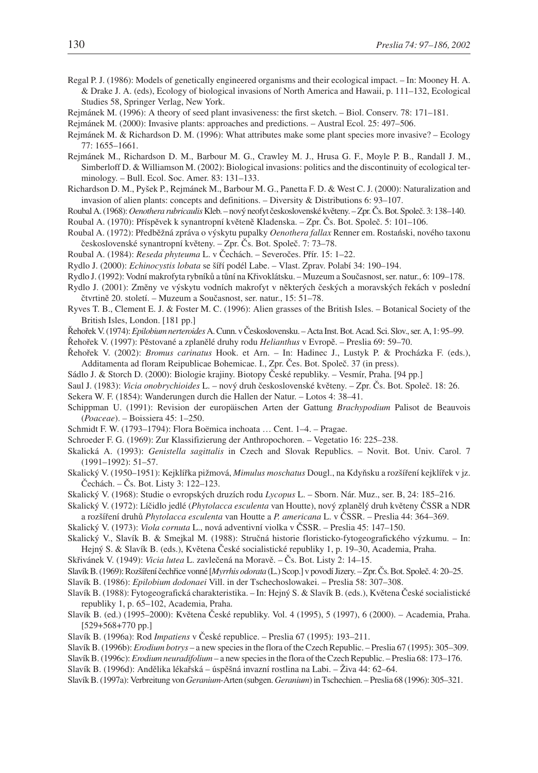- Regal P. J. (1986): Models of genetically engineered organisms and their ecological impact. In: Mooney H. A. & Drake J. A. (eds), Ecology of biological invasions of North America and Hawaii, p. 111–132, Ecological Studies 58, Springer Verlag, New York.
- Rejmánek M. (1996): A theory of seed plant invasiveness: the first sketch. Biol. Conserv. 78: 171–181.
- Rejmánek M. (2000): Invasive plants: approaches and predictions. Austral Ecol. 25: 497–506.
- Rejmánek M. & Richardson D. M. (1996): What attributes make some plant species more invasive? Ecology 77: 1655–1661.
- Rejmánek M., Richardson D. M., Barbour M. G., Crawley M. J., Hrusa G. F., Moyle P. B., Randall J. M., Simberloff D. & Williamson M. (2002): Biological invasions: politics and the discontinuity of ecological terminology. – Bull. Ecol. Soc. Amer. 83: 131–133.
- Richardson D. M., Pyšek P., Rejmánek M., Barbour M. G., Panetta F. D. & West C. J. (2000): Naturalization and invasion of alien plants: concepts and definitions. – Diversity & Distributions 6: 93–107.
- Roubal A. (1968):*Oenothera rubricaulis*Kleb. nový neofyt československé květeny. Zpr. Čs. Bot. Společ. 3: 138–140.
- Roubal A. (1970): Příspěvek k synantropní květeně Kladenska. Zpr. Čs. Bot. Společ. 5: 101–106.
- Roubal A. (1972): Předběžná zpráva o výskytu pupalky *Oenothera fallax* Renner em. Rostański, nového taxonu československé synantropní květeny. – Zpr. Čs. Bot. Společ. 7: 73–78.
- Roubal A. (1984): *Reseda phyteuma* L. v Čechách. Severočes. Přír. 15: 1–22.
- Rydlo J. (2000): *Echinocystis lobata* se šíří podél Labe. Vlast. Zprav. Polabí 34: 190–194.
- Rydlo J. (1992): Vodní makrofyta rybníků a tůní na Křivoklátsku. Muzeum a Současnost, ser. natur., 6: 109–178.
- Rydlo J. (2001): Změny ve výskytu vodních makrofyt v některých českých a moravských řekách v poslední čtvrtině 20. století. – Muzeum a Současnost, ser. natur., 15: 51–78.
- Ryves T. B., Clement E. J. & Foster M. C. (1996): Alien grasses of the British Isles. Botanical Society of the British Isles, London. [181 pp.]
- Řehořek V. (1974):*Epilobium nerteroides*A. Cunn. v Československu. Acta Inst. Bot. Acad. Sci. Slov., ser. A, 1: 95–99.

Řehořek V. (1997): Pěstované a zplanělé druhy rodu *Helianthus* v Evropě. – Preslia 69: 59–70.

- Řehořek V. (2002): *Bromus carinatus* Hook. et Arn. In: Hadinec J., Lustyk P. & Procházka F. (eds.), Additamenta ad floram Reipublicae Bohemicae. I., Zpr. Čes. Bot. Společ. 37 (in press).
- Sádlo J. & Storch D. (2000): Biologie krajiny. Biotopy České republiky. Vesmír, Praha. [94 pp.]
- Saul J. (1983): *Vicia onobrychioides* L. nový druh československé květeny. Zpr. Čs. Bot. Společ. 18: 26.
- Sekera W. F. (1854): Wanderungen durch die Hallen der Natur. Lotos 4: 38–41.
- Schippman U. (1991): Revision der europäischen Arten der Gattung *Brachypodium* Palisot de Beauvois (*Poaceae*). – Boissiera 45: 1–250.
- Schmidt F. W. (1793–1794): Flora Boëmica inchoata … Cent. 1–4. Pragae.
- Schroeder F. G. (1969): Zur Klassifizierung der Anthropochoren. Vegetatio 16: 225–238.
- Skalická A. (1993): *Genistella sagittalis* in Czech and Slovak Republics. Novit. Bot. Univ. Carol. 7 (1991–1992): 51–57.
- Skalický V. (1950–1951): Kejklířka pižmová, *Mimulus moschatus* Dougl., na Kdyňsku a rozšíření kejklířek v jz. Čechách. – Čs. Bot. Listy 3: 122–123.
- Skalický V. (1968): Studie o evropských druzích rodu *Lycopus* L. Sborn. Nár. Muz., ser. B, 24: 185–216.
- Skalický V. (1972): Líčidlo jedlé (*Phytolacca esculenta* van Houtte), nový zplanělý druh květeny ČSSR a NDR a rozšíření druhů *Phytolacca esculenta* van Houtte a *P. americana* L. v ČSSR. – Preslia 44: 364–369.
- Skalický V. (1973): *Viola cornuta* L., nová adventivní violka v ČSSR. Preslia 45: 147–150.
- Skalický V., Slavík B. & Smejkal M. (1988): Stručná historie floristicko-fytogeografického výzkumu. In: Hejný S. & Slavík B. (eds.), Květena České socialistické republiky 1, p. 19–30, Academia, Praha.
- Skřivánek V. (1949): *Vicia lutea* L. zavlečená na Moravě. Čs. Bot. Listy 2: 14–15.
- Slavík B. (1969): Rozšíření čechřice vonné [*Myrrhis odorata* (L.) Scop.] v povodí Jizery. Zpr. Čs. Bot. Společ. 4: 20–25.
- Slavík B. (1986): *Epilobium dodonaei* Vill. in der Tschechoslowakei. Preslia 58: 307–308.
- Slavík B. (1988): Fytogeografická charakteristika. In: Hejný S. & Slavík B. (eds.), Květena České socialistické republiky 1, p. 65–102, Academia, Praha.
- Slavík B. (ed.) (1995–2000): Květena České republiky. Vol. 4 (1995), 5 (1997), 6 (2000). Academia, Praha. [529+568+770 pp.]
- Slavík B. (1996a): Rod *Impatiens* v České republice. Preslia 67 (1995): 193–211.
- Slavík B. (1996b): *Erodium botrys* a new species in the flora of the Czech Republic. Preslia 67 (1995): 305–309.
- Slavík B. (1996c): *Erodium neuradifolium* a new species in the flora of the Czech Republic. Preslia 68: 173–176. Slavík B. (1996d): Andělika lékařská – úspěšná invazní rostlina na Labi. – Živa 44: 62–64.
- Slavík B. (1997a): Verbreitung von *Geranium*-Arten (subgen. *Geranium*) in Tschechien. Preslia 68 (1996): 305–321.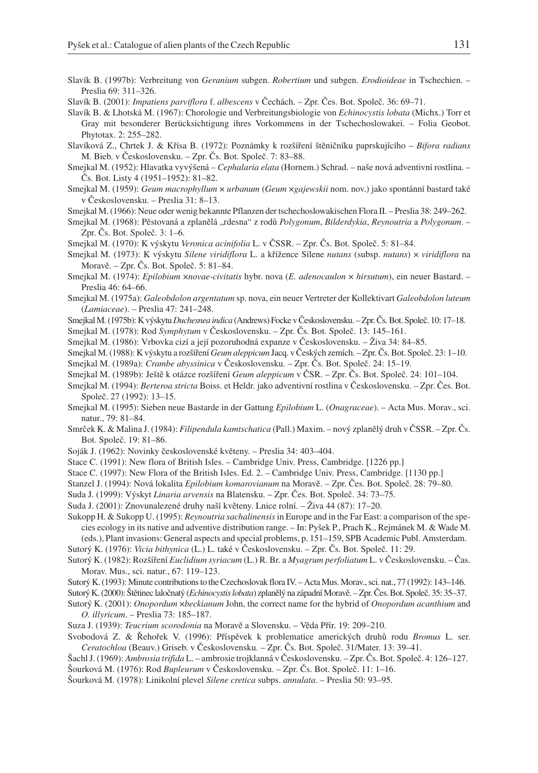- Slavík B. (1997b): Verbreitung von *Geranium* subgen. *Robertium* und subgen. *Erodioideae* in Tschechien. Preslia 69: 311–326.
- Slavík B. (2001): *Impatiens parviflora* f. *albescens* v Čechách. Zpr. Čes. Bot. Společ. 36: 69–71.
- Slavík B. & Lhotská M. (1967): Chorologie und Verbreitungsbiologie von *Echinocystis lobata* (Michx.) Torr et Gray mit besonderer Berücksichtigung ihres Vorkommens in der Tschechoslowakei. – Folia Geobot. Phytotax. 2: 255–282.
- Slavíková Z., Chrtek J. & Křísa B. (1972): Poznámky k rozšíření štěničníku paprskujícího *Bifora radians* M. Bieb. v Československu. – Zpr. Čs. Bot. Společ. 7: 83–88.
- Smejkal M. (1952): Hlavatka vyvýšená *Cephalaria elata* (Hornem.) Schrad. naše nová adventivní rostlina. Čs. Bot. Listy 4 (1951–1952): 81–82.
- Smejkal M. (1959): *Geum macrophyllum* × *urbanum* (*Geum* ×*gajewskii* nom. nov.) jako spontánní bastard také v Československu. – Preslia 31: 8–13.
- Smejkal M. (1966): Neue oder wenig bekannte Pflanzen der tschechoslowakischen Flora II. Preslia 38: 249–262.
- Smejkal M. (1968): Pěstovaná a zplanělá "rdesna" z rodů Polygonum, Bilderdykia, Reynoutria a Polygonum. -Zpr. Čs. Bot. Společ. 3: 1–6.
- Smejkal M. (1970): K výskytu *Veronica acinifolia* L. v ČSSR. Zpr. Čs. Bot. Společ. 5: 81–84.
- Smejkal M. (1973): K výskytu *Silene viridiflora* L. a křížence Silene *nutans* (subsp. *nutans*) × *viridiflora* na Moravě. – Zpr. Čs. Bot. Společ. 5: 81–84.
- Smejkal M. (1974): *Epilobium* ×*novae-civitatis* hybr. nova (*E. adenocaulon* × *hirsutum*), ein neuer Bastard. Preslia 46: 64–66.
- Smejkal M. (1975a): *Galeobdolon argentatum* sp. nova, ein neuer Vertreter der Kollektivart *Galeobdolon luteum* (*Lamiaceae*). – Preslia 47: 241–248.
- Smejkal M. (1975b): K výskytu*Duchesnea indica* (Andrews) Focke v Československu. Zpr. Čs. Bot. Společ. 10: 17–18.
- Smejkal M. (1978): Rod *Symphytum* v Československu. Zpr. Čs. Bot. Společ. 13: 145–161.
- Smejkal M. (1986): Vrbovka cizí a její pozoruhodná expanze v Československu. Živa 34: 84–85.
- Smejkal M. (1988): K výskytu a rozšíření *Geum aleppicum* Jacq. v Českých zemích. Zpr. Čs. Bot. Společ. 23: 1–10. Smejkal M. (1989a): *Crambe abyssinica* v Československu. – Zpr. Čs. Bot. Společ. 24: 15–19.
- 
- Smejkal M. (1989b): Ještě k otázce rozšíření *Geum aleppicum* v ČSR. Zpr. Čs. Bot. Společ. 24: 101–104.
- Smejkal M. (1994): *Berteroa stricta* Boiss. et Heldr. jako adventivní rostlina v Československu. Zpr. Čes. Bot. Společ. 27 (1992): 13–15.
- Smejkal M. (1995): Sieben neue Bastarde in der Gattung *Epilobium* L. (*Onagraceae*). Acta Mus. Morav., sci. natur., 79: 81–84.
- Smrček K. & Malina J. (1984): *Filipendula kamtschatica* (Pall.) Maxim. nový zplanělý druh v ČSSR. Zpr. Čs. Bot. Společ. 19: 81–86.
- Soják J. (1962): Novinky československé květeny. Preslia 34: 403–404.
- Stace C. (1991): New flora of British Isles. Cambridge Univ. Press, Cambridge. [1226 pp.]
- Stace C. (1997): New Flora of the British Isles. Ed. 2. Cambridge Univ. Press, Cambridge. [1130 pp.]
- Stanzel J. (1994): Nová lokalita *Epilobium komarovianum* na Moravě. Zpr. Čes. Bot. Společ. 28: 79–80.
- Suda J. (1999): Výskyt *Linaria arvensis* na Blatensku. Zpr. Čes. Bot. Společ. 34: 73–75.
- Suda J. (2001): Znovunalezené druhy naší květeny. Lnice rolní. Živa 44 (87): 17–20.
- Sukopp H. & Sukopp U. (1995): *Reynoutria sachalinensis*in Europe and in the Far East: a comparison of the species ecology in its native and adventive distribution range. – In: Pyšek P., Prach K., Rejmánek M. & Wade M. (eds.), Plant invasions: General aspects and special problems, p. 151–159, SPB Academic Publ. Amsterdam.
- Sutorý K. (1976): *Vicia bithynica* (L.) L. také v Československu. Zpr. Čs. Bot. Společ. 11: 29.
- Sutorý K. (1982): Rozšíření *Euclidium syriacum* (L.) R. Br. a *Myagrum perfoliatum* L. v Československu. Čas. Morav. Mus., sci. natur., 67: 119–123.
- Sutorý K. (1993): Minute contributions to the Czechoslovak flora IV. Acta Mus. Morav., sci. nat., 77 (1992): 143–146.
- Sutorý K. (2000): Štětinec laločnatý (*Echinocystis lobata*) zplanělý na západní Moravě. Zpr. Čes. Bot. Společ. 35: 35–37.
- Sutorý K. (2001): *Onopordum* ×*beckianum* John, the correct name for the hybrid of *Onopordum acanthium* and *O. illyricum*. – Preslia 73: 185–187.
- Suza J. (1939): *Teucrium scorodonia* na Moravě a Slovensku. Věda Přír. 19: 209–210.
- Svobodová Z. & Řehořek V. (1996): Příspěvek k problematice amerických druhů rodu *Bromus* L. ser. *Ceratochloa* (Beauv.) Griseb. v Československu. – Zpr. Čs. Bot. Společ. 31/Mater. 13: 39–41.
- Šachl J. (1969): *Ambrosia trifida* L. ambrosie trojklanná v Československu. Zpr. Čs. Bot. Společ. 4: 126–127.
- Šourková M. (1976): Rod *Bupleurum* v Československu. Zpr. Čs. Bot. Společ. 11: 1–16.
- Šourková M. (1978): Linikolní plevel *Silene cretica* subps. *annulata*. Preslia 50: 93–95.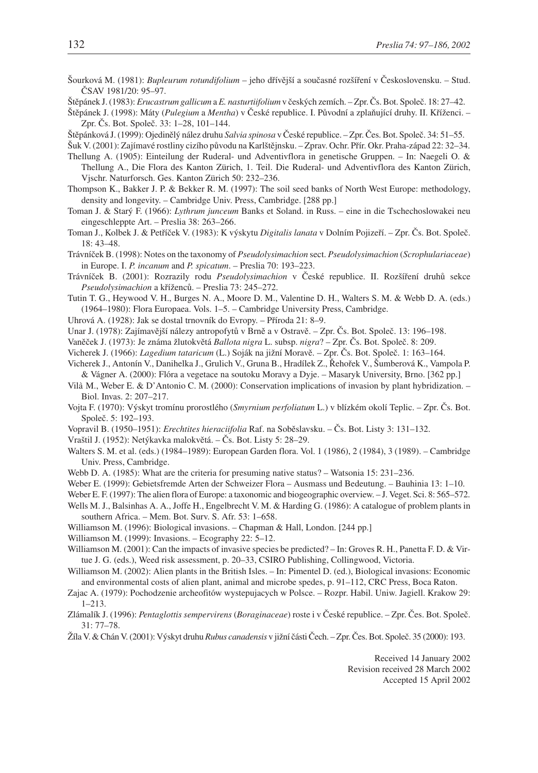- Šourková M. (1981): *Bupleurum rotundifolium* jeho dřívější a současné rozšíření v Československu. Stud. ČSAV 1981/20: 95–97.
- Štěpánek J. (1983): *Erucastrum gallicum* a *E. nasturtiifolium* v českých zemích. Zpr. Čs. Bot. Společ. 18: 27–42.

Štěpánek J. (1998): Máty (*Pulegium* a *Mentha*) v České republice. I. Původní a zplaňující druhy. II. Kříženci. – Zpr. Čs. Bot. Společ. 33: 1–28, 101–144.

Štěpánková J. (1999): Ojedinělý nález druhu *Salvia spinosa* v České republice. – Zpr. Čes. Bot. Společ. 34: 51–55.

Šuk V. (2001): Zajímavé rostliny cizího původu na Karlštějnsku. – Zprav. Ochr. Přír. Okr. Praha-západ 22: 32–34.

Thellung A. (1905): Einteilung der Ruderal- und Adventivflora in genetische Gruppen. – In: Naegeli O. & Thellung A., Die Flora des Kanton Zürich, 1. Teil. Die Ruderal- und Adventivflora des Kanton Zürich, Vjschr. Naturforsch. Ges. Kanton Zürich 50: 232–236.

Thompson K., Bakker J. P. & Bekker R. M. (1997): The soil seed banks of North West Europe: methodology, density and longevity. – Cambridge Univ. Press, Cambridge. [288 pp.]

- Toman J. & Starý F. (1966): *Lythrum junceum* Banks et Soland. in Russ. eine in die Tschechoslowakei neu eingeschleppte Art. – Preslia 38: 263–266.
- Toman J., Kolbek J. & Petříček V. (1983): K výskytu *Digitalis lanata* v Dolním Pojizeří. Zpr. Čs. Bot. Společ. 18: 43–48.

Trávníček B. (1998): Notes on the taxonomy of *Pseudolysimachion* sect. *Pseudolysimachion* (*Scrophulariaceae*) in Europe. I. *P. incanum* and *P. spicatum*. – Preslia 70: 193–223.

Trávníček B. (2001): Rozrazily rodu *Pseudolysimachion* v České republice. II. Rozšíření druhů sekce *Pseudolysimachion* a kříženců. – Preslia 73: 245–272.

Tutin T. G., Heywood V. H., Burges N. A., Moore D. M., Valentine D. H., Walters S. M. & Webb D. A. (eds.) (1964–1980): Flora Europaea. Vols. 1–5. – Cambridge University Press, Cambridge.

Uhrová A. (1928): Jak se dostal trnovník do Evropy. – Příroda 21: 8–9.

Unar J. (1978): Zajímavější nálezy antropofytů v Brně a v Ostravě. – Zpr. Čs. Bot. Společ. 13: 196–198.

Vaněček J. (1973): Je známa žlutokvětá *Ballota nigra* L. subsp. *nigra*? – Zpr. Čs. Bot. Společ. 8: 209.

Vicherek J. (1966): *Lagedium tataricum* (L.) Soják na jižní Moravě. – Zpr. Čs. Bot. Společ. 1: 163–164.

- Vicherek J., Antonín V., Danihelka J., Grulich V., Gruna B., Hradílek Z., Řehořek V., Šumberová K., Vampola P. & Vágner A. (2000): Flóra a vegetace na soutoku Moravy a Dyje. – Masaryk University, Brno. [362 pp.]
- Vila` M., Weber E. & D'Antonio C. M. (2000): Conservation implications of invasion by plant hybridization. Biol. Invas. 2: 207–217.
- Vojta F. (1970): Výskyt tromínu prorostlého (*Smyrnium perfoliatum* L.) v blízkém okolí Teplic. Zpr. Čs. Bot. Společ. 5: 192–193.
- Vopravil B. (1950–1951): *Erechtites hieraciifolia* Raf. na Soběslavsku. Čs. Bot. Listy 3: 131–132.
- Vraštil J. (1952): Netýkavka malokvětá. Čs. Bot. Listy 5: 28–29.
- Walters S. M. et al. (eds.) (1984–1989): European Garden flora. Vol. 1 (1986), 2 (1984), 3 (1989). Cambridge Univ. Press, Cambridge.
- Webb D. A. (1985): What are the criteria for presuming native status? Watsonia 15: 231–236.

Weber E. (1999): Gebietsfremde Arten der Schweizer Flora – Ausmass und Bedeutung. *–* Bauhinia 13: 1*–*10.

- Weber E. F. (1997): The alien flora of Europe: a taxonomic and biogeographic overview. J. Veget. Sci. 8: 565–572.
- Wells M. J., Balsinhas A. A., Joffe H., Engelbrecht V. M. & Harding G. (1986): A catalogue of problem plants in southern Africa. – Mem. Bot. Surv. S. Afr. 53: 1–658.

Williamson M. (1996): Biological invasions. – Chapman & Hall, London. [244 pp.]

Williamson M. (1999): Invasions. – Ecography 22: 5–12.

Williamson M. (2001): Can the impacts of invasive species be predicted? – In: Groves R. H., Panetta F. D. & Virtue J. G. (eds.), Weed risk assessment, p. 20–33, CSIRO Publishing, Collingwood, Victoria.

Williamson M. (2002): Alien plants in the British Isles. – In: Pimentel D. (ed.), Biological invasions: Economic and environmental costs of alien plant, animal and microbe spedes, p. 91–112, CRC Press, Boca Raton.

Zajac A. (1979): Pochodzenie archeofitów wystepujacych w Polsce. – Rozpr. Habil. Uniw. Jagiell. Krakow 29: 1–213.

Zlámalík J. (1996): *Pentaglottis sempervirens* (*Boraginaceae*) roste i v České republice. – Zpr. Čes. Bot. Společ. 31: 77–78.

Žíla V. & Chán V. (2001): Výskyt druhu *Rubus canadensis* v jižní části Čech. – Zpr. Čes. Bot. Společ. 35 (2000): 193.

Received 14 January 2002 Revision received 28 March 2002 Accepted 15 April 2002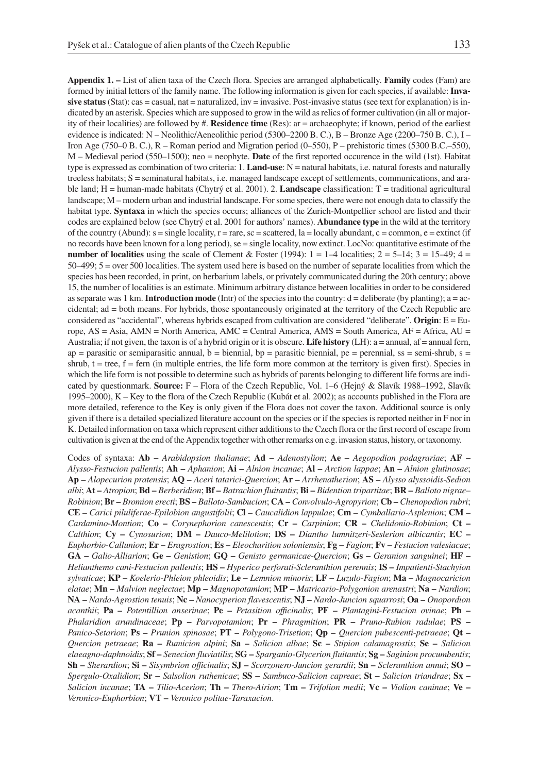**Appendix 1. –** List of alien taxa of the Czech flora. Species are arranged alphabetically. **Family** codes (Fam) are formed by initial letters of the family name. The following information is given for each species, if available: **Invasive status** (Stat): cas = casual, nat = naturalized, inv = invasive. Post-invasive status (see text for explanation) is indicated by an asterisk. Species which are supposed to grow in the wild as relics of former cultivation (in all or majority of their localities) are followed by #. **Residence time** (Res): ar = archaeophyte; if known, period of the earliest evidence is indicated: N – Neolithic/Aeneolithic period (5300–2200 B. C.), B – Bronze Age (2200–750 B. C.), I – Iron Age (750–0 B. C.), R – Roman period and Migration period (0–550), P – prehistoric times (5300 B.C.–550), M – Medieval period (550–1500); neo = neophyte. **Date** of the first reported occurence in the wild (1st). Habitat type is expressed as combination of two criteria: 1. **Land-use**: N = natural habitats, i.e. natural forests and naturally treeless habitats; S = seminatural habitats, i.e. managed landscape except of settlements, communications, and arable land; H = human-made habitats (Chytrý et al. 2001). 2. **Landscape** classification: T = traditional agricultural landscape; M – modern urban and industrial landscape. For some species, there were not enough data to classify the habitat type. **Syntaxa** in which the species occurs; alliances of the Zurich-Montpellier school are listed and their codes are explained below (see Chytrý et al. 2001 for authors' names). **Abundance type** in the wild at the territory of the country (Abund):  $s = \text{single locality}, r = \text{rare}, sc = \text{scattered}, la = \text{locally abundant}, c = \text{common}, e = \text{extinct (if } s = \text{current})$ no records have been known for a long period), se = single locality, now extinct. LocNo: quantitative estimate of the **number of localities** using the scale of Clement & Foster (1994):  $1 = 1-4$  localities;  $2 = 5-14$ ;  $3 = 15-49$ ;  $4 = 15-49$ 50–499; 5 = over 500 localities. The system used here is based on the number of separate localities from which the species has been recorded, in print, on herbarium labels, or privately communicated during the 20th century; above 15, the number of localities is an estimate. Minimum arbitrary distance between localities in order to be considered as separate was 1 km. **Introduction mode** (Intr) of the species into the country:  $d =$  deliberate (by planting);  $a = ac$ cidental; ad = both means. For hybrids, those spontaneously originated at the territory of the Czech Republic are considered as "accidental", whereas hybrids escaped from cultivation are considered "deliberate". **Origin**: E = Europe, AS = Asia, AMN = North America, AMC = Central America, AMS = South America, AF = Africa, AU = Australia; if not given, the taxon is of a hybrid origin or it is obscure. **Life history** (LH): a = annual, af = annual fern,  $ap =$  parasitic or semiparasitic annual,  $b =$  biennial,  $bp =$  parasitic biennial,  $pe =$  perennial, ss = semi-shrub, s = shrub,  $t = tree$ ,  $f = fem$  (in multiple entries, the life form more common at the territory is given first). Species in which the life form is not possible to determine such as hybrids of parents belonging to different life forms are indicated by questionmark. **Source:** F – Flora of the Czech Republic, Vol. 1–6 (Hejný & Slavík 1988–1992, Slavík 1995–2000), K – Key to the flora of the Czech Republic (Kubát et al. 2002); as accounts published in the Flora are more detailed, reference to the Key is only given if the Flora does not cover the taxon. Additional source is only given if there is a detailed specialized literature account on the species or if the species is reported neither in F nor in K. Detailed information on taxa which represent either additions to the Czech flora or the first record of escape from cultivation is given at the end of the Appendix together with other remarks on e.g. invasion status, history, or taxonomy.

Codes of syntaxa: **Ab –** *Arabidopsion thalianae*; **Ad –** *Adenostylion*; **Ae –** *Aegopodion podagrariae*; **AF –** *Alysso*-*Festucion pallentis*; **Ah –** *Aphanion*; **Ai –** *Alnion incanae*; **Al –** *Arction lappae*; **An –** *Alnion glutinosae*; **Ap –** *Alopecurion pratensis*; **AQ –** *Aceri tatarici*-*Quercion*; **Ar –** *Arrhenatherion*; **AS –** *Alysso alyssoidis*-*Sedion albi*; **At –** *Atropion*; **Bd –** *Berberidion*; **Bf –** *Batrachion fluitantis*; **Bi –** *Bidention tripartitae*; **BR –** *Balloto nigrae*– *Robinion*; **Br –** *Bromion erecti*; **BS –** *Balloto*-*Sambucion*; **CA –** *Convolvulo*-*Agropyrion*; **Cb –** *Chenopodion rubri*; **CE –** *Carici piluliferae*-*Epilobion angustifolii*; **Cl –** *Caucalidion lappulae*; **Cm –** *Cymballario*-*Asplenion*; **CM –** *Cardamino*-*Montion*; **Co –** *Corynephorion canescentis*; **Cr –** *Carpinion*; **CR –** *Chelidonio*-*Robinion*; **Ct –** *Calthion*; **Cy –** *Cynosurion*; **DM –** *Dauco*-*Melilotion*; **DS –** *Diantho lumnitzeri*-*Seslerion albicantis*; **EC –** *Euphorbio*-*Callunion*; **Er –** *Eragrostion*; **Es –** *Eleocharition soloniensis*; **Fg –** *Fagion*; **Fv –** *Festucion valesiacae*; **GA –** *Galio*-*Alliarion*; **Ge –** *Genistion*; **GQ –** *Genisto germanicae*-*Quercion*; **Gs –** *Geranion sanguinei*; **HF –** *Helianthemo cani*-*Festucion pallentis*; **HS –** *Hyperico perforati*-*Scleranthion perennis*; **IS –** *Impatienti*-*Stachyion sylvaticae*; **KP –** *Koelerio*-*Phleion phleoidis*; **Le –** *Lemnion minoris*; **LF –** *Luzulo*-*Fagion*; **Ma –** *Magnocaricion elatae*; **Mn –** *Malvion neglectae*; **Mp –** *Magnopotamion*; **MP –** *Matricario*-*Polygonion arenastri*; **Na –** *Nardion*; **NA –** *Nardo*-*Agrostion tenuis*; **Nc –** *Nanocyperion flavescentis*; **NJ –** *Nardo*-*Juncion squarrosi*; **Oa –** *Onopordion acanthii*; **Pa –** *Potentillion anserinae*; **Pe –** *Petasition officinalis*; **PF –** *Plantagini*-*Festucion ovinae*; **Ph –** *Phalaridion arundinaceae*; **Pp –** *Parvopotamion*; **Pr –** *Phragmition*; **PR –** *Pruno*-*Rubion radulae*; **PS –** *Panico*-*Setarion*; **Ps –** *Prunion spinosae*; **PT –** *Polygono*-*Trisetion*; **Qp –** *Quercion pubescenti*-*petraeae*; **Qt –** *Quercion petraeae*; **Ra –** *Rumicion alpini*; **Sa –** *Salicion albae*; **Sc –** *Stipion calamagrostis*; **Se –** *Salicion elaeagno*-*daphnoidis*; **Sf –** *Senecion fluviatilis*; **SG –** *Sparganio*-*Glycerion fluitantis*; **Sg –** *Saginion procumbentis*; **Sh –** *Sherardion*; **Si –** *Sisymbrion officinalis*; **SJ –** *Scorzonero*-*Juncion gerardii*; **Sn –** *Scleranthion annui*; **SO –** *Spergulo*-*Oxalidion*; **Sr –** *Salsolion ruthenicae*; **SS –** *Sambuco*-*Salicion capreae*; **St –** *Salicion triandrae*; **Sx –** *Salicion incanae*; **TA –** *Tilio*-*Acerion*; **Th –** *Thero*-*Airion*; **Tm –** *Trifolion medii*; **Vc –** *Violion caninae*; **Ve –** *Veronico*-*Euphorbion*; **VT –** *Veronico politae*-*Taraxacion*.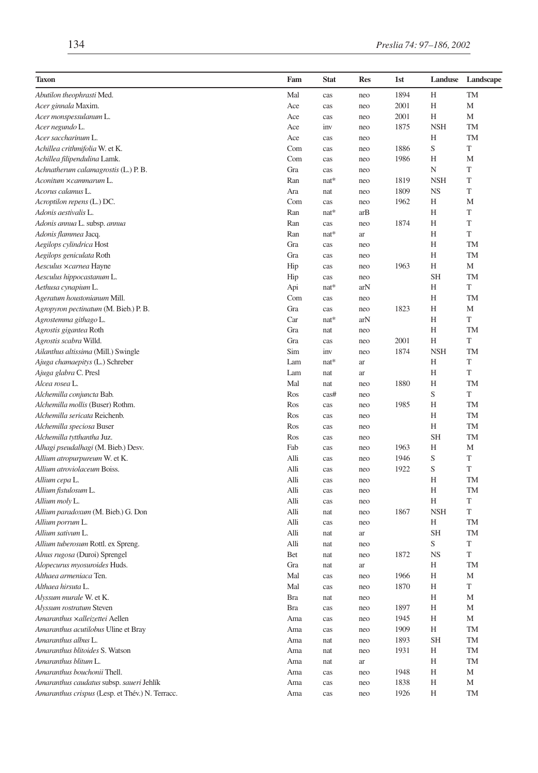| Taxon                                           | Fam  | <b>Stat</b> | <b>Res</b> | 1st  | Landuse     | Landscape |
|-------------------------------------------------|------|-------------|------------|------|-------------|-----------|
| Abutilon theophrasti Med.                       | Mal  | cas         | neo        | 1894 | H           | <b>TM</b> |
| Acer ginnala Maxim.                             | Ace  | cas         | neo        | 2001 | Н           | M         |
| Acer monspessulanum L.                          | Ace  | cas         | neo        | 2001 | Η           | M         |
| Acer negundo L.                                 | Ace  | inv         | neo        | 1875 | <b>NSH</b>  | <b>TM</b> |
| Acer saccharinum L.                             | Ace  | cas         | neo        |      | Н           | <b>TM</b> |
| Achillea crithmifolia W. et K.                  | Com  | cas         | neo        | 1886 | $\mathbf S$ | T         |
| Achillea filipendulina Lamk.                    | Com  | cas         | neo        | 1986 | Η           | M         |
| Achnatherum calamagrostis (L.) P.B.             | Gra  | cas         | neo        |      | N           | T         |
| Aconitum ×cammarum L.                           | Ran  | $nat*$      | neo        | 1819 | <b>NSH</b>  | T         |
| Acorus calamus L.                               | Ara  | nat         | neo        | 1809 | NS          | T         |
| Acroptilon repens (L.) DC.                      | Com  | cas         | neo        | 1962 | Η           | M         |
| Adonis aestivalis L.                            | Ran  | nat*        | arB        |      | H           | T         |
| Adonis annua L. subsp. annua                    | Ran  | cas         | neo        | 1874 | Н           | T         |
| Adonis flammea Jacq.                            | Ran  | $nat*$      | ar         |      | Н           | T         |
| Aegilops cylindrica Host                        | Gra  | cas         | neo        |      | H           | <b>TM</b> |
| Aegilops geniculata Roth                        | Gra  | cas         | neo        |      | Н           | <b>TM</b> |
| Aesculus xcarnea Hayne                          | Hip  | cas         | neo        | 1963 | Η           | M         |
| Aesculus hippocastanum L.                       | Hip  | cas         | neo        |      | <b>SH</b>   | <b>TM</b> |
| Aethusa cynapium L.                             | Api  | nat*        | arN        |      | H           | T         |
| Ageratum houstonianum Mill.                     | Com  | cas         | neo        |      | H           | <b>TM</b> |
| Agropyron pectinatum (M. Bieb.) P. B.           | Gra  | cas         | neo        | 1823 | Н           | M         |
| Agrostemma githago L.                           | Car  | $nat*$      | arN        |      | H           | T         |
| Agrostis gigantea Roth                          | Gra  | nat         | neo        |      | H           | <b>TM</b> |
| Agrostis scabra Willd.                          | Gra  | cas         | neo        | 2001 | Η           | T         |
| Ailanthus altissima (Mill.) Swingle             | Sim  | inv         | neo        | 1874 | <b>NSH</b>  | TM        |
| Ajuga chamaepitys (L.) Schreber                 | Lam  | $nat*$      | ar         |      | Н           | T         |
| Ajuga glabra C. Presl                           | Lam  | nat         | ar         |      | H           | T         |
| Alcea rosea L.                                  | Mal  | nat         | neo        | 1880 | H           | <b>TM</b> |
| Alchemilla conjuncta Bab.                       | Ros  | cas#        | neo        |      | $\mathbf S$ | T         |
| Alchemilla mollis (Buser) Rothm.                | Ros  | cas         | neo        | 1985 | Н           | TM        |
| Alchemilla sericata Reichenb.                   | Ros  | cas         | neo        |      | Н           | <b>TM</b> |
| Alchemilla speciosa Buser                       | Ros  | cas         | neo        |      | Н           | TM        |
| Alchemilla tytthantha Juz.                      | Ros  | cas         | neo        |      | <b>SH</b>   | TM        |
| Alhagi pseudalhagi (M. Bieb.) Desv.             | Fab  | cas         | neo        | 1963 | Н           | M         |
| Allium atropurpureum W. et K.                   | Alli | cas         | neo        | 1946 | S           | T         |
| Allium atroviolaceum Boiss.                     | Alli | cas         | neo        | 1922 | S           | T         |
| Allium cepa L.                                  | Alli | cas         | neo        |      | Η           | TM        |
| Allium fistulosum L.                            | Alli | cas         | neo        |      | H           | <b>TM</b> |
| Allium moly L.                                  | Alli | cas         | neo        |      | Н           | T         |
| Allium paradoxum (M. Bieb.) G. Don              | Alli | nat         | neo        | 1867 | <b>NSH</b>  | T         |
| Allium porrum L.                                | Alli | cas         | neo        |      | H           | <b>TM</b> |
| Allium sativum L.                               | Alli | nat         | ar         |      | <b>SH</b>   | <b>TM</b> |
| Allium tuberosum Rottl. ex Spreng.              | Alli | nat         | neo        |      | S           | T         |
| Alnus rugosa (Duroi) Sprengel                   | Bet  | nat         | neo        | 1872 | <b>NS</b>   | T         |
| Alopecurus myosuroides Huds.                    | Gra  | nat         | ar         |      | H           | <b>TM</b> |
| Althaea armeniaca Ten.                          | Mal  | cas         | neo        | 1966 | H           | M         |
| Althaea hirsuta L.                              | Mal  | cas         | neo        | 1870 | Η           | T         |
| Alyssum murale W. et K.                         | Bra  | nat         | neo        |      | Η           | М         |
| Alyssum rostratum Steven                        | Bra  | cas         | neo        | 1897 | Η           | М         |
| Amaranthus xalleizettei Aellen                  | Ama  | cas         | neo        | 1945 | Η           | М         |
| Amaranthus acutilobus Uline et Bray             | Ama  | cas         | neo        | 1909 | Η           | TM        |
| Amaranthus albus L.                             | Ama  | nat         | neo        | 1893 | <b>SH</b>   | TM        |
| Amaranthus blitoides S. Watson                  | Ama  | nat         | neo        | 1931 | Η           | TM        |
| Amaranthus blitum L.                            | Ama  | nat         | ar         |      | Η           | TM        |
| Amaranthus bouchonii Thell.                     | Ama  | cas         | neo        | 1948 | Η           | М         |
| Amaranthus caudatus subsp. saueri Jehlík        | Ama  | cas         | neo        | 1838 | Η           | М         |
| Amaranthus crispus (Lesp. et Thév.) N. Terracc. | Ama  | cas         | neo        | 1926 | Н           | TM        |
|                                                 |      |             |            |      |             |           |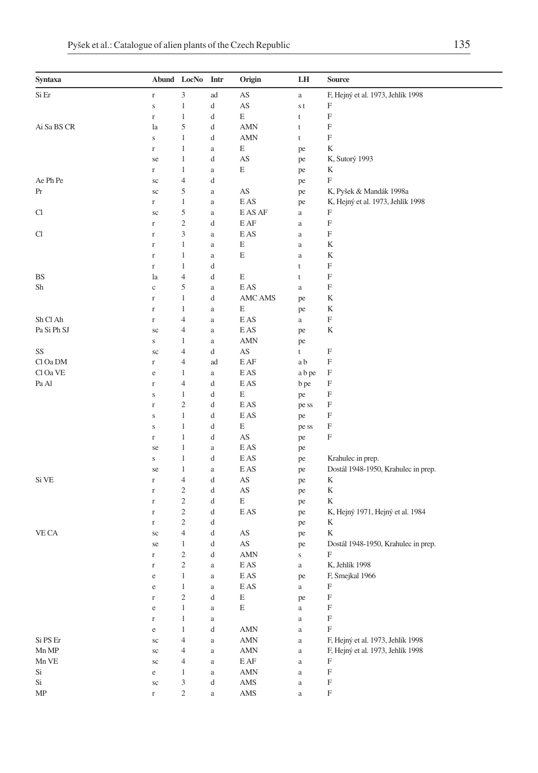| <b>Syntaxa</b>       |                         | Abund LocNo Intr               |               | Origin                               | LH          | Source                              |
|----------------------|-------------------------|--------------------------------|---------------|--------------------------------------|-------------|-------------------------------------|
| Si Er                | $\mathbf r$             | $\mathfrak{Z}$                 | ad            | AS                                   | $\rm{a}$    | F, Hejný et al. 1973, Jehlík 1998   |
|                      | $\mathbf S$             | $\mathbf{1}$                   | d             | AS                                   | s t         | F                                   |
|                      | $\mathbf r$             | $\mathbf{1}$                   | d             | E                                    | t           | F                                   |
| Ai Sa BS CR          | la                      | 5                              | d             | <b>AMN</b>                           | t           | F                                   |
|                      | $\bf S$                 | $\mathbf{1}$                   | d             | AMN                                  | $\mathsf t$ | F                                   |
|                      | $\Gamma$                | $\mathbf{1}$                   | a             | E                                    | pe          | K                                   |
|                      | se                      | 1                              | d             | AS                                   | pe          | K, Sutorý 1993                      |
|                      | $\Gamma$                | $\mathbf{1}$                   | a             | E                                    | pe          | K                                   |
| Ae Ph Pe             | sc                      | $\overline{4}$                 | d             |                                      | pe          | F                                   |
| Pr                   | sc                      | 5                              | a             | AS                                   | pe          | K, Pyšek & Mandák 1998a             |
|                      | $\Gamma$                | $\mathbf{1}$                   | a             | E AS                                 | pe          | K, Hejný et al. 1973, Jehlík 1998   |
| Cl                   | sc                      | 5                              | $\rm{a}$      | E AS AF                              | $\rm{a}$    | F                                   |
|                      | $\Gamma$                | $\sqrt{2}$                     | d             | E AF                                 | a           | F                                   |
| Cl                   | $\Gamma$                | 3                              | a             | E AS                                 | $\rm{a}$    | F                                   |
|                      | $\Gamma$                | $\mathbf{1}$                   | a             | E                                    | $\rm{a}$    | K                                   |
|                      | $\mathbf r$             | 1                              | a             | E                                    | $\rm{a}$    | K                                   |
|                      | $\Gamma$                | $\mathbf{1}$                   | d             |                                      | t           | $\boldsymbol{\mathrm{F}}$           |
| BS                   | la                      | $\overline{4}$                 | d             | E                                    | t           | $\mathbf F$                         |
| Sh                   | $\mathbf c$             | 5                              | $\rm{a}$      | E AS                                 | $\rm{a}$    | F                                   |
|                      | $\Gamma$                | $\mathbf{1}$                   | d             | <b>AMC AMS</b>                       | pe          | K                                   |
|                      | $\Gamma$                | 1                              | a             | E                                    | pe          | K                                   |
| Sh Cl Ah             | $\Gamma$                | $\overline{4}$                 | a             | E AS                                 | $\rm{a}$    | $\boldsymbol{\mathrm{F}}$           |
| Pa Si Ph SJ          | $\rm{sc}$               | 4                              | a             | E AS                                 | pe          | K                                   |
|                      | ${\bf S}$               | 1                              | a             | <b>AMN</b>                           | pe          |                                     |
| SS                   | sc                      | $\overline{4}$                 | d             | AS                                   | t           | F                                   |
| Cl Oa DM             | $\mathbf r$             | 4                              | ad            | EAF                                  | a b         | $\mathbf F$                         |
| Cl Oa VE<br>Pa Al    | e                       | $\mathbf{1}$<br>$\overline{4}$ | $\rm{a}$<br>d | E AS<br>E AS                         | a b pe      | F<br>F                              |
|                      | $\Gamma$<br>$\mathbf S$ | $\mathbf{1}$                   | d             | E                                    | b pe        | F                                   |
|                      | $\Gamma$                | $\overline{\mathbf{c}}$        | d             | $\mathop{\hbox{\rm E}}\nolimits$ AS  | pe<br>pe ss | F                                   |
|                      | $\mathbf S$             | $\mathbf{1}$                   | d             | E AS                                 | pe          | F                                   |
|                      | $\mathbf S$             | $\mathbf{1}$                   | d             | E                                    | pe ss       | F                                   |
|                      | $\Gamma$                | $\mathbf{1}$                   | d             | AS                                   | pe          | $\boldsymbol{\mathrm{F}}$           |
|                      | se                      | $\mathbf{1}$                   | $\rm{a}$      | E AS                                 | pe          |                                     |
|                      | $\mathbf S$             | $\mathbf{1}$                   | d             | E AS                                 | pe          | Krahulec in prep.                   |
|                      | se                      | $\mathbf{1}$                   | a             | E AS                                 | pe          | Dostál 1948-1950, Krahulec in prep. |
| Si VE                | $\mathbf r$             | 4                              | d             | AS                                   | pe          | K                                   |
|                      | $\Gamma$                | $\overline{c}$                 | d             | AS                                   | pe          | K                                   |
|                      | $\Gamma$                | $\overline{\mathbf{c}}$        | d             | E                                    | pe          | K                                   |
|                      | $\Gamma$                | $\sqrt{2}$                     | d             | E AS                                 | pe          | K, Hejný 1971, Hejný et al. 1984    |
|                      | $\mathbf{r}$            | $\sqrt{2}$                     | d             |                                      | pe          | K                                   |
| VE CA                | sc                      | $\overline{4}$                 | d             | AS                                   | pe          | K                                   |
|                      | se                      | $\mathbf{1}$                   | d             | AS                                   | pe          | Dostál 1948-1950, Krahulec in prep. |
|                      | $\Gamma$                | $\overline{\mathbf{c}}$        | d             | AMN                                  | $\bf S$     | F                                   |
|                      | $\Gamma$                | $\sqrt{2}$                     | $\rm{a}$      | E AS                                 | a           | K, Jehlík 1998                      |
|                      | e                       | 1                              | a             | E AS                                 | pe          | F, Smejkal 1966                     |
|                      | $\rm e$                 | $\mathbf{1}$                   | $\rm{a}$      | $\mathop{\hbox{\rm E}}\nolimits$ AS  | $\rm{a}$    | F                                   |
|                      | $\mathbf r$             | $\sqrt{2}$                     | d             | $\mathbf E$                          | pe          | $\mathbf F$                         |
|                      | $\rm e$                 | $\mathbf{1}$                   | $\rm{a}$      | E                                    | $\rm{a}$    | $\boldsymbol{\mathrm{F}}$           |
|                      | $\mathbf r$             | $\mathbf{1}$                   | $\rm{a}$      |                                      | $\rm{a}$    | $\mathbf F$                         |
|                      | $\rm e$                 | $\mathbf{1}$                   | d             | <b>AMN</b>                           | $\rm{a}$    | F                                   |
| Si PS Er             | $\rm{sc}$               | $\overline{4}$                 | $\rm{a}$      | $\mbox{AMN}$                         | $\rm{a}$    | F, Hejný et al. 1973, Jehlík 1998   |
| ${\rm Mn}\ {\rm MP}$ | $\rm{sc}$               | $\overline{4}$                 | $\rm{a}$      | <b>AMN</b>                           | $\rm{a}$    | F, Hejný et al. 1973, Jehlík 1998   |
| Mn VE                | sc                      | $\overline{4}$                 | a             | $\operatorname{E} \operatorname{AF}$ | $\rm{a}$    | F                                   |
| Si                   | e                       | $\mathbf{1}$                   | $\rm{a}$      | <b>AMN</b>                           | $\rm{a}$    | $\mathbf F$                         |
| Si                   | $\rm{sc}$               | 3                              | d             | $\mathbf{AMS}$                       | $\rm{a}$    | $\mathbf F$                         |
| MP                   | $\Gamma$                | $\overline{c}$                 | $\rm{a}$      | $\mathbf{AMS}$                       | $\rm{a}$    | $\mathbf F$                         |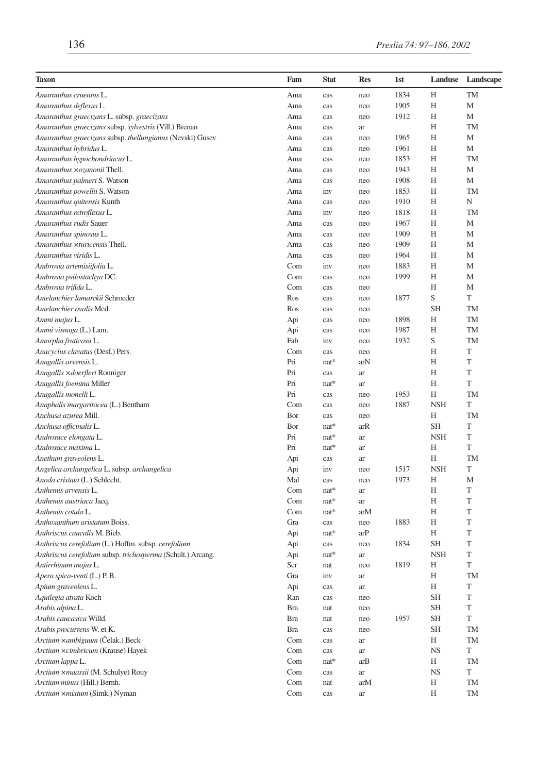| <b>Taxon</b>                                                | Fam | <b>Stat</b> | <b>Res</b> | 1st  | Landuse    | Landscape   |
|-------------------------------------------------------------|-----|-------------|------------|------|------------|-------------|
| Amaranthus cruentus L.                                      | Ama | cas         | neo        | 1834 | Н          | TM          |
| Amaranthus deflexus L.                                      | Ama | cas         | neo        | 1905 | H          | M           |
| Amaranthus graecizans L. subsp. graecizans                  | Ama | cas         | neo        | 1912 | Н          | M           |
| Amaranthus graecizans subsp. sylvestris (Vill.) Brenan      | Ama | cas         | ar         |      | Н          | <b>TM</b>   |
| Amaranthus graecizans subsp. thellungianus (Nevski) Gusev   | Ama | cas         | neo        | 1965 | Н          | М           |
| Amaranthus hybridus L.                                      | Ama | cas         | neo        | 1961 | Н          | M           |
| Amaranthus hypochondriacus L.                               | Ama | cas         | neo        | 1853 | Н          | TM          |
| Amaranthus ×ozanonii Thell.                                 | Ama | cas         | neo        | 1943 | Н          | M           |
| Amaranthus palmeri S. Watson                                | Ama | cas         | neo        | 1908 | Н          | M           |
| Amaranthus powellii S. Watson                               | Ama | inv         | neo        | 1853 | Н          | TM          |
| Amaranthus quitensis Kunth                                  | Ama | cas         | neo        | 1910 | Н          | N           |
| Amaranthus retroflexus L.                                   | Ama | inv         | neo        | 1818 | Н          | <b>TM</b>   |
| Amaranthus rudis Sauer                                      | Ama | cas         | neo        | 1967 | Н          | M           |
| Amaranthus spinosus L.                                      | Ama | cas         | neo        | 1909 | Н          | M           |
| Amaranthus ×turicensis Thell.                               | Ama | cas         | neo        | 1909 | Н          | M           |
| Amaranthus viridis L.                                       | Ama | cas         | neo        | 1964 | Н          | M           |
| Ambrosia artemisiifolia L.                                  | Com | inv         | neo        | 1883 | Н          | M           |
| Ambrosia psilostachya DC.                                   | Com | cas         | neo        | 1999 | Н          | M           |
| Ambrosia trifida L.                                         | Com | cas         | neo        |      | H          | M           |
| Amelanchier lamarckii Schroeder                             | Ros | cas         | neo        | 1877 | S          | T           |
| Amelanchier ovalis Med.                                     | Ros | cas         | neo        |      | <b>SH</b>  | TM          |
| Ammi majus L.                                               | Api | cas         | neo        | 1898 | Н          | <b>TM</b>   |
| Ammi visnaga (L.) Lam.                                      | Api | cas         | neo        | 1987 | H          | TM          |
| Amorpha fruticosa L.                                        | Fab | inv         | neo        | 1932 | S          | <b>TM</b>   |
| Anacyclus clavatus (Desf.) Pers.                            | Com | cas         | neo        |      | Н          | T           |
| Anagallis arvensis L.                                       | Pri | nat*        | arN        |      | Н          | T           |
| Anagallis xdoerfleri Ronniger                               | Pri | cas         | ar         |      | Н          | T           |
| Anagallis foemina Miller                                    | Pri | $nat*$      | ar         |      | H          | T           |
| Anagallis monelli L.                                        | Pri | cas         | neo        | 1953 | Н          | TM          |
| Anaphalis margaritacea (L.) Bentham                         | Com | cas         | neo        | 1887 | <b>NSH</b> | T           |
| Anchusa azurea Mill.                                        | Bor | cas         | neo        |      | H          | TM          |
| Anchusa officinalis L.                                      | Bor | nat*        | arR        |      | <b>SH</b>  | T           |
| Androsace elongata L.                                       | Pri | nat*        | ar         |      | <b>NSH</b> | T           |
| Androsace maxima L.                                         | Pri | nat*        | ar         |      | Н          | T           |
| Anethum graveolens L.                                       | Api | cas         | ar         |      | Н          | TM          |
| Angelica archangelica L. subsp. archangelica                | Api | inv         | neo        | 1517 | <b>NSH</b> | T           |
| Anoda cristata (L.) Schlecht.                               | Mal | cas         | neo        | 1973 | Н          | M           |
| Anthemis arvensis L.                                        | Com | nat*        | ar         |      | Н          | T           |
| Anthemis austriaca Jacq.                                    | Com | $nat*$      | ar         |      | H          | T           |
| Anthemis cotula L.                                          | Com | $nat*$      | arM        |      | Н          | T           |
| Anthoxanthum aristatum Boiss.                               | Gra | cas         | neo        | 1883 | Н          | T           |
| Anthriscus caucalis M. Bieb.                                | Api | nat*        | arP        |      | H          | T           |
| Anthriscus cerefolium (L.) Hoffm. subsp. cerefolium         | Api | cas         | neo        | 1834 | SН         | T           |
| Anthriscus cerefolium subsp. trichosperma (Schult.) Arcang. | Api | nat*        | ar         |      | <b>NSH</b> | T           |
| Antirrhinum majus L.                                        | Scr | nat         | neo        | 1819 | H          | T           |
| Apera spica-venti (L.) P.B.                                 | Gra | inv         | ar         |      | Η          | TM          |
| Apium graveolens L.                                         | Api | cas         | ar         |      | Η          | $\mathbf T$ |
| Aquilegia atrata Koch                                       | Ran | cas         | neo        |      | SH         | T           |
| Arabis alpina L.                                            | Bra | nat         | neo        |      | SH         | T           |
| Arabis caucasica Willd.                                     | Bra | nat         | neo        | 1957 | SH         | T           |
| Arabis procurrens W. et K.                                  | Bra | cas         | neo        |      | <b>SH</b>  | <b>TM</b>   |
| Arctium ×ambiguum (Čelak.) Beck                             | Com | cas         | ar         |      | Η          | TM          |
| Arctium ×cimbricum (Krause) Hayek                           | Com | cas         | ar         |      | <b>NS</b>  | T           |
| Arctium lappa L.                                            | Com | nat*        | arB        |      | Н          | TM          |
| Arctium xmaassii (M. Schulye) Rouy                          | Com | cas         | ar         |      | <b>NS</b>  | T           |
| Arctium minus (Hill.) Bernh.                                | Com | nat         | arM        |      | Η          | TM          |
| Arctium ×mixtum (Simk.) Nyman                               | Com | cas         | ar         |      | Н          | TM          |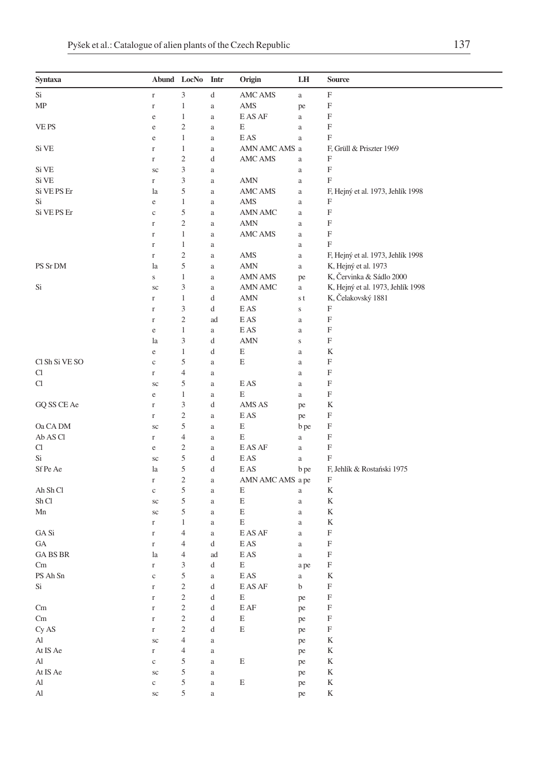| Syntaxa        | Abund LocNo |                             | Intr     | Origin                              | LH           | Source                            |
|----------------|-------------|-----------------------------|----------|-------------------------------------|--------------|-----------------------------------|
| Si             | $\Gamma$    | $\ensuremath{\mathfrak{Z}}$ | d        | <b>AMC AMS</b>                      | $\rm{a}$     | F                                 |
| MP             | $\Gamma$    | 1                           | $\rm{a}$ | AMS                                 | pe           | F                                 |
|                | $\rm e$     | 1                           | $\rm{a}$ | E AS AF                             | $\rm{a}$     | F                                 |
| VE PS          | e           | $\overline{c}$              | a        | E                                   | $\rm{a}$     | F                                 |
|                | e           | $\mathbf{1}$                | a        | E AS                                | $\rm{a}$     | F                                 |
| Si VE          | $\mathbf r$ | 1                           | a        | AMN AMC AMS a                       |              | F, Grüll & Priszter 1969          |
|                | $\Gamma$    | $\mathbf{2}$                | d        | AMC AMS                             | $\rm{a}$     | F                                 |
| Si VE          | sc          | 3                           | a        |                                     | $\rm{a}$     | F                                 |
| Si VE          | $\Gamma$    | 3                           | $\rm{a}$ | AMN                                 | $\rm{a}$     | F                                 |
| Si VE PS Er    | la          | 5                           | $\rm{a}$ | AMC AMS                             | $\rm{a}$     | F, Hejný et al. 1973, Jehlík 1998 |
| Si             | e           | $\mathbf{1}$                | a        | AMS                                 | $\rm{a}$     | F                                 |
| Si VE PS Er    | $\mathbf c$ | 5                           | a        | AMN AMC                             | $\rm{a}$     | F                                 |
|                | $\Gamma$    | $\overline{\mathbf{c}}$     | a        | <b>AMN</b>                          | $\rm{a}$     | $\boldsymbol{\mathrm{F}}$         |
|                | $\mathbf r$ | $\mathbf 1$                 | a        | AMC AMS                             | $\rm{a}$     | F                                 |
|                | r           | 1                           | a        |                                     | $\rm{a}$     | F                                 |
|                | $\Gamma$    | $\overline{c}$              | a        | AMS                                 | $\rm{a}$     | F, Hejný et al. 1973, Jehlík 1998 |
| PS Sr DM       | la          | 5                           | $\rm{a}$ | AMN                                 | $\rm{a}$     | K, Hejný et al. 1973              |
|                | $\mathbf S$ | $\mathbf{1}$                | a        | <b>AMN AMS</b>                      | pe           | K, Červinka & Sádlo 2000          |
| Si             | sc          | 3                           | a        | AMN AMC                             | a            | K, Hejný et al. 1973, Jehlík 1998 |
|                | $\mathbf r$ | $\mathbf 1$                 | d        | AMN                                 | $\sqrt{s}$ t | K, Čelakovský 1881                |
|                | $\mathbf r$ | 3                           | d        | E AS                                | $\mathbf S$  | F                                 |
|                | r           | $\mathfrak{2}$              | ad       | E AS                                | $\rm{a}$     | F                                 |
|                | e           | $\mathbf 1$                 | $\rm{a}$ | E AS                                | $\rm{a}$     | F                                 |
|                | la          | 3                           | d        | AMN                                 | $\mathbf S$  | F                                 |
|                | e           | 1                           | d        | E                                   | $\rm{a}$     | K                                 |
| Cl Sh Si VE SO | $\mathbf c$ | 5                           | a        | E                                   | $\rm{a}$     | F                                 |
| Cl             | $\Gamma$    | 4                           | a        |                                     | $\rm{a}$     | F                                 |
| Cl             | sc          | 5                           | a        | E AS                                | $\rm{a}$     | F                                 |
|                | e           | 1                           | a        | E                                   | $\rm{a}$     | F                                 |
| GQ SS CE Ae    | r           | 3                           | d        | AMS AS                              | pe           | K                                 |
|                | $\Gamma$    | $\overline{\mathbf{c}}$     | $\rm{a}$ | E AS                                | pe           | F                                 |
| Oa CA DM       | sc          | 5                           | a        | E                                   | b pe         | F                                 |
| Ab AS Cl       | $\Gamma$    | $\overline{4}$              | a        | E                                   | $\rm{a}$     | F                                 |
| Cl             | e           | $\overline{c}$              | a        | E AS AF                             | $\rm{a}$     | F                                 |
| Si             | sc          | 5                           | d        | E AS                                | $\rm{a}$     | F                                 |
| Sf Pe Ae       | la          | 5                           | d        | E AS                                | b pe         | F, Jehlík & Rostański 1975        |
|                | $\Gamma$    | $\mathfrak{2}$              | a        | AMN AMC AMS a pe                    |              | F                                 |
| Ah Sh Cl       | $\mathbf c$ | 5                           | a        | E                                   | $\rm{a}$     | K                                 |
| Sh Cl          | sc          | 5                           | a        | Ε                                   | $\rm{a}$     | K                                 |
| Mn             | sc          | 5                           | a        | Е                                   | $\rm{a}$     | K                                 |
|                | $\Gamma$    | $\mathbf{1}$                | a        | E                                   | $\rm{a}$     | K                                 |
| GA Si          | $\Gamma$    | $\overline{4}$              | a        | E AS AF                             | $\rm{a}$     | F                                 |
| GА             | $\Gamma$    | 4                           | d        | E AS                                | $\rm{a}$     | F                                 |
| GA BS BR       | la          | 4                           | ad       | E AS                                | $\rm{a}$     | F                                 |
| Cm             | $\Gamma$    | 3                           | d        | E                                   | a pe         | F                                 |
| PS Ah Sn       | $\rm _c$    | $\mathfrak s$               | a        | $\mathop{\hbox{\rm E}}\nolimits$ AS | a -          | K                                 |
| Si             | $\mathbf r$ | $\overline{c}$              | d        | E AS AF                             | b            | F                                 |
|                | $\Gamma$    | $\overline{c}$              | d        | E                                   | pe           | F                                 |
| Cm             | $\mathbf r$ | $\mathfrak{2}$              | d        | $\mathop{\hbox{\rm E}}\nolimits$ AF | pe           | F                                 |
| Cm             | $\mathbf r$ | $\sqrt{2}$                  | d        | E                                   | pe           | $\boldsymbol{\mathrm{F}}$         |
| Cy AS          | $\Gamma$    | $\sqrt{2}$                  | d        | E                                   | pe           | F                                 |
| Al             | $\rm{sc}$   | $\overline{4}$              | $\rm{a}$ |                                     | pe           | K                                 |
| At IS Ae       | $\Gamma$    | $\overline{4}$              | $\rm{a}$ |                                     | pe           | K                                 |
| Al             | $\rm c$     | 5                           | $\rm{a}$ | E                                   | pe           | K                                 |
| At IS Ae       | $\rm{sc}$   | $\mathfrak s$               | $\rm{a}$ |                                     | pe           | K                                 |
| Al             | $\rm{c}$    | 5                           | $\rm{a}$ | E                                   | pe           | $\mathbf K$                       |
| Al             | $\rm{sc}$   | 5                           | a        |                                     | pe           | K                                 |
|                |             |                             |          |                                     |              |                                   |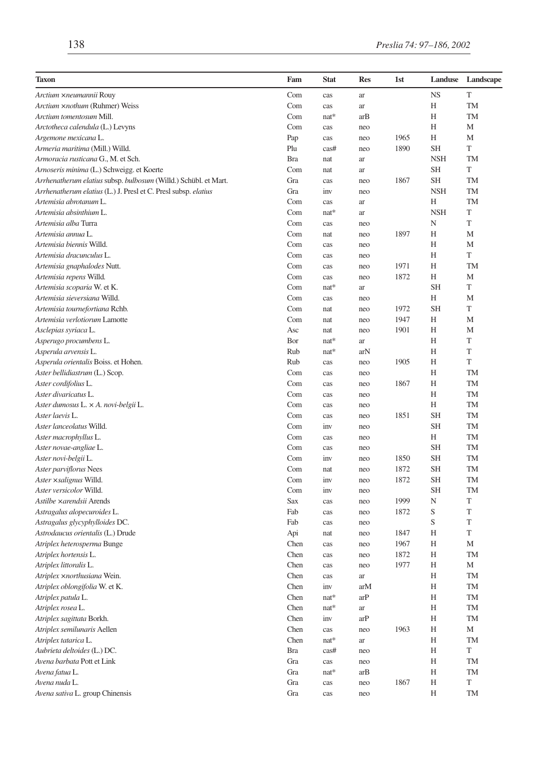| Taxon                                                           | Fam        | <b>Stat</b> | <b>Res</b>          | 1st  | Landuse    | Landscape |
|-----------------------------------------------------------------|------------|-------------|---------------------|------|------------|-----------|
| Arctium xneumannii Rouy                                         | Com        | cas         | ar                  |      | <b>NS</b>  | T         |
| Arctium ×nothum (Ruhmer) Weiss                                  | Com        | cas         | ar                  |      | Η          | TM        |
| Arctium tomentosum Mill.                                        | Com        | nat*        | arB                 |      | Н          | <b>TM</b> |
| Arctotheca calendula (L.) Levyns                                | Com        | cas         | neo                 |      | Н          | M         |
| Argemone mexicana L.                                            | Pap        | cas         | neo                 | 1965 | Η          | M         |
| Armeria maritima (Mill.) Willd.                                 | Plu        | cas#        | neo                 | 1890 | <b>SH</b>  | T         |
| Armoracia rusticana G., M. et Sch.                              | <b>Bra</b> | nat         | ar                  |      | <b>NSH</b> | TM        |
| Arnoseris minima (L.) Schweigg. et Koerte                       | Com        | nat         | ar                  |      | <b>SH</b>  | T         |
| Arrhenatherum elatius subsp. bulbosum (Willd.) Schübl. et Mart. | Gra        | cas         | neo                 | 1867 | SН         | TM        |
| Arrhenatherum elatius (L.) J. Presl et C. Presl subsp. elatius  | Gra        | inv         | neo                 |      | <b>NSH</b> | <b>TM</b> |
| Artemisia abrotanum L.                                          | Com        | cas         | ar                  |      | Н          | TM        |
| Artemisia absinthium L.                                         | Com        | $nat*$      | ar                  |      | <b>NSH</b> | T         |
| Artemisia alba Turra                                            | Com        | cas         | neo                 |      | N          | T         |
| Artemisia annua L.                                              | Com        | nat         | neo                 | 1897 | Н          | M         |
| Artemisia biennis Willd.                                        | Com        | cas         | neo                 |      | Н          | M         |
| Artemisia dracunculus L.                                        | Com        | cas         | neo                 |      | Η          | T         |
| Artemisia gnaphalodes Nutt.                                     | Com        | cas         | neo                 | 1971 | Н          | <b>TM</b> |
| Artemisia repens Willd.                                         | Com        | cas         | neo                 | 1872 | Н          | M         |
| Artemisia scoparia W. et K.                                     | Com        | nat*        | ar                  |      | <b>SH</b>  | T         |
| Artemisia sieversiana Willd.                                    | Com        | cas         | neo                 |      | Н          | M         |
| Artemisia tournefortiana Rchb.                                  | Com        | nat         | neo                 | 1972 | <b>SH</b>  | T         |
| Artemisia verlotiorum Lamotte                                   | Com        | nat         | neo                 | 1947 | Н          | M         |
| Asclepias syriaca L.                                            | Asc        | nat         | neo                 | 1901 | Η          | M         |
| Asperugo procumbens L.                                          | Bor        | nat*        | ar                  |      | Н          | T         |
| Asperula arvensis L.                                            | Rub        | nat*        | arN                 |      | Н          | T         |
| Asperula orientalis Boiss. et Hohen.                            | Rub        | cas         | neo                 | 1905 | Н          | T         |
| Aster bellidiastrum (L.) Scop.                                  | Com        | cas         | neo                 |      | Н          | <b>TM</b> |
| Aster cordifolius L.                                            | Com        | cas         | neo                 | 1867 | Η          | <b>TM</b> |
| Aster divaricatus L.                                            | Com        | cas         | neo                 |      | Н          | <b>TM</b> |
| Aster dumosus L. × A. novi-belgii L.                            | Com        | cas         | neo                 |      | Н          | TM        |
| Aster laevis L.                                                 | Com        | cas         | neo                 | 1851 | <b>SH</b>  | <b>TM</b> |
| Aster lanceolatus Willd.                                        | Com        | inv         | neo                 |      | <b>SH</b>  | <b>TM</b> |
| Aster macrophyllus L.                                           | Com        | cas         | neo                 |      | H          | TM        |
| Aster novae-angliae L.                                          | Com        | cas         | neo                 |      | <b>SH</b>  | TM        |
| Aster novi-belgii L.                                            | Com        | inv         | neo                 | 1850 | <b>SH</b>  | <b>TM</b> |
| Aster parviflorus Nees                                          | Com        | nat         | neo                 | 1872 | <b>SH</b>  | <b>TM</b> |
| Aster × salignus Willd.                                         | Com        | inv         | neo                 | 1872 | <b>SH</b>  | TM        |
| Aster versicolor Willd.                                         | Com        | inv         | neo                 |      | <b>SH</b>  | <b>TM</b> |
| Astilbe ×arendsii Arends                                        | Sax        | cas         | neo                 | 1999 | N          | T         |
| Astragalus alopecuroides L.                                     | Fab        | cas         | neo                 | 1872 | S          | T         |
| Astragalus glycyphylloides DC.                                  | Fab        | cas         | neo                 |      | S          | T         |
| Astrodaucus orientalis (L.) Drude                               | Api        | nat         | neo                 | 1847 | Н          | T         |
| Atriplex heterosperma Bunge                                     | Chen       | cas         | neo                 | 1967 | Н          | M         |
| Atriplex hortensis L.                                           | Chen       | cas         | neo                 | 1872 | Н          | <b>TM</b> |
| Atriplex littoralis L.                                          | Chen       | cas         | neo                 | 1977 | Н          | M         |
| Atriplex ×northusiana Wein.                                     | Chen       | cas         | ar                  |      | Н          | TM        |
| Atriplex oblongifolia W. et K.                                  | Chen       | inv         | arM                 |      | Н          | TM        |
| Atriplex patula L.                                              | Chen       | nat*        | arP                 |      | H          | TM        |
| Atriplex rosea L.                                               | Chen       | $nat*$      | $\operatorname{ar}$ |      | Н          | TM        |
| Atriplex sagittata Borkh.                                       | Chen       | inv         | arP                 |      | Н          | TM        |
| Atriplex semilunaris Aellen                                     | Chen       | cas         | neo                 | 1963 | Н          | М         |
| Atriplex tatarica L.                                            | Chen       | $nat*$      | $\operatorname{ar}$ |      | Η          | TM        |
| Aubrieta deltoides (L.) DC.                                     | Bra        | cas#        | neo                 |      | Н          | T         |
| Avena barbata Pott et Link                                      | Gra        | cas         | neo                 |      | Η          | TM        |
| Avena fatua L.                                                  | Gra        | $nat*$      | arB                 |      | Н          | TM        |
| Avena nuda L.                                                   | Gra        | cas         | neo                 | 1867 | Н          | T         |
| Avena sativa L. group Chinensis                                 | Gra        | cas         | neo                 |      | Н          | TM        |
|                                                                 |            |             |                     |      |            |           |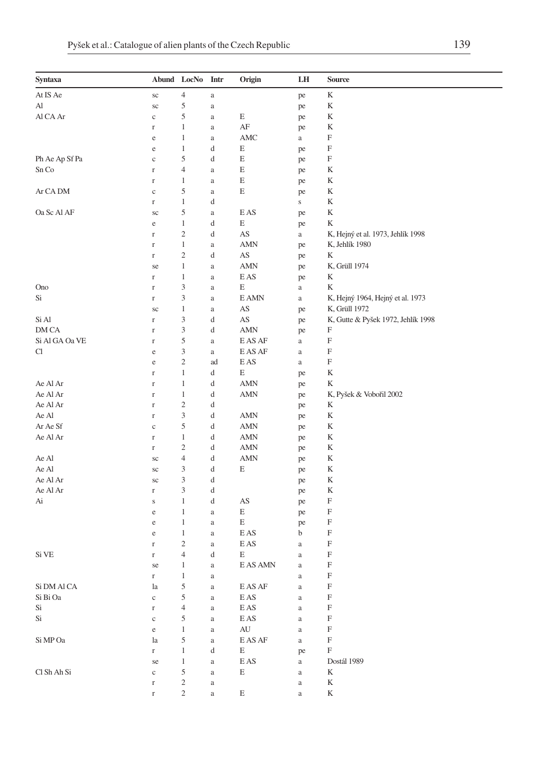| Syntaxa        |             | Abund LocNo             | Intr     | Origin                                 | LH          | <b>Source</b>                      |
|----------------|-------------|-------------------------|----------|----------------------------------------|-------------|------------------------------------|
| At IS Ae       | $\rm{sc}$   | 4                       | $\rm{a}$ |                                        | pe          | K                                  |
| Al             | $\rm{sc}$   | 5                       | $\rm{a}$ |                                        | pe          | K                                  |
| Al CA Ar       | $\mathbf c$ | 5                       | $\rm{a}$ | Ε                                      | pe          | K                                  |
|                | r           | $\mathbf 1$             | a        | AF                                     | pe          | K                                  |
|                | e           | $\mathbf 1$             | $\rm{a}$ | AMC                                    | a           | F                                  |
|                | e           | $\mathbf 1$             | d        | E                                      | pe          | F                                  |
| Ph Ae Ap Sf Pa | $\mathbf c$ | 5                       | d        | Ε                                      | pe          | F                                  |
| Sn Co          | r           | 4                       | a        | Ε                                      | pe          | K                                  |
|                | $\Gamma$    | 1                       | $\rm{a}$ | Ε                                      | pe          | K                                  |
| Ar CA DM       | $\mathbf c$ | 5                       | $\rm{a}$ | E                                      | pe          | K                                  |
|                | r           | $\mathbf{1}$            | d        |                                        | $\mathbf S$ | K                                  |
| Oa Sc Al AF    | sc          | 5                       | a        | E AS                                   | pe          | K                                  |
|                | $\rm e$     | $\,1\,$                 | d        | E                                      | pe          | K                                  |
|                | r           | $\mathfrak{2}$          | d        | AS                                     | $\rm{a}$    | K, Hejný et al. 1973, Jehlík 1998  |
|                | $\Gamma$    | $\mathbf 1$             | a        | AMN                                    | pe          | K, Jehlík 1980                     |
|                | $\Gamma$    | $\boldsymbol{2}$        | d        | AS                                     | pe          | K                                  |
|                | se          | 1                       | $\rm{a}$ | AMN                                    | pe          | K, Grüll 1974                      |
|                | r           | $\mathbf{1}$            | a        | E AS                                   | pe          | K                                  |
| Ono            | r           | 3                       | a        | Ε                                      | a           | K                                  |
| Si             | $\Gamma$    | 3                       | $\rm{a}$ | E AMN                                  | $\rm{a}$    | K, Hejný 1964, Hejný et al. 1973   |
|                | sc          | 1                       | $\rm{a}$ | AS                                     | pe          | K, Grüll 1972                      |
| Si Al          | r           | 3                       | d        | AS                                     | pe          | K, Gutte & Pyšek 1972, Jehlík 1998 |
| DM CA          | $\Gamma$    | 3                       | d        | AMN                                    | pe          | F                                  |
| Si Al GA Oa VE | $\Gamma$    | 5                       | $\rm{a}$ | E AS AF                                | $\rm{a}$    | F                                  |
| Cl             | $\rm e$     | 3                       | $\rm{a}$ | E AS AF                                | $\rm{a}$    | F                                  |
|                | e           | $\mathfrak{2}$          | ad       | E AS                                   | a           | F                                  |
|                | $\Gamma$    | $\mathbf{1}$            | d        | E                                      | pe          | K                                  |
| Ae Al Ar       | $\Gamma$    | $\mathbf 1$             | d        | AMN                                    | pe          | K                                  |
| Ae Al Ar       | $\Gamma$    | $\mathbf 1$             | d        | AMN                                    | pe          | K, Pyšek & Vobořil 2002            |
| Ae Al Ar       | $\Gamma$    | $\mathfrak{2}$          | d        |                                        | pe          | K                                  |
| Ae Al          | $\Gamma$    | 3                       | d        | AMN                                    | pe          | K                                  |
| Ar Ae Sf       | $\mathbf c$ | 5                       | d        | AMN                                    | pe          | K                                  |
| Ae Al Ar       | r           | $\mathbf{1}$            | d        | AMN                                    | pe          | K                                  |
|                | $\Gamma$    | $\overline{\mathbf{c}}$ | d        | AMN                                    | pe          | K                                  |
| Ae Al          | $\rm{sc}$   | 4                       | d        | AMN                                    | pe          | K                                  |
| Ae Al          | sc          | 3                       | d        | E                                      | pe          | K                                  |
| Ae Al Ar       | sc          | 3                       | d        |                                        | pe          | K                                  |
| Ae Al Ar       | r           | 3                       | d        |                                        | pe          | K                                  |
| Ai             | $\bf S$     | $\mathbf{1}$            | d        | AS                                     | pe          | F                                  |
|                | e           | $\mathbf 1$             | $\rm{a}$ | E                                      | pe          | F                                  |
|                | e           | $\mathbf{1}$            | a        | E                                      | pe          | F                                  |
|                | e           | $\mathbf 1$             | a        | E AS                                   | b           | F                                  |
|                | $\Gamma$    | $\overline{\mathbf{c}}$ | $\rm{a}$ | E AS                                   | $\rm{a}$    | F                                  |
| Si VE          | r           | 4                       | d        | Е                                      | $\rm{a}$    | F                                  |
|                | se          | 1                       | a        | E AS AMN                               | $\rm{a}$    | F                                  |
|                | r           | 1                       | a        |                                        | $\rm{a}$    | F                                  |
| Si DM Al CA    | la          | 5                       | $\rm{a}$ | $\mathop{\hbox{\rm E}}\nolimits$ AS AF | $\rm{a}$    | F                                  |
| Si Bi Oa       | $\rm _c$    | 5                       | $\rm{a}$ | $\mathop{\hbox{\rm E}}\nolimits$ AS    | $\rm{a}$    | $\mathbf F$                        |
| Si             | $\Gamma$    | 4                       | $\rm{a}$ | $\mathop{\hbox{\rm E}}\nolimits$ AS    | $\rm{a}$    | $\boldsymbol{\mathrm{F}}$          |
| Si             | $\rm _c$    | 5                       | $\rm{a}$ | $\mathop{\hbox{\rm E}}\nolimits$ AS    | $\rm{a}$    | $\mathbf F$                        |
|                | $\rm e$     | $\mathbf{1}$            | $\rm{a}$ | AU                                     | $\rm{a}$    | F                                  |
| Si MP Oa       | la          | 5                       | $\rm{a}$ | $\mathop{\hbox{\rm E}}\nolimits$ AS AF | $\rm{a}$    | $\boldsymbol{\mathrm{F}}$          |
|                | $\mathbf r$ | $\,1$                   | d        | E                                      | pe          | F                                  |
|                | se          | $\mathbf{1}$            | $\rm{a}$ | $\mathop{\hbox{\rm E}}\nolimits$ AS    | $\rm{a}$    | Dostál 1989                        |
| Cl Sh Ah Si    | $\rm _c$    | $\mathfrak s$           | $\rm{a}$ | E                                      | $\rm{a}$    | K                                  |
|                | $\Gamma$    | 2                       | $\rm{a}$ |                                        | $\rm{a}$    | K                                  |
|                | $\Gamma$    | $\overline{c}$          |          | E                                      |             | K                                  |
|                |             |                         | $\rm{a}$ |                                        | $\rm{a}$    |                                    |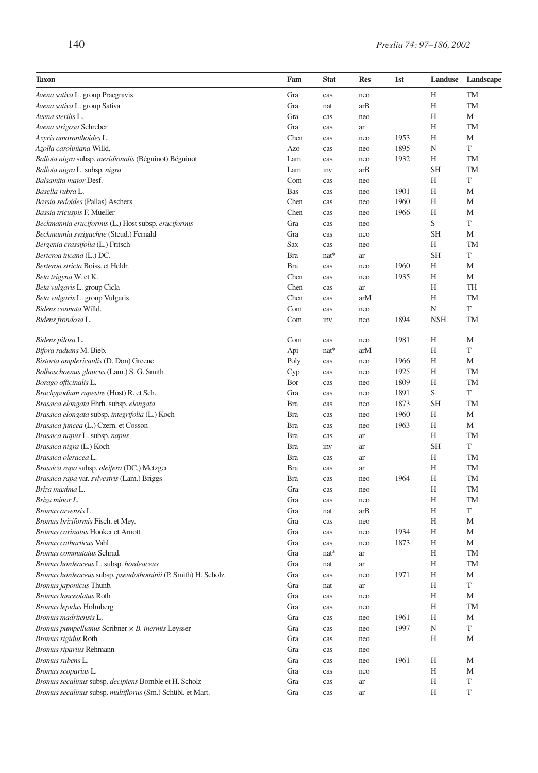| <b>Taxon</b>                                                                             | Fam                      | <b>Stat</b> | <b>Res</b> | 1st          | Landuse    | Landscape       |
|------------------------------------------------------------------------------------------|--------------------------|-------------|------------|--------------|------------|-----------------|
| Avena sativa L. group Praegravis                                                         | Gra                      | cas         | neo        |              | Н          | TM              |
| Avena sativa L. group Sativa                                                             | Gra                      | nat         | arB        |              | Н          | TM              |
| Avena sterilis L.                                                                        | Gra                      | cas         | neo        |              | Η          | M               |
| Avena strigosa Schreber                                                                  | Gra                      | cas         | ar         |              | Н          | <b>TM</b>       |
| Axyris amaranthoides L.                                                                  | Chen                     | cas         | neo        | 1953         | Η          | M               |
| Azolla caroliniana Willd.                                                                | Azo                      | cas         | neo        | 1895         | N          | T               |
| Ballota nigra subsp. meridionalis (Béguinot) Béguinot                                    | Lam                      | cas         | neo        | 1932         | Н          | <b>TM</b>       |
| Ballota nigra L. subsp. nigra                                                            | Lam                      | inv         | arB        |              | <b>SH</b>  | <b>TM</b>       |
| Balsamita major Desf.                                                                    | Com                      | cas         | neo        |              | Н          | T               |
| Basella rubra L.                                                                         | <b>Bas</b>               | cas         | neo        | 1901         | H          | M               |
| Bassia sedoides (Pallas) Aschers.                                                        | Chen                     | cas         | neo        | 1960         | Н          | M               |
| Bassia tricuspis F. Mueller                                                              | Chen                     | cas         | neo        | 1966         | Н          | M               |
| Beckmannia eruciformis (L.) Host subsp. eruciformis                                      | Gra                      | cas         | neo        |              | S          | T               |
| Beckmannia syzigachne (Steud.) Fernald                                                   | Gra                      | cas         | neo        |              | <b>SH</b>  | M               |
| Bergenia crassifolia (L.) Fritsch                                                        | Sax                      | cas         | neo        |              | Н          | <b>TM</b>       |
| Berteroa incana (L.) DC.                                                                 | <b>Bra</b>               | $nat*$      | ar         |              | <b>SH</b>  | T               |
| Berteroa stricta Boiss. et Heldr.                                                        | <b>Bra</b>               | cas         | neo        | 1960         | Н          | M               |
| Beta trigyna W. et K.                                                                    | Chen                     | cas         | neo        | 1935         | Н          | М               |
| Beta vulgaris L. group Cicla                                                             | Chen                     | cas         | ar         |              | Н          | TH              |
| Beta vulgaris L. group Vulgaris                                                          | Chen                     | cas         | arM        |              | Н          | <b>TM</b>       |
| Bidens connata Willd.                                                                    | Com                      | cas         | neo        |              | N          | T               |
| Bidens frondosa L.                                                                       | Com                      | inv         | neo        | 1894         | <b>NSH</b> | <b>TM</b>       |
|                                                                                          |                          |             |            |              |            |                 |
| Bidens pilosa L.                                                                         | Com                      | cas         | neo        | 1981         | Η<br>H     | M<br>T          |
| Bifora radians M. Bieb.                                                                  | Api                      | $nat*$      | arM        |              |            | M               |
| Bistorta amplexicaulis (D. Don) Greene                                                   | Poly                     | cas         | neo        | 1966         | Н          |                 |
| Bolboschoenus glaucus (Lam.) S. G. Smith                                                 | Cyp                      | cas         | neo        | 1925         | Н          | TM<br><b>TM</b> |
| Borago officinalis L.                                                                    | Bor<br>Gra               | cas         | neo        | 1809<br>1891 | H<br>S     | T               |
| Brachypodium rupestre (Host) R. et Sch.                                                  |                          | cas         | neo        | 1873         | <b>SH</b>  | TM              |
| Brassica elongata Ehrh. subsp. elongata                                                  | <b>Bra</b><br><b>Bra</b> | cas         | neo        | 1960         | Н          | M               |
| Brassica elongata subsp. integrifolia (L.) Koch<br>Brassica juncea (L.) Czern. et Cosson | <b>Bra</b>               | cas<br>cas  | neo<br>neo | 1963         | H          | M               |
| Brassica napus L. subsp. napus                                                           | <b>Bra</b>               | cas         | ar         |              | Н          | TM              |
| Brassica nigra (L.) Koch                                                                 | <b>Bra</b>               | inv         | ar         |              | <b>SH</b>  | T               |
| Brassica oleracea L.                                                                     | <b>Bra</b>               |             | ar         |              | Н          | <b>TM</b>       |
| Brassica rapa subsp. oleifera (DC.) Metzger                                              | <b>Bra</b>               | cas<br>cas  | ar         |              | Н          | TM              |
| Brassica rapa var. sylvestris (Lam.) Briggs                                              | <b>Bra</b>               | cas         | neo        | 1964         | Н          | TM              |
| Briza maxima L.                                                                          | Gra                      | cas         | neo        |              | Н          | <b>TM</b>       |
| Briza minor L.                                                                           | Gra                      | cas         | neo        |              | Н          | TM              |
| <i>Bromus arvensis</i> L.                                                                | Gra                      | nat         | arB        |              | H          | T               |
| Bromus briziformis Fisch. et Mey.                                                        | Gra                      | cas         | neo        |              | Н          | M               |
| Bromus carinatus Hooker et Arnott                                                        | Gra                      | cas         | neo        | 1934         | Η          | M               |
| <b>Bromus catharticus Vahl</b>                                                           | Gra                      | cas         | neo        | 1873         | Н          | М               |
| Bromus commutatus Schrad.                                                                | Gra                      | $nat*$      | ar         |              | Н          | <b>TM</b>       |
| Bromus hordeaceus L. subsp. hordeaceus                                                   | Gra                      | nat         | ar         |              | Н          | <b>TM</b>       |
| Bromus hordeaceus subsp. pseudothominii (P. Smith) H. Scholz                             | Gra                      | cas         | neo        | 1971         | Н          | M               |
| Bromus japonicus Thunb.                                                                  | Gra                      | nat         | ar         |              | H          | $\mathbf T$     |
| <b>Bromus lanceolatus Roth</b>                                                           | Gra                      | cas         | neo        |              | H          | M               |
| <b>Bromus lepidus Holmberg</b>                                                           | Gra                      | cas         | neo        |              | Η          | TM              |
| Bromus madritensis L.                                                                    | Gra                      | cas         | neo        | 1961         | Η          | М               |
| Bromus pumpellianus Scribner $\times$ B. inermis Leysser                                 | Gra                      | cas         | neo        | 1997         | N          | T               |
| Bromus rigidus Roth                                                                      | Gra                      | cas         | neo        |              | Η          | М               |
| Bromus riparius Rehmann                                                                  | Gra                      | cas         | neo        |              |            |                 |
| Bromus rubens L.                                                                         | Gra                      | cas         | neo        | 1961         | Η          | М               |
| Bromus scoparius L.                                                                      | Gra                      | cas         | neo        |              | Н          | М               |
| Bromus secalinus subsp. decipiens Bomble et H. Scholz                                    | Gra                      | cas         | ar         |              | Η          | $\mathbf T$     |
| Bromus secalinus subsp. multiflorus (Sm.) Schübl. et Mart.                               | Gra                      | cas         | ar         |              | Η          | T               |
|                                                                                          |                          |             |            |              |            |                 |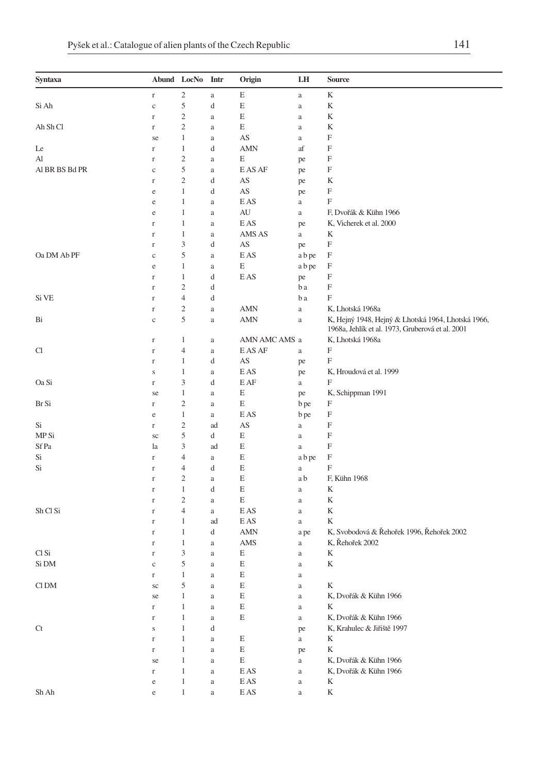| Syntaxa                                   |             | Abund LocNo Intr |          | Origin                              | LH             | <b>Source</b>                                                                                          |
|-------------------------------------------|-------------|------------------|----------|-------------------------------------|----------------|--------------------------------------------------------------------------------------------------------|
|                                           | $\Gamma$    | $\sqrt{2}$       | $\rm{a}$ | E                                   | $\rm{a}$       | K                                                                                                      |
| Si Ah                                     | $\rm{c}$    | 5                | d        | E                                   | a              | K                                                                                                      |
|                                           | $\Gamma$    | $\overline{c}$   | a        | E                                   | $\rm{a}$       | K                                                                                                      |
| Ah Sh Cl                                  | $\mathbf r$ | $\sqrt{2}$       | $\rm{a}$ | E                                   | $\rm{a}$       | K                                                                                                      |
|                                           | se          | 1                | $\rm{a}$ | AS                                  | $\mathbf{a}$   | F                                                                                                      |
| Le                                        | $\Gamma$    | $\mathbf{1}$     | d        | <b>AMN</b>                          | af             | F                                                                                                      |
| Al                                        | $\mathbf r$ | $\mathbf{2}$     | $\rm{a}$ | E                                   | pe             | F                                                                                                      |
| AI BR BS Bd PR                            | $\mathbf c$ | 5                | $\rm{a}$ | E AS AF                             | pe             | F                                                                                                      |
|                                           | r           | $\mathbf{2}$     | d        | AS                                  | pe             | K                                                                                                      |
|                                           | e           | $\mathbf{1}$     | d        | AS                                  | pe             | F                                                                                                      |
|                                           | $\rm e$     | $\mathbf{1}$     | $\rm{a}$ | E AS                                | $\rm{a}$       | F                                                                                                      |
|                                           | $\rm e$     | $\mathbf{1}$     | $\rm{a}$ | AU                                  | $\rm{a}$       | F, Dvořák & Kühn 1966                                                                                  |
|                                           | $\mathbf r$ | $\mathbf{1}$     | $\rm{a}$ | E AS                                | pe             | K, Vicherek et al. 2000                                                                                |
|                                           | $\Gamma$    | $\mathbf{1}$     | $\rm{a}$ | AMS AS                              | $\rm{a}$       | K                                                                                                      |
|                                           | $\mathbf r$ | 3                | d        | AS                                  | pe             | F                                                                                                      |
| Oa DM Ab PF                               | $\mathbf c$ | 5                | $\rm{a}$ | E AS                                | a b pe         | F                                                                                                      |
|                                           | e           | $\mathbf{1}$     | $\rm{a}$ | E                                   | a b pe         | F                                                                                                      |
|                                           | $\mathbf r$ | $\mathbf{1}$     | d        | E AS                                | pe             | F                                                                                                      |
|                                           | $\mathbf r$ | $\mathbf{2}$     | d        |                                     | b a            | F                                                                                                      |
| Si VE                                     | $\mathbf r$ | $\overline{4}$   | d        |                                     | b a            | F                                                                                                      |
|                                           | $\Gamma$    | $\overline{2}$   | a        | AMN                                 | $\rm{a}$       | K, Lhotská 1968a                                                                                       |
| Bi                                        | $\mathbf c$ | 5                | a        | <b>AMN</b>                          | $\rm{a}$       | K, Hejný 1948, Hejný & Lhotská 1964, Lhotská 1966,<br>1968a, Jehlík et al. 1973, Gruberová et al. 2001 |
|                                           | $\Gamma$    | 1                | $\rm{a}$ | AMN AMC AMS a                       |                | K, Lhotská 1968a                                                                                       |
| Cl                                        | $\mathbf r$ | $\overline{4}$   | $\rm{a}$ | E AS AF                             | $\mathbf{a}$   | F                                                                                                      |
|                                           | $\mathbf r$ | $\mathbf{1}$     | d        | AS                                  | pe             | F                                                                                                      |
|                                           | S           | $\mathbf{1}$     | a        | E AS                                |                | K, Hroudová et al. 1999                                                                                |
| Oa Si                                     | $\Gamma$    | 3                | d        | E AF                                | pe<br>$\rm{a}$ | F                                                                                                      |
|                                           |             | $\mathbf{1}$     |          | E                                   |                | K, Schippman 1991                                                                                      |
| Br Si                                     | se          | $\overline{c}$   | $\rm{a}$ | E                                   | pe             | F                                                                                                      |
|                                           | r           | $\mathbf{1}$     | $\rm{a}$ | E AS                                | b pe           | F                                                                                                      |
|                                           | e           | $\mathbf{2}$     | a        | AS                                  | b pe           | F                                                                                                      |
| Si<br>MP Si                               | $\Gamma$    | 5                | ad       | E                                   | $\rm{a}$       | F                                                                                                      |
|                                           | sc          |                  | d        |                                     | a              |                                                                                                        |
| Sf Pa                                     | la          | 3                | ad       | E                                   | $\rm{a}$       | F                                                                                                      |
| Si                                        | $\Gamma$    | $\overline{4}$   | a        | E                                   | a b pe         | F                                                                                                      |
| Si                                        | $\mathbf r$ | $\overline{4}$   | d        | E                                   | $\rm{a}$       | F                                                                                                      |
|                                           | $\mathbf r$ | $\overline{c}$   | $\rm{a}$ | E                                   | a b            | F, Kühn 1968                                                                                           |
|                                           | $\mathbf r$ | $\mathbf{1}$     | d        | E                                   | $\mathbf{a}$   | K                                                                                                      |
|                                           | $\Gamma$    | $\overline{2}$   | a        | E                                   | $\mathbf{a}$   | K                                                                                                      |
| Sh Cl Si                                  | $\mathbf r$ | $\overline{4}$   | $\rm{a}$ | E AS                                | a              | K                                                                                                      |
|                                           | $\mathbf r$ | $\mathbf{1}$     | ad       | E AS                                | $\rm{a}$       | K                                                                                                      |
|                                           | $\Gamma$    | $\mathbf{1}$     | d        | <b>AMN</b>                          | a pe           | K, Svobodová & Řehořek 1996, Řehořek 2002                                                              |
|                                           | $\mathbf r$ | $\mathbf{1}$     | $\rm{a}$ | AMS                                 | $\rm{a}$       | K, Řehořek 2002                                                                                        |
| Cl Si                                     | $\mathbf r$ | 3                | $\rm{a}$ | E                                   | $\rm{a}$       | K                                                                                                      |
| Si DM                                     | $\mathbf c$ | 5                | $\rm{a}$ | E                                   | $\mathbf{a}$   | K                                                                                                      |
|                                           | $\Gamma$    | $\mathbf{1}$     | a        | E                                   | a              |                                                                                                        |
| $\mathop{\rm Cl}\nolimits\mathop{\rm DM}$ | $\rm{sc}$   | $\mathfrak s$    | $\rm{a}$ | $\mathbf E$                         | $\rm{a}$       | K                                                                                                      |
|                                           | se          | $\mathbf{1}$     | $\rm{a}$ | Ε                                   | $\rm{a}$       | K, Dvořák & Kühn 1966                                                                                  |
|                                           | $\Gamma$    | $\mathbf{1}$     | $\rm{a}$ | E                                   | $\rm{a}$       | K                                                                                                      |
|                                           | r           | $\mathbf{1}$     | $\rm{a}$ | E                                   | $\rm{a}$       | K, Dvořák & Kühn 1966                                                                                  |
| Ct                                        | $\bf S$     | $\mathbf{1}$     | d        |                                     | pe             | K, Krahulec & Jiřiště 1997                                                                             |
|                                           | $\mathbf r$ | $1\,$            | $\rm{a}$ | E                                   | $\rm{a}$       | K                                                                                                      |
|                                           | $\Gamma$    | $\mathbf{1}$     | $\rm{a}$ | E                                   | pe             | K                                                                                                      |
|                                           | se          | $\mathbf{1}$     | $\rm{a}$ | E                                   | $\rm{a}$       | K, Dvořák & Kühn 1966                                                                                  |
|                                           | $\Gamma$    | $\mathbf{1}$     | $\rm{a}$ | E AS                                | $\rm{a}$       | K, Dvořák & Kühn 1966                                                                                  |
|                                           | $\rm e$     | $\mathbf{1}$     | $\rm{a}$ | E AS                                | $\rm{a}$       | K                                                                                                      |
| Sh Ah                                     | $\rm e$     | $\mathbf{1}$     | $\rm{a}$ | $\mathop{\hbox{\rm E}}\nolimits$ AS | $\rm{a}$       | K                                                                                                      |
|                                           |             |                  |          |                                     |                |                                                                                                        |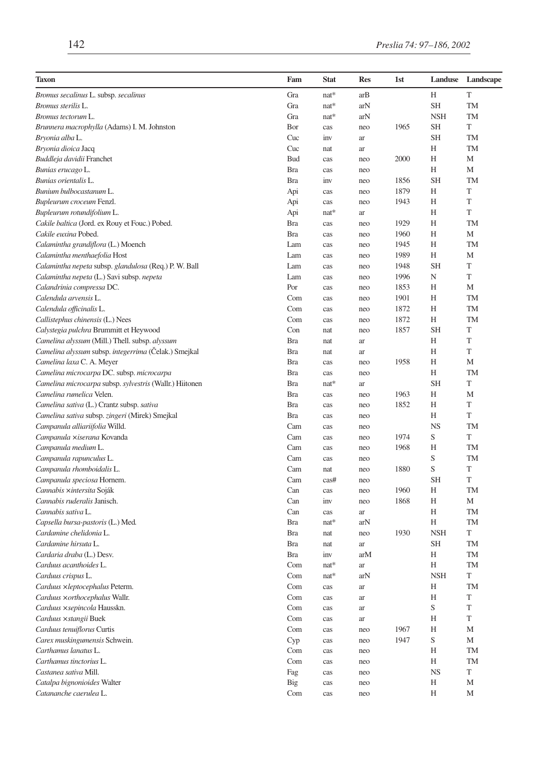| Taxon                                                   | Fam        | <b>Stat</b> | <b>Res</b> | 1st  | Landuse    | Landscape   |
|---------------------------------------------------------|------------|-------------|------------|------|------------|-------------|
| Bromus secalinus L. subsp. secalinus                    | Gra        | nat*        | arB        |      | H          | T           |
| Bromus sterilis L.                                      | Gra        | $nat*$      | arN        |      | <b>SH</b>  | TM          |
| Bromus tectorum L.                                      | Gra        | $nat*$      | arN        |      | <b>NSH</b> | TM          |
| Brunnera macrophylla (Adams) I. M. Johnston             | Bor        | cas         | neo        | 1965 | SН         | T           |
| Bryonia alba L.                                         | Cuc        | inv         | ar         |      | <b>SH</b>  | TM          |
| Bryonia dioica Jacq                                     | Cuc        | nat         | ar         |      | Н          | TM          |
| Buddleja davidii Franchet                               | <b>Bud</b> | cas         | neo        | 2000 | H          | M           |
| Bunias erucago L.                                       | <b>Bra</b> | cas         | neo        |      | H          | M           |
| Bunias orientalis L.                                    | <b>Bra</b> | inv         | neo        | 1856 | <b>SH</b>  | TM          |
| Bunium bulbocastanum L.                                 | Api        | cas         | neo        | 1879 | Н          | T           |
| Bupleurum croceum Fenzl.                                | Api        | cas         | neo        | 1943 | Н          | T           |
| Bupleurum rotundifolium L.                              | Api        | $nat*$      | ar         |      | Н          | T           |
| Cakile baltica (Jord. ex Rouy et Fouc.) Pobed.          | Bra        | cas         | neo        | 1929 | Н          | TM          |
| Cakile euxina Pobed.                                    | <b>Bra</b> | cas         | neo        | 1960 | Н          | M           |
| Calamintha grandiflora (L.) Moench                      | Lam        | cas         | neo        | 1945 | Н          | <b>TM</b>   |
| Calamintha menthaefolia Host                            | Lam        | cas         | neo        | 1989 | Н          | M           |
| Calamintha nepeta subsp. glandulosa (Req.) P. W. Ball   | Lam        | cas         | neo        | 1948 | <b>SH</b>  | T           |
| Calamintha nepeta (L.) Savi subsp. nepeta               | Lam        | cas         | neo        | 1996 | N          | T           |
| Calandrinia compressa DC.                               | Por        | cas         | neo        | 1853 | Н          | M           |
| Calendula arvensis L.                                   | Com        | cas         | neo        | 1901 | Н          | TM          |
| Calendula officinalis L.                                | Com        | cas         | neo        | 1872 | Н          | TM          |
| Callistephus chinensis (L.) Nees                        | Com        | cas         | neo        | 1872 | Н          | <b>TM</b>   |
| Calystegia pulchra Brummitt et Heywood                  | Con        | nat         | neo        | 1857 | <b>SH</b>  | T           |
| Camelina alyssum (Mill.) Thell. subsp. alyssum          | <b>Bra</b> | nat         | ar         |      | Н          | T           |
| Camelina alyssum subsp. integerrima (Celak.) Smejkal    | <b>Bra</b> | nat         | ar         |      | Н          | T           |
| Camelina laxa C. A. Meyer                               | Bra        | cas         | neo        | 1958 | Н          | M           |
| Camelina microcarpa DC. subsp. microcarpa               | <b>Bra</b> | cas         | neo        |      | H          | <b>TM</b>   |
| Camelina microcarpa subsp. sylvestris (Wallr.) Hiitonen | <b>Bra</b> | $nat*$      | ar         |      | <b>SH</b>  | T           |
| Camelina rumelica Velen.                                | <b>Bra</b> | cas         | neo        | 1963 | Н          | M           |
| Camelina sativa (L.) Crantz subsp. sativa               | <b>Bra</b> | cas         | neo        | 1852 | H          | T           |
| Camelina sativa subsp. zingeri (Mirek) Smejkal          | <b>Bra</b> | cas         | neo        |      | H          | T           |
| Campanula alliariifolia Willd.                          | Cam        | cas         | neo        |      | <b>NS</b>  | TM          |
| Campanula xiserana Kovanda                              | Cam        | cas         | neo        | 1974 | S          | T           |
| Campanula medium L.                                     | Cam        | cas         | neo        | 1968 | Н          | <b>TM</b>   |
| Campanula rapunculus L.                                 | Cam        | cas         | neo        |      | S          | TM          |
| Campanula rhomboidalis L.                               | Cam        | nat         | neo        | 1880 | S          | T           |
| Campanula speciosa Hornem.                              | Cam        | cas#        | neo        |      | <b>SH</b>  | T           |
| Cannabis xintersita Soják                               | Can        | cas         | neo        | 1960 | Н          | <b>TM</b>   |
| Cannabis ruderalis Janisch.                             | Can        | inv         | neo        | 1868 | Н          | M           |
| Cannabis sativa L.                                      | Can        | cas         | ar         |      | Н          | TM          |
| Capsella bursa-pastoris (L.) Med.                       | <b>Bra</b> | nat*        | arN        |      | Н          | TM          |
| Cardamine chelidonia L.                                 | Bra        | nat         | neo        | 1930 | <b>NSH</b> | T           |
| Cardamine hirsuta L.                                    | <b>Bra</b> | nat         | ar         |      | <b>SH</b>  | TM          |
| Cardaria draba (L.) Desv.                               | <b>Bra</b> | inv         | arM        |      | Η          | TM          |
| Carduus acanthoides L.                                  | Com        | nat*        | ar         |      | H          | <b>TM</b>   |
| Carduus crispus L.                                      | Com        | nat*        | arN        |      | NSH        | T           |
| Carduus ×leptocephalus Peterm.                          | Com        | cas         | ar         |      | Η          | TM          |
| Carduus × orthocephalus Wallr.                          | Com        | cas         | ar         |      | Η          | T           |
| Carduus × sepincola Hausskn.                            | Com        | cas         | ar         |      | S          | $\mathbf T$ |
| Carduus × stangii Buek                                  | Com        | cas         | ar         |      | Η          | T           |
| Carduus tenuiflorus Curtis                              | Com        | cas         | neo        | 1967 | Η          | М           |
| Carex muskingumensis Schwein.                           | Cyp        | cas         | neo        | 1947 | S          | М           |
| Carthamus lanatus L.                                    | Com        | cas         | neo        |      | Η          | TM          |
| Carthamus tinctorius L.                                 | Com        | cas         | neo        |      | Η          | TM          |
| Castanea sativa Mill.                                   | Fag        | cas         | neo        |      | <b>NS</b>  | T           |
| Catalpa bignonioides Walter                             | Big        | cas         | neo        |      | Η          | M           |
| Catananche caerulea L.                                  | Com        | cas         | neo        |      | Н          | М           |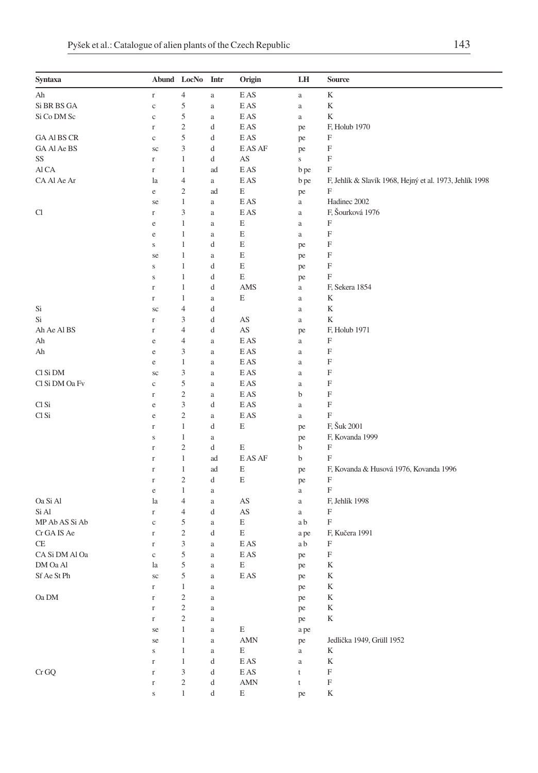| Syntaxa            |             | Abund LocNo                 | Intr     | Origin                              | LH             | <b>Source</b>                                           |
|--------------------|-------------|-----------------------------|----------|-------------------------------------|----------------|---------------------------------------------------------|
| Ah                 | $\Gamma$    | $\overline{4}$              | $\rm{a}$ | E AS                                | $\rm{a}$       | K                                                       |
| Si BR BS GA        | $\mathbf c$ | 5                           | a        | E AS                                | a              | K                                                       |
| Si Co DM Sc        | $\mathbf c$ | 5                           | a        | E AS                                | $\rm{a}$       | K                                                       |
|                    | $\Gamma$    | $\overline{c}$              | d        | E AS                                | pe             | F, Holub 1970                                           |
| <b>GA AI BS CR</b> | c           | 5                           | d        | E AS                                | pe             | F                                                       |
| GA Al Ae BS        | sc          | 3                           | d        | E AS AF                             | pe             | F                                                       |
| SS                 | $\Gamma$    | 1                           | d        | AS                                  | $\bf S$        | F                                                       |
| Al CA              | $\Gamma$    | 1                           | ad       | E AS                                | b pe           | F                                                       |
| CA Al Ae Ar        | la          | $\overline{4}$              | a        | E AS                                | $\mathbf b$ pe | F, Jehlík & Slavík 1968, Hejný et al. 1973, Jehlík 1998 |
|                    | e           | $\overline{c}$              | ad       | Ε                                   | pe             | F                                                       |
|                    | se          | $\mathbf{1}$                | a        | E AS                                | $\rm{a}$       | Hadinec 2002                                            |
| Cl                 | $\Gamma$    | 3                           | a        | E AS                                | $\rm{a}$       | F, Šourková 1976                                        |
|                    |             | $\mathbf{1}$                |          | Ε                                   |                | F                                                       |
|                    | e           |                             | a        |                                     | a              |                                                         |
|                    | e           | 1                           | a        | E                                   | a              | F                                                       |
|                    | $\bf S$     | 1                           | d        | Ε                                   | pe             | F                                                       |
|                    | se          | 1                           | a        | Е                                   | pe             | F                                                       |
|                    | s           | 1                           | d        | Ε                                   | pe             | F                                                       |
|                    | S           | $\mathbf{1}$                | d        | Ε                                   | pe             | F                                                       |
|                    | $\Gamma$    | 1                           | d        | AMS                                 | $\rm{a}$       | F, Sekera 1854                                          |
|                    | $\Gamma$    | 1                           | a        | E                                   | a              | K                                                       |
| Si                 | sc          | $\overline{4}$              | d        |                                     | $\mathbf{a}$   | K                                                       |
| Si                 | $\Gamma$    | 3                           | d        | AS                                  | $\rm{a}$       | K                                                       |
| Ah Ae Al BS        | $\Gamma$    | $\overline{4}$              | d        | AS                                  | pe             | F, Holub 1971                                           |
| Ah                 | e           | 4                           | a        | E AS                                | $\rm{a}$       | F                                                       |
| Ah                 | e           | 3                           | a        | E AS                                | $\rm{a}$       | F                                                       |
|                    | e           | $\mathbf{1}$                | a        | E AS                                | $\rm{a}$       | F                                                       |
| Cl Si DM           | SC          | 3                           | a        | E AS                                | $\rm{a}$       | F                                                       |
| Cl Si DM Oa Fv     | c           | 5                           | a        | E AS                                | $\rm{a}$       | F                                                       |
|                    | $\Gamma$    | $\overline{c}$              | a        | E AS                                | b              | F                                                       |
| Cl Si              | e           | 3                           | d        | E AS                                | $\rm{a}$       | F                                                       |
| Cl Si              | e           | $\overline{c}$              | a        | E AS                                | $\mathbf{a}$   | F                                                       |
|                    | $\Gamma$    | $\mathbf{1}$                | d        | Ε                                   | pe             | F, Šuk 2001                                             |
|                    | $\bf S$     | $\mathbf{1}$                | a        |                                     | pe             | F, Kovanda 1999                                         |
|                    | $\mathbf r$ | $\overline{c}$              | d        | Е                                   | b              | F                                                       |
|                    | $\mathbf r$ | 1                           | ad       | E AS AF                             | b              | F                                                       |
|                    | $\Gamma$    | $\mathbf{1}$                | ad       | Е                                   | pe             | F, Kovanda & Husová 1976, Kovanda 1996                  |
|                    | $\Gamma$    | $\overline{\mathbf{c}}$     | d        | E                                   | pe             | F                                                       |
|                    | e           | 1                           | a        |                                     | $\rm{a}$       | F                                                       |
| Oa Si Al           | la          | 4                           | a        | AS                                  | a              | F, Jehlík 1998                                          |
| Si Al              | $\Gamma$    | $\overline{4}$              | d        | AS                                  | $\rm{a}$       | F                                                       |
| MP Ab AS Si Ab     | $\mathbf c$ | 5                           | a        | Ε                                   | a b            | $\boldsymbol{\mathrm{F}}$                               |
| Cr GA IS Ae        | $\Gamma$    | $\overline{c}$              | d        | Ε                                   | a pe           | F, Kučera 1991                                          |
| CE                 | $\mathbf r$ | 3                           | a        | E AS                                | a b            | F                                                       |
| CA Si DM Al Oa     | $\mathbf c$ | 5                           | a        | E AS                                | pe             | F                                                       |
| DM Oa Al           | la          | 5                           | a        | E                                   | pe             | K                                                       |
| Sf Ae St Ph        | sc          | 5                           | a        | E AS                                | pe             | K                                                       |
|                    | $\mathbf r$ | $\mathbf{1}$                | $\rm{a}$ |                                     | pe             | $\mathbf K$                                             |
| $\rm Oa$ $\rm DM$  | $\mathbf r$ | $\sqrt{2}$                  | $\rm{a}$ |                                     | pe             | $\mathbf K$                                             |
|                    | $\mathbf r$ | $\overline{c}$              | $\rm{a}$ |                                     | pe             | K                                                       |
|                    | $\Gamma$    | $\sqrt{2}$                  |          |                                     |                | $\rm K$                                                 |
|                    |             |                             | a        |                                     | pe             |                                                         |
|                    | se          | $\mathbf{1}$                | $\rm{a}$ | E                                   | a pe           | Jedlička 1949, Grüll 1952                               |
|                    | se          | $\mathbf{1}$                | $\rm{a}$ | $\mbox{AMN}$                        | pe             |                                                         |
|                    | $\bf S$     | $\mathbf{1}$                | $\rm{a}$ | E                                   | $\rm{a}$       | K                                                       |
|                    | $\Gamma$    | $\mathbf{1}$                | d        | $\mathop{\hbox{\rm E}}\nolimits$ AS | $\rm{a}$       | K                                                       |
| $\rm Cr\,GQ$       | $\Gamma$    | $\ensuremath{\mathfrak{Z}}$ | d        | $\mathop{\hbox{\rm E}}\nolimits$ AS | $\mathsf t$    | $\mathbf F$                                             |
|                    | $\mathbf r$ | $\boldsymbol{2}$            | d        | $\mbox{AMN}$                        | $\mathsf t$    | $\mathbf F$                                             |
|                    | $\bf S$     | $\,1$                       | d        | E                                   | pe             | $\mathbf K$                                             |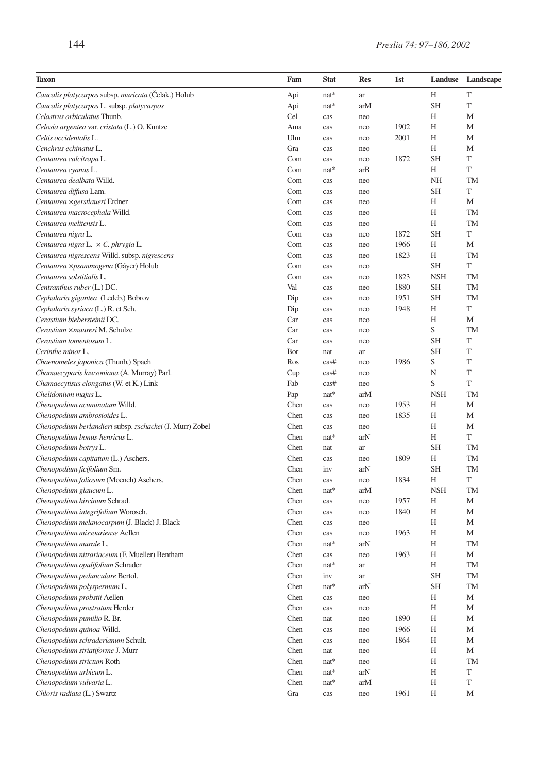| <b>Taxon</b>                                             | Fam  | <b>Stat</b> | <b>Res</b> | 1st  | Landuse     | Landscape |
|----------------------------------------------------------|------|-------------|------------|------|-------------|-----------|
| Caucalis platycarpos subsp. muricata (Ćelak.) Holub      | Api  | $nat*$      | ar         |      | Н           | T         |
| Caucalis platycarpos L. subsp. platycarpos               | Api  | $nat*$      | arM        |      | <b>SH</b>   | T         |
| Celastrus orbiculatus Thunb.                             | Cel  | cas         | neo        |      | H           | M         |
| Celosia argentea var. cristata (L.) O. Kuntze            | Ama  | cas         | neo        | 1902 | Н           | М         |
| Celtis occidentalis L.                                   | Ulm  | cas         | neo        | 2001 | Н           | М         |
| Cenchrus echinatus L.                                    | Gra  | cas         | neo        |      | H           | M         |
| Centaurea calcitrapa L.                                  | Com  | cas         | neo        | 1872 | <b>SH</b>   | T         |
| Centaurea cyanus L.                                      | Com  | $nat*$      | arB        |      | H           | T         |
| Centaurea dealbata Willd.                                | Com  | cas         | neo        |      | <b>NH</b>   | TM        |
| Centaurea diffusa Lam.                                   | Com  | cas         | neo        |      | <b>SH</b>   | T         |
| Centaurea × gerstlaueri Erdner                           | Com  | cas         | neo        |      | Н           | М         |
| Centaurea macrocephala Willd.                            | Com  | cas         | neo        |      | Η           | TM        |
| Centaurea melitensis L.                                  | Com  | cas         | neo        |      | Н           | <b>TM</b> |
| Centaurea nigra L.                                       | Com  | cas         | neo        | 1872 | <b>SH</b>   | T         |
| Centaurea nigra L. $\times$ C. phrygia L.                | Com  | cas         | neo        | 1966 | Н           | M         |
| Centaurea nigrescens Willd. subsp. nigrescens            | Com  | cas         | neo        | 1823 | Н           | TM        |
| Centaurea xpsammogena (Gáyer) Holub                      | Com  | cas         | neo        |      | <b>SH</b>   | T         |
| Centaurea solstitialis L.                                | Com  | cas         | neo        | 1823 | <b>NSH</b>  | TM        |
| Centranthus ruber (L.) DC.                               | Val  | cas         | neo        | 1880 | <b>SH</b>   | TM        |
| Cephalaria gigantea (Ledeb.) Bobrov                      | Dip  | cas         | neo        | 1951 | SH          | TM        |
| Cephalaria syriaca (L.) R. et Sch.                       | Dip  | cas         | neo        | 1948 | H           | T         |
| Cerastium biebersteinii DC.                              | Car  | cas         | neo        |      | H           | M         |
| Cerastium ×maureri M. Schulze                            | Car  | cas         | neo        |      | $\mathbf S$ | <b>TM</b> |
| Cerastium tomentosum L.                                  | Car  | cas         | neo        |      | <b>SH</b>   | T         |
| Cerinthe minor L.                                        | Bor  | nat         | ar         |      | SH          | T         |
| Chaenomeles japonica (Thunb.) Spach                      | Ros  | cas#        | neo        | 1986 | S           | T         |
| Chamaecyparis lawsoniana (A. Murray) Parl.               | Cup  | cas#        | neo        |      | N           | T         |
| Chamaecytisus elongatus (W. et K.) Link                  | Fab  | cas#        | neo        |      | S           | T         |
| Chelidonium majus L.                                     | Pap  | $nat*$      | arM        |      | <b>NSH</b>  | <b>TM</b> |
| Chenopodium acuminatum Willd.                            | Chen | cas         | neo        | 1953 | Н           | M         |
| Chenopodium ambrosioides L.                              | Chen | cas         | neo        | 1835 | Н           | M         |
| Chenopodium berlandieri subsp. zschackei (J. Murr) Zobel | Chen | cas         | neo        |      | Н           | M         |
| Chenopodium bonus-henricus L.                            | Chen | $nat*$      | arN        |      | Н           | T         |
| Chenopodium botrys L.                                    | Chen | nat         | ar         |      | <b>SH</b>   | <b>TM</b> |
| Chenopodium capitatum (L.) Aschers.                      | Chen | cas         | neo        | 1809 | Η           | TM        |
| Chenopodium ficifolium Sm.                               | Chen | inv         | arN        |      | <b>SH</b>   | <b>TM</b> |
| Chenopodium foliosum (Moench) Aschers.                   | Chen | cas         | neo        | 1834 | H           | T         |
| Chenopodium glaucum L.                                   | Chen | $nat*$      | arM        |      | <b>NSH</b>  | TM        |
| Chenopodium hircinum Schrad.                             | Chen | cas         | neo        | 1957 | Н           | M         |
| Chenopodium integrifolium Worosch.                       | Chen | cas         | neo        | 1840 | Н           | M         |
| Chenopodium melanocarpum (J. Black) J. Black             | Chen | cas         | neo        |      | Н           | М         |
| Chenopodium missouriense Aellen                          | Chen | cas         | neo        | 1963 | Η           | M         |
| Chenopodium murale L.                                    | Chen | $nat*$      | arN        |      | Н           | TM        |
| Chenopodium nitrariaceum (F. Mueller) Bentham            | Chen | cas         | neo        | 1963 | H           | M         |
| Chenopodium opulifolium Schrader                         | Chen | $nat*$      | ar         |      | H           | TM        |
| Chenopodium pedunculare Bertol.                          | Chen | inv         | ar         |      | SН          | TM        |
| Chenopodium polyspermum L.                               | Chen | nat*        | arN        |      | <b>SH</b>   | TM        |
| Chenopodium probstii Aellen                              | Chen | cas         | neo        |      | Н           | М         |
| Chenopodium prostratum Herder                            | Chen | cas         | neo        |      | Η           | M         |
| Chenopodium pumilio R. Br.                               | Chen | nat         | neo        | 1890 | Η           | М         |
| Chenopodium quinoa Willd.                                | Chen | cas         | neo        | 1966 | Η           | М         |
| Chenopodium schraderianum Schult.                        | Chen | cas         | neo        | 1864 | Н           | М         |
| Chenopodium striatiforme J. Murr                         | Chen | nat         | neo        |      | Η           | M         |
| Chenopodium strictum Roth                                | Chen | $nat*$      | neo        |      | Η           | TM        |
| Chenopodium urbicum L.                                   | Chen | nat*        | arN        |      | H           | T         |
| Chenopodium vulvaria L.                                  | Chen | $nat*$      | arM        |      | H           | T         |
| Chloris radiata (L.) Swartz                              | Gra  | cas         | neo        | 1961 | Η           | М         |
|                                                          |      |             |            |      |             |           |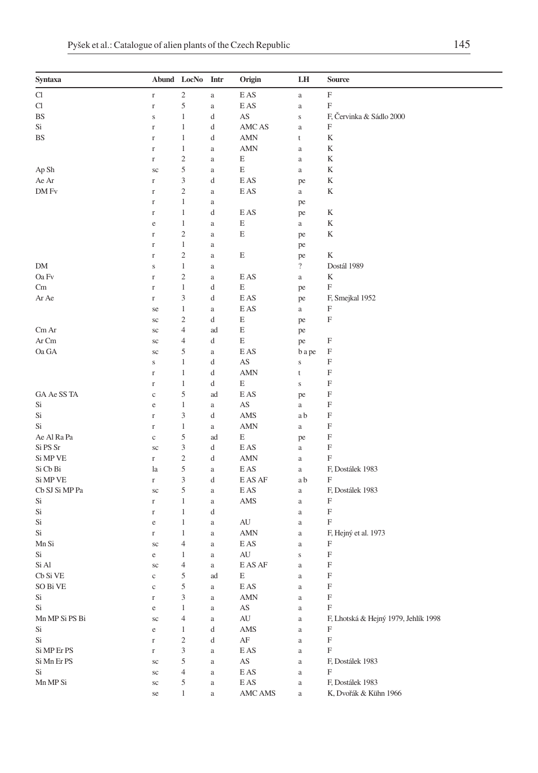| Syntaxa                    | Abund LocNo  |                             | Intr     | Origin                              | LH                       | <b>Source</b>                        |
|----------------------------|--------------|-----------------------------|----------|-------------------------------------|--------------------------|--------------------------------------|
| $\mathop{\rm Cl}\nolimits$ | $\Gamma$     | $\sqrt{2}$                  | $\rm{a}$ | E AS                                | $\rm{a}$                 | $\boldsymbol{\mathrm{F}}$            |
| Cl                         | $\Gamma$     | 5                           | a        | E AS                                | $\rm{a}$                 | $\mathbf F$                          |
| BS                         | $\bf S$      | $\mathbf{1}$                | d        | AS                                  | $\,$ S                   | F, Červinka & Sádlo 2000             |
| Si                         | $\Gamma$     | $\mathbf{1}$                | d        | AMC AS                              | $\rm{a}$                 | $\boldsymbol{\mathrm{F}}$            |
| BS                         | $\Gamma$     | $\mathbf 1$                 | d        | AMN                                 | t                        | K                                    |
|                            | $\Gamma$     | $\mathbf{1}$                | a        | <b>AMN</b>                          | $\rm{a}$                 | K                                    |
|                            | $\Gamma$     | $\sqrt{2}$                  | a        | E                                   | $\rm{a}$                 | K                                    |
| Ap Sh                      | sc           | $\mathfrak s$               | a        | E                                   | $\rm{a}$                 | K                                    |
| Ae Ar                      | $\Gamma$     | 3                           | d        | E AS                                | pe                       | K                                    |
| DM Fv                      | $\Gamma$     | $\mathfrak{2}$              | a        | E AS                                | $\rm{a}$                 | K                                    |
|                            | $\Gamma$     | $\mathbf{1}$                | $\rm{a}$ |                                     | pe                       |                                      |
|                            | $\Gamma$     | $\mathbf{1}$                | d        | E AS                                | pe                       | K                                    |
|                            | $\rm e$      | $\mathbf{1}$                | a        | E                                   | $\rm{a}$                 | K                                    |
|                            | $\Gamma$     | $\overline{c}$              | a        | E                                   | pe                       | K                                    |
|                            | $\Gamma$     | $\mathbf{1}$                | a        |                                     | pe                       |                                      |
|                            | $\Gamma$     | $\sqrt{2}$                  | a        | E                                   | pe                       | K                                    |
| DM                         | $\mathbf S$  | $\mathbf{1}$                | a        |                                     | $\overline{\mathcal{L}}$ | Dostál 1989                          |
| Oa Fv                      | $\Gamma$     | $\sqrt{2}$                  | $\rm{a}$ | E AS                                | $\rm{a}$                 | K                                    |
| Cm                         | $\Gamma$     | $\mathbf{1}$                | d        | Ε                                   | pe                       | F                                    |
| Ar Ae                      | $\Gamma$     | 3                           | d        | E AS                                | pe                       | F, Smejkal 1952                      |
|                            | se           | $\mathbf{1}$                | $\rm{a}$ | E AS                                | $\rm{a}$                 | F                                    |
|                            | $\rm{sc}$    | $\sqrt{2}$                  | d        | E                                   | pe                       | $\boldsymbol{\mathrm{F}}$            |
| $Cm$ Ar                    | sc           | $\overline{4}$              | ad       | E                                   | pe                       |                                      |
| Ar Cm                      | sc           | $\overline{4}$              | d        | E                                   | pe                       | F                                    |
| Oa GA                      | sc           | 5                           | a        | E AS                                | b a pe                   | F                                    |
|                            | $\bf S$      | $\mathbf{1}$                | d        | AS                                  | $\bf S$                  | F                                    |
|                            | $\Gamma$     | $\mathbf{1}$                | d        | <b>AMN</b>                          | t                        | F                                    |
|                            | $\Gamma$     | $\mathbf{1}$                | d        | E                                   | $\mathbf S$              | F                                    |
| GA Ae SS TA                | $\mathbf c$  | 5                           | ad       | E AS                                | pe                       | F                                    |
| Si                         | $\rm e$      | $\mathbf{1}$                | $\rm{a}$ | AS                                  | $\rm{a}$                 | F                                    |
| Si                         | $\Gamma$     | 3                           | d        | AMS                                 | a b                      | F                                    |
| Si                         | $\Gamma$     | $\mathbf{1}$                | $\rm{a}$ | <b>AMN</b>                          | $\rm{a}$                 | F                                    |
| Ae Al Ra Pa                | $\mathbf c$  | 5                           | ad       | E                                   |                          | F                                    |
| Si PS Sr                   | sc           | 3                           | d        | E AS                                | pe<br>$\rm{a}$           | $\boldsymbol{\mathrm{F}}$            |
| Si MP VE                   | $\mathbf r$  | $\sqrt{2}$                  | d        | AMN                                 | $\rm{a}$                 | F                                    |
| Si Cb Bi                   | la           | 5                           | a        | E AS                                | $\rm{a}$                 | F, Dostálek 1983                     |
| Si MP VE                   | $\Gamma$     | $\ensuremath{\mathfrak{Z}}$ | d        | E AS AF                             | a b                      | $\boldsymbol{\mathrm{F}}$            |
| Cb SJ Si MP Pa             | sc           | 5                           | a        | E AS                                | $\rm{a}$                 | F, Dostálek 1983                     |
| Si                         | $\Gamma$     | $\mathbf{1}$                | a        | AMS                                 | $\rm{a}$                 | F                                    |
| Si                         | $\Gamma$     | $\mathbf{1}$                | d        |                                     | $\rm{a}$                 | F                                    |
| Si                         | $\rm e$      | $\mathbf{1}$                | $\rm{a}$ | AU                                  | $\rm{a}$                 | F                                    |
| Si                         | $\Gamma$     | $\mathbf{1}$                |          | <b>AMN</b>                          | $\rm{a}$                 | F, Hejný et al. 1973                 |
| Mn Si                      |              | $\overline{4}$              | a<br>a   | E AS                                | $\rm{a}$                 | F                                    |
| Si                         | sc           | 1                           | a        | AU                                  |                          | F                                    |
| Si Al                      | e            | $\overline{4}$              |          | E AS AF                             | $\mathbf S$              | $\boldsymbol{\mathrm{F}}$            |
| Cb Si VE                   | sc           | 5                           | a<br>ad  | E                                   | $\rm{a}$                 | F                                    |
|                            | $\mathbf{c}$ |                             |          | $\mathop{\hbox{\rm E}}\nolimits$ AS | a                        |                                      |
| SO Bi VE<br>Si             | $\mathbf c$  | 5                           | $\rm{a}$ | $\mbox{AMN}$                        | $\rm{a}$                 | F<br>$\mathbf F$                     |
|                            | $\Gamma$     | 3                           | $\rm{a}$ |                                     | $\rm{a}$                 | $\boldsymbol{\mathrm{F}}$            |
| Si                         | $\rm e$      | $\mathbf{1}$                | $\rm{a}$ | AS                                  | $\rm{a}$                 |                                      |
| Mn MP Si PS Bi             | sc           | $\overline{4}$              | a        | AU                                  | $\rm{a}$                 | F, Lhotská & Hejný 1979, Jehlík 1998 |
| Si                         | $\rm e$      | $\mathbf{1}$                | d        | AMS                                 | $\rm{a}$                 | F                                    |
| $\mathrm{Si}$              | $\Gamma$     | $\sqrt{2}$                  | d        | $\rm{AF}$                           | $\rm{a}$                 | $\boldsymbol{\mathrm{F}}$            |
| Si MP Er PS                | $\Gamma$     | 3                           | $\rm{a}$ | E AS                                | $\rm{a}$                 | $\boldsymbol{\mathrm{F}}$            |
| Si Mn Er PS                | sc           | 5                           | a        | AS                                  | a                        | F, Dostálek 1983                     |
| Si                         | $\rm{sc}$    | $\overline{4}$              | a        | $\mathop{\hbox{\rm E}}\nolimits$ AS | $\rm{a}$                 | $\boldsymbol{\mathrm{F}}$            |
| Mn MP Si                   | $\rm{sc}$    | 5                           | $\rm{a}$ | $\mathop{\hbox{\rm E}}\nolimits$ AS | $\rm{a}$                 | F, Dostálek 1983                     |
|                            | se           | $\mathbf{1}$                | a        | AMC AMS                             | $\rm{a}$                 | K, Dvořák & Kühn 1966                |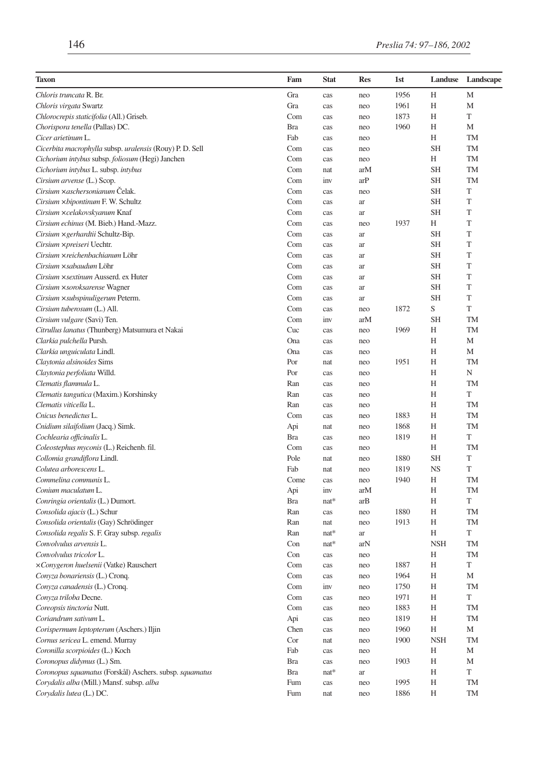| <b>Taxon</b>                                             | Fam        | <b>Stat</b> | Res | 1st  | Landuse    | Landscape   |
|----------------------------------------------------------|------------|-------------|-----|------|------------|-------------|
| Chloris truncata R. Br.                                  | Gra        | cas         | neo | 1956 | Н          | M           |
| Chloris virgata Swartz                                   | Gra        | cas         | neo | 1961 | Н          | M           |
| Chlorocrepis staticifolia (All.) Griseb.                 | Com        | cas         | neo | 1873 | Н          | T           |
| Chorispora tenella (Pallas) DC.                          | <b>Bra</b> | cas         | neo | 1960 | Н          | М           |
| Cicer arietinum L.                                       | Fab        | cas         | neo |      | Н          | TM          |
| Cicerbita macrophylla subsp. uralensis (Rouy) P. D. Sell | Com        | cas         | neo |      | <b>SH</b>  | <b>TM</b>   |
| Cichorium intybus subsp. foliosum (Hegi) Janchen         | Com        | cas         | neo |      | H          | TM          |
| Cichorium intybus L. subsp. intybus                      | Com        | nat         | arM |      | <b>SH</b>  | TM          |
| Cirsium arvense (L.) Scop.                               | Com        | inv         | arP |      | <b>SH</b>  | TM          |
| Cirsium xaschersonianum Čelak.                           | Com        | cas         | neo |      | <b>SH</b>  | T           |
| Cirsium × bipontinum F. W. Schultz                       | Com        | cas         | ar  |      | <b>SH</b>  | T           |
| Cirsium ×celakovskyanum Knaf                             | Com        | cas         | ar  |      | <b>SH</b>  | T           |
| Cirsium echinus (M. Bieb.) Hand.-Mazz.                   | Com        | cas         | neo | 1937 | Н          | T           |
| Cirsium × gerhardtii Schultz-Bip.                        | Com        | cas         | ar  |      | <b>SH</b>  | T           |
| Cirsium ×preiseri Uechtr.                                | Com        | cas         | ar  |      | <b>SH</b>  | T           |
| Cirsium ×reichenbachianum Löhr                           | Com        | cas         | ar  |      | <b>SH</b>  | T           |
| Cirsium × sabaudum Löhr                                  | Com        | cas         | ar  |      | <b>SH</b>  | T           |
| Cirsium × sextinum Ausserd. ex Huter                     | Com        | cas         | ar  |      | <b>SH</b>  | $\mathbf T$ |
| Cirsium × soroksarense Wagner                            | Com        | cas         | ar  |      | <b>SH</b>  | T           |
| Cirsium × subspinuligerum Peterm.                        | Com        | cas         | ar  |      | SН         | T           |
| Cirsium tuberosum (L.) All.                              | Com        | cas         | neo | 1872 | S          | T           |
| Cirsium vulgare (Savi) Ten.                              | Com        | inv         | arM |      | <b>SH</b>  | <b>TM</b>   |
| Citrullus lanatus (Thunberg) Matsumura et Nakai          | Cuc        | cas         | neo | 1969 | Н          | TM          |
| Clarkia pulchella Pursh.                                 | Ona        | cas         | neo |      | H          | M           |
| Clarkia unguiculata Lindl.                               | Ona        | cas         | neo |      | Н          | M           |
| Claytonia alsinoides Sims                                | Por        | nat         | neo | 1951 | Н          | TM          |
| Claytonia perfoliata Willd.                              | Por        | cas         | neo |      | Н          | N           |
| Clematis flammula L.                                     | Ran        | cas         | neo |      | Н          | TM          |
| Clematis tangutica (Maxim.) Korshinsky                   | Ran        | cas         | neo |      | Н          | T           |
| Clematis viticella L.                                    | Ran        | cas         | neo |      | H          | <b>TM</b>   |
| Cnicus benedictus L.                                     | Com        | cas         | neo | 1883 | H          | TM          |
| Cnidium silaifolium (Jacq.) Simk.                        | Api        | nat         | neo | 1868 | Н          | TM          |
| Cochlearia officinalis L.                                | <b>Bra</b> | cas         | neo | 1819 | Η          | T           |
| Coleostephus myconis (L.) Reichenb. fil.                 | Com        | cas         | neo |      | Н          | TM          |
| Collomia grandiflora Lindl.                              | Pole       | nat         | neo | 1880 | <b>SH</b>  | T           |
| Colutea arborescens L.                                   | Fab        | nat         | neo | 1819 | <b>NS</b>  | T           |
| Commelina communis L.                                    | Come       | cas         | neo | 1940 | Н          | TM          |
| Conium maculatum L.                                      | Api        | inv         | arM |      | Н          | TM          |
| Conringia orientalis (L.) Dumort.                        | <b>Bra</b> | $nat*$      | arB |      | Н          | T           |
| Consolida ajacis (L.) Schur                              | Ran        | cas         | neo | 1880 | Н          | TM          |
| Consolida orientalis (Gay) Schrödinger                   | Ran        | nat         | neo | 1913 | Н          | TM          |
| Consolida regalis S. F. Gray subsp. regalis              | Ran        | $nat*$      | ar  |      | Н          | T           |
| Convolvulus arvensis L.                                  | Con        | $nat*$      | arN |      | <b>NSH</b> | TM          |
| Convolvulus tricolor L.                                  | Con        | cas         | neo |      | Н          | TM          |
| xConygeron huelsenii (Vatke) Rauschert                   | Com        | cas         | neo | 1887 | Н          | T           |
| Convza bonariensis (L.) Crong.                           | Com        | cas         | neo | 1964 | Н          | М           |
| Conyza canadensis (L.) Cronq.                            | Com        | inv         | neo | 1750 | H          | TM          |
| Conyza triloba Decne.                                    | Com        | cas         | neo | 1971 | Η          | T           |
| Coreopsis tinctoria Nutt.                                | Com        | cas         | neo | 1883 | Н          | TM          |
| Coriandrum sativum L.                                    | Api        | cas         | neo | 1819 | Η          | TM          |
| Corispermum leptopterum (Aschers.) Iljin                 | Chen       | cas         | neo | 1960 | Н          | М           |
| Cornus sericea L. emend. Murray                          | Cor        | nat         | neo | 1900 | <b>NSH</b> | TM          |
| Coronilla scorpioides (L.) Koch                          | Fab        | cas         | neo |      | Η          | М           |
| Coronopus didymus (L.) Sm.                               | <b>Bra</b> | cas         | neo | 1903 | Η          | М           |
| Coronopus squamatus (Forskål) Aschers. subsp. squamatus  | <b>Bra</b> | $nat*$      | ar  |      | Η          | T           |
| Corydalis alba (Mill.) Mansf. subsp. alba                | Fum        | cas         | neo | 1995 | H          | TM          |
| Corydalis lutea (L.) DC.                                 | Fum        | nat         | neo | 1886 | Н          | TM          |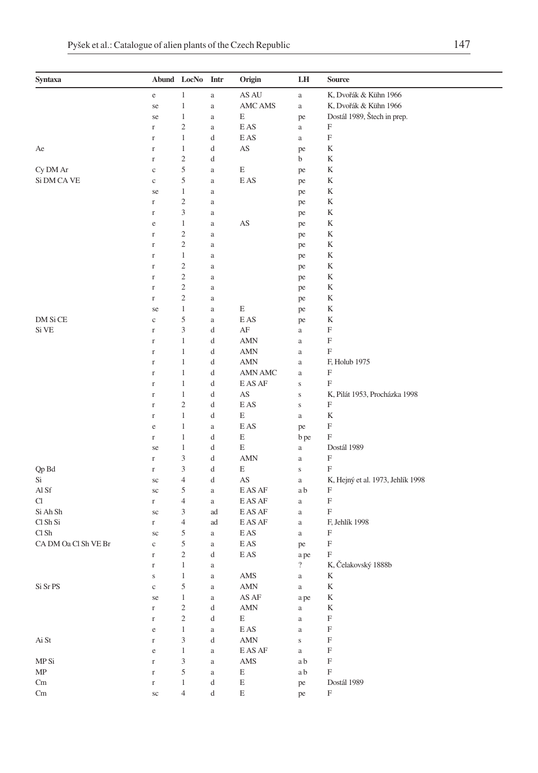| $\,1$<br>AS AU<br>K, Dvořák & Kühn 1966<br>$\rm e$<br>$\rm{a}$<br>$\rm{a}$<br>$\,1$<br>K, Dvořák & Kühn 1966<br>AMC AMS<br>$\rm{a}$<br>se<br>$\rm{a}$<br>Dostál 1989, Štech in prep.<br>1<br>E<br>se<br>$\rm{a}$<br>pe<br>$\sqrt{2}$<br>E AS<br>F<br>$\mathbf r$<br>a<br>$\rm{a}$<br>$\boldsymbol{\mathrm{F}}$<br>$\mathbf 1$<br>E AS<br>d<br>$\rm{a}$<br>$\mathbf r$<br>$\,1$<br>d<br>AS<br>K<br>Ae<br>$\mathbf r$<br>pe<br>$\overline{\mathbf{c}}$<br>K<br>d<br>b<br>$\mathbf r$<br>5<br>Cy DM Ar<br>E<br>K<br>$\mathbf c$<br>$\rm{a}$<br>pe<br>Si DM CA VE<br>5<br>E AS<br>K<br>$\mathbf{C}$<br>pe<br>$\rm{a}$<br>1<br>K<br>se<br>$\rm{a}$<br>pe<br>$\overline{\mathbf{c}}$<br>K<br>$\mathbf r$<br>pe<br>a |  |
|---------------------------------------------------------------------------------------------------------------------------------------------------------------------------------------------------------------------------------------------------------------------------------------------------------------------------------------------------------------------------------------------------------------------------------------------------------------------------------------------------------------------------------------------------------------------------------------------------------------------------------------------------------------------------------------------------------------|--|
|                                                                                                                                                                                                                                                                                                                                                                                                                                                                                                                                                                                                                                                                                                               |  |
|                                                                                                                                                                                                                                                                                                                                                                                                                                                                                                                                                                                                                                                                                                               |  |
|                                                                                                                                                                                                                                                                                                                                                                                                                                                                                                                                                                                                                                                                                                               |  |
|                                                                                                                                                                                                                                                                                                                                                                                                                                                                                                                                                                                                                                                                                                               |  |
|                                                                                                                                                                                                                                                                                                                                                                                                                                                                                                                                                                                                                                                                                                               |  |
|                                                                                                                                                                                                                                                                                                                                                                                                                                                                                                                                                                                                                                                                                                               |  |
|                                                                                                                                                                                                                                                                                                                                                                                                                                                                                                                                                                                                                                                                                                               |  |
|                                                                                                                                                                                                                                                                                                                                                                                                                                                                                                                                                                                                                                                                                                               |  |
|                                                                                                                                                                                                                                                                                                                                                                                                                                                                                                                                                                                                                                                                                                               |  |
|                                                                                                                                                                                                                                                                                                                                                                                                                                                                                                                                                                                                                                                                                                               |  |
|                                                                                                                                                                                                                                                                                                                                                                                                                                                                                                                                                                                                                                                                                                               |  |
| 3<br>K<br>$\mathbf r$<br>a<br>pe                                                                                                                                                                                                                                                                                                                                                                                                                                                                                                                                                                                                                                                                              |  |
| $\,1$<br>AS<br>K<br>$\rm e$<br>a<br>pe                                                                                                                                                                                                                                                                                                                                                                                                                                                                                                                                                                                                                                                                        |  |
| $\overline{\mathbf{c}}$<br>K<br>$\mathbf r$<br>$\rm{a}$<br>pe                                                                                                                                                                                                                                                                                                                                                                                                                                                                                                                                                                                                                                                 |  |
| $\mathfrak{2}$<br>K<br>$\mathbf r$<br>a<br>pe                                                                                                                                                                                                                                                                                                                                                                                                                                                                                                                                                                                                                                                                 |  |
| $\,1$<br>K<br>$\mathbf r$<br>$\rm{a}$<br>pe                                                                                                                                                                                                                                                                                                                                                                                                                                                                                                                                                                                                                                                                   |  |
| $\overline{\mathbf{c}}$<br>K<br>$\mathbf r$<br>$\rm{a}$<br>pe                                                                                                                                                                                                                                                                                                                                                                                                                                                                                                                                                                                                                                                 |  |
| $\sqrt{2}$<br>K<br>$\mathbf r$<br>pe<br>a                                                                                                                                                                                                                                                                                                                                                                                                                                                                                                                                                                                                                                                                     |  |
| $\overline{\mathbf{c}}$<br>K<br>$\mathbf r$<br>a<br>pe                                                                                                                                                                                                                                                                                                                                                                                                                                                                                                                                                                                                                                                        |  |
| $\overline{\mathbf{c}}$<br>K<br>$\mathbf r$<br>$\rm{a}$<br>pe                                                                                                                                                                                                                                                                                                                                                                                                                                                                                                                                                                                                                                                 |  |
| $\mathbf 1$<br>E<br>K<br>se<br>$\rm{a}$<br>pe                                                                                                                                                                                                                                                                                                                                                                                                                                                                                                                                                                                                                                                                 |  |
| DM Si CE<br>5<br>E AS<br>K<br>$\mathbf c$<br>$\rm{a}$<br>pe                                                                                                                                                                                                                                                                                                                                                                                                                                                                                                                                                                                                                                                   |  |
| Si VE<br>3<br>AF<br>F<br>d<br>$\mathbf r$<br>$\rm{a}$                                                                                                                                                                                                                                                                                                                                                                                                                                                                                                                                                                                                                                                         |  |
| F<br>1<br>d<br>AMN<br>$\mathbf r$<br>$\rm{a}$                                                                                                                                                                                                                                                                                                                                                                                                                                                                                                                                                                                                                                                                 |  |
| F<br>$\mathbf 1$<br><b>AMN</b><br>d<br>$\mathbf r$<br>$\rm{a}$                                                                                                                                                                                                                                                                                                                                                                                                                                                                                                                                                                                                                                                |  |
| $\mathbf 1$<br>F, Holub 1975<br>d<br>AMN<br>$\mathbf r$<br>$\rm{a}$                                                                                                                                                                                                                                                                                                                                                                                                                                                                                                                                                                                                                                           |  |
| $\boldsymbol{\mathrm{F}}$<br>$\mathbf 1$<br>d<br>AMN AMC<br>$\Gamma$<br>$\rm{a}$                                                                                                                                                                                                                                                                                                                                                                                                                                                                                                                                                                                                                              |  |
| $\mathbf 1$<br>E AS AF<br>F<br>d<br>$\mathbf S$<br>$\mathbf r$                                                                                                                                                                                                                                                                                                                                                                                                                                                                                                                                                                                                                                                |  |
| $\,1$<br>AS<br>d<br>K, Pilát 1953, Procházka 1998<br>$\mathbf S$<br>$\mathbf r$                                                                                                                                                                                                                                                                                                                                                                                                                                                                                                                                                                                                                               |  |
| $\overline{\mathbf{c}}$<br>E AS<br>F<br>d<br>$\mathbf S$<br>$\mathbf r$                                                                                                                                                                                                                                                                                                                                                                                                                                                                                                                                                                                                                                       |  |
| $\mathbf 1$<br>E<br>K<br>d<br>$\rm{a}$<br>$\mathbf r$                                                                                                                                                                                                                                                                                                                                                                                                                                                                                                                                                                                                                                                         |  |
| F<br>$\,1$<br>E AS<br>$\rm e$<br>$\rm{a}$<br>pe                                                                                                                                                                                                                                                                                                                                                                                                                                                                                                                                                                                                                                                               |  |
| $\mathbf 1$<br>E<br>F<br>d<br>b pe<br>$\Gamma$                                                                                                                                                                                                                                                                                                                                                                                                                                                                                                                                                                                                                                                                |  |
| $\,1$<br>E<br>Dostál 1989<br>d<br>$\rm{a}$<br>se                                                                                                                                                                                                                                                                                                                                                                                                                                                                                                                                                                                                                                                              |  |
| 3<br><b>AMN</b><br>F<br>d<br>$\rm{a}$<br>$\mathbf r$                                                                                                                                                                                                                                                                                                                                                                                                                                                                                                                                                                                                                                                          |  |
| 3<br>F<br>E<br>Qp Bd<br>d<br>$\mathbf S$<br>$\Gamma$                                                                                                                                                                                                                                                                                                                                                                                                                                                                                                                                                                                                                                                          |  |
| Si<br>$\overline{4}$<br>AS<br>K, Hejný et al. 1973, Jehlík 1998<br>d<br>$\rm{a}$<br>sc                                                                                                                                                                                                                                                                                                                                                                                                                                                                                                                                                                                                                        |  |
| Al Sf<br>5<br>E AS AF<br>F<br>a b<br>sc<br>$\rm{a}$                                                                                                                                                                                                                                                                                                                                                                                                                                                                                                                                                                                                                                                           |  |
| F<br>Cl<br>$\overline{4}$<br>E AS AF<br>$\rm{a}$<br>$\Gamma$<br>$\rm{a}$                                                                                                                                                                                                                                                                                                                                                                                                                                                                                                                                                                                                                                      |  |
| Si Ah Sh<br>3<br>F<br>E AS AF<br>ad<br>$\rm{a}$<br>sc                                                                                                                                                                                                                                                                                                                                                                                                                                                                                                                                                                                                                                                         |  |
| $\overline{4}$<br>Cl Sh Si<br>F, Jehlík 1998<br>E AS AF<br>ad<br>$\Gamma$<br>$\rm{a}$                                                                                                                                                                                                                                                                                                                                                                                                                                                                                                                                                                                                                         |  |
| Cl Sh<br>5<br>F<br>E AS<br>sc<br>$\rm{a}$<br>a                                                                                                                                                                                                                                                                                                                                                                                                                                                                                                                                                                                                                                                                |  |
| 5<br>$\boldsymbol{\mathrm{F}}$<br>CA DM Oa Cl Sh VE Br<br>E AS<br>$\mathbf{C}$<br>pe<br>$\rm{a}$                                                                                                                                                                                                                                                                                                                                                                                                                                                                                                                                                                                                              |  |
| $\sqrt{2}$<br>F<br>d<br>E AS<br>a pe<br>$\mathbf r$                                                                                                                                                                                                                                                                                                                                                                                                                                                                                                                                                                                                                                                           |  |
| $\overline{\mathcal{L}}$<br>K, Čelakovský 1888b<br>$\mathbf 1$<br>$\Gamma$<br>a                                                                                                                                                                                                                                                                                                                                                                                                                                                                                                                                                                                                                               |  |
| $\mathbf{AMS}$<br>K<br>1<br>$\mathbf S$<br>$\rm{a}$<br>a                                                                                                                                                                                                                                                                                                                                                                                                                                                                                                                                                                                                                                                      |  |
| Si Sr PS<br>5<br>$\mbox{AMN}$<br>K<br>$\mathbf c$<br>$\mathbf{a}$<br>a                                                                                                                                                                                                                                                                                                                                                                                                                                                                                                                                                                                                                                        |  |
| AS AF<br>$\mathbf{1}$<br>K<br>se<br>a pe<br>a                                                                                                                                                                                                                                                                                                                                                                                                                                                                                                                                                                                                                                                                 |  |
| $\overline{\mathbf{c}}$<br><b>AMN</b><br>K<br>d<br>$\rm{a}$<br>$\Gamma$                                                                                                                                                                                                                                                                                                                                                                                                                                                                                                                                                                                                                                       |  |
| $\sqrt{2}$<br>$\boldsymbol{\mathrm{F}}$<br>E<br>d<br>$\Gamma$<br>$\rm{a}$                                                                                                                                                                                                                                                                                                                                                                                                                                                                                                                                                                                                                                     |  |
| $\mathbf{1}$<br>E AS<br>F<br>$\rm e$<br>$\rm{a}$<br>$\rm{a}$                                                                                                                                                                                                                                                                                                                                                                                                                                                                                                                                                                                                                                                  |  |
| 3<br>$\mbox{AMN}$<br>$\boldsymbol{\mathrm{F}}$<br>Ai St<br>d<br>$\mathbf S$<br>$\Gamma$                                                                                                                                                                                                                                                                                                                                                                                                                                                                                                                                                                                                                       |  |
| E AS AF<br>$\mathbf{1}$<br>F<br>$\mathbf{a}$<br>$\rm e$<br>$\rm{a}$                                                                                                                                                                                                                                                                                                                                                                                                                                                                                                                                                                                                                                           |  |
| MP Si<br>3<br>AMS<br>F<br>a b<br>$\Gamma$<br>$\rm{a}$                                                                                                                                                                                                                                                                                                                                                                                                                                                                                                                                                                                                                                                         |  |
| $\sqrt{5}$<br>F<br>MP<br>E<br>$\mathbf r$<br>a b<br>$\rm{a}$                                                                                                                                                                                                                                                                                                                                                                                                                                                                                                                                                                                                                                                  |  |
| $\mathbf{1}$<br>d<br>E<br>Dostál 1989<br>Cm<br>$\Gamma$<br>pe                                                                                                                                                                                                                                                                                                                                                                                                                                                                                                                                                                                                                                                 |  |
| $\overline{4}$<br>E<br>F<br>d<br>Cm<br>$\rm{sc}$<br>pe                                                                                                                                                                                                                                                                                                                                                                                                                                                                                                                                                                                                                                                        |  |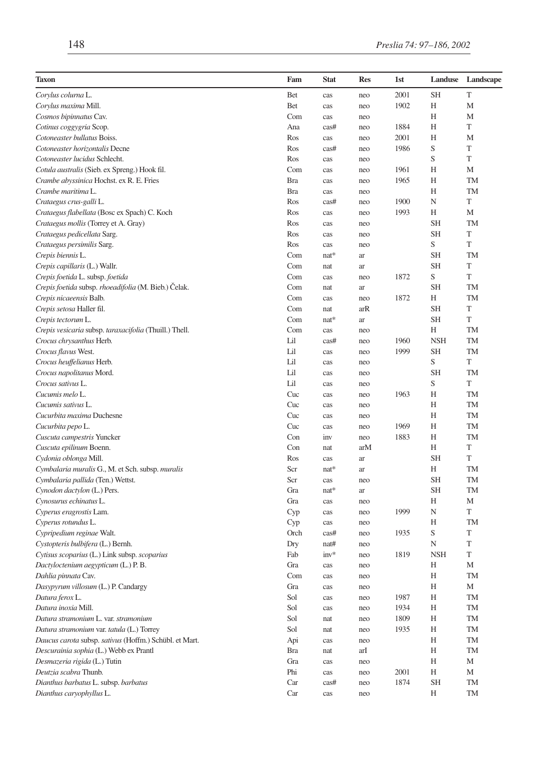| <b>Taxon</b>                                           | Fam        | <b>Stat</b> | Res | 1st  | Landuse    | Landscape |
|--------------------------------------------------------|------------|-------------|-----|------|------------|-----------|
| Corylus colurna L.                                     | Bet        | cas         | neo | 2001 | SH         | T         |
| Corylus maxima Mill.                                   | Bet        | cas         | neo | 1902 | Н          | M         |
| Cosmos bipinnatus Cav.                                 | Com        | cas         | neo |      | Н          | M         |
| Cotinus coggygria Scop.                                | Ana        | cas#        | neo | 1884 | Н          | T         |
| Cotoneaster bullatus Boiss.                            | Ros        | cas         | neo | 2001 | Н          | M         |
| Cotoneaster horizontalis Decne                         | Ros        | cas#        | neo | 1986 | S          | T         |
| Cotoneaster lucidus Schlecht.                          | Ros        | cas         | neo |      | S          | T         |
| Cotula australis (Sieb. ex Spreng.) Hook fil.          | Com        | cas         | neo | 1961 | Н          | M         |
| Crambe abyssinica Hochst. ex R. E. Fries               | <b>Bra</b> | cas         | neo | 1965 | H          | TM        |
| Crambe maritima L.                                     | Bra        | cas         | neo |      | H          | <b>TM</b> |
| Crataegus crus-galli L.                                | Ros        | cas#        | neo | 1900 | N          | T         |
| Crataegus flabellata (Bosc ex Spach) C. Koch           | Ros        | cas         | neo | 1993 | Н          | M         |
| Crataegus mollis (Torrey et A. Gray)                   | Ros        | cas         | neo |      | SH         | TM        |
| Crataegus pedicellata Sarg.                            | Ros        | cas         | neo |      | <b>SH</b>  | T         |
| Crataegus persimilis Sarg.                             | Ros        | cas         | neo |      | S          | T         |
| Crepis biennis L.                                      | Com        | $nat*$      | ar  |      | SH         | TM        |
| Crepis capillaris (L.) Wallr.                          | Com        | nat         | ar  |      | <b>SH</b>  | T         |
| Crepis foetida L. subsp. foetida                       | Com        | cas         | neo | 1872 | S          | T         |
| Crepis foetida subsp. rhoeadifolia (M. Bieb.) Celak.   | Com        | nat         | ar  |      | <b>SH</b>  | TM        |
| Crepis nicaeensis Balb.                                | Com        | cas         | neo | 1872 | Н          | TM        |
| Crepis setosa Haller fil.                              | Com        | nat         | arR |      | <b>SH</b>  | T         |
| Crepis tectorum L.                                     | Com        | $nat*$      | ar  |      | <b>SH</b>  | T         |
| Crepis vesicaria subsp. taraxacifolia (Thuill.) Thell. | Com        | cas         | neo |      | H          | TM        |
| Crocus chrysanthus Herb.                               | Lil        | cas#        | neo | 1960 | <b>NSH</b> | <b>TM</b> |
| Crocus flavus West.                                    | Lil        | cas         | neo | 1999 | SH         | <b>TM</b> |
| Crocus heuffelianus Herb.                              | Lil        | cas         | neo |      | S          | T         |
| Crocus napolitanus Mord.                               | Lil        | cas         | neo |      | <b>SH</b>  | TM        |
| Crocus sativus L.                                      | Lil        | cas         | neo |      | S          | T         |
| Cucumis melo L.                                        | Cuc        | cas         | neo | 1963 | H          | <b>TM</b> |
| Cucumis sativus L.                                     | Cuc        | cas         | neo |      | Н          | <b>TM</b> |
| Cucurbita maxima Duchesne                              | Cuc        | cas         | neo |      | H          | <b>TM</b> |
| Cucurbita pepo L.                                      | Cuc        | cas         | neo | 1969 | Н          | TM        |
| Cuscuta campestris Yuncker                             | Con        | inv         | neo | 1883 | Н          | TM        |
| Cuscuta epilinum Boenn.                                | Con        | nat         | arM |      | Н          | T         |
| Cydonia oblonga Mill.                                  | Ros        | cas         | ar  |      | SH         | T         |
| Cymbalaria muralis G., M. et Sch. subsp. muralis       | Scr        | nat*        | ar  |      | H          | <b>TM</b> |
| Cymbalaria pallida (Ten.) Wettst.                      | Scr        | cas         | neo |      | <b>SH</b>  | <b>TM</b> |
| Cynodon dactylon (L.) Pers.                            | Gra        | $nat*$      | ar  |      | <b>SH</b>  | TM        |
| Cynosurus echinatus L.                                 | Gra        | cas         | neo |      | Η          | M         |
| Cyperus eragrostis Lam.                                | Cyp        | cas         | neo | 1999 | N          | T         |
| Cyperus rotundus L.                                    | Cyp        | cas         | neo |      | H          | TM        |
| Cypripedium reginae Walt.                              | Orch       | cas#        | neo | 1935 | S          | T         |
| Cystopteris bulbifera (L.) Bernh.                      | Dry        | nat#        | neo |      | N          | T         |
| Cytisus scoparius (L.) Link subsp. scoparius           | Fab        | $inv*$      | neo | 1819 | <b>NSH</b> | T         |
| Dactyloctenium aegypticum (L.) P.B.                    | Gra        | cas         | neo |      | Н          | M         |
| Dahlia pinnata Cav.                                    | Com        | cas         | neo |      | Н          | TM        |
| Dasypyrum villosum (L.) P. Candargy                    | Gra        | cas         | neo |      | H          | M         |
| Datura ferox L.                                        | Sol        | cas         | neo | 1987 | Η          | TM        |
| Datura inoxia Mill.                                    | Sol        | cas         | neo | 1934 | Η          | TM        |
| Datura stramonium L. var. stramonium                   | Sol        | nat         | neo | 1809 | Η          | TM        |
| Datura stramonium var. tatula (L.) Torrey              | Sol        | nat         | neo | 1935 | Η          | TM        |
| Daucus carota subsp. sativus (Hoffm.) Schübl. et Mart. | Api        | cas         | neo |      | H          | TM        |
| Descurainia sophia (L.) Webb ex Prantl                 | <b>Bra</b> | nat         | arI |      | Η          | TM        |
| Desmazeria rigida (L.) Tutin                           | Gra        | cas         | neo |      | Η          | М         |
| Deutzia scabra Thunb.                                  | Phi        | cas         | neo | 2001 | Η          | М         |
| Dianthus barbatus L. subsp. barbatus                   | Car        | cas#        | neo | 1874 | <b>SH</b>  | TM        |
| Dianthus caryophyllus L.                               | Car        | cas         | neo |      | Н          | TM        |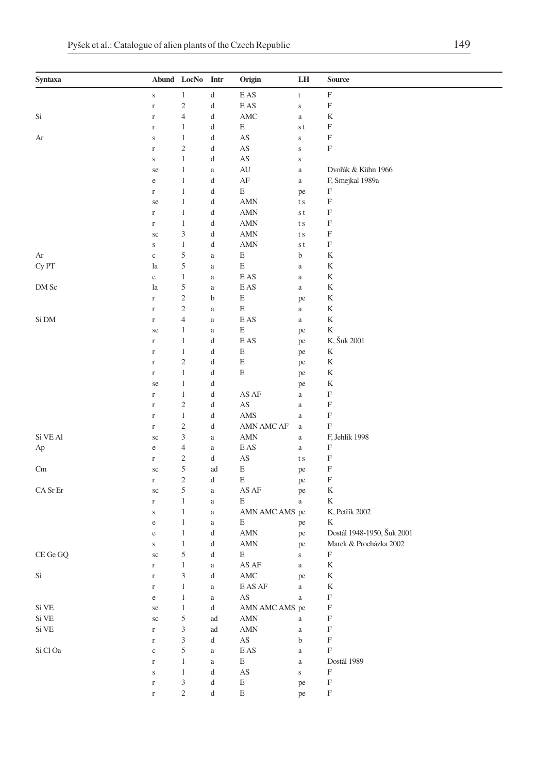| Syntaxa  | Abund LocNo        |                              | Intr                 | Origin                                 | LH                | Source                     |
|----------|--------------------|------------------------------|----------------------|----------------------------------------|-------------------|----------------------------|
|          | $\mathbf S$        | $\mathbf{1}$                 | d                    | E AS                                   | t                 | F                          |
|          | $\Gamma$           | $\sqrt{2}$                   | d                    | $\mathop{\hbox{\rm E}}\nolimits$ AS    | $\mathbf S$       | F                          |
| Si       | $\Gamma$           | $\overline{\mathcal{L}}$     | d                    | $\mathbf{AMC}$                         | $\rm{a}$          | K                          |
|          | $\Gamma$           | $\mathbf{1}$                 | d                    | E                                      | s t               | F                          |
| Ar       | $\mathbf S$        | $\mathbf{1}$                 | d                    | $\mathbf{A}\mathbf{S}$                 | $\bf S$           | F                          |
|          | $\Gamma$           | $\overline{\mathbf{c}}$      | d                    | AS                                     | $\mathbf S$       | $\boldsymbol{\mathrm{F}}$  |
|          | S                  | $\mathbf{1}$                 | d                    | AS                                     | $\mathbf S$       |                            |
|          | se                 | $\mathbf{1}$                 | $\rm{a}$             | AU                                     | $\rm{a}$          | Dvořák & Kühn 1966         |
|          | e                  | $\mathbf{1}$                 | d                    | $\rm AF$                               | $\rm{a}$          | F, Smejkal 1989a           |
|          | $\mathbf r$        | $\mathbf{1}$                 | d                    | E                                      | pe                | F                          |
|          | se                 | $\mathbf{1}$                 | d                    | <b>AMN</b>                             | t s               | $\mathbf F$                |
|          | $\mathbf r$        | $\mathbf{1}$                 | d                    | <b>AMN</b>                             | s t               | F                          |
|          | $\mathbf r$        | $\,1\,$                      | d                    | <b>AMN</b>                             | t s               | F                          |
|          | $\rm{sc}$          | $\mathfrak z$                | d                    | <b>AMN</b>                             | t s               | F<br>$\mathbf F$           |
| Ar       | $\bf S$            | $\,1\,$<br>5                 | d                    | $\mbox{AMN}$<br>E                      | s t<br>b          | K                          |
| Cy PT    | $\mathbf c$<br>la  | 5                            | $\rm{a}$<br>$\rm{a}$ | $\mathop{\hbox{\bf E}}$                | $\rm{a}$          | K                          |
|          | $\rm e$            | $\mathbf{1}$                 | $\rm{a}$             | <b>EAS</b>                             | $\rm{a}$          | K                          |
| DM Sc    | la                 | 5                            | $\rm{a}$             | E AS                                   | $\rm{a}$          | K                          |
|          | $\mathbf r$        | $\sqrt{2}$                   | b                    | $\mathbf E$                            | pe                | K                          |
|          | $\mathbf r$        | $\sqrt{2}$                   | $\rm{a}$             | Ε                                      | $\rm{a}$          | K                          |
| Si DM    | $\mathbf r$        | $\overline{4}$               | $\rm{a}$             | E AS                                   | $\rm{a}$          | K                          |
|          | se                 | 1                            | $\rm{a}$             | Ε                                      | pe                | K                          |
|          | $\mathbf r$        | $\mathbf{1}$                 | d                    | E AS                                   | pe                | K, Šuk 2001                |
|          | $\mathbf r$        | $\mathbf{1}$                 | d                    | $\mathbf E$                            | pe                | $\mathbf K$                |
|          | $\Gamma$           | $\sqrt{2}$                   | d                    | $\mathbf E$                            | pe                | $\mathbf K$                |
|          | $\mathbf r$        | $\,1\,$                      | d                    | Ε                                      | pe                | K                          |
|          | se                 | $\mathbf{1}$                 | d                    |                                        | pe                | K                          |
|          | $\mathbf r$        | $\,1\,$                      | d                    | AS AF                                  | $\rm{a}$          | F                          |
|          | $\Gamma$           | $\sqrt{2}$                   | d                    | AS                                     | $\rm{a}$          | F                          |
|          | $\mathbf r$        | $\,1\,$                      | d                    | AMS                                    | $\rm{a}$          | $\boldsymbol{\mathrm{F}}$  |
|          | $\mathbf r$        | $\sqrt{2}$                   | d                    | AMN AMC AF                             | $\rm{a}$          | F                          |
| Si VE Al | $\rm{sc}$          | 3                            | $\rm{a}$             | AMN                                    | $\rm{a}$          | F, Jehlík 1998             |
| Ap       | $\rm e$            | $\overline{4}$               | $\rm{a}$             | E AS                                   | $\rm{a}$          | F                          |
|          | r                  | $\overline{\mathbf{c}}$      | d                    | $\mathbf{A}\mathbf{S}$                 | t s               | F                          |
| Cm       | $\rm{sc}$          | $\sqrt{5}$                   | ad                   | E                                      | pe                | F                          |
|          | r                  | $\sqrt{2}$                   | d                    | Ε                                      | pe                | F                          |
| CA Sr Er | $\rm{sc}$          | 5                            | $\rm{a}$             | AS AF                                  | pe                | K                          |
|          | $\mathbf r$        | $\mathbf{1}$                 | $\rm{a}$             | Ε                                      | $\rm{a}$          | K                          |
|          | S                  | $\mathbf{1}$<br>$\mathbf{1}$ | $\rm{a}$             | AMN AMC AMS pe<br>Ε                    |                   | K, Petřík 2002<br>K        |
|          | $\rm e$<br>$\rm e$ | $\mathbf{1}$                 | $\rm{a}$<br>d        | <b>AMN</b>                             | pe<br>pe          | Dostál 1948-1950, Šuk 2001 |
|          | S                  | $\mathbf{1}$                 | d                    | <b>AMN</b>                             |                   | Marek & Procházka 2002     |
| CE Ge GQ | $\rm{sc}$          | 5                            | d                    | Ε                                      | pe<br>$\mathbf S$ | F                          |
|          | $\Gamma$           | $\,1$                        | $\rm{a}$             | AS AF                                  | $\rm{a}$          | K                          |
| Si       | r                  | 3                            | d                    | AMC                                    | pe                | K                          |
|          | $\mathbf r$        | $\mathbf{1}$                 | $\rm{a}$             | $\mathop{\hbox{\rm E}}\nolimits$ AS AF | $\rm{a}$          | $\mathbf K$                |
|          | $\rm e$            | $\,1\,$                      | $\rm{a}$             | $\mathbf{A}\mathbf{S}$                 | $\rm{a}$          | $\mathbf F$                |
| Si VE    | se                 | $\mathbf{1}$                 | d                    | AMN AMC AMS pe                         |                   | F                          |
| Si VE    | $\rm{sc}$          | $\sqrt{5}$                   | ad                   | $\mbox{AMN}$                           | $\rm{a}$          | F                          |
| Si VE    | $\mathbf r$        | 3                            | ad                   | AMN                                    | $\rm{a}$          | $\mathbf F$                |
|          | $\Gamma$           | $\ensuremath{\mathfrak{Z}}$  | d                    | $\mathbf{A}\mathbf{S}$                 | $\mathbf b$       | $\boldsymbol{\mathrm{F}}$  |
| Si Cl Oa | $\rm c$            | 5                            | $\rm{a}$             | E AS                                   | $\rm{a}$          | F                          |
|          | $\mathbf r$        | $\mathbf{1}$                 | $\rm{a}$             | E                                      | $\rm{a}$          | Dostál 1989                |
|          | $\bf S$            | $\mathbf{1}$                 | d                    | $\mathbf{A}\mathbf{S}$                 | $\bf S$           | $\mathbf F$                |
|          | $\Gamma$           | $\ensuremath{\mathfrak{Z}}$  | d                    | $\mathbf E$                            | pe                | $\mathbf F$                |
|          | $\mathbf r$        | $\sqrt{2}$                   | d                    | $\mathbf E$                            | pe                | $\boldsymbol{\mathrm{F}}$  |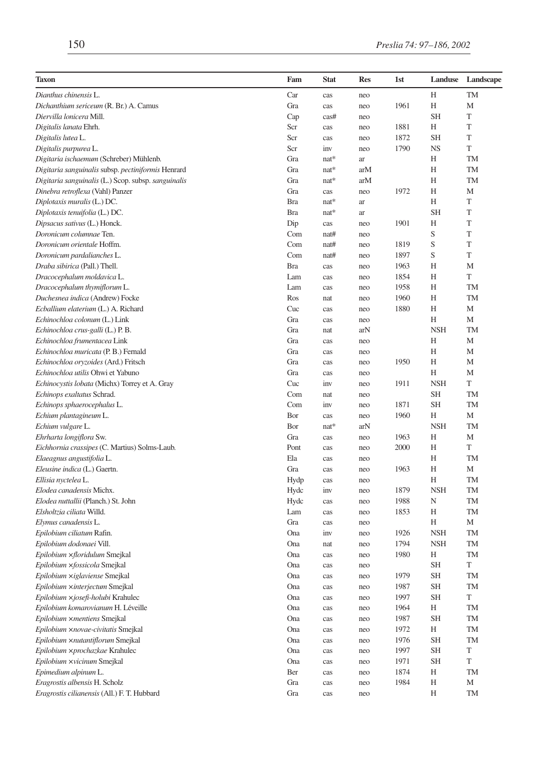| Taxon                                               | Fam        | <b>Stat</b> | <b>Res</b> | 1st  | Landuse    | Landscape   |
|-----------------------------------------------------|------------|-------------|------------|------|------------|-------------|
| Dianthus chinensis L.                               | Car        | cas         | neo        |      | H          | <b>TM</b>   |
| Dichanthium sericeum (R. Br.) A. Camus              | Gra        | cas         | neo        | 1961 | H          | M           |
| Diervilla lonicera Mill.                            | Cap        | cas#        | neo        |      | <b>SH</b>  | T           |
| Digitalis lanata Ehrh.                              | Scr        | cas         | neo        | 1881 | Η          | $\mathbf T$ |
| Digitalis lutea L.                                  | Scr        | cas         | neo        | 1872 | <b>SH</b>  | T           |
| Digitalis purpurea L.                               | Scr        | inv         | neo        | 1790 | <b>NS</b>  | T           |
| Digitaria ischaemum (Schreber) Mühlenb.             | Gra        | nat*        | ar         |      | Н          | <b>TM</b>   |
| Digitaria sanguinalis subsp. pectiniformis Henrard  | Gra        | $nat*$      | arM        |      | H          | <b>TM</b>   |
| Digitaria sanguinalis (L.) Scop. subsp. sanguinalis | Gra        | $nat*$      | arM        |      | Н          | TM          |
| Dinebra retroflexa (Vahl) Panzer                    | Gra        | cas         | neo        | 1972 | Η          | M           |
| Diplotaxis muralis (L.) DC.                         | <b>Bra</b> | nat*        | ar         |      | Н          | T           |
| Diplotaxis tenuifolia (L.) DC.                      | <b>Bra</b> | $nat*$      | ar         |      | <b>SH</b>  | T           |
| Dipsacus sativus (L.) Honck.                        | Dip        | cas         | neo        | 1901 | Η          | T           |
| Doronicum columnae Ten.                             | Com        | nat#        | neo        |      | S          | T           |
| Doronicum orientale Hoffm.                          | Com        | nat#        | neo        | 1819 | S          | $\mathbf T$ |
| Doronicum pardalianches L.                          | Com        | nat#        | neo        | 1897 | S          | T           |
| Draba sibirica (Pall.) Thell.                       | <b>Bra</b> | cas         | neo        | 1963 | Η          | M           |
| Dracocephalum moldavica L.                          | Lam        | cas         | neo        | 1854 | Н          | $\mathbf T$ |
| Dracocephalum thymiflorum L.                        | Lam        | cas         | neo        | 1958 | Η          | TM          |
| Duchesnea indica (Andrew) Focke                     | Ros        | nat         | neo        | 1960 | Η          | TM          |
| Ecballium elaterium (L.) A. Richard                 | Cuc        | cas         | neo        | 1880 | Η          | M           |
| Echinochloa colonum (L.) Link                       | Gra        | cas         | neo        |      | H          | M           |
| Echinochloa crus-galli (L.) P.B.                    | Gra        | nat         | arN        |      | <b>NSH</b> | TM          |
| Echinochloa frumentacea Link                        | Gra        | cas         | neo        |      | Н          | M           |
| Echinochloa muricata (P. B.) Fernald                | Gra        | cas         | neo        |      | Η          | M           |
| Echinochloa oryzoides (Ard.) Fritsch                | Gra        | cas         | neo        | 1950 | Η          | M           |
| Echinochloa utilis Ohwi et Yabuno                   | Gra        | cas         | neo        |      | Н          | M           |
| Echinocystis lobata (Michx) Torrey et A. Gray       | Cuc        | inv         | neo        | 1911 | <b>NSH</b> | T           |
| Echinops exaltatus Schrad.                          | Com        | nat         | neo        |      | <b>SH</b>  | TM          |
| Echinops sphaerocephalus L.                         | Com        | inv         | neo        | 1871 | <b>SH</b>  | TM          |
| Echium plantagineum L.                              | Bor        | cas         | neo        | 1960 | H          | M           |
| Echium vulgare L.                                   | Bor        | $nat*$      | arN        |      | <b>NSH</b> | TM          |
| Ehrharta longiflora Sw.                             | Gra        | cas         | neo        | 1963 | H          | M           |
| Eichhornia crassipes (C. Martius) Solms-Laub.       | Pont       | cas         | neo        | 2000 | Н          | T           |
| Elaeagnus angustifolia L.                           | Ela        | cas         | neo        |      | Η          | TM          |
| Eleusine indica (L.) Gaertn.                        | Gra        | cas         | neo        | 1963 | H          | М           |
| Ellisia nyctelea L.                                 | Hydp       | cas         | neo        |      | Н          | <b>TM</b>   |
| Elodea canadensis Michx.                            | Hydc       | inv         | neo        | 1879 | <b>NSH</b> | TM          |
| Elodea nuttallii (Planch.) St. John                 | Hydc       | cas         | neo        | 1988 | N          | TM          |
| Elsholtzia ciliata Willd.                           | Lam        | cas         | neo        | 1853 | H          | TM          |
| Elymus canadensis L.                                | Gra        | cas         | neo        |      | Н          | М           |
| Epilobium ciliatum Rafin.                           | Ona        | inv         | neo        | 1926 | <b>NSH</b> | TM          |
| Epilobium dodonaei Vill.                            | Ona        | nat         | neo        | 1794 | <b>NSH</b> | TM          |
| Epilobium xfloridulum Smejkal                       | Ona        | cas         | neo        | 1980 | Η          | TM          |
| Epilobium xfossicola Smejkal                        | Ona        | cas         | neo        |      | <b>SH</b>  | T           |
| Epilobium xiglaviense Smejkal                       | Ona        | cas         | neo        | 1979 | SH         | TМ          |
| Epilobium xinterjectum Smejkal                      | Ona        | cas         | neo        | 1987 | <b>SH</b>  | TM          |
| Epilobium xjosefi-holubi Krahulec                   | Ona        | cas         | neo        | 1997 | <b>SH</b>  | T           |
| Epilobium komarovianum H. Léveille                  | Ona        | cas         | neo        | 1964 | H          | TM          |
| Epilobium ×mentiens Smejkal                         | Ona        | cas         | neo        | 1987 | <b>SH</b>  | TM          |
| Epilobium xnovae-civitatis Smejkal                  | Ona        | cas         | neo        | 1972 | Η          | TM          |
| Epilobium xnutantiflorum Smejkal                    | Ona        | cas         | neo        | 1976 | <b>SH</b>  | TM          |
| Epilobium xprochazkae Krahulec                      | Ona        | cas         | neo        | 1997 | <b>SH</b>  | T           |
| Epilobium xvicinum Smejkal                          | Ona        | cas         | neo        | 1971 | <b>SH</b>  | T           |
| Epimedium alpinum L.                                | Ber        | cas         | neo        | 1874 | Η          | TM          |
| Eragrostis albensis H. Scholz                       | Gra        | cas         | neo        | 1984 | Η          | М           |
| Eragrostis cilianensis (All.) F. T. Hubbard         | Gra        | cas         | neo        |      | Η          | TM          |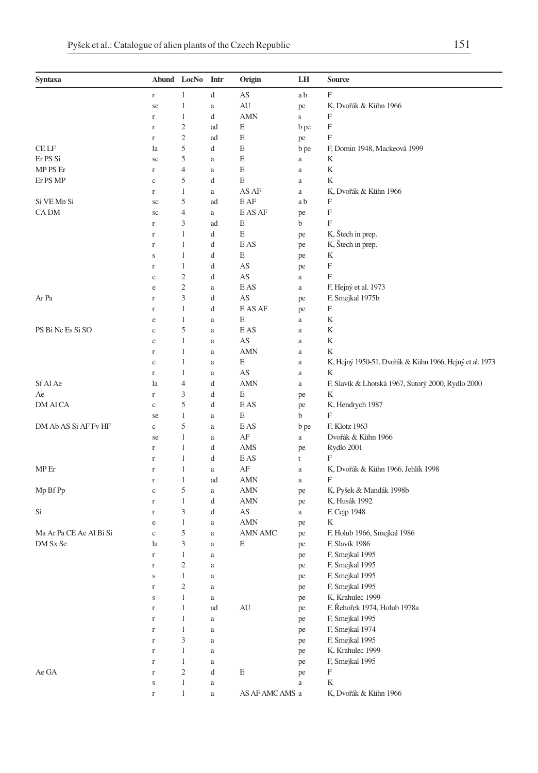| F<br>d<br>AS<br>1<br>a b<br>$\Gamma$<br>1<br>AU<br>K, Dvořák & Kühn 1966<br>se<br>a<br>pe<br>F<br>1<br>d<br><b>AMN</b><br>$\Gamma$<br>$\bf S$<br>$\overline{c}$<br>F<br>Е<br>ad<br>b pe<br>$\Gamma$<br>$\overline{c}$<br>F<br>Е<br>ad<br>$\Gamma$<br>pe<br>5<br>$\!$ LF<br>d<br>Е<br>F, Domin 1948, Mackeová 1999<br>b pe<br>la<br>5<br>Er PS Si<br>Е<br>K<br>$\rm{a}$<br>sc<br>a<br>$\overline{4}$<br>K<br>MP PS Er<br>E<br>$\Gamma$<br>a<br>a<br>5<br>E<br>K<br>Er PS MP<br>d<br>c<br>a<br>1<br>AS AF<br>K, Dvořák & Kühn 1966<br>$\Gamma$<br>a<br>a<br>5<br>F<br>Si VE Mn Si<br>E AF<br>ad<br>a b<br>sc<br>F<br>CA DM<br>$\overline{4}$<br>E AS AF<br>$\rm{a}$<br>sc<br>pe<br>F<br>3<br>E<br>ad<br>b<br>$\mathbf r$<br>K, Štech in prep.<br>1<br>d<br>Е<br>$\Gamma$<br>pe<br>K, Štech in prep.<br>1<br>d<br>E AS<br>$\mathbf r$<br>pe<br>1<br>d<br>Е<br>K<br>$\mathbf S$<br>pe<br>AS<br>F<br>1<br>d<br>pe<br>$\Gamma$<br>F<br>$\overline{c}$<br>AS<br>d<br>e<br>a<br>$\overline{c}$<br>E AS<br>F, Hejný et al. 1973<br>$\rm{a}$<br>e<br>a<br>3<br>Ar Pa<br>d<br>AS<br>F, Smejkal 1975b<br>$\Gamma$<br>pe<br>1<br>d<br>E AS AF<br>F<br>$\Gamma$<br>pe<br>1<br>E<br>K<br>e<br>a<br>a<br>5<br>PS Bi Nc Es Si SO<br>E AS<br>K<br>c<br>a<br>a<br>AS<br>K<br>1<br>e<br>a<br>a<br><b>AMN</b><br>1<br>K<br>$\Gamma$<br>a<br>a<br>1<br>Е<br>K, Hejný 1950-51, Dvořák & Kühn 1966, Hejný et al. 1973<br>e<br>a<br>$\rm{a}$<br>K<br>1<br>AS<br>$\Gamma$<br>a<br>a<br>Sf Al Ae<br>$\overline{4}$<br>d<br><b>AMN</b><br>F, Slavík & Lhotská 1967, Sutorý 2000, Rydlo 2000<br>la<br>a<br>3<br>d<br>Е<br>K<br>Ae<br>$\Gamma$<br>pe<br>5<br>DM AI CA<br>d<br>E AS<br>K, Hendrych 1987<br>$\rm _c$<br>pe<br>F<br>E<br>1<br>b<br>se<br>a<br>DM Ab AS Si AF Fv HF<br>5<br>F, Klotz 1963<br>E AS<br>b pe<br>$\rm _c$<br>a<br>1<br>AF<br>Dvořák & Kühn 1966<br>$\rm{a}$<br>se<br>a<br>1<br>d<br>AMS<br>Rydlo 2001<br>$\Gamma$<br>pe<br>F<br>1<br>d<br>E AS<br>t<br>$\Gamma$<br>MP Er<br>$\mathbf{1}$<br>AF<br>K, Dvořák & Kühn 1966, Jehlík 1998<br>$\Gamma$<br>a<br>a<br>F<br>1<br><b>AMN</b><br>ad<br>a<br>$\Gamma$<br>5<br>Mp Bf Pp<br><b>AMN</b><br>K, Pyšek & Mandák 1998b<br>$\mathbf c$<br>a<br>pe<br>1<br>d<br><b>AMN</b><br>K, Husák 1992<br>pe<br>$\Gamma$<br>3<br>d<br>AS<br>F, Cejp 1948<br>Si<br>$\Gamma$<br>a<br>K<br>1<br><b>AMN</b><br>e<br>a<br>pe<br>5<br>Ma Ar Pa CE Ae Al Bi Si<br>AMN AMC<br>F, Holub 1966, Smejkal 1986<br>$\rm _c$<br>a<br>pe<br>3<br>DM Sx Se<br>Е<br>F, Slavík 1986<br>la<br>a<br>pe<br>1<br>F, Smejkal 1995<br>r<br>a<br>pe<br>$\mathfrak{2}$<br>F, Smejkal 1995<br>$\Gamma$<br>pe<br>a<br>F, Smejkal 1995<br>1<br>s<br>a<br>pe<br>$\sqrt{2}$<br>F, Smejkal 1995<br>$\Gamma$<br>$\rm{a}$<br>pe<br>K, Krahulec 1999<br>$\mathbf{1}$<br>$\bf S$<br>$\rm{a}$<br>pe<br>F, Řehořek 1974, Holub 1978a<br>$\mathbf{1}$<br>ad<br>AU<br>$\Gamma$<br>pe<br>$\mathbf{1}$<br>F, Smejkal 1995<br>$\Gamma$<br>a<br>pe<br>$\mathbf{1}$<br>F, Smejkal 1974<br>$\Gamma$<br>a<br>pe<br>3<br>F, Smejkal 1995<br>$\Gamma$<br>a<br>pe<br>K, Krahulec 1999<br>1<br>$\Gamma$<br>a<br>pe<br>$\mathbf{1}$<br>F, Smejkal 1995<br>$\Gamma$<br>a<br>pe<br>$\sqrt{2}$<br>Ae GA<br>$\mathbf E$<br>F<br>d<br>$\Gamma$<br>pe<br>$\mathbf{1}$<br>K<br>$\rm{a}$<br>$\rm{a}$<br>$\bf S$<br>$\mathbf{1}$<br>AS AF AMC AMS a<br>K, Dvořák & Kühn 1966<br>$\Gamma$<br>$\rm{a}$ | Syntaxa | Abund LocNo | Intr | Origin | LH | Source |
|------------------------------------------------------------------------------------------------------------------------------------------------------------------------------------------------------------------------------------------------------------------------------------------------------------------------------------------------------------------------------------------------------------------------------------------------------------------------------------------------------------------------------------------------------------------------------------------------------------------------------------------------------------------------------------------------------------------------------------------------------------------------------------------------------------------------------------------------------------------------------------------------------------------------------------------------------------------------------------------------------------------------------------------------------------------------------------------------------------------------------------------------------------------------------------------------------------------------------------------------------------------------------------------------------------------------------------------------------------------------------------------------------------------------------------------------------------------------------------------------------------------------------------------------------------------------------------------------------------------------------------------------------------------------------------------------------------------------------------------------------------------------------------------------------------------------------------------------------------------------------------------------------------------------------------------------------------------------------------------------------------------------------------------------------------------------------------------------------------------------------------------------------------------------------------------------------------------------------------------------------------------------------------------------------------------------------------------------------------------------------------------------------------------------------------------------------------------------------------------------------------------------------------------------------------------------------------------------------------------------------------------------------------------------------------------------------------------------------------------------------------------------------------------------------------------------------------------------------------------------------------------------------------------------------------------------------------------------------------------------------------------------------------------------------------------------------------------------------------------------------------------------------------------------------------------------------------------------------------------------------------------------------------------------------------------------------------------------------------------|---------|-------------|------|--------|----|--------|
|                                                                                                                                                                                                                                                                                                                                                                                                                                                                                                                                                                                                                                                                                                                                                                                                                                                                                                                                                                                                                                                                                                                                                                                                                                                                                                                                                                                                                                                                                                                                                                                                                                                                                                                                                                                                                                                                                                                                                                                                                                                                                                                                                                                                                                                                                                                                                                                                                                                                                                                                                                                                                                                                                                                                                                                                                                                                                                                                                                                                                                                                                                                                                                                                                                                                                                                                                                  |         |             |      |        |    |        |
|                                                                                                                                                                                                                                                                                                                                                                                                                                                                                                                                                                                                                                                                                                                                                                                                                                                                                                                                                                                                                                                                                                                                                                                                                                                                                                                                                                                                                                                                                                                                                                                                                                                                                                                                                                                                                                                                                                                                                                                                                                                                                                                                                                                                                                                                                                                                                                                                                                                                                                                                                                                                                                                                                                                                                                                                                                                                                                                                                                                                                                                                                                                                                                                                                                                                                                                                                                  |         |             |      |        |    |        |
|                                                                                                                                                                                                                                                                                                                                                                                                                                                                                                                                                                                                                                                                                                                                                                                                                                                                                                                                                                                                                                                                                                                                                                                                                                                                                                                                                                                                                                                                                                                                                                                                                                                                                                                                                                                                                                                                                                                                                                                                                                                                                                                                                                                                                                                                                                                                                                                                                                                                                                                                                                                                                                                                                                                                                                                                                                                                                                                                                                                                                                                                                                                                                                                                                                                                                                                                                                  |         |             |      |        |    |        |
|                                                                                                                                                                                                                                                                                                                                                                                                                                                                                                                                                                                                                                                                                                                                                                                                                                                                                                                                                                                                                                                                                                                                                                                                                                                                                                                                                                                                                                                                                                                                                                                                                                                                                                                                                                                                                                                                                                                                                                                                                                                                                                                                                                                                                                                                                                                                                                                                                                                                                                                                                                                                                                                                                                                                                                                                                                                                                                                                                                                                                                                                                                                                                                                                                                                                                                                                                                  |         |             |      |        |    |        |
|                                                                                                                                                                                                                                                                                                                                                                                                                                                                                                                                                                                                                                                                                                                                                                                                                                                                                                                                                                                                                                                                                                                                                                                                                                                                                                                                                                                                                                                                                                                                                                                                                                                                                                                                                                                                                                                                                                                                                                                                                                                                                                                                                                                                                                                                                                                                                                                                                                                                                                                                                                                                                                                                                                                                                                                                                                                                                                                                                                                                                                                                                                                                                                                                                                                                                                                                                                  |         |             |      |        |    |        |
|                                                                                                                                                                                                                                                                                                                                                                                                                                                                                                                                                                                                                                                                                                                                                                                                                                                                                                                                                                                                                                                                                                                                                                                                                                                                                                                                                                                                                                                                                                                                                                                                                                                                                                                                                                                                                                                                                                                                                                                                                                                                                                                                                                                                                                                                                                                                                                                                                                                                                                                                                                                                                                                                                                                                                                                                                                                                                                                                                                                                                                                                                                                                                                                                                                                                                                                                                                  |         |             |      |        |    |        |
|                                                                                                                                                                                                                                                                                                                                                                                                                                                                                                                                                                                                                                                                                                                                                                                                                                                                                                                                                                                                                                                                                                                                                                                                                                                                                                                                                                                                                                                                                                                                                                                                                                                                                                                                                                                                                                                                                                                                                                                                                                                                                                                                                                                                                                                                                                                                                                                                                                                                                                                                                                                                                                                                                                                                                                                                                                                                                                                                                                                                                                                                                                                                                                                                                                                                                                                                                                  |         |             |      |        |    |        |
|                                                                                                                                                                                                                                                                                                                                                                                                                                                                                                                                                                                                                                                                                                                                                                                                                                                                                                                                                                                                                                                                                                                                                                                                                                                                                                                                                                                                                                                                                                                                                                                                                                                                                                                                                                                                                                                                                                                                                                                                                                                                                                                                                                                                                                                                                                                                                                                                                                                                                                                                                                                                                                                                                                                                                                                                                                                                                                                                                                                                                                                                                                                                                                                                                                                                                                                                                                  |         |             |      |        |    |        |
|                                                                                                                                                                                                                                                                                                                                                                                                                                                                                                                                                                                                                                                                                                                                                                                                                                                                                                                                                                                                                                                                                                                                                                                                                                                                                                                                                                                                                                                                                                                                                                                                                                                                                                                                                                                                                                                                                                                                                                                                                                                                                                                                                                                                                                                                                                                                                                                                                                                                                                                                                                                                                                                                                                                                                                                                                                                                                                                                                                                                                                                                                                                                                                                                                                                                                                                                                                  |         |             |      |        |    |        |
|                                                                                                                                                                                                                                                                                                                                                                                                                                                                                                                                                                                                                                                                                                                                                                                                                                                                                                                                                                                                                                                                                                                                                                                                                                                                                                                                                                                                                                                                                                                                                                                                                                                                                                                                                                                                                                                                                                                                                                                                                                                                                                                                                                                                                                                                                                                                                                                                                                                                                                                                                                                                                                                                                                                                                                                                                                                                                                                                                                                                                                                                                                                                                                                                                                                                                                                                                                  |         |             |      |        |    |        |
|                                                                                                                                                                                                                                                                                                                                                                                                                                                                                                                                                                                                                                                                                                                                                                                                                                                                                                                                                                                                                                                                                                                                                                                                                                                                                                                                                                                                                                                                                                                                                                                                                                                                                                                                                                                                                                                                                                                                                                                                                                                                                                                                                                                                                                                                                                                                                                                                                                                                                                                                                                                                                                                                                                                                                                                                                                                                                                                                                                                                                                                                                                                                                                                                                                                                                                                                                                  |         |             |      |        |    |        |
|                                                                                                                                                                                                                                                                                                                                                                                                                                                                                                                                                                                                                                                                                                                                                                                                                                                                                                                                                                                                                                                                                                                                                                                                                                                                                                                                                                                                                                                                                                                                                                                                                                                                                                                                                                                                                                                                                                                                                                                                                                                                                                                                                                                                                                                                                                                                                                                                                                                                                                                                                                                                                                                                                                                                                                                                                                                                                                                                                                                                                                                                                                                                                                                                                                                                                                                                                                  |         |             |      |        |    |        |
|                                                                                                                                                                                                                                                                                                                                                                                                                                                                                                                                                                                                                                                                                                                                                                                                                                                                                                                                                                                                                                                                                                                                                                                                                                                                                                                                                                                                                                                                                                                                                                                                                                                                                                                                                                                                                                                                                                                                                                                                                                                                                                                                                                                                                                                                                                                                                                                                                                                                                                                                                                                                                                                                                                                                                                                                                                                                                                                                                                                                                                                                                                                                                                                                                                                                                                                                                                  |         |             |      |        |    |        |
|                                                                                                                                                                                                                                                                                                                                                                                                                                                                                                                                                                                                                                                                                                                                                                                                                                                                                                                                                                                                                                                                                                                                                                                                                                                                                                                                                                                                                                                                                                                                                                                                                                                                                                                                                                                                                                                                                                                                                                                                                                                                                                                                                                                                                                                                                                                                                                                                                                                                                                                                                                                                                                                                                                                                                                                                                                                                                                                                                                                                                                                                                                                                                                                                                                                                                                                                                                  |         |             |      |        |    |        |
|                                                                                                                                                                                                                                                                                                                                                                                                                                                                                                                                                                                                                                                                                                                                                                                                                                                                                                                                                                                                                                                                                                                                                                                                                                                                                                                                                                                                                                                                                                                                                                                                                                                                                                                                                                                                                                                                                                                                                                                                                                                                                                                                                                                                                                                                                                                                                                                                                                                                                                                                                                                                                                                                                                                                                                                                                                                                                                                                                                                                                                                                                                                                                                                                                                                                                                                                                                  |         |             |      |        |    |        |
|                                                                                                                                                                                                                                                                                                                                                                                                                                                                                                                                                                                                                                                                                                                                                                                                                                                                                                                                                                                                                                                                                                                                                                                                                                                                                                                                                                                                                                                                                                                                                                                                                                                                                                                                                                                                                                                                                                                                                                                                                                                                                                                                                                                                                                                                                                                                                                                                                                                                                                                                                                                                                                                                                                                                                                                                                                                                                                                                                                                                                                                                                                                                                                                                                                                                                                                                                                  |         |             |      |        |    |        |
|                                                                                                                                                                                                                                                                                                                                                                                                                                                                                                                                                                                                                                                                                                                                                                                                                                                                                                                                                                                                                                                                                                                                                                                                                                                                                                                                                                                                                                                                                                                                                                                                                                                                                                                                                                                                                                                                                                                                                                                                                                                                                                                                                                                                                                                                                                                                                                                                                                                                                                                                                                                                                                                                                                                                                                                                                                                                                                                                                                                                                                                                                                                                                                                                                                                                                                                                                                  |         |             |      |        |    |        |
|                                                                                                                                                                                                                                                                                                                                                                                                                                                                                                                                                                                                                                                                                                                                                                                                                                                                                                                                                                                                                                                                                                                                                                                                                                                                                                                                                                                                                                                                                                                                                                                                                                                                                                                                                                                                                                                                                                                                                                                                                                                                                                                                                                                                                                                                                                                                                                                                                                                                                                                                                                                                                                                                                                                                                                                                                                                                                                                                                                                                                                                                                                                                                                                                                                                                                                                                                                  |         |             |      |        |    |        |
|                                                                                                                                                                                                                                                                                                                                                                                                                                                                                                                                                                                                                                                                                                                                                                                                                                                                                                                                                                                                                                                                                                                                                                                                                                                                                                                                                                                                                                                                                                                                                                                                                                                                                                                                                                                                                                                                                                                                                                                                                                                                                                                                                                                                                                                                                                                                                                                                                                                                                                                                                                                                                                                                                                                                                                                                                                                                                                                                                                                                                                                                                                                                                                                                                                                                                                                                                                  |         |             |      |        |    |        |
|                                                                                                                                                                                                                                                                                                                                                                                                                                                                                                                                                                                                                                                                                                                                                                                                                                                                                                                                                                                                                                                                                                                                                                                                                                                                                                                                                                                                                                                                                                                                                                                                                                                                                                                                                                                                                                                                                                                                                                                                                                                                                                                                                                                                                                                                                                                                                                                                                                                                                                                                                                                                                                                                                                                                                                                                                                                                                                                                                                                                                                                                                                                                                                                                                                                                                                                                                                  |         |             |      |        |    |        |
|                                                                                                                                                                                                                                                                                                                                                                                                                                                                                                                                                                                                                                                                                                                                                                                                                                                                                                                                                                                                                                                                                                                                                                                                                                                                                                                                                                                                                                                                                                                                                                                                                                                                                                                                                                                                                                                                                                                                                                                                                                                                                                                                                                                                                                                                                                                                                                                                                                                                                                                                                                                                                                                                                                                                                                                                                                                                                                                                                                                                                                                                                                                                                                                                                                                                                                                                                                  |         |             |      |        |    |        |
|                                                                                                                                                                                                                                                                                                                                                                                                                                                                                                                                                                                                                                                                                                                                                                                                                                                                                                                                                                                                                                                                                                                                                                                                                                                                                                                                                                                                                                                                                                                                                                                                                                                                                                                                                                                                                                                                                                                                                                                                                                                                                                                                                                                                                                                                                                                                                                                                                                                                                                                                                                                                                                                                                                                                                                                                                                                                                                                                                                                                                                                                                                                                                                                                                                                                                                                                                                  |         |             |      |        |    |        |
|                                                                                                                                                                                                                                                                                                                                                                                                                                                                                                                                                                                                                                                                                                                                                                                                                                                                                                                                                                                                                                                                                                                                                                                                                                                                                                                                                                                                                                                                                                                                                                                                                                                                                                                                                                                                                                                                                                                                                                                                                                                                                                                                                                                                                                                                                                                                                                                                                                                                                                                                                                                                                                                                                                                                                                                                                                                                                                                                                                                                                                                                                                                                                                                                                                                                                                                                                                  |         |             |      |        |    |        |
|                                                                                                                                                                                                                                                                                                                                                                                                                                                                                                                                                                                                                                                                                                                                                                                                                                                                                                                                                                                                                                                                                                                                                                                                                                                                                                                                                                                                                                                                                                                                                                                                                                                                                                                                                                                                                                                                                                                                                                                                                                                                                                                                                                                                                                                                                                                                                                                                                                                                                                                                                                                                                                                                                                                                                                                                                                                                                                                                                                                                                                                                                                                                                                                                                                                                                                                                                                  |         |             |      |        |    |        |
|                                                                                                                                                                                                                                                                                                                                                                                                                                                                                                                                                                                                                                                                                                                                                                                                                                                                                                                                                                                                                                                                                                                                                                                                                                                                                                                                                                                                                                                                                                                                                                                                                                                                                                                                                                                                                                                                                                                                                                                                                                                                                                                                                                                                                                                                                                                                                                                                                                                                                                                                                                                                                                                                                                                                                                                                                                                                                                                                                                                                                                                                                                                                                                                                                                                                                                                                                                  |         |             |      |        |    |        |
|                                                                                                                                                                                                                                                                                                                                                                                                                                                                                                                                                                                                                                                                                                                                                                                                                                                                                                                                                                                                                                                                                                                                                                                                                                                                                                                                                                                                                                                                                                                                                                                                                                                                                                                                                                                                                                                                                                                                                                                                                                                                                                                                                                                                                                                                                                                                                                                                                                                                                                                                                                                                                                                                                                                                                                                                                                                                                                                                                                                                                                                                                                                                                                                                                                                                                                                                                                  |         |             |      |        |    |        |
|                                                                                                                                                                                                                                                                                                                                                                                                                                                                                                                                                                                                                                                                                                                                                                                                                                                                                                                                                                                                                                                                                                                                                                                                                                                                                                                                                                                                                                                                                                                                                                                                                                                                                                                                                                                                                                                                                                                                                                                                                                                                                                                                                                                                                                                                                                                                                                                                                                                                                                                                                                                                                                                                                                                                                                                                                                                                                                                                                                                                                                                                                                                                                                                                                                                                                                                                                                  |         |             |      |        |    |        |
|                                                                                                                                                                                                                                                                                                                                                                                                                                                                                                                                                                                                                                                                                                                                                                                                                                                                                                                                                                                                                                                                                                                                                                                                                                                                                                                                                                                                                                                                                                                                                                                                                                                                                                                                                                                                                                                                                                                                                                                                                                                                                                                                                                                                                                                                                                                                                                                                                                                                                                                                                                                                                                                                                                                                                                                                                                                                                                                                                                                                                                                                                                                                                                                                                                                                                                                                                                  |         |             |      |        |    |        |
|                                                                                                                                                                                                                                                                                                                                                                                                                                                                                                                                                                                                                                                                                                                                                                                                                                                                                                                                                                                                                                                                                                                                                                                                                                                                                                                                                                                                                                                                                                                                                                                                                                                                                                                                                                                                                                                                                                                                                                                                                                                                                                                                                                                                                                                                                                                                                                                                                                                                                                                                                                                                                                                                                                                                                                                                                                                                                                                                                                                                                                                                                                                                                                                                                                                                                                                                                                  |         |             |      |        |    |        |
|                                                                                                                                                                                                                                                                                                                                                                                                                                                                                                                                                                                                                                                                                                                                                                                                                                                                                                                                                                                                                                                                                                                                                                                                                                                                                                                                                                                                                                                                                                                                                                                                                                                                                                                                                                                                                                                                                                                                                                                                                                                                                                                                                                                                                                                                                                                                                                                                                                                                                                                                                                                                                                                                                                                                                                                                                                                                                                                                                                                                                                                                                                                                                                                                                                                                                                                                                                  |         |             |      |        |    |        |
|                                                                                                                                                                                                                                                                                                                                                                                                                                                                                                                                                                                                                                                                                                                                                                                                                                                                                                                                                                                                                                                                                                                                                                                                                                                                                                                                                                                                                                                                                                                                                                                                                                                                                                                                                                                                                                                                                                                                                                                                                                                                                                                                                                                                                                                                                                                                                                                                                                                                                                                                                                                                                                                                                                                                                                                                                                                                                                                                                                                                                                                                                                                                                                                                                                                                                                                                                                  |         |             |      |        |    |        |
|                                                                                                                                                                                                                                                                                                                                                                                                                                                                                                                                                                                                                                                                                                                                                                                                                                                                                                                                                                                                                                                                                                                                                                                                                                                                                                                                                                                                                                                                                                                                                                                                                                                                                                                                                                                                                                                                                                                                                                                                                                                                                                                                                                                                                                                                                                                                                                                                                                                                                                                                                                                                                                                                                                                                                                                                                                                                                                                                                                                                                                                                                                                                                                                                                                                                                                                                                                  |         |             |      |        |    |        |
|                                                                                                                                                                                                                                                                                                                                                                                                                                                                                                                                                                                                                                                                                                                                                                                                                                                                                                                                                                                                                                                                                                                                                                                                                                                                                                                                                                                                                                                                                                                                                                                                                                                                                                                                                                                                                                                                                                                                                                                                                                                                                                                                                                                                                                                                                                                                                                                                                                                                                                                                                                                                                                                                                                                                                                                                                                                                                                                                                                                                                                                                                                                                                                                                                                                                                                                                                                  |         |             |      |        |    |        |
|                                                                                                                                                                                                                                                                                                                                                                                                                                                                                                                                                                                                                                                                                                                                                                                                                                                                                                                                                                                                                                                                                                                                                                                                                                                                                                                                                                                                                                                                                                                                                                                                                                                                                                                                                                                                                                                                                                                                                                                                                                                                                                                                                                                                                                                                                                                                                                                                                                                                                                                                                                                                                                                                                                                                                                                                                                                                                                                                                                                                                                                                                                                                                                                                                                                                                                                                                                  |         |             |      |        |    |        |
|                                                                                                                                                                                                                                                                                                                                                                                                                                                                                                                                                                                                                                                                                                                                                                                                                                                                                                                                                                                                                                                                                                                                                                                                                                                                                                                                                                                                                                                                                                                                                                                                                                                                                                                                                                                                                                                                                                                                                                                                                                                                                                                                                                                                                                                                                                                                                                                                                                                                                                                                                                                                                                                                                                                                                                                                                                                                                                                                                                                                                                                                                                                                                                                                                                                                                                                                                                  |         |             |      |        |    |        |
|                                                                                                                                                                                                                                                                                                                                                                                                                                                                                                                                                                                                                                                                                                                                                                                                                                                                                                                                                                                                                                                                                                                                                                                                                                                                                                                                                                                                                                                                                                                                                                                                                                                                                                                                                                                                                                                                                                                                                                                                                                                                                                                                                                                                                                                                                                                                                                                                                                                                                                                                                                                                                                                                                                                                                                                                                                                                                                                                                                                                                                                                                                                                                                                                                                                                                                                                                                  |         |             |      |        |    |        |
|                                                                                                                                                                                                                                                                                                                                                                                                                                                                                                                                                                                                                                                                                                                                                                                                                                                                                                                                                                                                                                                                                                                                                                                                                                                                                                                                                                                                                                                                                                                                                                                                                                                                                                                                                                                                                                                                                                                                                                                                                                                                                                                                                                                                                                                                                                                                                                                                                                                                                                                                                                                                                                                                                                                                                                                                                                                                                                                                                                                                                                                                                                                                                                                                                                                                                                                                                                  |         |             |      |        |    |        |
|                                                                                                                                                                                                                                                                                                                                                                                                                                                                                                                                                                                                                                                                                                                                                                                                                                                                                                                                                                                                                                                                                                                                                                                                                                                                                                                                                                                                                                                                                                                                                                                                                                                                                                                                                                                                                                                                                                                                                                                                                                                                                                                                                                                                                                                                                                                                                                                                                                                                                                                                                                                                                                                                                                                                                                                                                                                                                                                                                                                                                                                                                                                                                                                                                                                                                                                                                                  |         |             |      |        |    |        |
|                                                                                                                                                                                                                                                                                                                                                                                                                                                                                                                                                                                                                                                                                                                                                                                                                                                                                                                                                                                                                                                                                                                                                                                                                                                                                                                                                                                                                                                                                                                                                                                                                                                                                                                                                                                                                                                                                                                                                                                                                                                                                                                                                                                                                                                                                                                                                                                                                                                                                                                                                                                                                                                                                                                                                                                                                                                                                                                                                                                                                                                                                                                                                                                                                                                                                                                                                                  |         |             |      |        |    |        |
|                                                                                                                                                                                                                                                                                                                                                                                                                                                                                                                                                                                                                                                                                                                                                                                                                                                                                                                                                                                                                                                                                                                                                                                                                                                                                                                                                                                                                                                                                                                                                                                                                                                                                                                                                                                                                                                                                                                                                                                                                                                                                                                                                                                                                                                                                                                                                                                                                                                                                                                                                                                                                                                                                                                                                                                                                                                                                                                                                                                                                                                                                                                                                                                                                                                                                                                                                                  |         |             |      |        |    |        |
|                                                                                                                                                                                                                                                                                                                                                                                                                                                                                                                                                                                                                                                                                                                                                                                                                                                                                                                                                                                                                                                                                                                                                                                                                                                                                                                                                                                                                                                                                                                                                                                                                                                                                                                                                                                                                                                                                                                                                                                                                                                                                                                                                                                                                                                                                                                                                                                                                                                                                                                                                                                                                                                                                                                                                                                                                                                                                                                                                                                                                                                                                                                                                                                                                                                                                                                                                                  |         |             |      |        |    |        |
|                                                                                                                                                                                                                                                                                                                                                                                                                                                                                                                                                                                                                                                                                                                                                                                                                                                                                                                                                                                                                                                                                                                                                                                                                                                                                                                                                                                                                                                                                                                                                                                                                                                                                                                                                                                                                                                                                                                                                                                                                                                                                                                                                                                                                                                                                                                                                                                                                                                                                                                                                                                                                                                                                                                                                                                                                                                                                                                                                                                                                                                                                                                                                                                                                                                                                                                                                                  |         |             |      |        |    |        |
|                                                                                                                                                                                                                                                                                                                                                                                                                                                                                                                                                                                                                                                                                                                                                                                                                                                                                                                                                                                                                                                                                                                                                                                                                                                                                                                                                                                                                                                                                                                                                                                                                                                                                                                                                                                                                                                                                                                                                                                                                                                                                                                                                                                                                                                                                                                                                                                                                                                                                                                                                                                                                                                                                                                                                                                                                                                                                                                                                                                                                                                                                                                                                                                                                                                                                                                                                                  |         |             |      |        |    |        |
|                                                                                                                                                                                                                                                                                                                                                                                                                                                                                                                                                                                                                                                                                                                                                                                                                                                                                                                                                                                                                                                                                                                                                                                                                                                                                                                                                                                                                                                                                                                                                                                                                                                                                                                                                                                                                                                                                                                                                                                                                                                                                                                                                                                                                                                                                                                                                                                                                                                                                                                                                                                                                                                                                                                                                                                                                                                                                                                                                                                                                                                                                                                                                                                                                                                                                                                                                                  |         |             |      |        |    |        |
|                                                                                                                                                                                                                                                                                                                                                                                                                                                                                                                                                                                                                                                                                                                                                                                                                                                                                                                                                                                                                                                                                                                                                                                                                                                                                                                                                                                                                                                                                                                                                                                                                                                                                                                                                                                                                                                                                                                                                                                                                                                                                                                                                                                                                                                                                                                                                                                                                                                                                                                                                                                                                                                                                                                                                                                                                                                                                                                                                                                                                                                                                                                                                                                                                                                                                                                                                                  |         |             |      |        |    |        |
|                                                                                                                                                                                                                                                                                                                                                                                                                                                                                                                                                                                                                                                                                                                                                                                                                                                                                                                                                                                                                                                                                                                                                                                                                                                                                                                                                                                                                                                                                                                                                                                                                                                                                                                                                                                                                                                                                                                                                                                                                                                                                                                                                                                                                                                                                                                                                                                                                                                                                                                                                                                                                                                                                                                                                                                                                                                                                                                                                                                                                                                                                                                                                                                                                                                                                                                                                                  |         |             |      |        |    |        |
|                                                                                                                                                                                                                                                                                                                                                                                                                                                                                                                                                                                                                                                                                                                                                                                                                                                                                                                                                                                                                                                                                                                                                                                                                                                                                                                                                                                                                                                                                                                                                                                                                                                                                                                                                                                                                                                                                                                                                                                                                                                                                                                                                                                                                                                                                                                                                                                                                                                                                                                                                                                                                                                                                                                                                                                                                                                                                                                                                                                                                                                                                                                                                                                                                                                                                                                                                                  |         |             |      |        |    |        |
|                                                                                                                                                                                                                                                                                                                                                                                                                                                                                                                                                                                                                                                                                                                                                                                                                                                                                                                                                                                                                                                                                                                                                                                                                                                                                                                                                                                                                                                                                                                                                                                                                                                                                                                                                                                                                                                                                                                                                                                                                                                                                                                                                                                                                                                                                                                                                                                                                                                                                                                                                                                                                                                                                                                                                                                                                                                                                                                                                                                                                                                                                                                                                                                                                                                                                                                                                                  |         |             |      |        |    |        |
|                                                                                                                                                                                                                                                                                                                                                                                                                                                                                                                                                                                                                                                                                                                                                                                                                                                                                                                                                                                                                                                                                                                                                                                                                                                                                                                                                                                                                                                                                                                                                                                                                                                                                                                                                                                                                                                                                                                                                                                                                                                                                                                                                                                                                                                                                                                                                                                                                                                                                                                                                                                                                                                                                                                                                                                                                                                                                                                                                                                                                                                                                                                                                                                                                                                                                                                                                                  |         |             |      |        |    |        |
|                                                                                                                                                                                                                                                                                                                                                                                                                                                                                                                                                                                                                                                                                                                                                                                                                                                                                                                                                                                                                                                                                                                                                                                                                                                                                                                                                                                                                                                                                                                                                                                                                                                                                                                                                                                                                                                                                                                                                                                                                                                                                                                                                                                                                                                                                                                                                                                                                                                                                                                                                                                                                                                                                                                                                                                                                                                                                                                                                                                                                                                                                                                                                                                                                                                                                                                                                                  |         |             |      |        |    |        |
|                                                                                                                                                                                                                                                                                                                                                                                                                                                                                                                                                                                                                                                                                                                                                                                                                                                                                                                                                                                                                                                                                                                                                                                                                                                                                                                                                                                                                                                                                                                                                                                                                                                                                                                                                                                                                                                                                                                                                                                                                                                                                                                                                                                                                                                                                                                                                                                                                                                                                                                                                                                                                                                                                                                                                                                                                                                                                                                                                                                                                                                                                                                                                                                                                                                                                                                                                                  |         |             |      |        |    |        |
|                                                                                                                                                                                                                                                                                                                                                                                                                                                                                                                                                                                                                                                                                                                                                                                                                                                                                                                                                                                                                                                                                                                                                                                                                                                                                                                                                                                                                                                                                                                                                                                                                                                                                                                                                                                                                                                                                                                                                                                                                                                                                                                                                                                                                                                                                                                                                                                                                                                                                                                                                                                                                                                                                                                                                                                                                                                                                                                                                                                                                                                                                                                                                                                                                                                                                                                                                                  |         |             |      |        |    |        |
|                                                                                                                                                                                                                                                                                                                                                                                                                                                                                                                                                                                                                                                                                                                                                                                                                                                                                                                                                                                                                                                                                                                                                                                                                                                                                                                                                                                                                                                                                                                                                                                                                                                                                                                                                                                                                                                                                                                                                                                                                                                                                                                                                                                                                                                                                                                                                                                                                                                                                                                                                                                                                                                                                                                                                                                                                                                                                                                                                                                                                                                                                                                                                                                                                                                                                                                                                                  |         |             |      |        |    |        |
|                                                                                                                                                                                                                                                                                                                                                                                                                                                                                                                                                                                                                                                                                                                                                                                                                                                                                                                                                                                                                                                                                                                                                                                                                                                                                                                                                                                                                                                                                                                                                                                                                                                                                                                                                                                                                                                                                                                                                                                                                                                                                                                                                                                                                                                                                                                                                                                                                                                                                                                                                                                                                                                                                                                                                                                                                                                                                                                                                                                                                                                                                                                                                                                                                                                                                                                                                                  |         |             |      |        |    |        |
|                                                                                                                                                                                                                                                                                                                                                                                                                                                                                                                                                                                                                                                                                                                                                                                                                                                                                                                                                                                                                                                                                                                                                                                                                                                                                                                                                                                                                                                                                                                                                                                                                                                                                                                                                                                                                                                                                                                                                                                                                                                                                                                                                                                                                                                                                                                                                                                                                                                                                                                                                                                                                                                                                                                                                                                                                                                                                                                                                                                                                                                                                                                                                                                                                                                                                                                                                                  |         |             |      |        |    |        |
|                                                                                                                                                                                                                                                                                                                                                                                                                                                                                                                                                                                                                                                                                                                                                                                                                                                                                                                                                                                                                                                                                                                                                                                                                                                                                                                                                                                                                                                                                                                                                                                                                                                                                                                                                                                                                                                                                                                                                                                                                                                                                                                                                                                                                                                                                                                                                                                                                                                                                                                                                                                                                                                                                                                                                                                                                                                                                                                                                                                                                                                                                                                                                                                                                                                                                                                                                                  |         |             |      |        |    |        |
|                                                                                                                                                                                                                                                                                                                                                                                                                                                                                                                                                                                                                                                                                                                                                                                                                                                                                                                                                                                                                                                                                                                                                                                                                                                                                                                                                                                                                                                                                                                                                                                                                                                                                                                                                                                                                                                                                                                                                                                                                                                                                                                                                                                                                                                                                                                                                                                                                                                                                                                                                                                                                                                                                                                                                                                                                                                                                                                                                                                                                                                                                                                                                                                                                                                                                                                                                                  |         |             |      |        |    |        |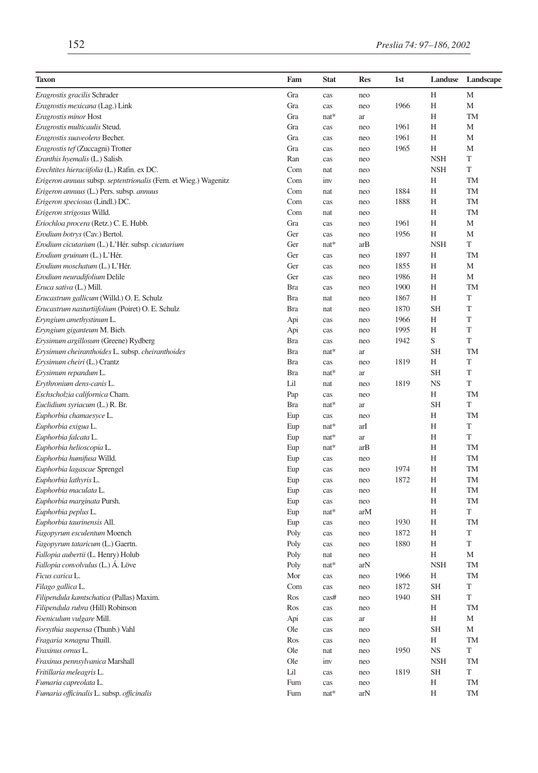| <b>Taxon</b>                                                     | Fam        | <b>Stat</b> | <b>Res</b> | 1st  | Landuse    | Landscape   |
|------------------------------------------------------------------|------------|-------------|------------|------|------------|-------------|
| Eragrostis gracilis Schrader                                     | Gra        | cas         | neo        |      | H          | M           |
| Eragrostis mexicana (Lag.) Link                                  | Gra        | cas         | neo        | 1966 | H          | M           |
| Eragrostis minor Host                                            | Gra        | $nat*$      | ar         |      | Н          | TM          |
| Eragrostis multicaulis Steud.                                    | Gra        | cas         | neo        | 1961 | Η          | M           |
| Eragrostis suaveolens Becher.                                    | Gra        | cas         | neo        | 1961 | Η          | M           |
| Eragrostis tef (Zuccagni) Trotter                                | Gra        | cas         | neo        | 1965 | Н          | M           |
| Eranthis hyemalis (L.) Salisb.                                   | Ran        | cas         | neo        |      | <b>NSH</b> | T           |
| Erechtites hieraciifolia (L.) Rafin. ex DC.                      | Com        | nat         | neo        |      | <b>NSH</b> | T           |
| Erigeron annuus subsp. septentrionalis (Fern. et Wieg.) Wagenitz | Com        | inv         | neo        |      | Н          | TM          |
| Erigeron annuus (L.) Pers. subsp. annuus                         | Com        | nat         | neo        | 1884 | Н          | TM          |
| Erigeron speciosus (Lindl.) DC.                                  | Com        | cas         | neo        | 1888 | Η          | TM          |
| Erigeron strigosus Willd.                                        | Com        | nat         | neo        |      | H          | <b>TM</b>   |
| Eriochloa procera (Retz.) C. E. Hubb.                            | Gra        | cas         | neo        | 1961 | Η          | M           |
| Erodium botrys (Cav.) Bertol.                                    | Ger        | cas         | neo        | 1956 | Η          | M           |
| Erodium cicutarium (L.) L'Hér. subsp. cicutarium                 | Ger        | $nat*$      | arB        |      | <b>NSH</b> | T           |
| Erodium gruinum (L.) L'Hér.                                      | Ger        | cas         | neo        | 1897 | H          | <b>TM</b>   |
| Erodium moschatum (L.) L'Hér.                                    | Ger        | cas         | neo        | 1855 | H          | M           |
| Erodium neuradifolium Delile                                     | Ger        | cas         | neo        | 1986 | Η          | M           |
| Eruca sativa (L.) Mill.                                          | <b>Bra</b> | cas         | neo        | 1900 | Η          | <b>TM</b>   |
| Erucastrum gallicum (Willd.) O. E. Schulz                        | <b>Bra</b> | nat         | neo        | 1867 | Н          | T           |
| Erucastrum nasturtiifolium (Poiret) O. E. Schulz                 | <b>Bra</b> | nat         | neo        | 1870 | <b>SH</b>  | T           |
| Eryngium amethystinum L.                                         | Api        | cas         | neo        | 1966 | Η          | T           |
| Eryngium giganteum M. Bieb.                                      | Api        | cas         | neo        | 1995 | H          | T           |
| Erysimum argillosum (Greene) Rydberg                             | <b>Bra</b> | cas         | neo        | 1942 | S          | T           |
| Erysimum cheiranthoides L. subsp. cheiranthoides                 | <b>Bra</b> | $nat*$      | ar         |      | <b>SH</b>  | TM          |
| Erysimum cheiri (L.) Crantz                                      | <b>Bra</b> | cas         | neo        | 1819 | Η          | T           |
| Erysimum repandum L.                                             | <b>Bra</b> | nat*        | ar         |      | <b>SH</b>  | T           |
| Erythronium dens-canis L.                                        | Lil        | nat         | neo        | 1819 | <b>NS</b>  | T           |
| Eschscholzia californica Cham.                                   | Pap        | cas         | neo        |      | Н          | TM          |
| Euclidium syriacum (L.) R. Br.                                   | <b>Bra</b> | $nat*$      | ar         |      | <b>SH</b>  | T           |
| Euphorbia chamaesyce L.                                          | Eup        | cas         | neo        |      | H          | <b>TM</b>   |
| Euphorbia exigua L.                                              | Eup        | nat*        | arI        |      | Н          | T           |
| Euphorbia falcata L.                                             | Eup        | $nat*$      | ar         |      | Η          | T           |
| Euphorbia helioscopia L.                                         | Eup        | nat*        | arB        |      | H          | TM          |
| Euphorbia humifusa Willd.                                        | Eup        | cas         | neo        |      | Η          | <b>TM</b>   |
| Euphorbia lagascae Sprengel                                      | Eup        | cas         | neo        | 1974 | Η          | TM          |
| Euphorbia lathyris L.                                            | Eup        | cas         | neo        | 1872 | Η          | TM          |
| Euphorbia maculata L.                                            | Eup        | cas         | neo        |      | Н          | <b>TM</b>   |
| Euphorbia marginata Pursh.                                       | Eup        | cas         | neo        |      | Н          | TM          |
| Euphorbia peplus L.                                              | Eup        | $nat*$      | arM        |      | H          | T           |
| Euphorbia taurinensis All.                                       | Eup        | cas         | neo        | 1930 | Η          | <b>TM</b>   |
| Fagopyrum esculentum Moench                                      | Poly       | cas         | neo        | 1872 | Η          | T           |
| Fagopyrum tataricum (L.) Gaertn.                                 | Poly       | cas         | neo        | 1880 | Η          | $\mathbf T$ |
| Fallopia aubertii (L. Henry) Holub                               | Poly       | nat         | neo        |      | Н          | М           |
| Fallopia convolvulus (L.) Á. Löve                                | Poly       | nat*        | arN        |      | <b>NSH</b> | <b>TM</b>   |
| Ficus carica L.                                                  | Mor        | cas         | neo        | 1966 | Η          | TM          |
| Filago gallica L.                                                | Com        | cas         | neo        | 1872 | <b>SH</b>  | $\mathbf T$ |
| Filipendula kamtschatica (Pallas) Maxim.                         | Ros        | cas#        | neo        | 1940 | <b>SH</b>  | T           |
| Filipendula rubra (Hill) Robinson                                | Ros        | cas         | neo        |      | Η          | <b>TM</b>   |
| Foeniculum vulgare Mill.                                         | Api        | cas         | ar         |      | Н          | М           |
| Forsythia suspensa (Thunb.) Vahl                                 | Ole        | cas         | neo        |      | <b>SH</b>  | М           |
| Fragaria xmagna Thuill.                                          | Ros        | cas         | neo        |      | Н          | TM          |
| Fraxinus ornus L.                                                | Ole        | nat         | neo        | 1950 | <b>NS</b>  | T           |
| Fraxinus pennsylvanica Marshall                                  | Ole        | inv         | neo        |      | <b>NSH</b> | TM          |
| Fritillaria meleagris L.                                         | Lil        | cas         | neo        | 1819 | <b>SH</b>  | T           |
| Fumaria capreolata L.                                            | Fum        | cas         | neo        |      | Η          | TM          |
| Fumaria officinalis L. subsp. officinalis                        | Fum        | nat*        | arN        |      | Η          | TM          |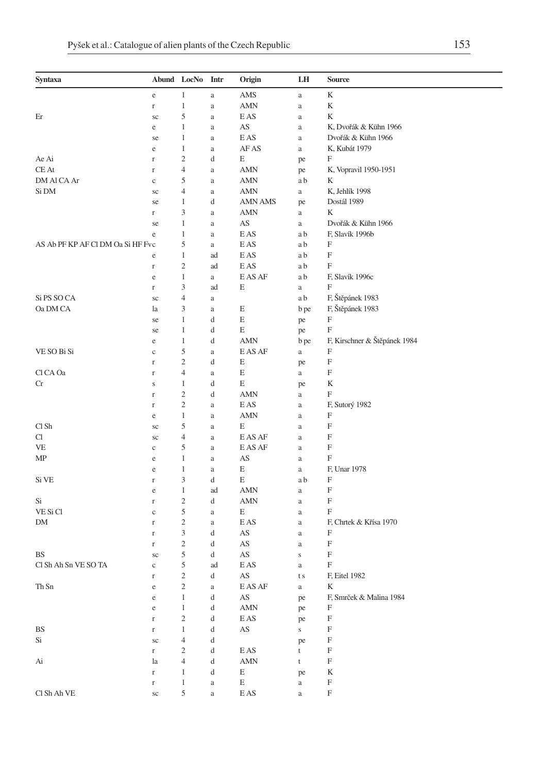| Syntaxa                           |                         | Abund LocNo             | Intr          | Origin                 | LH                   | Source                       |
|-----------------------------------|-------------------------|-------------------------|---------------|------------------------|----------------------|------------------------------|
|                                   | $\rm e$                 | 1                       | $\rm{a}$      | AMS                    | $\rm{a}$             | K                            |
|                                   | $\Gamma$                | $\mathbf{1}$            | a             | AMN                    | a                    | K                            |
| Er                                | sc                      | 5                       | a             | E AS                   | $\rm{a}$             | K                            |
|                                   | e                       | 1                       | a             | AS                     | $\rm{a}$             | K, Dvořák & Kühn 1966        |
|                                   | se                      | 1                       | a             | E AS                   | $\rm{a}$             | Dvořák & Kühn 1966           |
|                                   | e                       | $\mathbf{1}$            | $\rm{a}$      | AF AS                  | $\rm{a}$             | K, Kubát 1979                |
| Ae Ai                             | r                       | $\overline{c}$          | d             | Е                      | pe                   | F                            |
| CE At                             | r                       | $\overline{4}$          | a             | <b>AMN</b>             | pe                   | K, Vopravil 1950-1951        |
| DM Al CA Ar                       | $\rm _c$                | 5                       | a             | <b>AMN</b>             | a b                  | K                            |
| Si DM                             | sc                      | $\overline{4}$          | $\rm{a}$      | AMN                    | $\rm{a}$             | K, Jehlík 1998               |
|                                   | se                      | 1                       | d             | AMN AMS                | pe                   | Dostál 1989                  |
|                                   | r                       | 3                       | $\rm{a}$      | AMN                    | $\rm{a}$             | K                            |
|                                   | se                      | $\mathbf{1}$            | a             | AS                     | a                    | Dvořák & Kühn 1966           |
|                                   | e                       | $\mathbf{1}$            | a             | E AS                   | a b                  | F, Slavík 1996b              |
| AS Ab PF KP AF CI DM Oa Si HF Fvc |                         | 5                       | $\rm{a}$      | E AS                   | a b                  | F                            |
|                                   | $\rm e$                 | 1                       | ad            | E AS                   | a b                  | F                            |
|                                   | $\Gamma$                | $\overline{c}$          | ad            | E AS                   | a b                  | F                            |
|                                   | e                       | 1                       | $\rm{a}$      | E AS AF                | a b                  | F, Slavík 1996c              |
|                                   | $\Gamma$                | 3                       | ad            | Ε                      | a                    | F                            |
| Si PS SO CA                       | sc                      | $\overline{4}$          | a             |                        | a b                  | F, Štěpánek 1983             |
| Oa DM CA                          | la                      | 3                       | a             | E                      | b pe                 | F, Štěpánek 1983             |
|                                   | se                      | $\mathbf{1}$            | d             | E                      | pe                   | $\boldsymbol{\mathrm{F}}$    |
|                                   | se                      | 1                       | d             | E                      | pe                   | F                            |
|                                   | e                       | 1                       | d             | AMN                    | b pe                 | F, Kirschner & Štěpánek 1984 |
| VE SO Bi Si                       | $\mathbf c$             | 5                       | a             | E AS AF                | a                    | F                            |
|                                   | $\Gamma$                | $\overline{c}$          | d             | E                      | pe                   | F                            |
| Cl CA Oa                          | $\Gamma$                | $\overline{4}$          | $\rm{a}$      | E                      | $\rm{a}$             | F                            |
| Сr                                | S                       | 1                       | d             | E                      | pe                   | K                            |
|                                   | $\mathbf r$             | $\sqrt{2}$              | d             | AMN                    | a                    | F                            |
|                                   | r                       | $\overline{c}$          | $\rm{a}$      | E AS                   | $\rm{a}$             | F, Sutorý 1982               |
|                                   | e                       | $\mathbf{1}$            | $\rm{a}$      | <b>AMN</b>             | a                    | F                            |
| Cl Sh                             | sc                      | 5                       | $\rm{a}$      | Е                      | a                    | F                            |
| Cl                                | sc                      | 4                       | $\rm{a}$      | E AS AF                | $\rm{a}$             | F                            |
| VE                                | $\mathbf c$             | $\sqrt{5}$              | a             | E AS AF                | $\rm{a}$             | F                            |
| MΡ                                | e                       | 1                       | a             | AS                     | $\rm{a}$             | F                            |
|                                   | e                       | $\mathbf{1}$            | $\rm{a}$      | E                      | $\rm{a}$             | F, Unar 1978                 |
| Si VE                             | r                       | 3                       | d             | E                      | a b                  | F                            |
|                                   | e                       | 1<br>$\overline{c}$     | ad            | <b>AMN</b>             | $\rm{a}$             | F<br>F                       |
| Si<br>VE Si Cl                    | r                       | 5                       | d             | AMN<br>Е               | $\rm{a}$             | F                            |
| DM                                | $\mathbf c$<br>$\Gamma$ | $\overline{c}$          | $\rm{a}$      | E AS                   | $\rm{a}$             | F, Chrtek & Křísa 1970       |
|                                   | $\mathbf r$             | 3                       | $\rm{a}$<br>d | AS                     | $\rm{a}$<br>$\rm{a}$ | F                            |
|                                   | r                       | $\overline{\mathbf{c}}$ | d             | AS                     | $\rm{a}$             | F                            |
| BS                                | sc                      | 5                       | d             | AS                     | S                    | F                            |
| Cl Sh Ah Sn VE SO TA              | $\rm{c}$                | 5                       | ad            | E AS                   | a                    | F                            |
|                                   | r                       | $\overline{c}$          | d             | AS                     | t s                  | F, Eitel 1982                |
| Th Sn                             | $\rm e$                 | $\overline{c}$          | $\rm{a}$      | E AS AF                | $\rm{a}$             | K                            |
|                                   | $\rm e$                 | $\mathbf{1}$            | d             | $\mathbf{A}\mathbf{S}$ | pe                   | F, Smrček & Malina 1984      |
|                                   | $\rm e$                 | $\mathbf{1}$            | d             | AMN                    | pe                   | F                            |
|                                   | $\Gamma$                | $\sqrt{2}$              | d             | E AS                   | pe                   | F                            |
| BS                                | $\Gamma$                | $\mathbf{1}$            | d             | AS                     | $\mathbf S$          | F                            |
| Si                                | $\rm{sc}$               | $\overline{4}$          | d             |                        | pe                   | $\boldsymbol{\mathrm{F}}$    |
|                                   | $\Gamma$                | $\mathfrak{2}$          | d             | E AS                   | t                    | F                            |
| Ai                                | la                      | $\overline{4}$          | d             | <b>AMN</b>             | t                    | F                            |
|                                   | $\Gamma$                | $\mathbf{1}$            | d             | E                      | pe                   | K                            |
|                                   | $\Gamma$                | $\mathbf{1}$            | $\rm{a}$      | E                      | $\rm{a}$             | $\mathbf F$                  |
| Cl Sh Ah VE                       | $\rm{sc}$               | 5                       | $\rm{a}$      | E AS                   | $\rm{a}$             | $\boldsymbol{\mathrm{F}}$    |
|                                   |                         |                         |               |                        |                      |                              |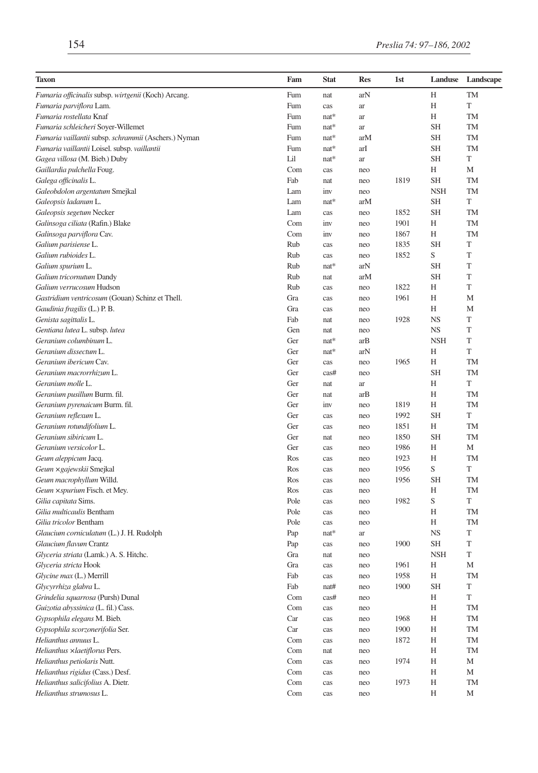| Taxon                                                | Fam  | <b>Stat</b> | <b>Res</b> | 1st  | Landuse    | Landscape |
|------------------------------------------------------|------|-------------|------------|------|------------|-----------|
| Fumaria officinalis subsp. wirtgenii (Koch) Arcang.  | Fum  | nat         | arN        |      | Н          | TM        |
| Fumaria parviflora Lam.                              | Fum  | cas         | ar         |      | Н          | T         |
| Fumaria rostellata Knaf                              | Fum  | $nat*$      | ar         |      | Н          | TM        |
| Fumaria schleicheri Soyer-Willemet                   | Fum  | $nat*$      | ar         |      | <b>SH</b>  | TM        |
| Fumaria vaillantii subsp. schrammii (Aschers.) Nyman | Fum  | nat*        | arM        |      | <b>SH</b>  | TM        |
| Fumaria vaillantii Loisel. subsp. vaillantii         | Fum  | $nat*$      | arI        |      | <b>SH</b>  | TM        |
| Gagea villosa (M. Bieb.) Duby                        | Lil  | nat*        | ar         |      | <b>SH</b>  | T         |
| Gaillardia pulchella Foug.                           | Com  | cas         | neo        |      | Н          | М         |
| Galega officinalis L.                                | Fab  | nat         | neo        | 1819 | <b>SH</b>  | TM        |
| Galeobdolon argentatum Smejkal                       | Lam  | inv         | neo        |      | <b>NSH</b> | TM        |
| Galeopsis ladanum L.                                 | Lam  | nat*        | arM        |      | <b>SH</b>  | T         |
| Galeopsis segetum Necker                             | Lam  | cas         | neo        | 1852 | <b>SH</b>  | TM        |
| Galinsoga ciliata (Rafin.) Blake                     | Com  | inv         | neo        | 1901 | Н          | TM        |
| Galinsoga parviflora Cav.                            | Com  | inv         | neo        | 1867 | Н          | TM        |
| Galium parisiense L.                                 | Rub  | cas         | neo        | 1835 | SН         | T         |
| Galium rubioides L.                                  | Rub  | cas         | neo        | 1852 | S          | T         |
| Galium spurium L.                                    | Rub  | nat*        | arN        |      | <b>SH</b>  | T         |
| Galium tricornutum Dandy                             | Rub  | nat         | arM        |      | <b>SH</b>  | T         |
| Galium verrucosum Hudson                             | Rub  | cas         | neo        | 1822 | Н          | T         |
| Gastridium ventricosum (Gouan) Schinz et Thell.      | Gra  | cas         | neo        | 1961 | Н          | M         |
| Gaudinia fragilis (L.) P. B.                         | Gra  | cas         | neo        |      | Н          | M         |
| Genista sagittalis L.                                | Fab  | nat         | neo        | 1928 | <b>NS</b>  | T         |
| Gentiana lutea L. subsp. lutea                       | Gen  | nat         | neo        |      | <b>NS</b>  | T         |
| Geranium columbinum L.                               | Ger  | nat*        | arB        |      | <b>NSH</b> | T         |
| Geranium dissectum L.                                | Ger  | $nat*$      | arN        |      | Н          | T         |
| Geranium ibericum Cav.                               | Ger  | cas         | neo        | 1965 | H          | <b>TM</b> |
| Geranium macrorrhizum L.                             | Ger  | cas#        | neo        |      | <b>SH</b>  | <b>TM</b> |
| Geranium molle L.                                    | Ger  | nat         | ar         |      | Н          | T         |
| Geranium pusillum Burm. fil.                         | Ger  | nat         | arB        |      | Н          | TM        |
| Geranium pyrenaicum Burm. fil.                       | Ger  | inv         | neo        | 1819 | Н          | TM        |
| Geranium reflexum L.                                 | Ger  | cas         | neo        | 1992 | <b>SH</b>  | T         |
| Geranium rotundifolium L.                            | Ger  | cas         | neo        | 1851 | Н          | TM        |
| Geranium sibiricum L.                                | Ger  | nat         | neo        | 1850 | SН         | <b>TM</b> |
| Geranium versicolor L.                               | Ger  | cas         | neo        | 1986 | Н          | М         |
| Geum aleppicum Jacq.                                 | Ros  | cas         | neo        | 1923 | Н          | TM        |
| Geum × gajewskii Smejkal                             | Ros  | cas         | neo        | 1956 | S          | T         |
| Geum macrophyllum Willd.                             | Ros  | cas         | neo        | 1956 | <b>SH</b>  | TM        |
| Geum × spurium Fisch. et Mey.                        | Ros  | cas         | neo        |      | Н          | <b>TM</b> |
| Gilia capitata Sims.                                 | Pole | cas         | neo        | 1982 | S          | T         |
| Gilia multicaulis Bentham                            | Pole | cas         | neo        |      | Н          | TM        |
| Gilia tricolor Bentham                               | Pole | cas         | neo        |      | H          | TM        |
| Glaucium corniculatum (L.) J. H. Rudolph             | Pap  | $nat*$      | ar         |      | <b>NS</b>  | T         |
| Glaucium flavum Crantz                               | Pap  | cas         | neo        | 1900 | <b>SH</b>  | T         |
| Glyceria striata (Lamk.) A. S. Hitchc.               | Gra  | nat         | neo        |      | <b>NSH</b> | T         |
| Glyceria stricta Hook                                | Gra  | cas         | neo        | 1961 | Н          | М         |
| Glycine max (L.) Merrill                             | Fab  | cas         | neo        | 1958 | Н          | <b>TM</b> |
| Glycyrrhiza glabra L.                                | Fab  | nat#        | neo        | 1900 | <b>SH</b>  | T         |
| Grindelia squarrosa (Pursh) Dunal                    | Com  | cas#        | neo        |      | Н          | T         |
| Guizotia abyssinica (L. fil.) Cass.                  | Com  | cas         | neo        |      | Η          | <b>TM</b> |
| Gypsophila elegans M. Bieb.                          | Car  | cas         | neo        | 1968 | Η          | TM        |
| Gypsophila scorzonerifolia Ser.                      | Car  | cas         | neo        | 1900 | Η          | TM        |
| Helianthus annuus L.                                 | Com  | cas         | neo        | 1872 | Η          | TM        |
| Helianthus ×laetiflorus Pers.                        | Com  | nat         | neo        |      | Η          | TM        |
| Helianthus petiolaris Nutt.                          | Com  | cas         | neo        | 1974 | Η          | М         |
| Helianthus rigidus (Cass.) Desf.                     | Com  | cas         | neo        |      | Η          | М         |
| Helianthus salicifolius A. Dietr.                    | Com  | cas         | neo        | 1973 | Η          | <b>TM</b> |
| Helianthus strumosus L.                              | Com  | cas         | neo        |      | Η          | М         |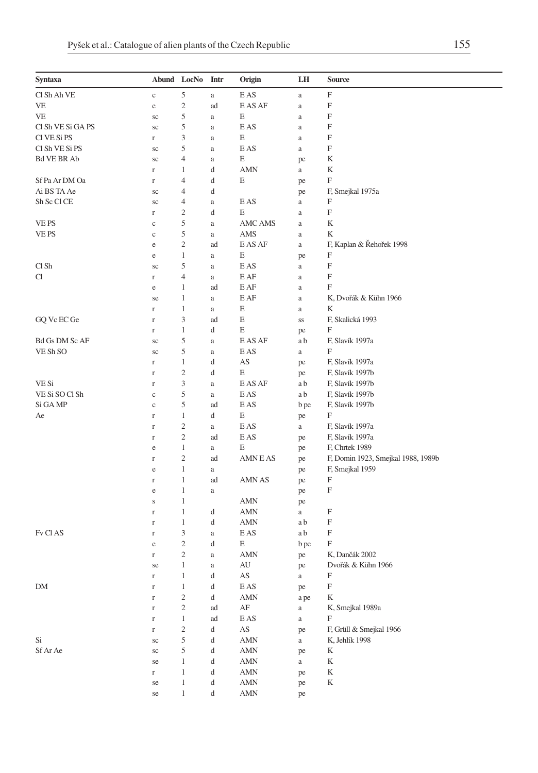| Syntaxa               | Abund LocNo |                | Intr                                          | Origin                              | LH       | <b>Source</b>                      |
|-----------------------|-------------|----------------|-----------------------------------------------|-------------------------------------|----------|------------------------------------|
| Cl Sh Ah VE           | $\rm c$     | 5              | $\rm{a}$                                      | E AS                                | $\rm{a}$ | F                                  |
| VE                    | $\rm e$     | $\mathfrak{2}$ | ad                                            | E AS AF                             | $\rm{a}$ | F                                  |
| VE                    | sc          | 5              | a                                             | E                                   | $\rm{a}$ | F                                  |
| Cl Sh VE Si GA PS     | sc          | 5              | a                                             | E AS                                | $\rm{a}$ | F                                  |
| CI VE Si PS           | r           | 3              | a                                             | E                                   | $\rm{a}$ | F                                  |
| Cl Sh VE Si PS        | sc          | 5              | a                                             | E AS                                | $\rm{a}$ | F                                  |
| <b>Bd VE BR Ab</b>    | sc          | 4              | a                                             | E                                   | pe       | K                                  |
|                       | $\Gamma$    | $\mathbf{1}$   | d                                             | <b>AMN</b>                          | $\rm{a}$ | K                                  |
| Sf Pa Ar DM Oa        | $\Gamma$    | 4              | d                                             | E                                   | pe       | F                                  |
| Ai BS TA Ae           | sc          | 4              | d                                             |                                     | pe       | F, Smejkal 1975a                   |
| Sh Sc Cl CE           | $\rm{sc}$   | 4              | a                                             | E AS                                | $\rm{a}$ | F                                  |
|                       | $\Gamma$    | $\mathfrak{2}$ | d                                             | E                                   | $\rm{a}$ | F                                  |
| VE PS                 | $\mathbf c$ | 5              | a                                             | <b>AMC AMS</b>                      | a        | K                                  |
| VE PS                 | $\mathbf c$ | 5              | a                                             | AMS                                 | $\rm{a}$ | K                                  |
|                       | $\rm e$     | $\sqrt{2}$     | ad                                            | E AS AF                             | $\rm{a}$ | F, Kaplan & Řehořek 1998           |
|                       | $\rm e$     | $\mathbf{1}$   | a                                             | E                                   | pe       | F                                  |
| Cl Sh                 | sc          | 5              | a                                             | E AS                                | $\rm{a}$ | F                                  |
| Cl                    | $\Gamma$    | 4              | a                                             | E AF                                | $\rm{a}$ | $\boldsymbol{\mathrm{F}}$          |
|                       | e           | 1              | ad                                            | E AF                                | $\rm{a}$ | F                                  |
|                       | se          | $\mathbf{1}$   | a                                             | E AF                                | $\rm{a}$ | K, Dvořák & Kühn 1966              |
|                       | $\Gamma$    | $\mathbf{1}$   | a                                             | E                                   | $\rm{a}$ | K                                  |
| GQ Vc EC Ge           | $\Gamma$    | 3              | ad                                            | E                                   | SS       | F, Skalická 1993                   |
|                       | $\Gamma$    | $\mathbf{1}$   | d                                             | Е                                   | pe       | F                                  |
| <b>Bd Gs DM Sc AF</b> | sc          | 5              | a                                             | E AS AF                             | a b      | F, Slavík 1997a                    |
| VE Sh SO              | sc          | 5              | a                                             | E AS                                | a        | F                                  |
|                       | $\Gamma$    | $\mathbf{1}$   | d                                             | AS                                  | pe       | F, Slavík 1997a                    |
|                       | $\Gamma$    | $\sqrt{2}$     | d                                             | E                                   | pe       | F, Slavík 1997b                    |
| VE Si                 | $\Gamma$    | 3              | $\rm{a}$                                      | E AS AF                             | a b      | F, Slavík 1997b                    |
| VE Si SO Cl Sh        | $\mathbf c$ | 5              | a                                             | E AS                                | a b      | F, Slavík 1997b                    |
| Si GA MP              | $\mathbf c$ | 5              | ad                                            | E AS                                | b pe     | F, Slavík 1997b                    |
| Ae                    | $\Gamma$    | $\mathbf{1}$   | d                                             | E                                   | pe       | F                                  |
|                       | $\Gamma$    | $\mathfrak{2}$ | a                                             | E AS                                | a        | F, Slavík 1997a                    |
|                       | $\Gamma$    | $\mathbf{2}$   | ad                                            | E AS                                | pe       | F, Slavík 1997a                    |
|                       | $\rm e$     | $\,1$          | a                                             | E                                   | pe       | F, Chrtek 1989                     |
|                       | $\Gamma$    | 2              | ad                                            | AMN E AS                            | pe       | F, Domin 1923, Smejkal 1988, 1989b |
|                       | e           | $\mathbf{1}$   | a                                             |                                     | pe       | F, Smejkal 1959                    |
|                       | $\Gamma$    | $\mathbf{1}$   | ad                                            | AMN AS                              | pe       | F                                  |
|                       | $\rm e$     | $\mathbf{1}$   | a                                             |                                     | pe       | F                                  |
|                       | $\mathbf S$ | $\mathbf{1}$   |                                               | <b>AMN</b>                          | pe       |                                    |
|                       | $\Gamma$    | $\mathbf{1}$   | d                                             | <b>AMN</b>                          | a        | F                                  |
|                       | $\Gamma$    | $\mathbf{1}$   | d                                             | AMN                                 | a b      | F                                  |
| Fv Cl AS              | $\Gamma$    | 3              | $\rm{a}$                                      | E AS                                | a b      | F                                  |
|                       | e           | $\mathbf{2}$   | d                                             | E                                   | b pe     | F                                  |
|                       | $\Gamma$    | $\mathfrak{2}$ | a                                             | <b>AMN</b>                          | pe       | K, Dančák 2002                     |
|                       | se          | $\mathbf{1}$   | $\rm{a}$                                      | AU                                  | pe       | Dvořák & Kühn 1966                 |
|                       | r           | 1              | d                                             | AS                                  | a        | F                                  |
| ${\rm DM}$            | $\mathbf r$ | $\,1$          | $\mathrm{d}% \left\  \mathbf{G}\right\  ^{2}$ | $\mathop{\hbox{\rm E}}\nolimits$ AS | pe       | $\mathbf F$                        |
|                       | $\mathbf r$ | $\overline{c}$ | d                                             | $\mbox{AMN}$                        | a pe     | K                                  |
|                       | $\Gamma$    | $\mathbf{2}$   | ad                                            | $\rm AF$                            | $\rm{a}$ | K, Smejkal 1989a                   |
|                       | $\Gamma$    | $\,1$          | ad                                            | $\mathop{\hbox{\rm E}}\nolimits$ AS | $\rm{a}$ | $\boldsymbol{\mathrm{F}}$          |
|                       | $\Gamma$    | $\sqrt{2}$     | d                                             | $\mathbf{A}\mathbf{S}$              | pe       | F, Grüll & Smejkal 1966            |
| Si                    | $\rm{sc}$   | 5              | d                                             | $\mbox{AMN}$                        | $\rm{a}$ | K, Jehlík 1998                     |
| Sf Ar Ae              | $\rm{sc}$   | $\mathfrak s$  | d                                             | $\mbox{AMN}$                        | pe       | K                                  |
|                       | se          | $1\,$          | d                                             | AMN                                 | $\rm{a}$ | K                                  |
|                       | $\Gamma$    | $\,1\,$        | d                                             | $\mbox{AMN}$                        | pe       | $\mathbf K$                        |
|                       | se          | $\,1\,$        | d                                             | $\mbox{AMN}$                        | pe       | $\rm K$                            |
|                       | se          | $\mathbf{1}$   | d                                             | AMN                                 | pe       |                                    |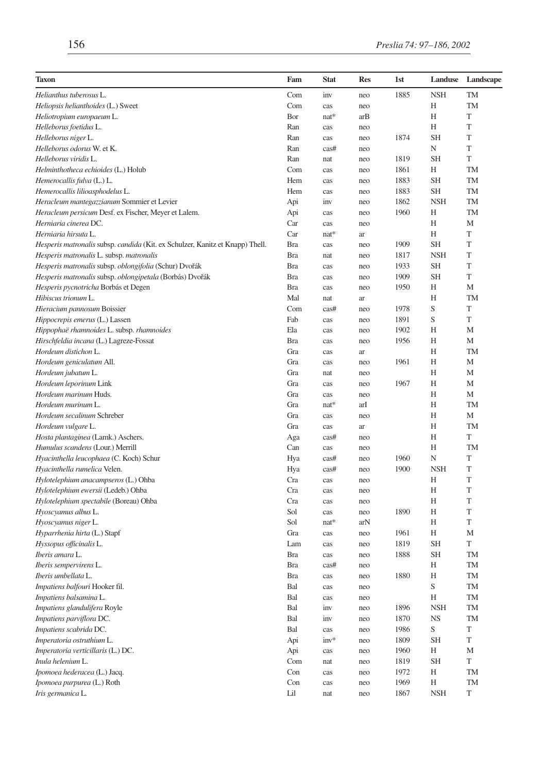| Taxon                                                                         | Fam        | <b>Stat</b> | <b>Res</b> | 1st  | Landuse     | Landscape |
|-------------------------------------------------------------------------------|------------|-------------|------------|------|-------------|-----------|
| Helianthus tuberosus L.                                                       | Com        | inv         | neo        | 1885 | <b>NSH</b>  | TM        |
| Heliopsis helianthoides (L.) Sweet                                            | Com        | cas         | neo        |      | Н           | <b>TM</b> |
| Heliotropium europaeum L.                                                     | Bor        | nat*        | arB        |      | Н           | T         |
| Helleborus foetidus L.                                                        | Ran        | cas         | neo        |      | Н           | T         |
| Helleborus niger L.                                                           | Ran        | cas         | neo        | 1874 | <b>SH</b>   | T         |
| Helleborus odorus W. et K.                                                    | Ran        | cas#        | neo        |      | N           | T         |
| Helleborus viridis L.                                                         | Ran        | nat         | neo        | 1819 | <b>SH</b>   | T         |
| Helminthotheca echioides (L.) Holub                                           | Com        | cas         | neo        | 1861 | Н           | TM        |
| Hemerocallis fulva (L.) L.                                                    | Hem        | cas         | neo        | 1883 | <b>SH</b>   | TM        |
| Hemerocallis lilioasphodelus L.                                               | Hem        | cas         | neo        | 1883 | SН          | TM        |
| Heracleum mantegazzianum Sommier et Levier                                    | Api        | inv         | neo        | 1862 | <b>NSH</b>  | TM        |
| Heracleum persicum Desf. ex Fischer, Meyer et Lalem.                          | Api        | cas         | neo        | 1960 | Н           | TM        |
| Herniaria cinerea DC.                                                         | Car        | cas         | neo        |      | Н           | M         |
| Herniaria hirsuta L.                                                          | Car        | $nat*$      | ar         |      | Н           | T         |
| Hesperis matronalis subsp. candida (Kit. ex Schulzer, Kanitz et Knapp) Thell. | <b>Bra</b> | cas         | neo        | 1909 | <b>SH</b>   | T         |
| Hesperis matronalis L. subsp. matronalis                                      | <b>Bra</b> | nat         | neo        | 1817 | <b>NSH</b>  | T         |
| Hesperis matronalis subsp. oblongifolia (Schur) Dvořák                        | Bra        | cas         | neo        | 1933 | <b>SH</b>   | T         |
| Hesperis matronalis subsp. oblongipetala (Borbás) Dvořák                      | <b>Bra</b> | cas         | neo        | 1909 | SН          | T         |
| Hesperis pycnotricha Borbás et Degen                                          | Bra        | cas         | neo        | 1950 | Н           | M         |
| Hibiscus trionum L.                                                           | Mal        | nat         | ar         |      | H           | <b>TM</b> |
| Hieracium pannosum Boissier                                                   | Com        | cas#        | neo        | 1978 | S           | T         |
| Hippocrepis emerus (L.) Lassen                                                | Fab        | cas         | neo        | 1891 | S           | T         |
| Hippophaë rhamnoides L. subsp. rhamnoides                                     | Ela        | cas         | neo        | 1902 | Н           | М         |
| Hirschfeldia incana (L.) Lagreze-Fossat                                       | Bra        | cas         | neo        | 1956 | Н           | M         |
| Hordeum distichon L.                                                          | Gra        | cas         | ar         |      | Н           | <b>TM</b> |
| Hordeum geniculatum All.                                                      | Gra        | cas         | neo        | 1961 | Н           | M         |
| Hordeum jubatum L.                                                            | Gra        | nat         | neo        |      | Н           | M         |
| Hordeum leporinum Link                                                        | Gra        | cas         | neo        | 1967 | Н           | М         |
| Hordeum marinum Huds.                                                         | Gra        | cas         | neo        |      | Н           | М         |
| Hordeum murinum L.                                                            | Gra        | nat*        | arI        |      | Н           | TM        |
| Hordeum secalinum Schreber                                                    | Gra        | cas         | neo        |      | Н           | М         |
| Hordeum vulgare L.                                                            | Gra        | cas         | ar         |      | Н           | <b>TM</b> |
| Hosta plantaginea (Lamk.) Aschers.                                            | Aga        | cas#        | neo        |      | Η           | T         |
| Humulus scandens (Lour.) Merrill                                              | Can        | cas         | neo        |      | Н           | TM        |
| Hyacinthella leucophaea (C. Koch) Schur                                       | Hya        | cas#        | neo        | 1960 | N           | T         |
| Hyacinthella rumelica Velen.                                                  | Hya        | cas#        | neo        | 1900 | <b>NSH</b>  | T         |
| Hylotelephium anacampseros (L.) Ohba                                          | Cra        | cas         | neo        |      | Н           | T         |
| Hylotelephium ewersii (Ledeb.) Ohba                                           | Cra        | cas         | neo        |      | H           | T         |
| Hylotelephium spectabile (Boreau) Ohba                                        | Cra        | cas         | neo        |      | Н           | T         |
| Hyoscyamus albus L.                                                           | Sol        | cas         | neo        | 1890 | Н           | T         |
| Hyoscyamus niger L.                                                           | Sol        | nat*        | arN        |      | Н           | T         |
| Hyparrhenia hirta (L.) Stapf                                                  | Gra        | cas         | neo        | 1961 | Н           | M         |
| Hyssopus officinalis L.                                                       | Lam        | cas         | neo        | 1819 | SН          | T         |
| Iberis amara L.                                                               | Bra        | cas         | neo        | 1888 | <b>SH</b>   | <b>TM</b> |
| Iberis sempervirens L.                                                        | <b>Bra</b> | cas#        | neo        |      | H           | TM        |
| Iberis umbellata L.                                                           | Bra        | cas         | neo        | 1880 | Н           | TM        |
| Impatiens balfouri Hooker fil.                                                | Bal        | cas         | neo        |      | $\mathbf S$ | TM        |
| Impatiens balsamina L.                                                        | Bal        | cas         | neo        |      | Н           | TM        |
| Impatiens glandulifera Royle                                                  | Bal        | inv         | neo        | 1896 | <b>NSH</b>  | TM        |
| Impatiens parviflora DC.                                                      | Bal        | inv         | neo        | 1870 | <b>NS</b>   | TM        |
| Impatiens scabrida DC.                                                        | Bal        | cas         | neo        | 1986 | S           | T         |
| Imperatoria ostruthium L.                                                     | Api        | $inv*$      | neo        | 1809 | <b>SH</b>   | T         |
| Imperatoria verticillaris (L.) DC.                                            | Api        | cas         | neo        | 1960 | Η           | М         |
| Inula helenium L.                                                             | Com        | nat         | neo        | 1819 | <b>SH</b>   | T         |
| Ipomoea hederacea (L.) Jacq.                                                  | Con        | cas         | neo        | 1972 | Η           | TM        |
| Ipomoea purpurea (L.) Roth                                                    | Con        | cas         | neo        | 1969 | Η           | $\rm TM$  |
| Iris germanica L.                                                             | Lil        | nat         | neo        | 1867 | NSH         | T         |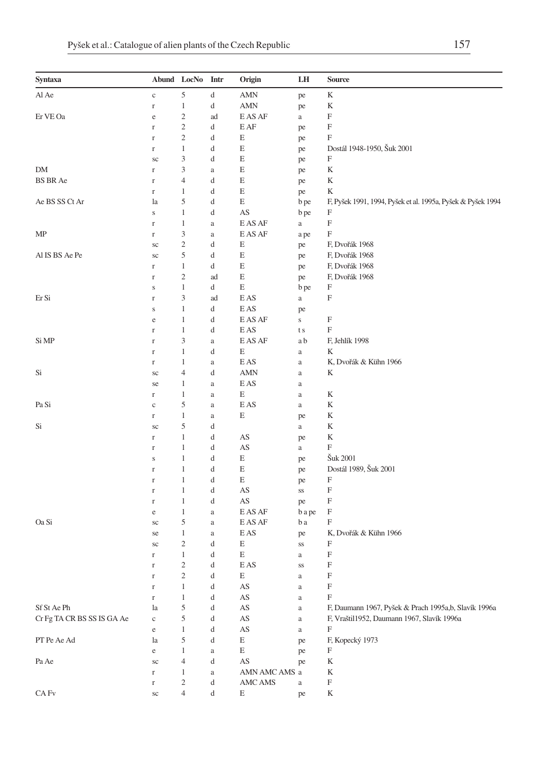| Syntaxa                    |             | Abund LocNo Intr            |              | Origin                                 | LH           | Source                                                      |
|----------------------------|-------------|-----------------------------|--------------|----------------------------------------|--------------|-------------------------------------------------------------|
| Al Ae                      | $\rm{c}$    | 5                           | d            | AMN                                    | pe           | K                                                           |
|                            | $\Gamma$    | $\mathbf{1}$                | d            | AMN                                    | pe           | K                                                           |
| Er VE Oa                   | $\rm e$     | $\overline{\mathbf{c}}$     | ad           | E AS AF                                | $\rm{a}$     | F                                                           |
|                            |             | $\sqrt{2}$                  | d            | E AF                                   |              | $\boldsymbol{\mathrm{F}}$                                   |
|                            | $\mathbf r$ | $\overline{c}$              |              |                                        | pe           | F                                                           |
|                            | $\Gamma$    |                             | d            | Е                                      | pe           |                                                             |
|                            | $\Gamma$    | $\mathbf{1}$                | d            | E                                      | pe           | Dostál 1948-1950, Šuk 2001                                  |
|                            | sc          | 3                           | d            | E                                      | pe           | F                                                           |
| DM                         | $\Gamma$    | $\ensuremath{\mathfrak{Z}}$ | a            | E                                      | pe           | K                                                           |
| <b>BS BR Ae</b>            | $\Gamma$    | $\overline{4}$              | d            | E                                      | pe           | K                                                           |
|                            | $\Gamma$    | $\mathbf{1}$                | d            | E                                      | pe           | K                                                           |
| Ae BS SS Ct Ar             | la          | 5                           | d            | E                                      | b pe         | F, Pyšek 1991, 1994, Pyšek et al. 1995a, Pyšek & Pyšek 1994 |
|                            | $\mathbf S$ | $\mathbf{1}$                | d            | $\mathbf{A}\mathbf{S}$                 | b pe         | F                                                           |
|                            | $\Gamma$    | $\mathbf{1}$                | $\rm{a}$     | $\mathop{\hbox{\rm E}}\nolimits$ AS AF | $\rm{a}$     | $\boldsymbol{\mathrm{F}}$                                   |
| MP                         | $\Gamma$    | 3                           | a            | E AS AF                                | a pe         | $\boldsymbol{\mathrm{F}}$                                   |
|                            | sc          | $\overline{c}$              | d            | Ε                                      | pe           | F, Dvořák 1968                                              |
| Al IS BS Ae Pe             | $\rm{sc}$   | 5                           | d            | E                                      | pe           | F, Dvořák 1968                                              |
|                            | $\Gamma$    | $\mathbf{1}$                | d            | E                                      | pe           | F, Dvořák 1968                                              |
|                            | $\Gamma$    | $\overline{c}$              | ad           | E                                      | pe           | F, Dvořák 1968                                              |
|                            | $\mathbf S$ | $\mathbf{1}$                | d            | E                                      | b pe         | F                                                           |
| Er Si                      | $\Gamma$    | $\ensuremath{\mathfrak{Z}}$ | ad           | E AS                                   | $\rm{a}$     | $\boldsymbol{\mathrm{F}}$                                   |
|                            | $\mathbf S$ | $\mathbf{1}$                | d            | E AS                                   | pe           |                                                             |
|                            | $\rm e$     | $\mathbf{1}$                | d            | E AS AF                                | $\mathbf{s}$ | F                                                           |
|                            | $\Gamma$    | $\mathbf{1}$                | d            | E AS                                   | t s          | F                                                           |
| Si MP                      | $\mathbf r$ | $\mathfrak{Z}$              | a            | E AS AF                                | a b          | F, Jehlík 1998                                              |
|                            | $\mathbf r$ | $\mathbf{1}$                | d            | E                                      | $\rm{a}$     | K                                                           |
|                            | $\Gamma$    | $\mathbf{1}$                | a            | E AS                                   | $\rm{a}$     | K, Dvořák & Kühn 1966                                       |
| Si                         | sc          | $\overline{4}$              | d            | <b>AMN</b>                             | $\rm{a}$     | K                                                           |
|                            | se          | 1                           | a            | E AS                                   | $\rm{a}$     |                                                             |
|                            | $\Gamma$    | $\mathbf{1}$                | a            | Е                                      | $\rm{a}$     | K                                                           |
| Pa Si                      | $\mathbf c$ | 5                           | a            | E AS                                   | $\rm{a}$     | K                                                           |
|                            |             | $\,1$                       |              | E                                      |              | K                                                           |
|                            | $\Gamma$    | 5                           | a            |                                        | pe           | K                                                           |
| Si                         | $\rm{sc}$   |                             | d            |                                        | $\rm{a}$     |                                                             |
|                            | $\Gamma$    | $\mathbf{1}$                | d            | AS                                     | pe           | K                                                           |
|                            | $\mathbf r$ | $\mathbf{1}$                | d            | AS                                     | $\rm{a}$     | F                                                           |
|                            | $\bf S$     | 1                           | d            | E                                      | pe           | Šuk 2001                                                    |
|                            | $\mathbf r$ | $\mathbf{1}$                | d            | Ε                                      | pe           | Dostál 1989, Šuk 2001                                       |
|                            | $\mathbf r$ | 1                           | d            | E                                      | pe           | F                                                           |
|                            | $\Gamma$    | $\mathbf{1}$                | d            | AS                                     | SS           | F                                                           |
|                            | $\Gamma$    | $\mathbf{1}$                | d            | AS                                     | pe           | $\boldsymbol{\mathrm{F}}$                                   |
|                            | e           | $\mathbf{1}$                | $\rm{a}$     | E AS AF                                | b a pe       | F                                                           |
| Oa Si                      | sc          | 5                           | $\rm{a}$     | E AS AF                                | b a          | F                                                           |
|                            | se          | $\mathbf{1}$                | $\rm{a}$     | E AS                                   | pe           | K, Dvořák & Kühn 1966                                       |
|                            | sc          | $\overline{\mathbf{c}}$     | d            | Ε                                      | $_{\rm SS}$  | F                                                           |
|                            | $\Gamma$    | $\mathbf{1}$                | d            | E                                      | a            | F                                                           |
|                            | $\Gamma$    | $\sqrt{2}$                  | d            | E AS                                   | SS           | $\boldsymbol{\mathrm{F}}$                                   |
|                            | $\Gamma$    | $\sqrt{2}$                  | d            | Ε                                      | $\rm{a}$     | F                                                           |
|                            | $\Gamma$    | $1\,$                       | d            | AS                                     | $\rm{a}$     | F                                                           |
|                            | $\Gamma$    | $\mathbf{1}$                | d            | $\mathbf{A}\mathbf{S}$                 | $\rm{a}$     | F                                                           |
| Sf St Ae Ph                | la          | 5                           | d            | $\mathbf{A}\mathbf{S}$                 | $\rm{a}$     | F, Daumann 1967, Pyšek & Prach 1995a,b, Slavík 1996a        |
| Cr Fg TA CR BS SS IS GA Ae | $\rm{c}$    | 5                           | d            | $\mathbf{A}\mathbf{S}$                 | $\rm{a}$     | F, Vraštil1952, Daumann 1967, Slavík 1996a                  |
|                            | $\rm e$     | $\mathbf{1}$                | d            | AS                                     | $\rm{a}$     | F                                                           |
| PT Pe Ae Ad                | la          | 5                           | d            | E                                      | pe           | F, Kopecký 1973                                             |
|                            | $\rm e$     | $\mathbf{1}$                | $\mathbf{a}$ | E                                      | pe           | F                                                           |
| Pa Ae                      | $\rm{sc}$   | $\overline{4}$              | d            | $\mathbf{A}\mathbf{S}$                 | pe           | K                                                           |
|                            | $\Gamma$    | $\mathbf{1}$                | $\rm{a}$     | AMN AMC AMS a                          |              | K                                                           |
|                            | $\Gamma$    | $\overline{c}$              | d            | AMC AMS                                | $\rm{a}$     | F                                                           |
| CA Fv                      | $\rm{sc}$   | $\overline{4}$              | d            | E                                      | pe           | K                                                           |
|                            |             |                             |              |                                        |              |                                                             |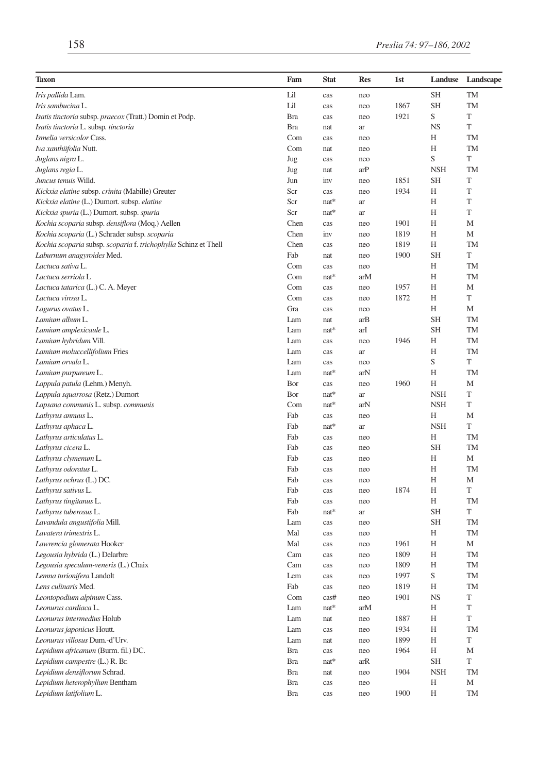| Taxon                                                           | Fam        | <b>Stat</b> | Res | 1st  | Landuse    | Landscape |
|-----------------------------------------------------------------|------------|-------------|-----|------|------------|-----------|
| Iris pallida Lam.                                               | Lil        | cas         | neo |      | SН         | TM        |
| Iris sambucina L.                                               | Lil        | cas         | neo | 1867 | <b>SH</b>  | TM        |
| <i>Isatis tinctoria subsp. praecox (Tratt.)</i> Domin et Podp.  | <b>Bra</b> | cas         | neo | 1921 | S          | T         |
| Isatis tinctoria L. subsp. tinctoria                            | <b>Bra</b> | nat         | ar  |      | NS         | T         |
| Ismelia versicolor Cass.                                        | Com        | cas         | neo |      | Н          | TM        |
| Iva xanthiifolia Nutt.                                          | Com        | nat         | neo |      | Н          | <b>TM</b> |
| Juglans nigra L.                                                | Jug        | cas         | neo |      | S          | T         |
| Juglans regia L.                                                | Jug        | nat         | arP |      | <b>NSH</b> | TM        |
| Juncus tenuis Willd.                                            | Jun        | inv         | neo | 1851 | SН         | T         |
| Kickxia elatine subsp. crinita (Mabille) Greuter                | Scr        | cas         | neo | 1934 | Н          | T         |
| Kickxia elatine (L.) Dumort. subsp. elatine                     | Scr        | nat*        | ar  |      | Н          | T         |
| Kickxia spuria (L.) Dumort. subsp. spuria                       | Scr        | nat*        | ar  |      | Н          | T         |
| Kochia scoparia subsp. densiflora (Moq.) Aellen                 | Chen       | cas         | neo | 1901 | Н          | М         |
| Kochia scoparia (L.) Schrader subsp. scoparia                   | Chen       | inv         | neo | 1819 | H          | М         |
| Kochia scoparia subsp. scoparia f. trichophylla Schinz et Thell | Chen       | cas         | neo | 1819 | Н          | <b>TM</b> |
| Laburnum anagyroides Med.                                       | Fab        | nat         | neo | 1900 | SН         | T         |
| Lactuca sativa L.                                               | Com        | cas         | neo |      | Н          | TM        |
| Lactuca serriola L                                              | Com        | $nat*$      | arM |      | Н          | TM        |
| Lactuca tatarica (L.) C. A. Meyer                               | Com        | cas         | neo | 1957 | Н          | M         |
| Lactuca virosa L.                                               | Com        | cas         | neo | 1872 | Н          | T         |
| Lagurus ovatus L.                                               | Gra        | cas         | neo |      | Н          | М         |
| Lamium album L.                                                 | Lam        | nat         | arB |      | <b>SH</b>  | <b>TM</b> |
| Lamium amplexicaule L.                                          | Lam        | nat*        | arI |      | SН         | TM        |
| Lamium hybridum Vill.                                           | Lam        | cas         | neo | 1946 | Н          | TM        |
| Lamium moluccellifolium Fries                                   | Lam        | cas         | ar  |      | Н          | TM        |
| Lamium orvala L.                                                | Lam        | cas         | neo |      | S          | T         |
| Lamium purpureum L.                                             | Lam        | nat*        | arN |      | Н          | TM        |
| Lappula patula (Lehm.) Menyh.                                   | Bor        | cas         | neo | 1960 | Н          | M         |
| Lappula squarrosa (Retz.) Dumort                                | Bor        | nat*        | ar  |      | <b>NSH</b> | T         |
| Lapsana communis L. subsp. communis                             | Com        | $nat*$      | arN |      | <b>NSH</b> | T         |
| Lathyrus annuus L.                                              | Fab        | cas         | neo |      | Н          | M         |
| Lathyrus aphaca L.                                              | Fab        | nat*        | ar  |      | <b>NSH</b> | T         |
| Lathyrus articulatus L.                                         | Fab        | cas         | neo |      | Н          | TM        |
| Lathyrus cicera L.                                              | Fab        | cas         | neo |      | SН         | TM        |
| Lathyrus clymenum L.                                            | Fab        | cas         | neo |      | Н          | М         |
| Lathyrus odoratus L.                                            | Fab        | cas         | neo |      | Н          | TM        |
| Lathyrus ochrus (L.) DC.                                        | Fab        | cas         | neo |      | Н          | M         |
| Lathyrus sativus L.                                             | Fab        | cas         | neo | 1874 | Н          | T         |
| Lathyrus tingitanus L.                                          | Fab        | cas         | neo |      | Н          | TM        |
| Lathyrus tuberosus L.                                           | Fab        | nat*        | ar  |      | <b>SH</b>  | T         |
| Lavandula angustifolia Mill.                                    | Lam        | cas         | neo |      | SН         | TM        |
| Lavatera trimestris L.                                          | Mal        | cas         | neo |      | Η          | TM        |
| Lawrencia glomerata Hooker                                      | Mal        | cas         | neo | 1961 | Н          | М         |
| Legousia hybrida (L.) Delarbre                                  | Cam        | cas         | neo | 1809 | Н          | TM        |
| Legousia speculum-veneris (L.) Chaix                            | Cam        | cas         | neo | 1809 | Н          | TM        |
| Lemna turionifera Landolt                                       | Lem        | cas         | neo | 1997 | S          | TM        |
| Lens culinaris Med.                                             | Fab        | cas         | neo | 1819 | Η          | TM        |
| Leontopodium alpinum Cass.                                      | Com        | cas#        | neo | 1901 | NS         | T         |
| Leonurus cardiaca L.                                            | Lam        | nat*        | arM |      | Н          | T         |
| Leonurus intermedius Holub                                      | Lam        | nat         | neo | 1887 | Η          | T         |
| Leonurus japonicus Houtt.                                       | Lam        | cas         | neo | 1934 | Н          | TM        |
| Leonurus villosus Dum.-d'Urv.                                   | Lam        | nat         | neo | 1899 | H          | T         |
| Lepidium africanum (Burm. fil.) DC.                             | Bra        | cas         | neo | 1964 | Н          | М         |
| Lepidium campestre (L.) R. Br.                                  | Bra        | $nat*$      | arR |      | <b>SH</b>  | T         |
| Lepidium densiflorum Schrad.                                    | Bra        | nat         | neo | 1904 | NSH        | TM        |
| Lepidium heterophyllum Bentham                                  | Bra        | cas         | neo |      | Η          | М         |
| Lepidium latifolium L.                                          | Bra        | cas         | neo | 1900 | Η          | TM        |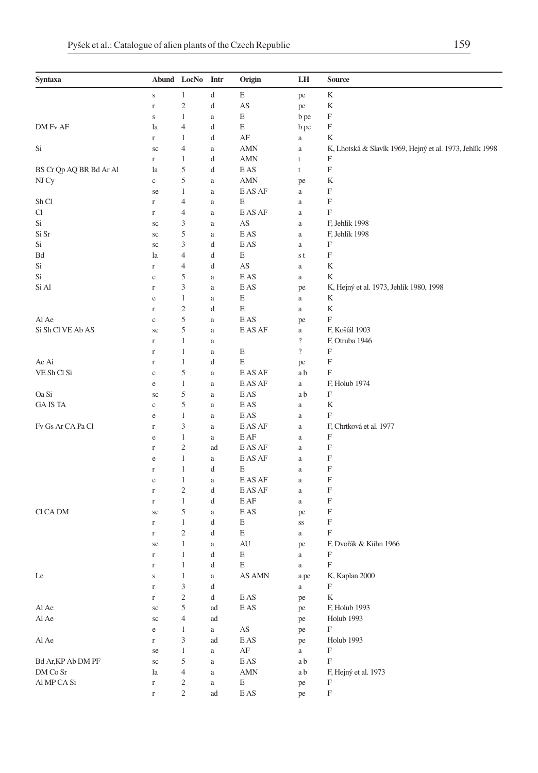| Syntaxa                 |                | Abund LocNo             | Intr     | Origin                              | LH                      | Source                                                   |
|-------------------------|----------------|-------------------------|----------|-------------------------------------|-------------------------|----------------------------------------------------------|
|                         | $\mathbf S$    | $\mathbf{1}$            | d        | E                                   | pe                      | K                                                        |
|                         | $\Gamma$       | $\overline{\mathbf{c}}$ | d        | AS                                  | pe                      | K                                                        |
|                         | $\bf S$        | 1                       | a        | Ε                                   | b pe                    | F                                                        |
| DM Fv AF                | la             | $\overline{4}$          | d        | E                                   | b pe                    | F                                                        |
|                         | $\Gamma$       | 1                       | d        | AF                                  | $\rm{a}$                | K                                                        |
| Si                      | sc             | 4                       | a        | AMN                                 | $\rm{a}$                | K, Lhotská & Slavík 1969, Hejný et al. 1973, Jehlík 1998 |
|                         | $\Gamma$       | 1                       | d        | AMN                                 | t                       | F                                                        |
| BS Cr Qp AQ BR Bd Ar Al | la             | 5                       | d        | E AS                                | t                       | F                                                        |
| NJ Cy                   | $\mathbf c$    | 5                       | a        | AMN                                 | pe                      | K                                                        |
|                         | se             | 1                       | a        | E AS AF                             | $\rm{a}$                | F                                                        |
| Sh Cl                   | $\Gamma$       | $\overline{4}$          | a        | E                                   | a                       | F                                                        |
| Cl                      | $\Gamma$       | 4                       | a        | E AS AF                             | $\rm{a}$                | F                                                        |
| Si                      | sc             | 3                       | a        | AS                                  | $\rm{a}$                | F, Jehlík 1998                                           |
| Si Sr                   | sc             | 5                       | a        | E AS                                | $\rm{a}$                | F, Jehlík 1998                                           |
| Si                      | sc             | 3                       | d        | E AS                                | $\rm{a}$                | F                                                        |
| Bd                      | la             | 4                       | d        | E                                   | s t                     | F                                                        |
| Si                      | $\Gamma$       | 4                       | d        | AS                                  | $\rm{a}$                | K                                                        |
| Si                      | $\mathbf c$    | 5                       | a        | E AS                                | $\rm{a}$                | K                                                        |
| Si Al                   | $\Gamma$       | 3                       | a        | E AS                                | pe                      | K, Hejný et al. 1973, Jehlík 1980, 1998                  |
|                         | $\rm e$        | $\mathbf{1}$            | a        | Ε                                   | $\rm{a}$                | K                                                        |
|                         | $\Gamma$       | $\overline{c}$          | d        | E                                   | a                       | K                                                        |
| Al Ae                   | $\mathbf c$    | 5                       | a        | E AS                                | pe                      | F                                                        |
| Si Sh Cl VE Ab AS       | sc             | 5                       | a        | E AS AF                             | $\rm{a}$                | F, Košťál 1903                                           |
|                         | $\Gamma$       | 1                       | a        |                                     | $\overline{\cdot}$      | F, Otruba 1946                                           |
|                         | $\Gamma$       | 1                       | a        | Ε                                   | $\overline{\mathbf{?}}$ | F                                                        |
| Ae Ai                   | $\Gamma$       | 1                       | d        | E                                   | pe                      | F                                                        |
| VE Sh Cl Si             | $\mathbf c$    | 5                       | a        | E AS AF                             | a b                     | F                                                        |
|                         | e              | $\mathbf 1$             | a        | E AS AF                             | $\rm{a}$                | F, Holub 1974                                            |
| Oa Si                   | sc             | 5                       | a        | E AS                                | a b                     | F                                                        |
| <b>GAISTA</b>           | $\mathbf c$    | 5                       | a        | E AS                                | $\rm{a}$                | K                                                        |
|                         | e              | 1                       | a        | E AS                                | $\rm{a}$                | F                                                        |
| Fv Gs Ar CA Pa Cl       | $\Gamma$       | 3                       | a        | E AS AF                             | $\rm{a}$                | F, Chrtková et al. 1977                                  |
|                         | e              | 1                       | a        | E AF                                | $\rm{a}$                | F                                                        |
|                         | $\Gamma$       | $\mathfrak{2}$          | ad       | E AS AF                             | $\rm{a}$                | F                                                        |
|                         | e              | 1                       | a        | E AS AF                             | a                       | F                                                        |
|                         | $\Gamma$       | $\mathbf{1}$            | d        | E                                   | $\rm{a}$                | F                                                        |
|                         | e              | 1                       | a        | E AS AF                             | a                       | F                                                        |
|                         | $\Gamma$       | $\overline{c}$          | d        | E AS AF                             | $\rm{a}$                | F                                                        |
| Cl CA DM                | $\Gamma$       | $\mathbf{1}$<br>5       | d        | E AF                                | $\rm{a}$                | F<br>F                                                   |
|                         | sc<br>$\Gamma$ | $\mathbf{1}$            | a<br>d   | E AS<br>Ε                           | pe<br>SS                | F                                                        |
|                         | $\Gamma$       | $\mathfrak{2}$          | d        | E                                   | a                       | F                                                        |
|                         | se             | 1                       | a        | AU                                  | pe                      | F, Dvořák & Kühn 1966                                    |
|                         | r              | $\mathbf 1$             | d        | Ε                                   | $\rm{a}$                | F                                                        |
|                         | $\Gamma$       | $\mathbf{1}$            | d        | E                                   | $\rm{a}$                | F                                                        |
| Le                      | S              | 1                       | a        | $\operatorname{AS}$ AMN             | a pe                    | K, Kaplan 2000                                           |
|                         | $\Gamma$       | 3                       | d        |                                     | a                       | F                                                        |
|                         | $\Gamma$       | $\sqrt{2}$              | d        | E AS                                | pe                      | K                                                        |
| Al Ae                   | $\rm{sc}$      | 5                       | ad       | E AS                                | pe                      | F, Holub 1993                                            |
| Al Ae                   | $\rm{sc}$      | $\overline{4}$          | ad       |                                     | pe                      | Holub 1993                                               |
|                         | $\rm e$        | $\mathbf{1}$            | a        | $\mathbf{A}\mathbf{S}$              | pe                      | $_{\rm F}$                                               |
| Al Ae                   | $\mathbf r$    | 3                       | ad       | E AS                                | pe                      | Holub 1993                                               |
|                         | se             | $\mathbf{1}$            | $\rm{a}$ | $\rm{AF}$                           | $\mathbf{a}$            | F                                                        |
| Bd Ar, KP Ab DM PF      | $\rm{sc}$      | 5                       | $\rm{a}$ | E AS                                | a b                     | $_{\rm F}$                                               |
| DM Co Sr                | la             | $\overline{4}$          | $\rm{a}$ | <b>AMN</b>                          | a b                     | F, Hejný et al. 1973                                     |
| Al MP CA Si             | $\mathbf r$    | $\overline{c}$          | $\rm{a}$ | E                                   | pe                      | F                                                        |
|                         | $\Gamma$       | $\sqrt{2}$              | ad       | $\mathop{\hbox{\rm E}}\nolimits$ AS | pe                      | $\mathbf F$                                              |
|                         |                |                         |          |                                     |                         |                                                          |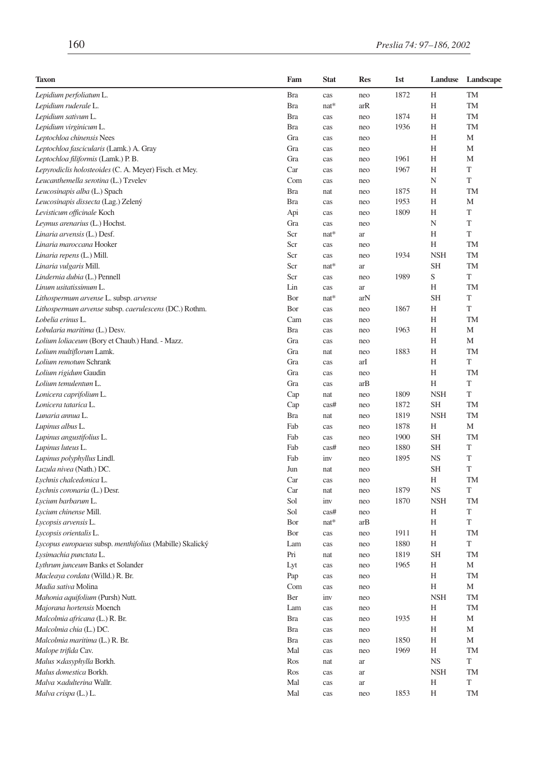| <b>Taxon</b>                                             | Fam        | Stat   | <b>Res</b> | 1st  | Landuse        | Landscape |
|----------------------------------------------------------|------------|--------|------------|------|----------------|-----------|
| Lepidium perfoliatum L.                                  | <b>Bra</b> | cas    | neo        | 1872 | Н              | TM        |
| Lepidium ruderale L.                                     | <b>Bra</b> | nat*   | arR        |      | Н              | TM        |
| Lepidium sativum L.                                      | <b>Bra</b> | cas    | neo        | 1874 | Н              | <b>TM</b> |
| Lepidium virginicum L.                                   | <b>Bra</b> | cas    | neo        | 1936 | Н              | TM        |
| Leptochloa chinensis Nees                                | Gra        | cas    | neo        |      | Н              | M         |
| Leptochloa fascicularis (Lamk.) A. Gray                  | Gra        | cas    | neo        |      | Н              | М         |
| Leptochloa filiformis (Lamk.) P.B.                       | Gra        | cas    | neo        | 1961 | Н              | M         |
| Lepyrodiclis holosteoides (C. A. Meyer) Fisch. et Mey.   | Car        | cas    | neo        | 1967 | Н              | T         |
| Leucanthemella serotina (L.) Tzvelev                     | Com        | cas    | neo        |      | N              | T         |
| Leucosinapis alba (L.) Spach                             | <b>Bra</b> | nat    | neo        | 1875 | Н              | TM        |
| Leucosinapis dissecta (Lag.) Zelený                      | <b>Bra</b> | cas    | neo        | 1953 | Н              | M         |
| Levisticum officinale Koch                               | Api        | cas    | neo        | 1809 | Н              | T         |
| Leymus arenarius (L.) Hochst.                            | Gra        | cas    | neo        |      | N              | T         |
| Linaria arvensis (L.) Desf.                              | Scr        | $nat*$ | ar         |      | H              | T         |
| Linaria maroccana Hooker                                 | Scr        | cas    | neo        |      | Н              | TM        |
| Linaria repens (L.) Mill.                                | Scr        | cas    | neo        | 1934 | <b>NSH</b>     | TM        |
| Linaria vulgaris Mill.                                   | Scr        | nat*   | ar         |      | <b>SH</b>      | <b>TM</b> |
| Lindernia dubia (L.) Pennell                             | Scr        | cas    | neo        | 1989 | S              | T         |
| Linum usitatissimum L.                                   | Lin        | cas    | ar         |      | Н              | TM        |
| Lithospermum arvense L. subsp. arvense                   | Bor        | nat*   | arN        |      | SН             | T         |
| Lithospermum arvense subsp. caerulescens (DC.) Rothm.    | Bor        | cas    | neo        | 1867 | H              | T         |
| Lobelia erinus L.                                        | Cam        | cas    | neo        |      | Н              | TM        |
| Lobularia maritima (L.) Desv.                            | <b>Bra</b> | cas    | neo        | 1963 | Н              | M         |
| Lolium loliaceum (Bory et Chaub.) Hand. - Mazz.          | Gra        | cas    | neo        |      | Н              | M         |
| Lolium multiflorum Lamk.                                 | Gra        | nat    | neo        | 1883 | Н              | <b>TM</b> |
| Lolium remotum Schrank                                   | Gra        | cas    | arI        |      | Н              | T         |
| Lolium rigidum Gaudin                                    | Gra        | cas    | neo        |      | Н              | TM        |
| Lolium temulentum L.                                     | Gra        | cas    | arB        |      | Н              | T         |
| Lonicera caprifolium L.                                  | Cap        | nat    | neo        | 1809 | <b>NSH</b>     | T         |
| Lonicera tatarica L.                                     | Cap        | cas#   | neo        | 1872 | <b>SH</b>      | TM        |
| Lunaria annua L.                                         | <b>Bra</b> | nat    | neo        | 1819 | <b>NSH</b>     | <b>TM</b> |
| Lupinus albus L.                                         | Fab        | cas    | neo        | 1878 | Н              | M         |
| Lupinus angustifolius L.                                 | Fab        | cas    | neo        | 1900 | <b>SH</b>      | TM        |
| Lupinus luteus L.                                        | Fab        | cas#   | neo        | 1880 | SН             | T         |
| Lupinus polyphyllus Lindl.                               | Fab        | inv    | neo        | 1895 | <b>NS</b>      | T         |
| Luzula nivea (Nath.) DC.                                 | Jun        | nat    | neo        |      | <b>SH</b>      | T         |
| Lychnis chalcedonica L.                                  | Car        | cas    | neo        |      | Η              | TM        |
| Lychnis coronaria (L.) Desr.                             | Car        | nat    | neo        | 1879 | <b>NS</b>      | T         |
| Lycium barbarum L.                                       | Sol        | inv    | neo        | 1870 | <b>NSH</b>     | <b>TM</b> |
| Lycium chinense Mill.                                    | Sol        | cas#   | neo        |      | Н              | T         |
| Lycopsis arvensis L.                                     | Bor        | $nat*$ | arB        |      | Н              | T         |
| Lycopsis orientalis L.                                   | Bor        | cas    | neo        | 1911 | Н              | TM        |
| Lycopus europaeus subsp. menthifolius (Mabille) Skalický | Lam        | cas    | neo        | 1880 | Н              | T         |
| Lysimachia punctata L.                                   | Pri        | nat    | neo        | 1819 | <b>SH</b>      | TM        |
| Lythrum junceum Banks et Solander                        | Lyt        | cas    | neo        | 1965 | Н              | М         |
| Macleaya cordata (Willd.) R. Br.                         | Pap        | cas    | neo        |      | Н              | <b>TM</b> |
| Madia sativa Molina                                      | Com        | cas    | neo        |      | H              | М         |
| Mahonia aquifolium (Pursh) Nutt.                         | Ber        | inv    |            |      | <b>NSH</b>     | TM        |
| Majorana hortensis Moench                                | Lam        | cas    | neo<br>neo |      | Н              | TM        |
| Malcolmia africana (L.) R. Br.                           | <b>Bra</b> | cas    | neo        | 1935 | Η              | М         |
| Malcolmia chia (L.) DC.                                  | Bra        |        |            |      | H              | М         |
| Malcolmia maritima (L.) R. Br.                           | <b>Bra</b> | cas    | neo        | 1850 | Η              | М         |
| Malope trifida Cav.                                      | Mal        | cas    | neo        | 1969 |                | TM        |
|                                                          |            | cas    | neo        |      | Η<br><b>NS</b> | T         |
| Malus xdasyphylla Borkh.<br>Malus domestica Borkh.       | Ros        | nat    | ar         |      |                |           |
| Malva xadulterina Wallr.                                 | Ros        | cas    | ar         |      | NSH            | TM<br>T   |
| Malva crispa (L.) L.                                     | Mal        | cas    | ar         |      | Η              |           |
|                                                          | Mal        | cas    | neo        | 1853 | Н              | TM        |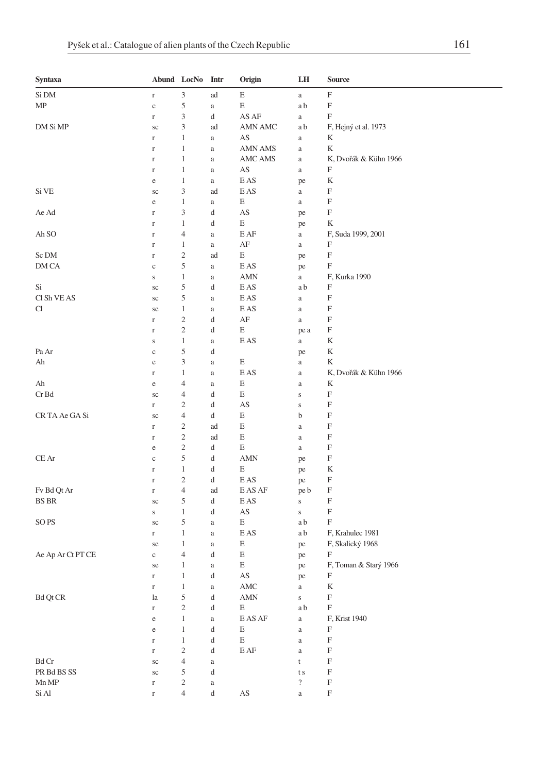| Syntaxa           |                      | Abund LocNo      | Intr     | Origin                                 | LH             | <b>Source</b>             |
|-------------------|----------------------|------------------|----------|----------------------------------------|----------------|---------------------------|
| Si DM             | $\Gamma$             | 3                | ad       | $\mathop{\hbox{\bf E}}$                | $\rm{a}$       | F                         |
| МP                | $\mathbf{C}$         | 5                | $\rm{a}$ | $\mathbf E$                            | a b            | $\boldsymbol{\mathrm{F}}$ |
|                   | $\Gamma$             | 3                | d        | AS AF                                  | a              | F                         |
| DM Si MP          | sc                   | 3                | ad       | AMN AMC                                | a b            | F, Hejný et al. 1973      |
|                   | $\Gamma$             | 1                | $\rm{a}$ | AS                                     | a              | K                         |
|                   | $\Gamma$             | 1                | a        | <b>AMN AMS</b>                         | a              | K                         |
|                   | $\Gamma$             | 1                | a        | AMC AMS                                | a              | K, Dvořák & Kühn 1966     |
|                   | $\Gamma$             | 1                | $\rm{a}$ | AS                                     | a              | F                         |
|                   | $\rm e$              | 1                | $\rm{a}$ | E AS                                   | pe             | K                         |
| Si VE             | sc                   | 3                | ad       | E AS                                   | a              | F                         |
|                   | e                    | $\mathbf{1}$     | $\rm{a}$ | E                                      | a              | F                         |
| Ae Ad             | $\Gamma$             | 3                | d        | AS                                     | pe             | F                         |
|                   | $\Gamma$             | 1                | d        | E                                      | pe             | K                         |
| Ah SO             | $\Gamma$             | 4                | $\rm{a}$ | E AF                                   | a              | F, Suda 1999, 2001        |
|                   | $\Gamma$             | 1                | $\rm{a}$ | AF                                     | a              | F                         |
| Sc DM             | $\Gamma$             | $\boldsymbol{2}$ | ad       | E                                      | pe             | F                         |
| DM CA             | $\mathbf{C}$         | 5                | $\rm{a}$ | E AS                                   | pe             | F                         |
|                   | $\mathbf S$          | $\mathbf{1}$     | $\rm{a}$ | AMN                                    | $\rm{a}$       | F, Kurka 1990             |
| Si                | sc                   | 5                | d        | E AS                                   | a b            | F                         |
| Cl Sh VE AS       | $\rm{sc}$            | 5                | $\rm{a}$ | E AS                                   | a              | F                         |
| Cl                | se                   | 1                | a        | E AS                                   | $\rm{a}$       | F                         |
|                   | $\Gamma$             | $\mathfrak{2}$   | d        | AF                                     | a              | F                         |
|                   | $\Gamma$             | $\boldsymbol{2}$ | d        | E                                      | pe a           | F                         |
|                   | $\mathbf S$          | 1                | $\rm{a}$ | E AS                                   | a              | K                         |
| Pa Ar             | $\mathbf{C}$         | 5                | d        |                                        | pe             | K                         |
| Ah                | e                    | 3                | $\rm{a}$ | E                                      | a              | K                         |
|                   | $\Gamma$             | $\mathbf{1}$     | $\rm{a}$ | E AS                                   | $\rm{a}$       | K, Dvořák & Kühn 1966     |
| Ah                | ${\rm e}$            | 4                | $\rm{a}$ | E                                      | $\rm{a}$       | K                         |
| Cr Bd             | sc                   | 4                | d        | E                                      | $\mathbf S$    | F                         |
|                   | $\Gamma$             | 2                | d        | AS                                     | $\mathbf S$    | F                         |
| CR TA Ae GA Si    | sc                   | 4                | d        | Ε                                      | b              | F                         |
|                   | $\Gamma$             | $\boldsymbol{2}$ | ad       | E                                      | $\rm{a}$       | F                         |
|                   | $\Gamma$             | $\boldsymbol{2}$ | ad       | Ε<br>E                                 | $\rm{a}$       | F                         |
| CE Ar             | e                    | 2<br>5           | d        |                                        | a              | F<br>F                    |
|                   | $\mathbf{C}$         | 1                | d        | AMN<br>E                               | pe             |                           |
|                   | $\Gamma$<br>$\Gamma$ | $\mathfrak{2}$   | d<br>d   | E AS                                   | pe             | K<br>F                    |
| Fv Bd Qt Ar       | $\Gamma$             | 4                | ad       | E AS AF                                | pe<br>pe b     | F                         |
| BS BR             | sc                   | 5                | d        | E AS                                   | $\mathbf S$    | F                         |
|                   | $\mathbf S$          | 1                | d        | AS                                     | $\mathbf S$    | F                         |
| SO PS             | sc                   | 5                | $\rm{a}$ | E                                      | a b            | F                         |
|                   | $\Gamma$             | 1                | $\rm{a}$ | E AS                                   | a b            | F, Krahulec 1981          |
|                   | se                   | 1                | $\rm{a}$ | Ε                                      | pe             | F, Skalický 1968          |
| Ae Ap Ar Ct PT CE | $\rm{c}$             | 4                | d        | Ε                                      | pe             | F                         |
|                   | se                   | 1                | $\rm{a}$ | Ε                                      | pe             | F, Toman & Starý 1966     |
|                   | $\Gamma$             | 1                | d        | AS                                     | pe             | F                         |
|                   | $\mathbf r$          | $\mathbf{1}$     | $\rm{a}$ | AMC                                    | $\rm{a}$       | K                         |
| <b>Bd Qt CR</b>   | la                   | $\sqrt{5}$       | d        | AMN                                    | $\bf S$        | $\boldsymbol{\mathrm{F}}$ |
|                   | $\Gamma$             | $\overline{c}$   | d        | E                                      | a b            | F                         |
|                   | $\rm e$              | $\mathbf{1}$     | $\rm{a}$ | $\mathop{\hbox{\rm E}}\nolimits$ AS AF | $\rm{a}$       | F, Krist 1940             |
|                   | $\rm e$              | $\mathbf{1}$     | d        | E                                      | $\rm{a}$       | F                         |
|                   | $\mathbf r$          | $\mathbf{1}$     | d        | E                                      | $\rm{a}$       | $\boldsymbol{\mathrm{F}}$ |
|                   | $\Gamma$             | $\sqrt{2}$       | d        | EAF                                    | $\rm{a}$       | $\mathbf F$               |
| Bd Cr             | $\rm{sc}$            | 4                | $\rm{a}$ |                                        | t              | F                         |
| PR Bd BS SS       | $\rm{sc}$            | 5                | d        |                                        | t s            | F                         |
| Mn MP             | $\mathbf r$          | $\overline{c}$   | $\rm{a}$ |                                        | $\overline{?}$ | $\boldsymbol{\mathrm{F}}$ |
| Si Al             | $\mathbf r$          | $\overline{4}$   | d        | AS                                     | $\rm{a}$       | $\mathbf F$               |
|                   |                      |                  |          |                                        |                |                           |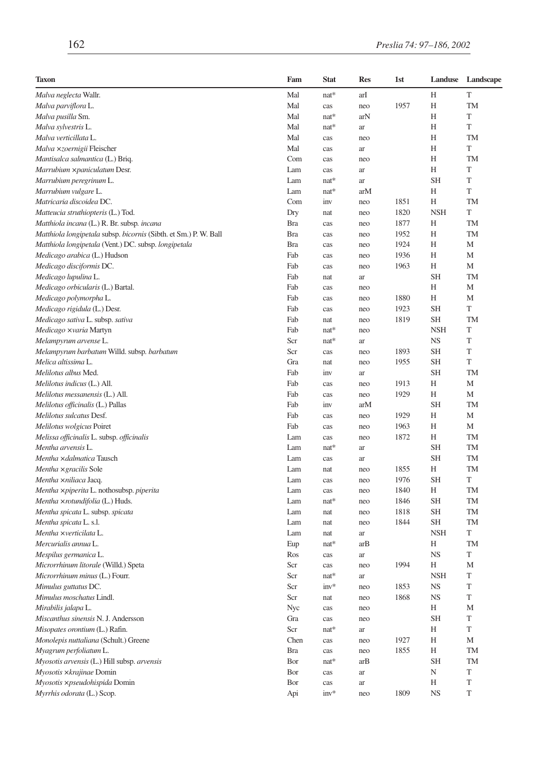| Taxon                                                            | Fam        | <b>Stat</b> | <b>Res</b> | 1st          | Landuse    | Landscape   |
|------------------------------------------------------------------|------------|-------------|------------|--------------|------------|-------------|
| Malva neglecta Wallr.                                            | Mal        | $nat*$      | arI        |              | Н          | T           |
| Malva parviflora L.                                              | Mal        | cas         | neo        | 1957         | H          | <b>TM</b>   |
| Malva pusilla Sm.                                                | Mal        | $nat*$      | arN        |              | H          | T           |
| Malva sylvestris L.                                              | Mal        | $nat*$      | ar         |              | Н          | T           |
| Malva verticillata L.                                            | Mal        | cas         | neo        |              | H          | TM          |
| Malva xzoernigii Fleischer                                       | Mal        | cas         | ar         |              | Н          | T           |
| Mantisalca salmantica (L.) Briq.                                 | Com        | cas         | neo        |              | Н          | TM          |
| Marrubium ×paniculatum Desr.                                     | Lam        | cas         | ar         |              | Н          | T           |
| Marrubium peregrinum L.                                          | Lam        | nat*        | ar         |              | <b>SH</b>  | T           |
| Marrubium vulgare L.                                             | Lam        | $nat*$      | arM        |              | H          | T           |
| Matricaria discoidea DC.                                         | Com        | inv         | neo        | 1851         | H          | TM          |
| Matteucia struthiopteris (L.) Tod.                               | Dry        | nat         | neo        | 1820         | <b>NSH</b> | T           |
| Matthiola incana (L.) R. Br. subsp. incana                       | <b>Bra</b> | cas         | neo        | 1877         | Н          | <b>TM</b>   |
| Matthiola longipetala subsp. bicornis (Sibth. et Sm.) P. W. Ball | <b>Bra</b> | cas         | neo        | 1952         | Н          | TM          |
| Matthiola longipetala (Vent.) DC. subsp. longipetala             | <b>Bra</b> | cas         | neo        | 1924         | Н          | M           |
| Medicago arabica (L.) Hudson                                     | Fab        | cas         | neo        | 1936         | Н          | M           |
| Medicago disciformis DC.                                         | Fab        | cas         | neo        | 1963         | Н          | M           |
| Medicago lupulina L.                                             | Fab        | nat         | ar         |              | <b>SH</b>  | TM          |
| Medicago orbicularis (L.) Bartal.                                | Fab        | cas         | neo        |              | H          | M           |
| Medicago polymorpha L.                                           | Fab        | cas         | neo        | 1880         | Н          | M           |
| Medicago rigidula (L.) Desr.                                     | Fab        | cas         | neo        | 1923         | <b>SH</b>  | T           |
| Medicago sativa L. subsp. sativa                                 | Fab        | nat         | neo        | 1819         | <b>SH</b>  | TM          |
| Medicago xvaria Martyn                                           | Fab        | nat*        | neo        |              | <b>NSH</b> | T           |
| Melampyrum arvense L.                                            | Scr        | nat*        | ar         |              | <b>NS</b>  | T           |
| Melampyrum barbatum Willd. subsp. barbatum                       | Scr        | cas         | neo        | 1893         | <b>SH</b>  | T           |
| Melica altissima L.                                              | Gra        |             |            | 1955         | <b>SH</b>  | T           |
| Melilotus albus Med.                                             | Fab        | nat         | neo        |              | <b>SH</b>  | TM          |
|                                                                  |            | inv         | ar         |              | Н          | M           |
| Melilotus indicus (L.) All.                                      | Fab<br>Fab | cas         | neo        | 1913<br>1929 | Н          | M           |
| Melilotus messanensis (L.) All.                                  |            | cas         | neo        |              | <b>SH</b>  | TM          |
| Melilotus officinalis (L.) Pallas                                | Fab        | inv         | arM        |              |            |             |
| Melilotus sulcatus Desf.                                         | Fab        | cas         | neo        | 1929         | Н          | M           |
| Melilotus wolgicus Poiret                                        | Fab        | cas         | neo        | 1963         | H          | M           |
| Melissa officinalis L. subsp. officinalis                        | Lam        | cas         | neo        | 1872         | Н          | TM          |
| Mentha arvensis L.                                               | Lam        | nat*        | ar         |              | <b>SH</b>  | TM          |
| Mentha xdalmatica Tausch                                         | Lam        | cas         | ar         |              | <b>SH</b>  | TM          |
| Mentha × gracilis Sole                                           | Lam        | nat         | neo        | 1855         | Н          | TM          |
| Mentha xniliaca Jacq.                                            | Lam        | cas         | neo        | 1976         | <b>SH</b>  | T           |
| Mentha xpiperita L. nothosubsp. piperita                         | Lam        | cas         | neo        | 1840         | Н          | TM          |
| Mentha xrotundifolia (L.) Huds.                                  | Lam        | nat*        | neo        | 1846         | <b>SH</b>  | TM          |
| Mentha spicata L. subsp. spicata                                 | Lam        | nat         | neo        | 1818         | <b>SH</b>  | TM          |
| Mentha spicata L. s.l.                                           | Lam        | nat         | neo        | 1844         | <b>SH</b>  | TM          |
| Mentha ×verticilata L.                                           | Lam        | nat         | ar         |              | <b>NSH</b> | T           |
| Mercurialis annua L.                                             | Eup        | nat*        | arB        |              | Н          | TM          |
| Mespilus germanica L.                                            | Ros        | cas         | ar         |              | <b>NS</b>  | T           |
| Microrrhinum litorale (Willd.) Speta                             | Scr        | cas         | neo        | 1994         | Н          | M           |
| Microrrhinum minus (L.) Fourr.                                   | Scr        | nat*        | ar         |              | <b>NSH</b> | T           |
| Mimulus guttatus DC.                                             | Scr        | $inv*$      | neo        | 1853         | <b>NS</b>  | $\mathbf T$ |
| Mimulus moschatus Lindl.                                         | Scr        | nat         | neo        | 1868         | <b>NS</b>  | T           |
| Mirabilis jalapa L.                                              | Nyc        | cas         | neo        |              | Н          | M           |
| Miscanthus sinensis N. J. Andersson                              | Gra        | cas         | neo        |              | <b>SH</b>  | T           |
| Misopates orontium (L.) Rafin.                                   | Scr        | $nat*$      | ar         |              | Н          | T           |
| Monolepis nuttaliana (Schult.) Greene                            | Chen       | cas         | neo        | 1927         | Η          | М           |
| Myagrum perfoliatum L.                                           | <b>Bra</b> | cas         | neo        | 1855         | Н          | TM          |
| Myosotis arvensis (L.) Hill subsp. arvensis                      | Bor        | $nat*$      | arB        |              | <b>SH</b>  | TM          |
| Myosotis ×krajinae Domin                                         | Bor        | cas         | ar         |              | N          | T           |
| Myosotis xpseudohispida Domin                                    | Bor        | cas         | ar         |              | Н          | T           |
| Myrrhis odorata (L.) Scop.                                       | Api        | $inv*$      | neo        | 1809         | <b>NS</b>  | T           |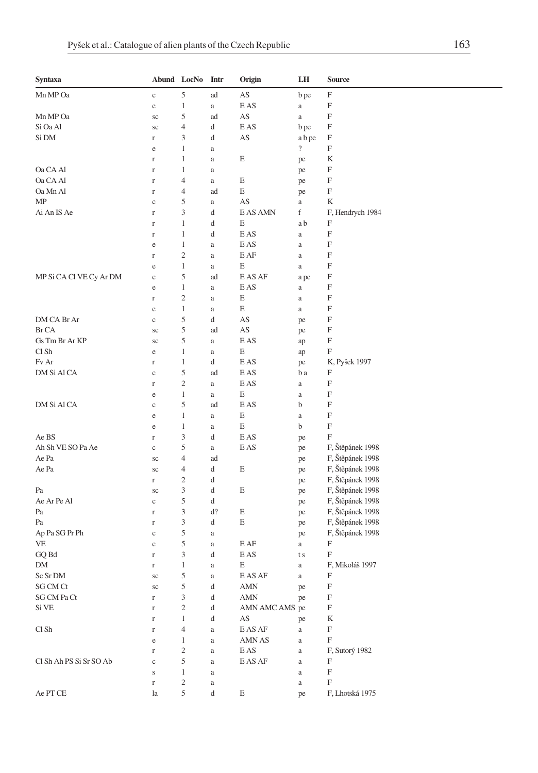| Syntaxa                 |                  | Abund LocNo         | Intr           | Origin                                 | LH                       | <b>Source</b>    |
|-------------------------|------------------|---------------------|----------------|----------------------------------------|--------------------------|------------------|
| Mn MP Oa                | $\mathbf c$      | 5                   | ad             | AS                                     | b pe                     | F                |
|                         | e                | $\mathbf{1}$        | a              | E AS                                   | a                        | F                |
| Mn MP Oa                | sc               | 5                   | ad             | AS                                     | $\rm{a}$                 | F                |
| Si Oa Al                | sc               | $\overline{4}$      | d              | E AS                                   | b pe                     | F                |
| Si DM                   | $\mathbf r$      | 3                   | d              | AS                                     | a b pe                   | F                |
|                         | e                | 1                   | $\rm{a}$       |                                        | $\overline{\mathcal{L}}$ | F                |
|                         | $\mathbf r$      | 1                   | a              | E                                      | pe                       | K                |
| Oa CA Al                | r                | 1                   | a              |                                        | pe                       | F                |
| Oa CA Al                | $\Gamma$         | $\overline{4}$      | a              | Ε                                      | pe                       | F                |
| Oa Mn Al                | $\Gamma$         | $\overline{4}$      | ad             | Ε                                      | pe                       | F                |
| MΡ                      | $\mathbf c$      | 5                   | a              | AS                                     | a                        | K                |
| Ai An IS Ae             | r                | 3                   | d              | E AS AMN                               | f                        | F, Hendrych 1984 |
|                         | $\Gamma$         | 1                   | d              | Е                                      | a b                      | F                |
|                         | $\Gamma$         | 1                   | d              | E AS                                   | $\rm{a}$                 | F                |
|                         | e                | 1                   | a              | E AS                                   | $\rm{a}$                 | F                |
|                         | $\Gamma$         | $\overline{2}$      | a              | E AF                                   | $\rm{a}$                 | F                |
|                         | e                | $\mathbf{1}$        | a              | Ε                                      | $\rm{a}$                 | F                |
| MP Si CA Cl VE Cy Ar DM | $\mathbf c$      | 5                   | ad             | E AS AF                                | a pe                     | F                |
|                         | e                | 1                   | a              | E AS                                   | $\rm{a}$                 | F                |
|                         | $\Gamma$         | $\overline{c}$      | a              | E                                      | $\rm{a}$                 | F                |
|                         | e                | 1                   | $\rm{a}$       | E                                      | $\rm{a}$                 | F                |
| DM CA Br Ar             | $\mathbf c$      | 5                   | d              | AS                                     | pe                       | F                |
| Br CA                   | sc               | 5                   | ad             | AS                                     | pe                       | F                |
| Gs Tm Br Ar KP          | sc               | 5                   | a              | E AS                                   | ap                       | F                |
| Cl Sh                   | e                | $\mathbf{1}$        | $\rm{a}$       | E                                      | ap                       | F                |
| Fv Ar                   | r                | 1                   | d              | E AS                                   | pe                       | K, Pyšek 1997    |
| DM Si Al CA             | $\mathbf c$      | 5<br>$\overline{2}$ | ad             | E AS                                   | b a                      | F<br>F           |
|                         | $\Gamma$         | 1                   | a              | E AS<br>Е                              | $\rm{a}$                 | F                |
| DM Si Al CA             | e                | 5                   | $\rm{a}$<br>ad | E AS                                   | $\rm{a}$<br>b            | F                |
|                         | $\mathbf c$<br>e | $\mathbf{1}$        |                | E                                      |                          | F                |
|                         | e                | $\mathbf{1}$        | a<br>$\rm{a}$  | E                                      | $\rm{a}$<br>b            | F                |
| Ae BS                   | r                | 3                   | d              | E AS                                   | pe                       | F                |
| Ah Sh VE SO Pa Ae       | $\rm _c$         | 5                   | a              | E AS                                   | pe                       | F, Štěpánek 1998 |
| Ae Pa                   | sc               | $\overline{4}$      | ad             |                                        | pe                       | F, Štěpánek 1998 |
| Ae Pa                   | sc               | $\overline{4}$      | d              | E                                      | pe                       | F, Štěpánek 1998 |
|                         | $\Gamma$         | $\overline{2}$      | d              |                                        | pe                       | F, Štěpánek 1998 |
| Pa                      | sc               | 3                   | d              | E                                      | pe                       | F, Štěpánek 1998 |
| Ae Ar Pe Al             | $\mathbf c$      | 5                   | d              |                                        | pe                       | F, Štěpánek 1998 |
| Pa                      | $\Gamma$         | 3                   | d?             | Е                                      | pe                       | F, Štěpánek 1998 |
| Pa                      | $\Gamma$         | 3                   | d              | E                                      | pe                       | F, Štěpánek 1998 |
| Ap Pa SG Pr Ph          | $\mathbf c$      | 5                   | a              |                                        | pe                       | F, Štěpánek 1998 |
| VE                      | $\mathbf c$      | 5                   | $\rm{a}$       | E AF                                   | a                        | F                |
| GQ Bd                   | $\mathbf r$      | 3                   | d              | E AS                                   | t s                      | F                |
| DΜ                      | r                | 1                   | a              | Е                                      | $\rm{a}$                 | F, Mikoláš 1997  |
| Sc Sr DM                | sc               | 5                   | a              | E AS AF                                | $\rm{a}$                 | F                |
| SG CM Ct                | $\rm{sc}$        | $\mathfrak s$       | d              | AMN                                    | pe                       | F                |
| SG CM Pa Ct             | $\mathbf r$      | 3                   | d              | <b>AMN</b>                             | pe                       | F                |
| Si VE                   | $\mathbf r$      | $\mathfrak{2}$      | d              | AMN AMC AMS pe                         |                          | F                |
|                         | $\mathbf r$      | $\mathbf{1}$        | d              | AS                                     | pe                       | K                |
| Cl Sh                   | $\mathbf r$      | $\overline{4}$      | $\rm{a}$       | $\mathop{\hbox{\rm E}}\nolimits$ AS AF | $\rm{a}$                 | F                |
|                         | $\rm e$          | $\mathbf{1}$        | $\rm{a}$       | AMN AS                                 | $\rm{a}$                 | F                |
|                         | $\mathbf r$      | $\sqrt{2}$          | a              | E AS                                   | $\rm{a}$                 | F, Sutorý 1982   |
| Cl Sh Ah PS Si Sr SO Ab | $\mathbf c$      | 5                   | a              | E AS AF                                | $\rm{a}$                 | F                |
|                         | S                | $\mathbf{1}$        | a              |                                        | $\rm{a}$                 | F                |
|                         | $\mathbf r$      | $\sqrt{2}$          | $\rm{a}$       |                                        | $\rm{a}$                 | F                |
| Ae PT CE                | la               | 5                   | d              | E                                      | pe                       | F, Lhotská 1975  |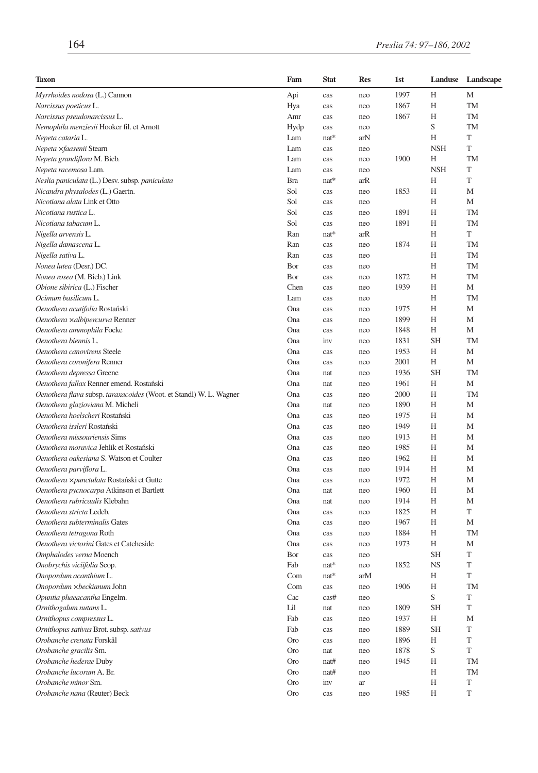| <b>Taxon</b>                                                       | Fam        | <b>Stat</b> | <b>Res</b> | 1st  | Landuse    | Landscape   |
|--------------------------------------------------------------------|------------|-------------|------------|------|------------|-------------|
| Myrrhoides nodosa (L.) Cannon                                      | Api        | cas         | neo        | 1997 | Н          | М           |
| Narcissus poeticus L.                                              | Hya        | cas         | neo        | 1867 | Н          | <b>TM</b>   |
| Narcissus pseudonarcissus L.                                       | Amr        | cas         | neo        | 1867 | Н          | <b>TM</b>   |
| Nemophila menziesii Hooker fil. et Arnott                          | Hydp       | cas         | neo        |      | S          | TM          |
| Nepeta cataria L.                                                  | Lam        | nat*        | arN        |      | H          | T           |
| Nepeta xfaasenii Stearn                                            | Lam        | cas         | neo        |      | <b>NSH</b> | T           |
| Nepeta grandiflora M. Bieb.                                        | Lam        | cas         | neo        | 1900 | Н          | TM          |
| Nepeta racemosa Lam.                                               | Lam        | cas         | neo        |      | <b>NSH</b> | T           |
| Neslia paniculata (L.) Desv. subsp. paniculata                     | <b>Bra</b> | $nat*$      | arR        |      | H          | T           |
| Nicandra physalodes (L.) Gaertn.                                   | Sol        | cas         | neo        | 1853 | Н          | M           |
| Nicotiana alata Link et Otto                                       | Sol        | cas         | neo        |      | Н          | М           |
| Nicotiana rustica L.                                               | Sol        | cas         | neo        | 1891 | Н          | <b>TM</b>   |
| Nicotiana tabacum L.                                               | Sol        | cas         | neo        | 1891 | Н          | <b>TM</b>   |
| Nigella arvensis L.                                                | Ran        | $nat*$      | arR        |      | Н          | T           |
| Nigella damascena L.                                               | Ran        | cas         | neo        | 1874 | Н          | TM          |
| Nigella sativa L.                                                  | Ran        | cas         | neo        |      | Н          | TM          |
| Nonea lutea (Desr.) DC.                                            | Bor        | cas         | neo        |      | Н          | TM          |
| Nonea rosea (M. Bieb.) Link                                        | Bor        | cas         | neo        | 1872 | Н          | TM          |
| Obione sibirica (L.) Fischer                                       | Chen       | cas         | neo        | 1939 | Н          | M           |
| Ocimum basilicum L.                                                | Lam        | cas         | neo        |      | Н          | <b>TM</b>   |
| Oenothera acutifolia Rostański                                     | Ona        | cas         | neo        | 1975 | Н          | M           |
| Oenothera xalbipercurva Renner                                     | Ona        | cas         | neo        | 1899 | Н          | М           |
| Oenothera ammophila Focke                                          | Ona        | cas         | neo        | 1848 | Н          | M           |
| Oenothera biennis L.                                               | Ona        | inv         | neo        | 1831 | <b>SH</b>  | <b>TM</b>   |
| Oenothera canovirens Steele                                        | Ona        | cas         | neo        | 1953 | Н          | M           |
| Oenothera coronifera Renner                                        | Ona        | cas         | neo        | 2001 | Н          | М           |
| Oenothera depressa Greene                                          | Ona        | nat         | neo        | 1936 | <b>SH</b>  | TM          |
| Oenothera fallax Renner emend. Rostański                           | Ona        | nat         | neo        | 1961 | Н          | M           |
| Oenothera flava subsp. taraxacoides (Woot. et Standl) W. L. Wagner | Ona        | cas         | neo        | 2000 | Н          | TM          |
| Oenothera glazioviana M. Micheli                                   | Ona        | nat         | neo        | 1890 | Н          | M           |
| Oenothera hoelscheri Rostański                                     | Ona        | cas         | neo        | 1975 | Н          | М           |
| Oenothera issleri Rostański                                        | Ona        | cas         | neo        | 1949 | Н          | M           |
| Oenothera missouriensis Sims                                       | Ona        | cas         | neo        | 1913 | Н          | M           |
| Oenothera moravica Jehlík et Rostański                             | Ona        | cas         | neo        | 1985 | Н          | M           |
| Oenothera oakesiana S. Watson et Coulter                           | Ona        | cas         | neo        | 1962 | Н          | M           |
| Oenothera parviflora L.                                            | Ona        | cas         | neo        | 1914 | Н          | М           |
| Oenothera ×punctulata Rostański et Gutte                           | Ona        | cas         | neo        | 1972 | Н          | M           |
| Oenothera pycnocarpa Atkinson et Bartlett                          | Ona        | nat         | neo        | 1960 | Н          | M           |
| Oenothera rubricaulis Klebahn                                      | Ona        | nat         | neo        | 1914 | Н          | M           |
| Oenothera stricta Ledeb.                                           | Ona        | cas         | neo        | 1825 | Н          | T           |
| Oenothera subterminalis Gates                                      | Ona        | cas         | neo        | 1967 | Н          | M           |
| Oenothera tetragona Roth                                           | Ona        | cas         | neo        | 1884 | Н          | <b>TM</b>   |
| Oenothera victorini Gates et Catcheside                            | Ona        | cas         | neo        | 1973 | Н          | M           |
| Omphalodes verna Moench                                            | Bor        | cas         | neo        |      | <b>SH</b>  | T           |
|                                                                    | Fab        | nat*        |            | 1852 | <b>NS</b>  | T           |
| Onobrychis viciifolia Scop.                                        | Com        | $nat*$      | neo<br>arM |      | H          | T           |
| Onopordum acanthium L.                                             |            |             |            |      |            |             |
| Onopordum xbeckianum John                                          | Com        | cas         | neo        | 1906 | Н<br>S     | TM<br>T     |
| Opuntia phaeacantha Engelm.                                        | Cac        | cas#        | neo        |      | <b>SH</b>  | $\mathbf T$ |
| Ornithogalum nutans L.                                             | Lil        | nat         | neo        | 1809 |            |             |
| Ornithopus compressus L.                                           | Fab        | cas         | neo        | 1937 | Н          | M           |
| Ornithopus sativus Brot. subsp. sativus                            | Fab        | cas         | neo        | 1889 | <b>SH</b>  | T           |
| Orobanche crenata Forskål                                          | <b>Oro</b> | cas         | neo        | 1896 | Η          | T           |
| Orobanche gracilis Sm.                                             | <b>Oro</b> | nat         | neo        | 1878 | S          | T           |
| Orobanche hederae Duby                                             | <b>Oro</b> | nat#        | neo        | 1945 | Η          | TM          |
| Orobanche lucorum A. Br.                                           | <b>Oro</b> | nat#        | neo        |      | Η          | TM          |
| Orobanche minor Sm.                                                | <b>Oro</b> | inv         | ar         |      | Η          | T           |
| Orobanche nana (Reuter) Beck                                       | <b>Oro</b> | cas         | neo        | 1985 | Н          | T           |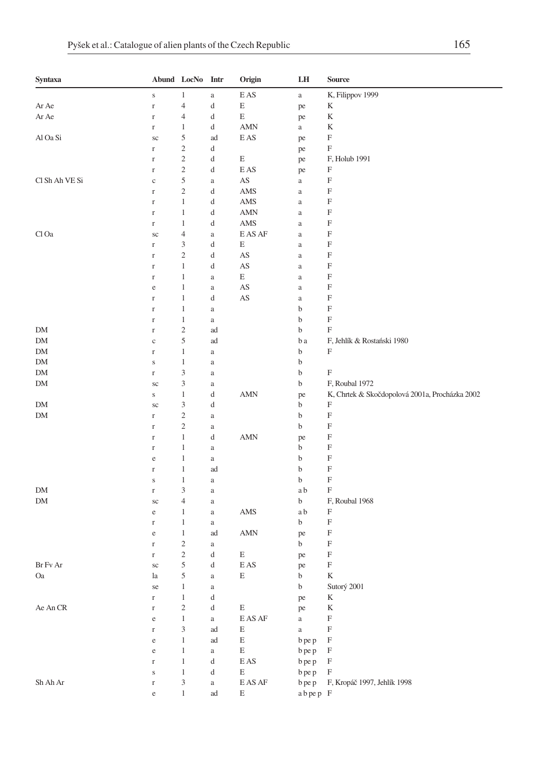| Syntaxa        |              | Abund LocNo Intr            |                                               | Origin                                 | LH          | <b>Source</b>                                  |
|----------------|--------------|-----------------------------|-----------------------------------------------|----------------------------------------|-------------|------------------------------------------------|
|                | $\mathbf S$  | $\mathbf{1}$                | $\rm{a}$                                      | E AS                                   | $\rm{a}$    | K, Filippov 1999                               |
| Ar Ae          | $\mathbf r$  | $\overline{4}$              | d                                             | E                                      | pe          | K                                              |
| Ar Ae          | $\mathbf r$  | $\overline{4}$              | d                                             | E                                      | pe          | K                                              |
|                | $\Gamma$     | $\mathbf{1}$                | d                                             | <b>AMN</b>                             | $\rm{a}$    | K                                              |
| Al Oa Si       | $\rm{sc}$    | 5                           | ad                                            | E AS                                   | pe          | $\boldsymbol{\mathrm{F}}$                      |
|                | $\Gamma$     | $\sqrt{2}$                  | d                                             |                                        | pe          | $\boldsymbol{\mathrm{F}}$                      |
|                | $\Gamma$     | $\sqrt{2}$                  | d                                             | E                                      | pe          | F, Holub 1991                                  |
|                | $\Gamma$     | $\sqrt{2}$                  | d                                             | E AS                                   | pe          | F                                              |
| Cl Sh Ah VE Si | $\mathbf{C}$ | 5                           | $\rm{a}$                                      | AS                                     | $\rm{a}$    | $\boldsymbol{\mathrm{F}}$                      |
|                | $\mathbf r$  | $\sqrt{2}$                  | d                                             | AMS                                    | $\rm{a}$    | F                                              |
|                | $\mathbf r$  | $\mathbf{1}$                | d                                             | AMS                                    | $\rm{a}$    | $\boldsymbol{\mathrm{F}}$                      |
|                | $\mathbf r$  | $\mathbf{1}$                | d                                             | <b>AMN</b>                             | $\rm{a}$    | $\boldsymbol{\mathrm{F}}$                      |
|                | $\mathbf r$  | $\mathbf{1}$                | d                                             | AMS                                    | $\rm{a}$    | $\boldsymbol{\mathrm{F}}$                      |
| Cl Oa          | $\rm{sc}$    | $\overline{4}$              | $\rm{a}$                                      | E AS AF                                | $\rm{a}$    | $\boldsymbol{\mathrm{F}}$                      |
|                | $\Gamma$     | 3                           | d                                             | E                                      | $\rm{a}$    | F                                              |
|                | $\Gamma$     | $\sqrt{2}$                  | d                                             | AS                                     | $\rm{a}$    | $\boldsymbol{\mathrm{F}}$                      |
|                | $\Gamma$     | $\mathbf{1}$                | d                                             | AS                                     | $\rm{a}$    | $\boldsymbol{\mathrm{F}}$                      |
|                | $\mathbf r$  | $\mathbf{1}$                | $\rm{a}$                                      | E                                      | $\rm{a}$    | $\boldsymbol{\mathrm{F}}$                      |
|                | $\rm e$      | $\mathbf{1}$                | $\rm{a}$                                      | AS                                     | $\rm{a}$    | $\boldsymbol{\mathrm{F}}$                      |
|                | $\mathbf r$  | $\mathbf{1}$                | d                                             | AS                                     | $\rm{a}$    | $\boldsymbol{\mathrm{F}}$                      |
|                | $\mathbf r$  | $\mathbf{1}$                | $\rm{a}$                                      |                                        | $\mathbf b$ | $\boldsymbol{\mathrm{F}}$                      |
|                | $\Gamma$     | $\mathbf{1}$                | $\rm{a}$                                      |                                        | $\mathbf b$ | $\boldsymbol{\mathrm{F}}$                      |
| DM             | $\mathbf r$  | $\sqrt{2}$                  | ad                                            |                                        | b           | $\boldsymbol{\mathrm{F}}$                      |
| DM             | $\mathbf{C}$ | 5                           | ad                                            |                                        | b a         | F, Jehlík & Rostański 1980                     |
| DM             | $\mathbf r$  | $\mathbf{1}$                | a                                             |                                        | b           | $\boldsymbol{\mathrm{F}}$                      |
| DM             | $\mathbf S$  | $\mathbf{1}$                | $\rm{a}$                                      |                                        | b           |                                                |
| DM             | $\Gamma$     | $\mathfrak z$               | $\rm{a}$                                      |                                        | b           | $\boldsymbol{\mathrm{F}}$                      |
| DM             | $\rm{sc}$    | $\mathfrak z$               | $\rm{a}$                                      |                                        | b           | F, Roubal 1972                                 |
|                | $\mathbf S$  | $\mathbf{1}$                | d                                             | AMN                                    | pe          | K, Chrtek & Skočdopolová 2001a, Procházka 2002 |
| DM             | sc           | 3                           | d                                             |                                        | b           | F                                              |
| DM             | $\mathbf r$  | $\sqrt{2}$                  | $\rm{a}$                                      |                                        | b           | $\boldsymbol{\mathrm{F}}$                      |
|                | $\mathbf r$  | $\sqrt{2}$                  | $\rm{a}$                                      |                                        | b           | $\boldsymbol{\mathrm{F}}$                      |
|                | $\mathbf r$  | $\mathbf{1}$                | d                                             | <b>AMN</b>                             | pe          | F                                              |
|                | $\Gamma$     | $\mathbf{1}$                | $\rm{a}$                                      |                                        | b           | $\boldsymbol{\mathrm{F}}$                      |
|                | $\rm e$      | $\,1\,$                     | $\rm{a}$                                      |                                        | $\mathbf b$ | $\boldsymbol{\mathrm{F}}$                      |
|                | $\mathbf r$  | $\mathbf{1}$                | ad                                            |                                        | $\mathbf b$ | $\boldsymbol{\mathrm{F}}$                      |
|                | $\mathbf S$  | $\mathbf{1}$                | $\rm{a}$                                      |                                        | b           | $\boldsymbol{\mathrm{F}}$                      |
| DM             | $\Gamma$     | 3                           | $\rm{a}$                                      |                                        | a b         | $\boldsymbol{\mathrm{F}}$                      |
| DM             | $\rm{sc}$    | $\overline{4}$              | $\rm{a}$                                      |                                        | b           | F, Roubal 1968                                 |
|                | $\rm e$      | 1                           | $\rm{a}$                                      | AMS                                    | a b         | F                                              |
|                | $\Gamma$     | $\mathbf{1}$                | $\rm{a}$                                      |                                        | b           | $\boldsymbol{\mathrm{F}}$                      |
|                | $\rm e$      | $\mathbf{1}$                | ad                                            | <b>AMN</b>                             | pe          | $\boldsymbol{\mathrm{F}}$                      |
|                | $\Gamma$     | $\sqrt{2}$                  | a                                             |                                        | b           | $\boldsymbol{\mathrm{F}}$                      |
|                | $\Gamma$     | $\sqrt{2}$                  | d                                             | Ε                                      | pe          | $\boldsymbol{\mathrm{F}}$                      |
| Br Fv Ar       | sc           | 5                           | d                                             | E AS                                   | pe          | $\boldsymbol{\mathrm{F}}$                      |
| Oa             | la           | 5                           | $\rm{a}$                                      | E                                      | b           | $\bf K$                                        |
|                | se           | 1                           | $\rm{a}$                                      |                                        | $\bf b$     | Sutorý 2001                                    |
|                | $\mathbf r$  | $\,1\,$                     | d                                             |                                        | pe          | K                                              |
| Ae An CR       | $\Gamma$     | $\sqrt{2}$                  | $\mathrm{d}% \left\  \mathbf{G}\right\  ^{2}$ | $\mathbf E$                            | pe          | $\mathbf K$                                    |
|                | $\rm e$      | $\,1$                       | $\rm{a}$                                      | $\mathop{\hbox{\rm E}}\nolimits$ AS AF | $\rm{a}$    | $\mathbf F$                                    |
|                | $\rm r$      | $\ensuremath{\mathfrak{Z}}$ | ad                                            | $\mathbf E$                            | $\rm{a}$    | $\mathbf F$                                    |
|                | $\rm e$      | $1\,$                       | ad                                            | E                                      | b pe p      | $\mathbf F$                                    |
|                | $\rm e$      | $1\,$                       | $\rm{a}$                                      | E                                      | b pe p      | $\mathbf F$                                    |
|                | $\Gamma$     | $\,1\,$                     | d                                             | $\mathop{\hbox{\rm E}}\nolimits$ AS    | b pe p      | $\mathbf F$                                    |
|                | $\mathbf S$  | $\,1\,$                     | d                                             | $\mathbf E$                            | b pe p      | $\boldsymbol{\mathrm{F}}$                      |
| Sh Ah Ar       | $\mathbf r$  | $\ensuremath{\mathfrak{Z}}$ | $\rm{a}$                                      | $\mathop{\hbox{\rm E}}\nolimits$ AS AF | b pe p      | F, Kropáč 1997, Jehlík 1998                    |
|                | $\rm e$      | $\,1$                       | ad                                            | $\mathop{}\!\textnormal{E}$            | abpep F     |                                                |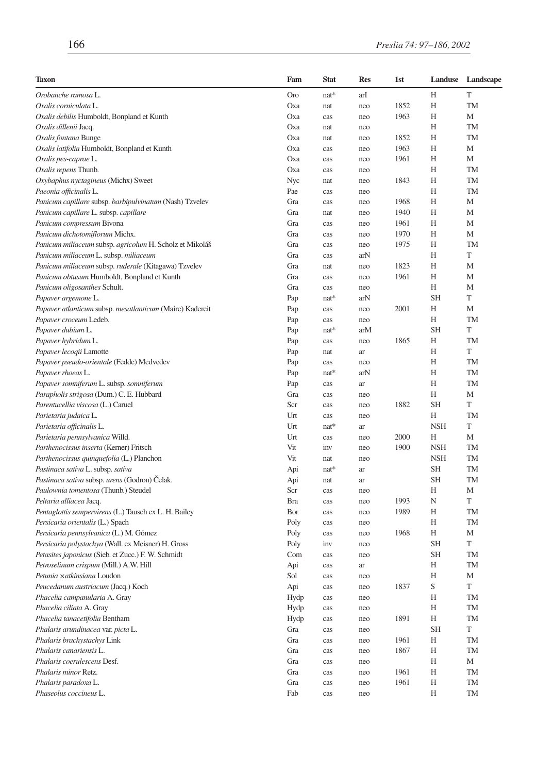| <b>Taxon</b>                                             | Fam        | <b>Stat</b> | <b>Res</b> | 1st  | Landuse     | Landscape   |
|----------------------------------------------------------|------------|-------------|------------|------|-------------|-------------|
| Orobanche ramosa L.                                      | <b>Oro</b> | nat*        | arI        |      | Н           | T           |
| Oxalis corniculata L.                                    | Oxa        | nat         | neo        | 1852 | Н           | TM          |
| Oxalis debilis Humboldt, Bonpland et Kunth               | Oxa        | cas         | neo        | 1963 | Н           | M           |
| Oxalis dillenii Jacq.                                    | Oxa        | nat         | neo        |      | Н           | TM          |
| Oxalis fontana Bunge                                     | Oxa        | nat         | neo        | 1852 | H           | <b>TM</b>   |
| Oxalis latifolia Humboldt, Bonpland et Kunth             | Oxa        | cas         | neo        | 1963 | Н           | М           |
| Oxalis pes-caprae L.                                     | Oxa        | cas         | neo        | 1961 | Н           | М           |
| Oxalis repens Thunb.                                     | Oxa        | cas         | neo        |      | Н           | <b>TM</b>   |
| Oxybaphus nyctagineus (Michx) Sweet                      | Nyc        | nat         | neo        | 1843 | Н           | TM          |
| Paeonia officinalis L.                                   | Pae        | cas         | neo        |      | Н           | <b>TM</b>   |
| Panicum capillare subsp. barbipulvinatum (Nash) Tzvelev  | Gra        | cas         | neo        | 1968 | Н           | M           |
| Panicum capillare L. subsp. capillare                    | Gra        | nat         | neo        | 1940 | Н           | M           |
| Panicum compressum Bivona                                | Gra        | cas         | neo        | 1961 | Н           | М           |
| Panicum dichotomiflorum Michx.                           | Gra        | cas         | neo        | 1970 | Н           | M           |
| Panicum miliaceum subsp. agricolum H. Scholz et Mikoláš  | Gra        | cas         | neo        | 1975 | Н           | <b>TM</b>   |
| Panicum miliaceum L. subsp. miliaceum                    | Gra        | cas         | arN        |      | Н           | T           |
| Panicum miliaceum subsp. ruderale (Kitagawa) Tzvelev     | Gra        | nat         | neo        | 1823 | Н           | M           |
| Panicum obtusum Humboldt, Bonpland et Kunth              | Gra        | cas         | neo        | 1961 | Н           | M           |
| Panicum oligosanthes Schult.                             | Gra        | cas         | neo        |      | Н           | M           |
| Papaver argemone L.                                      | Pap        | nat*        | arN        |      | <b>SH</b>   | T           |
| Papaver atlanticum subsp. mesatlanticum (Maire) Kadereit | Pap        | cas         | neo        | 2001 | H           | M           |
| Papaver croceum Ledeb.                                   | Pap        | cas         | neo        |      | Н           | <b>TM</b>   |
| Papaver dubium L.                                        | Pap        | $nat*$      | arM        |      | <b>SH</b>   | T           |
| Papaver hybridum L.                                      | Pap        | cas         | neo        | 1865 | Н           | TM          |
| Papaver lecoqii Lamotte                                  | Pap        | nat         | ar         |      | H           | T           |
| Papaver pseudo-orientale (Fedde) Medvedev                | Pap        | cas         | neo        |      | Н           | TM          |
| Papaver rhoeas L.                                        | Pap        | $nat*$      | arN        |      | Н           | TM          |
| Papaver somniferum L. subsp. somniferum                  | Pap        | cas         | ar         |      | Н           | TM          |
| Parapholis strigosa (Dum.) C. E. Hubbard                 | Gra        | cas         | neo        |      | Н           | M           |
| Parentucellia viscosa (L.) Caruel                        | Scr        | cas         | neo        | 1882 | <b>SH</b>   | T           |
| Parietaria judaica L.                                    | Urt        | cas         | neo        |      | Н           | <b>TM</b>   |
| Parietaria officinalis L.                                | Urt        | nat*        | ar         |      | <b>NSH</b>  | T           |
| Parietaria pennsylvanica Willd.                          | Urt        | cas         | neo        | 2000 | Н           | М           |
| Parthenocissus inserta (Kerner) Fritsch                  | Vit        | inv         | neo        | 1900 | <b>NSH</b>  | TM          |
| Parthenocissus quinquefolia (L.) Planchon                | Vit        | nat         | neo        |      | <b>NSH</b>  | <b>TM</b>   |
| Pastinaca sativa L. subsp. sativa                        | Api        | nat*        | ar         |      | <b>SH</b>   | TM          |
| Pastinaca sativa subsp. urens (Godron) Celak.            | Api        | nat         | ar         |      | <b>SH</b>   | TM          |
| Paulownia tomentosa (Thunb.) Steudel                     | Scr        | cas         | neo        |      | Н           | M           |
| Peltaria alliacea Jacq.                                  | <b>Bra</b> | cas         | neo        | 1993 | N           | T           |
| Pentaglottis sempervirens (L.) Tausch ex L. H. Bailey    | Bor        | cas         | neo        | 1989 | Н           | <b>TM</b>   |
| Persicaria orientalis (L.) Spach                         | Poly       | cas         | neo        |      | Н           | <b>TM</b>   |
| Persicaria pennsylvanica (L.) M. Gómez                   | Poly       | cas         | neo        | 1968 | Н           | M           |
| Persicaria polystachya (Wall. ex Meisner) H. Gross       | Poly       | inv         | neo        |      | <b>SH</b>   | T           |
| Petasites japonicus (Sieb. et Zucc.) F. W. Schmidt       | Com        | cas         | neo        |      | <b>SH</b>   | <b>TM</b>   |
| Petroselinum crispum (Mill.) A.W. Hill                   | Api        | cas         | ar         |      | Н           | TM          |
| Petunia xatkinsiana Loudon                               | Sol        | cas         | neo        |      | Н           | M           |
| Peucedanum austriacum (Jacq.) Koch                       | Api        | cas         | neo        | 1837 | $\mathbf S$ | $\mathbf T$ |
| Phacelia campanularia A. Gray                            | Hydp       | cas         | neo        |      | H           | TM          |
| Phacelia ciliata A. Gray                                 | Hydp       | cas         | neo        |      | Н           | TM          |
| Phacelia tanacetifolia Bentham                           | Hydp       | cas         | neo        | 1891 | Н           | TM          |
| Phalaris arundinacea var. picta L.                       | Gra        | cas         | neo        |      | <b>SH</b>   | T           |
| Phalaris brachystachys Link                              | Gra        | cas         | neo        | 1961 | Η           | TM          |
| Phalaris canariensis L.                                  | Gra        | cas         | neo        | 1867 | Η           | TM          |
| Phalaris coerulescens Desf.                              | Gra        | cas         | neo        |      | Η           | М           |
| Phalaris minor Retz.                                     | Gra        | cas         | neo        | 1961 | H           | TM          |
| Phalaris paradoxa L.                                     | Gra        | cas         | neo        | 1961 | Н           | TM          |
| Phaseolus coccineus L.                                   | Fab        | cas         | neo        |      | Η           | TM          |
|                                                          |            |             |            |      |             |             |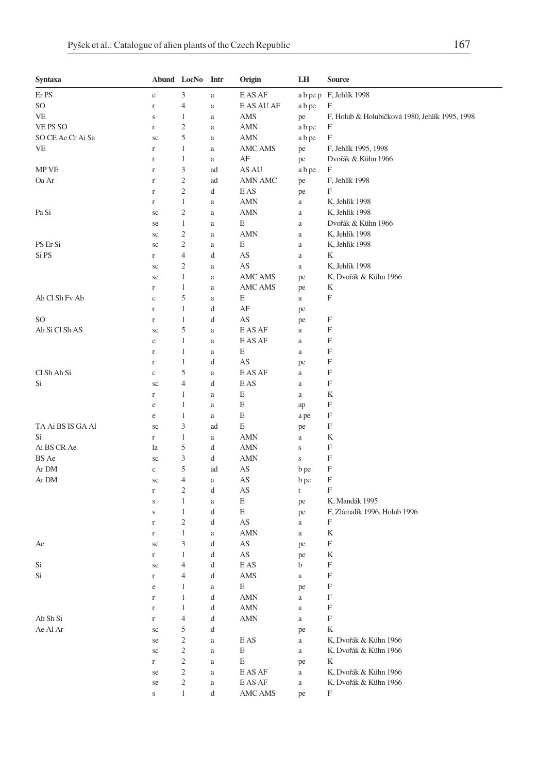| Syntaxa           |              | Abund LocNo Intr        |               | Origin     | LH          | <b>Source</b>                                  |
|-------------------|--------------|-------------------------|---------------|------------|-------------|------------------------------------------------|
| Er PS             | $\rm e$      | 3                       | $\rm{a}$      | E AS AF    |             | a b pe p F, Jehlík 1998                        |
| SO                | $\Gamma$     | 4                       | $\rm{a}$      | E AS AU AF | a b pe      | $\boldsymbol{\mathrm{F}}$                      |
| VE                | $\bf S$      | 1                       | $\rm{a}$      | AMS        | pe          | F, Holub & Holubičková 1980, Jehlík 1995, 1998 |
| VE PS SO          | $\Gamma$     | $\mathfrak{2}$          | $\rm{a}$      | <b>AMN</b> | a b pe      | F                                              |
| SO CE Ae Cr Ai Sa | sc           | 5                       | $\rm{a}$      | AMN        | a b pe      | F                                              |
| VE                | $\Gamma$     | $\mathbf{1}$            | a             | AMC AMS    | pe          | F, Jehlík 1995, 1998                           |
|                   | $\mathbf r$  | $\mathbf{1}$            | a             | AF         | pe          | Dvořák & Kühn 1966                             |
| MP VE             | $\mathbf r$  | 3                       | ad            | AS AU      | a b pe      | F                                              |
| Oa Ar             | $\mathbf r$  | 2                       | ad            | AMN AMC    | pe          | F, Jehlík 1998                                 |
|                   | $\Gamma$     | 2                       | d             | E AS       | pe          | F                                              |
|                   | $\Gamma$     | $\mathbf{1}$            | a             | AMN        | $\rm{a}$    | K, Jehlík 1998                                 |
| Pa Si             | sc           | $\mathfrak{2}$          | $\rm{a}$      | AMN        | $\rm{a}$    | K, Jehlík 1998                                 |
|                   | se           | $\mathbf{1}$            | $\rm{a}$      | Е          | $\rm{a}$    | Dvořák & Kühn 1966                             |
|                   | sc           | $\mathfrak{2}$          | $\rm{a}$      | AMN        | $\rm{a}$    | K, Jehlík 1998                                 |
| PS Er Si          | sc           | $\overline{\mathbf{c}}$ | $\rm{a}$      | E          | $\rm{a}$    | K, Jehlík 1998                                 |
| Si PS             | $\Gamma$     | 4                       | d             | AS         | $\rm{a}$    | K                                              |
|                   | sc           | $\mathfrak{2}$          | $\rm{a}$      | AS         | $\rm{a}$    | K, Jehlík 1998                                 |
|                   | se           | 1                       | $\rm{a}$      | AMC AMS    | pe          | K, Dvořák & Kühn 1966                          |
|                   | $\Gamma$     | 1                       | $\rm{a}$      | AMC AMS    | pe          | K                                              |
| Ah Cl Sh Fv Ab    | $\mathbf c$  | 5                       | $\rm{a}$      | Е          | a           | F                                              |
|                   | $\Gamma$     | $\mathbf{1}$            | d             | AF         | pe          |                                                |
| SO                | $\Gamma$     | $\mathbf{1}$            | d             | AS         | pe          | F                                              |
| Ah Si Cl Sh AS    | sc           | 5                       | a             | E AS AF    | $\rm{a}$    | F                                              |
|                   | e            | $\mathbf{1}$            | $\rm{a}$      | E AS AF    | $\rm{a}$    | F                                              |
|                   | $\Gamma$     | $\mathbf{1}$            |               | E          | $\rm{a}$    | F                                              |
|                   | $\Gamma$     | 1                       | $\rm{a}$<br>d | AS         |             | F                                              |
| Cl Sh Ah Si       | $\mathbf{C}$ | 5                       | $\rm{a}$      | E AS AF    | pe<br>a     | F                                              |
| Si                | sc           | 4                       | d             | E AS       | $\rm{a}$    | F                                              |
|                   | $\Gamma$     | $\mathbf{1}$            |               | E          | $\rm{a}$    | K                                              |
|                   | $\rm e$      | 1                       | $\rm{a}$      | E          |             | F                                              |
|                   |              | $\mathbf{1}$            | $\rm{a}$      | E          | ap          | F                                              |
| TA Ai BS IS GA Al | e            |                         | a             | E          | a pe        | F                                              |
|                   | sc           | 3<br>$\mathbf{1}$       | ad            |            | pe          |                                                |
| Si<br>Ai BS CR Ae | $\Gamma$     | 5                       | a             | AMN        | $\rm{a}$    | K<br>$\boldsymbol{\mathrm{F}}$                 |
|                   | la           | 3                       | d             | <b>AMN</b> | $\mathbf S$ | F                                              |
| BS Ae             | sc           |                         | d             | AMN        | $\bf S$     |                                                |
| Ar DM             | $\mathbf c$  | 5                       | ad            | AS         | b pe        | F<br>$\boldsymbol{\mathrm{F}}$                 |
| Ar DM             | sc           | 4                       | $\rm{a}$      | AS         | b pe        | F                                              |
|                   | $\mathbf r$  | $\mathfrak{2}$          | d             | AS         | t           |                                                |
|                   | $\mathbf S$  | $\mathbf{1}$            | $\rm{a}$      | E          | pe          | K, Mandák 1995                                 |
|                   | $\bf S$      | $\mathbf{1}$            | d             | E          | pe          | F, Zlámalík 1996, Holub 1996                   |
|                   | $\Gamma$     | $\mathfrak{2}$          | d             | AS         | a           | F                                              |
|                   | $\Gamma$     | $\mathbf{1}$            | $\rm{a}$      | AMN        | $\rm{a}$    | K                                              |
| Ae                | sc           | 3                       | d             | AS         | pe          | F                                              |
|                   | $\Gamma$     | $\mathbf{1}$            | d             | AS         | pe          | K                                              |
| Si                | sc           | 4                       | d             | E AS       | b           | F                                              |
| Si                | $\Gamma$     | 4                       | d             | AMS        | $\rm{a}$    | F                                              |
|                   | e            | 1                       | a             | Е,         | pe          | F                                              |
|                   | $\Gamma$     | 1                       | d             | <b>AMN</b> | $\rm{a}$    | $\mathbf F$                                    |
|                   | $\Gamma$     | $\,1$                   | d             | AMN        | $\rm{a}$    | $\mathbf F$                                    |
| Ah Sh Si          | $\Gamma$     | $\overline{4}$          | d             | <b>AMN</b> | $\rm{a}$    | $\mathbf F$                                    |
| Ae Al Ar          | $\rm{sc}$    | 5                       | d             |            | pe          | K                                              |
|                   | se           | $\overline{\mathbf{c}}$ | $\rm{a}$      | E AS       | $\rm{a}$    | K, Dvořák & Kühn 1966                          |
|                   | $\rm{sc}$    | $\sqrt{2}$              | $\rm{a}$      | Ε          | $\rm{a}$    | K, Dvořák & Kühn 1966                          |
|                   | $\Gamma$     | $\overline{c}$          | $\rm{a}$      | E          | pe          | K                                              |
|                   | se           | $\sqrt{2}$              | $\rm{a}$      | E AS AF    | $\rm{a}$    | K, Dvořák & Kühn 1966                          |
|                   | se           | $\overline{\mathbf{c}}$ | $\rm{a}$      | E AS AF    | $\rm{a}$    | K, Dvořák & Kühn 1966                          |
|                   | $\mathbf S$  | $\mathbf{1}$            | d             | AMC AMS    | pe          | F                                              |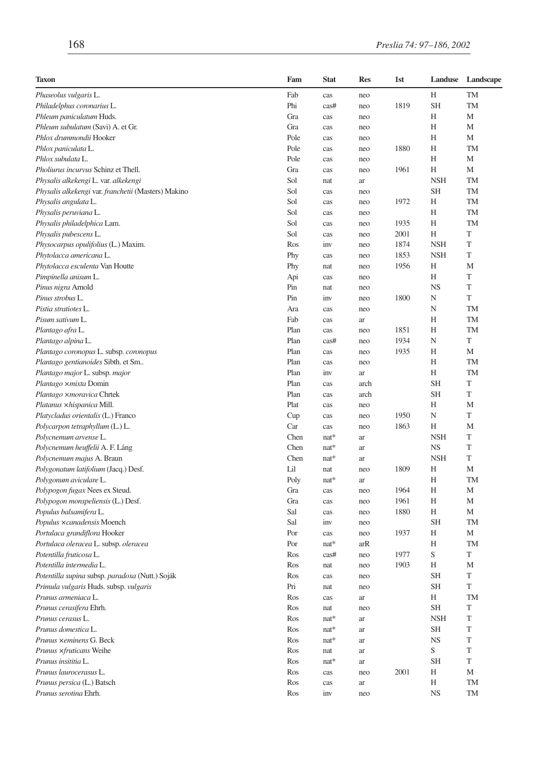| <b>Taxon</b>                                        | Fam  | <b>Stat</b> | <b>Res</b> | 1st  | Landuse    | Landscape |
|-----------------------------------------------------|------|-------------|------------|------|------------|-----------|
| Phaseolus vulgaris L.                               | Fab  | cas         | neo        |      | Н          | TM        |
| Philadelphus coronarius L.                          | Phi  | cas#        | neo        | 1819 | <b>SH</b>  | TM        |
| Phleum paniculatum Huds.                            | Gra  | cas         | neo        |      | H          | M         |
| Phleum subulatum (Savi) A. et Gr.                   | Gra  | cas         | neo        |      | Н          | М         |
| Phlox drummondii Hooker                             | Pole | cas         | neo        |      | Н          | М         |
| Phlox paniculata L.                                 | Pole | cas         | neo        | 1880 | Н          | TM        |
| Phlox subulata L.                                   | Pole | cas         | neo        |      | Н          | M         |
| Pholiurus incurvus Schinz et Thell.                 | Gra  | cas         | neo        | 1961 | Н          | М         |
| Physalis alkekengi L. var. alkekengi                | Sol  | nat         | ar         |      | <b>NSH</b> | TM        |
| Physalis alkekengi var. franchetii (Masters) Makino | Sol  | cas         | neo        |      | <b>SH</b>  | <b>TM</b> |
| Physalis angulata L.                                | Sol  | cas         | neo        | 1972 | H          | <b>TM</b> |
| Physalis peruviana L.                               | Sol  | cas         | neo        |      | Н          | TM        |
| Physalis philadelphica Lam.                         | Sol  | cas         | neo        | 1935 | Н          | TM        |
| Physalis pubescens L.                               | Sol  | cas         | neo        | 2001 | Н          | T         |
| Physocarpus opulifolius (L.) Maxim.                 | Ros  | inv         | neo        | 1874 | <b>NSH</b> | T         |
| Phytolacca americana L.                             | Phy  | cas         | neo        | 1853 | <b>NSH</b> | T         |
| Phytolacca esculenta Van Houtte                     | Phy  | nat         | neo        | 1956 | Н          | M         |
| Pimpinella anisum L.                                | Api  | cas         | neo        |      | H          | T         |
| Pinus nigra Arnold                                  | Pin  | nat         | neo        |      | <b>NS</b>  | T         |
| Pinus strobus L.                                    | Pin  | inv         | neo        | 1800 | N          | T         |
| Pistia stratiotes L.                                | Ara  | cas         | neo        |      | N          | <b>TM</b> |
| Pisum sativum L.                                    | Fab  | cas         | ar         |      | H          | <b>TM</b> |
| Plantago afra L.                                    | Plan | cas         | neo        | 1851 | Η          | TM        |
| Plantago alpina L.                                  | Plan | cas#        | neo        | 1934 | N          | T         |
| Plantago coronopus L. subsp. coronopus              | Plan | cas         | neo        | 1935 | Н          | M         |
| Plantago gentianoides Sibth. et Sm                  | Plan | cas         | neo        |      | H          | <b>TM</b> |
| Plantago major L. subsp. major                      | Plan | inv         | ar         |      | Н          | TM        |
| Plantago ×mixta Domin                               | Plan | cas         | arch       |      | <b>SH</b>  | T         |
| Plantago ×moravica Chrtek                           | Plan | cas         | arch       |      | <b>SH</b>  | T         |
| Platanus ×hispanica Mill.                           | Plat | cas         | neo        |      | H          | M         |
| Platycladus orientalis (L.) Franco                  | Cup  |             |            | 1950 | N          | T         |
|                                                     | Car  | cas         | neo        | 1863 | H          | M         |
| Polycarpon tetraphyllum (L.) L.                     |      | cas         | neo        |      |            | T         |
| Polycnemum arvense L.                               | Chen | $nat*$      | ar         |      | <b>NSH</b> | T         |
| Polycnemum heuffelii A. F. Láng                     | Chen | nat*        | ar         |      | <b>NS</b>  |           |
| Polycnemum majus A. Braun                           | Chen | $nat*$      | ar         |      | <b>NSH</b> | T         |
| Polygonatum latifolium (Jacq.) Desf.                | Lil  | nat         | neo        | 1809 | Н          | M         |
| Polygonum aviculare L.                              | Poly | $nat*$      | ar         |      | Н          | <b>TM</b> |
| Polypogon fugax Nees ex Steud.                      | Gra  | cas         | neo        | 1964 | Н          | M         |
| Polypogon monspeliensis (L.) Desf.                  | Gra  | cas         | neo        | 1961 | Н          | M         |
| Populus balsamifera L.                              | Sal  | cas         | neo        | 1880 | H          | M         |
| Populus ×canadensis Moench                          | Sal  | inv         | neo        |      | <b>SH</b>  | <b>TM</b> |
| Portulaca grandiflora Hooker                        | Por  | cas         | neo        | 1937 | Н          | M         |
| Portulaca oleracea L. subsp. oleracea               | Por  | $nat*$      | arR        |      | H          | TM        |
| Potentilla fruticosa L.                             | Ros  | cas#        | neo        | 1977 | S          | T         |
| Potentilla intermedia L.                            | Ros  | nat         | neo        | 1903 | Н          | M         |
| Potentilla supina subsp. paradoxa (Nutt.) Soják     | Ros  | cas         | neo        |      | <b>SH</b>  | T         |
| Primula vulgaris Huds. subsp. vulgaris              | Pri  | nat         | neo        |      | <b>SH</b>  | T         |
| Prunus armeniaca L.                                 | Ros  | cas         | ar         |      | Н          | TM        |
| Prunus cerasifera Ehrh.                             | Ros  | nat         | neo        |      | <b>SH</b>  | T         |
| Prunus cerasus L.                                   | Ros  | $nat*$      | ar         |      | <b>NSH</b> | T         |
| Prunus domestica L.                                 | Ros  | $nat*$      | ar         |      | <b>SH</b>  | T         |
| Prunus ×eminens G. Beck                             | Ros  | $nat*$      | ar         |      | <b>NS</b>  | T         |
| Prunus ×fruticans Weihe                             | Ros  | nat         | ar         |      | S          | T         |
| Prunus insititia L.                                 | Ros  | $nat*$      | ar         |      | <b>SH</b>  | T         |
| Prunus laurocerasus L.                              | Ros  | cas         | neo        | 2001 | Η          | М         |
| Prunus persica (L.) Batsch                          | Ros  | cas         | ar         |      | Н          | TM        |
| Prunus serotina Ehrh.                               | Ros  | inv         | neo        |      | <b>NS</b>  | TM        |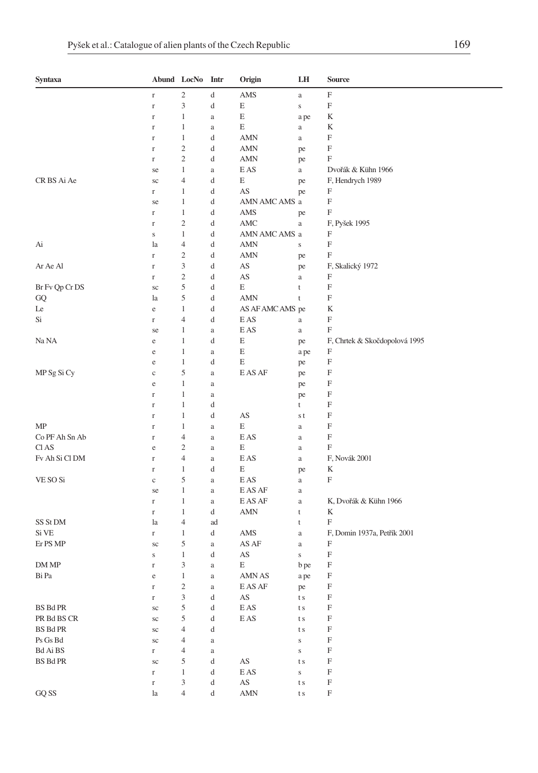| Syntaxa                                |                         | Abund LocNo Intr            |          | Origin                              | LH                          | <b>Source</b>                            |
|----------------------------------------|-------------------------|-----------------------------|----------|-------------------------------------|-----------------------------|------------------------------------------|
|                                        | $\Gamma$                | $\overline{c}$              | d        | AMS                                 | $\rm{a}$                    | F                                        |
|                                        | $\Gamma$                | $\mathfrak{Z}$              | d        | E                                   | $\bf S$                     | F                                        |
|                                        | $\Gamma$                | 1                           | a        | E                                   | a pe                        | K                                        |
|                                        | $\Gamma$                | 1                           | a        | E                                   | $\rm{a}$                    | K                                        |
|                                        | $\Gamma$                | $\mathbf{1}$                | d        | AMN                                 | $\mathbf{a}$                | F                                        |
|                                        | $\Gamma$                | $\overline{c}$              | d        | <b>AMN</b>                          | pe                          | F                                        |
|                                        | $\Gamma$                | $\mathfrak{2}$              | d        | AMN                                 | pe                          | F                                        |
|                                        | se                      | 1                           | a        | E AS                                | $\rm{a}$                    | Dvořák & Kühn 1966                       |
| CR BS Ai Ae                            | sc                      | $\overline{4}$              | d        | E                                   | pe                          | F, Hendrych 1989                         |
|                                        | r                       | 1                           | d        | AS                                  | pe                          | F                                        |
|                                        | se                      | 1                           | d        | AMN AMC AMS a                       |                             | F                                        |
|                                        | $\Gamma$                | $\mathbf{1}$                | d        | AMS                                 | pe                          | F                                        |
|                                        | $\Gamma$                | $\overline{c}$              | d        | AMC                                 | $\rm{a}$                    | F, Pyšek 1995                            |
|                                        | $\mathbf S$             | $\mathbf{1}$                | d        | AMN AMC AMS a                       |                             | F                                        |
| Ai                                     | la                      | 4                           | d        | <b>AMN</b>                          | S                           | F<br>F                                   |
| Ar Ae Al                               | $\Gamma$                | $\overline{c}$<br>3         | d<br>d   | <b>AMN</b><br>AS                    | pe                          |                                          |
|                                        | $\mathbf r$<br>$\Gamma$ | $\overline{c}$              | d        | AS                                  | pe                          | F, Skalický 1972<br>F                    |
| Br Fv Qp Cr DS                         |                         | 5                           | d        | E                                   | $\mathbf{a}$<br>t           | F                                        |
| GQ                                     | sc<br>la                | 5                           | d        | <b>AMN</b>                          | t                           | F                                        |
| Le                                     | e                       | $\mathbf{1}$                | d        | AS AF AMC AMS pe                    |                             | K                                        |
| Si                                     | $\Gamma$                | $\overline{4}$              | d        | E AS                                | a                           | F                                        |
|                                        | se                      | 1                           | a        | E AS                                | $\rm{a}$                    | F                                        |
| Na NA                                  | e                       | $\mathbf{1}$                | d        | E                                   | pe                          | F, Chrtek & Skočdopolová 1995            |
|                                        | e                       | 1                           | a        | E                                   | a pe                        | F                                        |
|                                        | e                       | $\mathbf{1}$                | d        | E                                   | pe                          | F                                        |
| MP Sg Si Cy                            | $\mathbf c$             | 5                           | a        | E AS AF                             | pe                          | F                                        |
|                                        | $\rm e$                 | $\mathbf{1}$                | a        |                                     | pe                          | F                                        |
|                                        | $\Gamma$                | 1                           | a        |                                     | pe                          | F                                        |
|                                        | $\Gamma$                | $\mathbf{1}$                | d        |                                     | t                           | F                                        |
|                                        | r                       | 1                           | d        | AS                                  | s t                         | F                                        |
| MP                                     | $\Gamma$                | 1                           | a        | E                                   | a                           | F                                        |
| Co PF Ah Sn Ab                         | $\Gamma$                | $\overline{4}$              | a        | E AS                                | a                           | F                                        |
| Cl AS                                  | e                       | $\overline{c}$              | a        | E                                   | $\rm{a}$                    | F                                        |
| Fv Ah Si Cl DM                         | $\mathbf r$             | $\overline{4}$              | a        | E AS                                | $\rm{a}$                    | F, Novák 2001                            |
|                                        | $\Gamma$                | 1                           | d        | E                                   | pe                          | K                                        |
| VE SO Si                               | $\mathbf c$             | 5                           | a        | E AS                                | $\mathbf{a}$                | F                                        |
|                                        | se                      | 1                           | a        | E AS AF                             | $\rm{a}$                    |                                          |
|                                        | $\Gamma$                | $\mathbf{1}$                | a        | E AS AF                             | a                           | K, Dvořák & Kühn 1966                    |
|                                        | $\Gamma$                | 1                           | d        | AMN                                 | t                           | K                                        |
| SS St DM                               | la                      | 4                           | ad       |                                     | t                           | F                                        |
| Si VE                                  | $\Gamma$                | $\mathbf{1}$                | d        | AMS                                 | $\mathbf{a}$                | F, Domin 1937a, Petřík 2001              |
| Er PS MP                               | sc                      | 5                           | a        | AS AF                               | $\rm{a}$                    | F                                        |
|                                        | S                       | $\mathbf{1}$                | d        | AS                                  | $\bf S$                     | F                                        |
| DM MP                                  | $\Gamma$                | 3                           | a        | E                                   | b pe                        | F                                        |
| Bi Pa                                  | $\rm e$                 | $\mathbf 1$                 | a        | AMN AS                              | a pe                        | F                                        |
|                                        | $\mathbf r$             | $\sqrt{2}$                  | $\rm{a}$ | E AS AF                             | pe                          | F                                        |
|                                        | $\mathbf r$             | $\ensuremath{\mathfrak{Z}}$ | d        | $\mathbf{A}\mathbf{S}$              | $\mathop{\rm t}\nolimits$ s | $\mathbf F$                              |
| <b>BS Bd PR</b>                        | $\rm{sc}$               | $\mathfrak s$               | d        | $\mathop{\hbox{\rm E}}\nolimits$ AS | $\mathop{\rm t}\nolimits$ s | $\mathbf F$                              |
| PR Bd BS CR                            | $\rm{sc}$               | $\mathfrak s$               | d        | $\mathop{\hbox{\rm E}}\nolimits$ AS | $\mathop{\rm t}\nolimits$ s | $\mathbf F$                              |
| <b>BS Bd PR</b>                        | sc                      | $\overline{4}$              | d        |                                     | $\mathop{\rm t}\nolimits$ s | $\boldsymbol{\mathrm{F}}$                |
| Ps Gs Bd                               | $\rm{sc}$               | $\overline{4}$              | $\rm{a}$ |                                     | $\bf S$                     | $\mathbf F$                              |
| Bd Ai BS<br><b>BS</b> Bd <sub>PR</sub> | $\Gamma$                | $\overline{4}$              | $\rm{a}$ | $\mathbf{A}\mathbf{S}$              | $\bf S$                     | $\mathbf F$<br>$\boldsymbol{\mathrm{F}}$ |
|                                        | $\rm{sc}$<br>$\Gamma$   | 5<br>$\,1\,$                | d<br>d   | $\mathop{\hbox{\rm E}}\nolimits$ AS | t s<br>$\bf S$              | $\boldsymbol{\mathrm{F}}$                |
|                                        | $\mathbf r$             | $\ensuremath{\mathfrak{Z}}$ | d        | $\mathbf{A}\mathbf{S}$              | $\mathop{\rm t}\nolimits$ s | $\mathbf F$                              |
| GQ SS                                  | la                      | $\overline{4}$              | d        | <b>AMN</b>                          | $\mathop{\rm t}\nolimits$ s | $\mathbf F$                              |
|                                        |                         |                             |          |                                     |                             |                                          |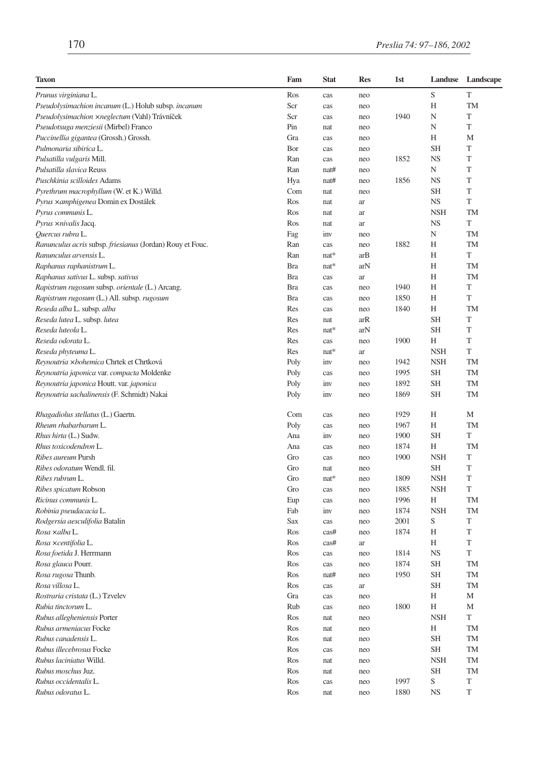| <b>Taxon</b>                                              | Fam        | <b>Stat</b> | <b>Res</b> | 1st  | Landuse    | Landscape |
|-----------------------------------------------------------|------------|-------------|------------|------|------------|-----------|
| Prunus virginiana L.                                      | Ros        | cas         | neo        |      | S          | T         |
| Pseudolysimachion incanum (L.) Holub subsp. incanum       | Scr        | cas         | neo        |      | H          | <b>TM</b> |
| Pseudolysimachion xneglectum (Vahl) Trávníček             | Scr        | cas         | neo        | 1940 | N          | T         |
| Pseudotsuga menziesii (Mirbel) Franco                     | Pin        | nat         | neo        |      | N          | T         |
| Puccinellia gigantea (Grossh.) Grossh.                    | Gra        | cas         | neo        |      | Н          | M         |
| Pulmonaria sibirica L.                                    | Bor        | cas         | neo        |      | SН         | T         |
| Pulsatilla vulgaris Mill.                                 | Ran        | cas         | neo        | 1852 | <b>NS</b>  | T         |
| Pulsatilla slavica Reuss                                  | Ran        | nat#        | neo        |      | N          | T         |
| Puschkinia scilloides Adams                               | Hya        | nat#        | neo        | 1856 | NS         | T         |
| Pyrethrum macrophyllum (W. et K.) Willd.                  | Com        | nat         | neo        |      | SН         | T         |
| Pyrus ×amphigenea Domin ex Dostálek                       | Ros        | nat         | ar         |      | NS         | T         |
| Pyrus communis L.                                         | Ros        | nat         | ar         |      | <b>NSH</b> | TM        |
| Pyrus ×nivalis Jacq.                                      | Ros        | nat         | ar         |      | <b>NS</b>  | T         |
| Quercus rubra L.                                          | Fag        | inv         | neo        |      | N          | TM        |
| Ranunculus acris subsp. friesianus (Jordan) Rouy et Fouc. | Ran        | cas         | neo        | 1882 | Н          | TM        |
| Ranunculus arvensis L.                                    | Ran        | nat*        | arB        |      | Н          | T         |
| Raphanus raphanistrum L.                                  | Bra        | nat*        | arN        |      | Н          | TM        |
| Raphanus sativus L. subsp. sativus                        | <b>Bra</b> | cas         | ar         |      | Н          | TM        |
| Rapistrum rugosum subsp. orientale (L.) Arcang.           | <b>Bra</b> | cas         | neo        | 1940 | Н          | T         |
| Rapistrum rugosum (L.) All. subsp. rugosum                | <b>Bra</b> | cas         | neo        | 1850 | Н          | T         |
| Reseda alba L. subsp. alba                                | Res        | cas         | neo        | 1840 | H          | TM        |
| Reseda lutea L. subsp. lutea                              | Res        | nat         | arR        |      | <b>SH</b>  | T         |
| Reseda luteola L.                                         | Res        | nat*        | arN        |      | <b>SH</b>  | T         |
| Reseda odorata L.                                         | Res        | cas         | neo        | 1900 | Н          | T         |
| Reseda phyteuma L.                                        | Res        | $nat*$      | ar         |      | <b>NSH</b> | T         |
| Reynoutria xbohemica Chrtek et Chrtková                   | Poly       | inv         | neo        | 1942 | <b>NSH</b> | TM        |
| Reynoutria japonica var. compacta Moldenke                | Poly       | cas         | neo        | 1995 | SH         | TM        |
| Reynoutria japonica Houtt. var. japonica                  | Poly       | inv         | neo        | 1892 | <b>SH</b>  | TM        |
| Reynoutria sachalinensis (F. Schmidt) Nakai               | Poly       | inv         | neo        | 1869 | <b>SH</b>  | <b>TM</b> |
| Rhagadiolus stellatus (L.) Gaertn.                        | Com        | cas         | neo        | 1929 | Н          | М         |
| Rheum rhabarbarum L.                                      | Poly       | cas         | neo        | 1967 | Н          | TM        |
| Rhus hirta (L.) Sudw.                                     | Ana        | inv         | neo        | 1900 | SН         | T         |
| Rhus toxicodendron L.                                     | Ana        | cas         | neo        | 1874 | Н          | TM        |
| Ribes aureum Pursh                                        | Gro        | cas         | neo        | 1900 | <b>NSH</b> | T         |
| Ribes odoratum Wendl. fil.                                | Gro        | nat         | neo        |      | SН         | T         |
| Ribes rubrum L.                                           | Gro        | nat*        | neo        | 1809 | <b>NSH</b> | T         |
| <i>Ribes spicatum</i> Robson                              | Gro        | cas         | neo        | 1885 | <b>NSH</b> | T         |
| Ricinus communis L.                                       | Eup        | cas         | neo        | 1996 | Н          | <b>TM</b> |
| Robinia pseudacacia L.                                    | Fab        | inv         | neo        | 1874 | <b>NSH</b> | TM        |
| Rodgersia aesculifolia Batalin                            | Sax        | cas         | neo        | 2001 | S          | T         |
| Rosa xalba L.                                             | Ros        | cas#        | neo        | 1874 | Н          | T         |
| Rosa xcentifolia L.                                       | Ros        | cas#        | ar         |      | Н          | T         |
| Rosa foetida J. Herrmann                                  | Ros        | cas         | neo        | 1814 | NS         | T         |
| Rosa glauca Pourr.                                        | Ros        | cas         | neo        | 1874 | <b>SH</b>  | TM        |
| Rosa rugosa Thunb.                                        | Ros        | nat#        | neo        | 1950 | <b>SH</b>  | TM        |
| Rosa villosa L.                                           | Ros        | cas         | ar         |      | <b>SH</b>  | TМ        |
| Rostraria cristata (L.) Tzvelev                           | Gra        | cas         | neo        |      | Η          | М         |
| Rubia tinctorum L.                                        | Rub        | cas         | neo        | 1800 | Н          | М         |
| Rubus allegheniensis Porter                               | Ros        | nat         | neo        |      | <b>NSH</b> | T         |
| Rubus armeniacus Focke                                    | Ros        | nat         | neo        |      | Η          | TM        |
| Rubus canadensis L.                                       | Ros        | nat         | neo        |      | <b>SH</b>  | TM        |
| Rubus illecebrosus Focke                                  | Ros        | cas         | neo        |      | SH         | TM        |
| Rubus laciniatus Willd.                                   | Ros        | nat         | neo        |      | <b>NSH</b> | TM        |
| Rubus moschus Juz.                                        | Ros        | nat         | neo        |      | SH         | TM        |
| Rubus occidentalis L.                                     | Ros        | cas         | neo        | 1997 | S          | T         |
| Rubus odoratus L.                                         | Ros        | nat         | neo        | 1880 | <b>NS</b>  | T         |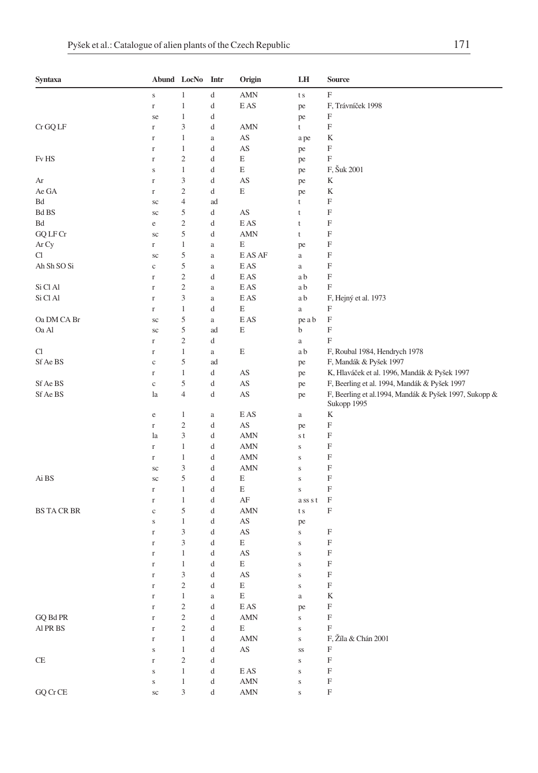| Syntaxa                  |                      | Abund LocNo Intr                 |          | Origin                              | LH                     | Source                                                                                       |
|--------------------------|----------------------|----------------------------------|----------|-------------------------------------|------------------------|----------------------------------------------------------------------------------------------|
|                          | $\bf S$              | 1                                | d        | <b>AMN</b>                          | t s                    | $\boldsymbol{\mathrm{F}}$                                                                    |
|                          | $\mathbf r$          | $\mathbf{1}$                     | d        | E AS                                | pe                     | F, Trávníček 1998                                                                            |
|                          | se                   | 1                                | d        |                                     | pe                     | F                                                                                            |
| Cr GQ LF                 | $\Gamma$             | 3                                | d        | <b>AMN</b>                          | t                      | F                                                                                            |
|                          | $\mathbf r$          | $\mathbf{1}$                     | $\rm{a}$ | AS                                  | a pe                   | K                                                                                            |
|                          | $\Gamma$             | $\mathbf{1}$                     | d        | AS                                  | pe                     | F                                                                                            |
| Fv HS                    | $\Gamma$             | $\overline{2}$                   | d        | E                                   | pe                     | $\boldsymbol{\mathrm{F}}$                                                                    |
|                          | $\mathbf S$          | 1                                | d        | E                                   | pe                     | F, Šuk 2001                                                                                  |
| Ar<br>Ae GA              | $\Gamma$             | $\mathfrak{Z}$<br>$\overline{c}$ | d<br>d   | AS<br>E                             | pe                     | K<br>K                                                                                       |
| Bd                       | $\Gamma$<br>sc       | $\overline{4}$                   | ad       |                                     | pe<br>t                | F                                                                                            |
| ${\rm Bd\,BS}$           | $\rm{sc}$            | 5                                | d        | AS                                  | t                      | $\boldsymbol{\mathrm{F}}$                                                                    |
| Bd                       | e                    | $\sqrt{2}$                       | d        | E AS                                | t                      | F                                                                                            |
| GQ LF Cr                 | sc                   | 5                                | d        | <b>AMN</b>                          | t                      | F                                                                                            |
| Ar Cy                    | $\Gamma$             | $\mathbf{1}$                     | a        | E                                   | pe                     | F                                                                                            |
| Cl                       | sc                   | 5                                | a        | E AS AF                             | $\rm{a}$               | $\boldsymbol{\mathrm{F}}$                                                                    |
| Ah Sh SO Si              | $\mathbf c$          | 5                                | a        | E AS                                | $\rm{a}$               | F                                                                                            |
|                          | $\Gamma$             | $\sqrt{2}$                       | d        | E AS                                | a b                    | F                                                                                            |
| Si Cl Al                 | $\mathbf r$          | $\sqrt{2}$                       | $\rm{a}$ | E AS                                | a b                    | $\boldsymbol{\mathrm{F}}$                                                                    |
| Si Cl Al                 | $\Gamma$             | $\mathfrak{Z}$                   | $\rm{a}$ | E AS                                | a b                    | F, Hejný et al. 1973                                                                         |
|                          | $\Gamma$             | $\mathbf{1}$                     | d        | E                                   | $\rm{a}$               | F                                                                                            |
| Oa DM CA Br              | sc                   | 5                                | a        | E AS                                | pe a b                 | F                                                                                            |
| Oa Al                    | sc                   | 5                                | ad       | E                                   | b                      | $\boldsymbol{\mathrm{F}}$                                                                    |
|                          | $\Gamma$             | $\sqrt{2}$                       | d        |                                     | $\rm{a}$               | F                                                                                            |
| Cl                       | $\Gamma$             | $\mathbf{1}$                     | a        | Е                                   | a b                    | F, Roubal 1984, Hendrych 1978                                                                |
| Sf Ae BS                 | $\mathbf c$          | 5                                | ad       |                                     | pe                     | F, Mandák & Pyšek 1997                                                                       |
| Sf Ae BS                 | $\Gamma$             | 1<br>5                           | d<br>d   | AS                                  | pe                     | K, Hlaváček et al. 1996, Mandák & Pyšek 1997<br>F, Beerling et al. 1994, Mandák & Pyšek 1997 |
| Sf Ae BS                 | $\mathbf{C}$<br>la   | $\overline{4}$                   | d        | AS<br>AS                            | pe                     | F, Beerling et al.1994, Mandák & Pyšek 1997, Sukopp &                                        |
|                          |                      |                                  |          |                                     | pe                     | Sukopp 1995                                                                                  |
|                          | e                    | 1                                | $\rm{a}$ | E AS                                | a                      | K                                                                                            |
|                          | $\mathbf r$          | $\sqrt{2}$                       | d        | AS                                  | pe                     | F                                                                                            |
|                          | la                   | 3                                | d        | <b>AMN</b>                          | s t                    | F                                                                                            |
|                          | $\Gamma$             | $\mathbf{1}$                     | d        | <b>AMN</b>                          | $\bf S$                | F                                                                                            |
|                          | $\Gamma$             | 1                                | d        | <b>AMN</b>                          | $\mathbf S$            | F                                                                                            |
|                          | sc                   | 3                                | d        | <b>AMN</b>                          | S                      | F                                                                                            |
| Ai BS                    | sc                   | 5<br>1                           | d<br>d   | E<br>E                              | $\mathbf S$<br>$\bf S$ | F<br>F                                                                                       |
|                          | $\Gamma$<br>$\Gamma$ | $\mathbf{1}$                     | d        | AF                                  | ass s t                | F                                                                                            |
| <b>BS TA CR BR</b>       | $\mathbf c$          | 5                                | d        | <b>AMN</b>                          | t s                    | F                                                                                            |
|                          | $\mathbf S$          | $\mathbf{1}$                     | d        | AS                                  | pe                     |                                                                                              |
|                          | $\Gamma$             | 3                                | d        | AS                                  | $\bf S$                | F                                                                                            |
|                          | $\Gamma$             | 3                                | d        | E                                   | S                      | F                                                                                            |
|                          | $\Gamma$             | $\mathbf{1}$                     | d        | AS                                  | $\mathbf S$            | F                                                                                            |
|                          | $\Gamma$             | 1                                | d        | E                                   | S                      | F                                                                                            |
|                          | $\Gamma$             | 3                                | d        | AS                                  | S                      | $\boldsymbol{\mathrm{F}}$                                                                    |
|                          | $\mathbf r$          | $\overline{\mathbf{c}}$          | d        | E                                   | $\mathbf S$            | F                                                                                            |
|                          | $\mathbf{r}$         | $\mathbf{1}$                     | $\rm{a}$ | $\mathbf E$                         | $\rm{a}$               | $\rm K$                                                                                      |
|                          | $\mathbf r$          | $\overline{\mathbf{c}}$          | d        | $\mathop{\hbox{\rm E}}\nolimits$ AS | pe                     | $\mathbf F$                                                                                  |
| GQ Bd PR                 | $\mathbf r$          | $\overline{\mathbf{c}}$          | d        | $\mbox{AMN}$                        | $\bf S$                | $\mathbf F$                                                                                  |
| ${\rm Al}$ PR ${\rm BS}$ | $\mathbf r$          | $\sqrt{2}$                       | d        | E                                   | S                      | $\boldsymbol{\mathrm{F}}$                                                                    |
|                          | $\mathbf{r}$         | $\mathbf{1}$                     | d        | $\mbox{AMN}$                        | $\mathbf S$            | F, Žíla & Chán 2001                                                                          |
|                          | $\bf S$              | $\,1\,$                          | d        | AS                                  | SS                     | $\boldsymbol{\mathrm{F}}$                                                                    |
| $\!$ $\!$                | $\Gamma$<br>$\bf S$  | $\sqrt{2}$<br>$\,1\,$            | d<br>d   | $\mathop{\hbox{\rm E}}\nolimits$ AS | $\rm s$                | $\boldsymbol{\mathrm{F}}$<br>$\mathbf F$                                                     |
|                          | $\bf S$              | $\,1\,$                          | d        | $\mbox{AMN}$                        | S<br>S                 | $\mathbf F$                                                                                  |
| GQ Cr CE                 | sc                   | $\ensuremath{\mathfrak{Z}}$      | d        | $\mbox{AMN}$                        | $\mathbf S$            | $\mathbf F$                                                                                  |
|                          |                      |                                  |          |                                     |                        |                                                                                              |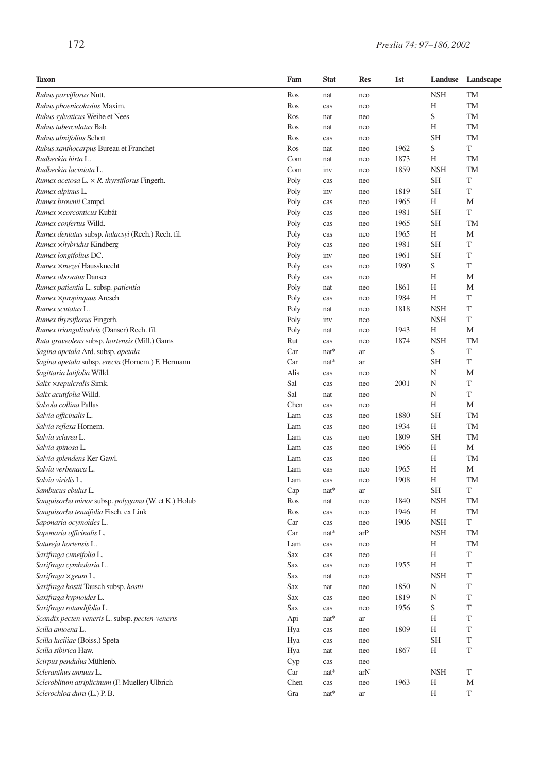| <b>Taxon</b>                                       | Fam  | <b>Stat</b> | <b>Res</b>          | 1st  | Landuse    | Landscape   |
|----------------------------------------------------|------|-------------|---------------------|------|------------|-------------|
| Rubus parviflorus Nutt.                            | Ros  | nat         | neo                 |      | <b>NSH</b> | TM          |
| Rubus phoenicolasius Maxim.                        | Ros  | cas         | neo                 |      | Н          | TM          |
| Rubus sylvaticus Weihe et Nees                     | Ros  | nat         | neo                 |      | S          | TM          |
| Rubus tuberculatus Bab.                            | Ros  | nat         | neo                 |      | Н          | TM          |
| Rubus ulmifolius Schott                            | Ros  | cas         | neo                 |      | <b>SH</b>  | TM          |
| Rubus xanthocarpus Bureau et Franchet              | Ros  | nat         | neo                 | 1962 | S          | T           |
| Rudbeckia hirta L.                                 | Com  | nat         | neo                 | 1873 | H          | TM          |
| Rudbeckia laciniata L.                             | Com  | inv         | neo                 | 1859 | <b>NSH</b> | TM          |
| Rumex acetosa L. $\times$ R. thyrsiflorus Fingerh. | Poly | cas         | neo                 |      | <b>SH</b>  | T           |
| Rumex alpinus L.                                   | Poly | inv         | neo                 | 1819 | <b>SH</b>  | T           |
| Rumex brownii Campd.                               | Poly | cas         | neo                 | 1965 | Н          | M           |
| Rumex xcorconticus Kubát                           | Poly | cas         | neo                 | 1981 | <b>SH</b>  | T           |
| Rumex confertus Willd.                             | Poly | cas         | neo                 | 1965 | <b>SH</b>  | <b>TM</b>   |
| Rumex dentatus subsp. halacsyi (Rech.) Rech. fil.  | Poly | cas         | neo                 | 1965 | Н          | M           |
| Rumex xhybridus Kindberg                           | Poly | cas         | neo                 | 1981 | <b>SH</b>  | T           |
| Rumex longifolius DC.                              | Poly | inv         | neo                 | 1961 | <b>SH</b>  | T           |
| Rumex xmezei Haussknecht                           | Poly | cas         | neo                 | 1980 | S          | T           |
| Rumex obovatus Danser                              | Poly | cas         | neo                 |      | H          | M           |
| Rumex patientia L. subsp. patientia                | Poly | nat         | neo                 | 1861 | Н          | M           |
| Rumex ×propinquus Aresch                           | Poly | cas         | neo                 | 1984 | Н          | T           |
| Rumex scutatus L.                                  | Poly | nat         | neo                 | 1818 | <b>NSH</b> | T           |
| Rumex thyrsiflorus Fingerh.                        | Poly | inv         | neo                 |      | <b>NSH</b> | T           |
| Rumex triangulivalvis (Danser) Rech. fil.          | Poly | nat         | neo                 | 1943 | Н          | M           |
| Ruta graveolens subsp. hortensis (Mill.) Gams      | Rut  | cas         | neo                 | 1874 | <b>NSH</b> | TM          |
| Sagina apetala Ard. subsp. apetala                 | Car  | nat*        | ar                  |      | S          | T           |
| Sagina apetala subsp. erecta (Hornem.) F. Hermann  | Car  | $nat*$      | ar                  |      | <b>SH</b>  | T           |
| Sagittaria latifolia Willd.                        | Alis | cas         | neo                 |      | N          | M           |
| Salix × sepulcralis Simk.                          | Sal  | cas         | neo                 | 2001 | N          | T           |
| Salix acutifolia Willd.                            | Sal  | nat         | neo                 |      | N          | T           |
| Salsola collina Pallas                             | Chen | cas         | neo                 |      | Н          | M           |
| Salvia officinalis L.                              | Lam  | cas         | neo                 | 1880 | <b>SH</b>  | TM          |
| Salvia reflexa Hornem.                             | Lam  | cas         | neo                 | 1934 | Н          | <b>TM</b>   |
| Salvia sclarea L.                                  | Lam  | cas         | neo                 | 1809 | <b>SH</b>  | TM          |
| Salvia spinosa L.                                  | Lam  | cas         | neo                 | 1966 | Η          | M           |
| Salvia splendens Ker-Gawl.                         | Lam  | cas         | neo                 |      | Н          | <b>TM</b>   |
| Salvia verbenaca L.                                | Lam  | cas         | neo                 | 1965 | H          | M           |
| Salvia viridis L.                                  | Lam  | cas         | neo                 | 1908 | Н          | TM          |
| Sambucus ebulus L.                                 | Cap  | nat*        | ar                  |      | SH         | T           |
| Sanguisorba minor subsp. polygama (W. et K.) Holub | Ros  | nat         | neo                 | 1840 | <b>NSH</b> | TM          |
| Sanguisorba tenuifolia Fisch. ex Link              | Ros  | cas         | neo                 | 1946 | H          | TM          |
| Saponaria ocymoides L.                             | Car  | cas         | neo                 | 1906 | <b>NSH</b> | T           |
| Saponaria officinalis L.                           | Car  | nat*        | arP                 |      | <b>NSH</b> | TM          |
| Satureja hortensis L.                              | Lam  | cas         | neo                 |      | Η          | TM          |
| Saxifraga cuneifolia L.                            | Sax  | cas         | neo                 |      | Н          | T           |
| Saxifraga cymbalaria L.                            | Sax  | cas         | neo                 | 1955 | Н          | T           |
| Saxifraga × geum L.                                | Sax  | nat         | neo                 |      | <b>NSH</b> | T           |
| Saxifraga hostii Tausch subsp. hostii              | Sax  | nat         | neo                 | 1850 | N          | T           |
| Saxifraga hypnoides L.                             | Sax  | cas         | neo                 | 1819 | N          | $\mathbf T$ |
| Saxifraga rotundifolia L.                          | Sax  | cas         | neo                 | 1956 | S          | $\mathbf T$ |
| Scandix pecten-veneris L. subsp. pecten-veneris    | Api  | $nat*$      | ar                  |      | Η          | T           |
| Scilla amoena L.                                   | Hya  | cas         | neo                 | 1809 | Н          | $\mathbf T$ |
| Scilla luciliae (Boiss.) Speta                     | Hya  | cas         | neo                 |      | <b>SH</b>  | T           |
| Scilla sibirica Haw.                               | Hya  | nat         | neo                 | 1867 | Н          | $\mathbf T$ |
| Scirpus pendulus Mühlenb.                          | Cyp  | cas         | neo                 |      |            |             |
| Scleranthus annuus L.                              | Car  | $nat*$      | arN                 |      | <b>NSH</b> | T           |
| Scleroblitum atriplicinum (F. Mueller) Ulbrich     | Chen | cas         | neo                 | 1963 | Η          | М           |
| Sclerochloa dura (L.) P.B.                         | Gra  | $nat*$      | $\operatorname{ar}$ |      | Н          | T           |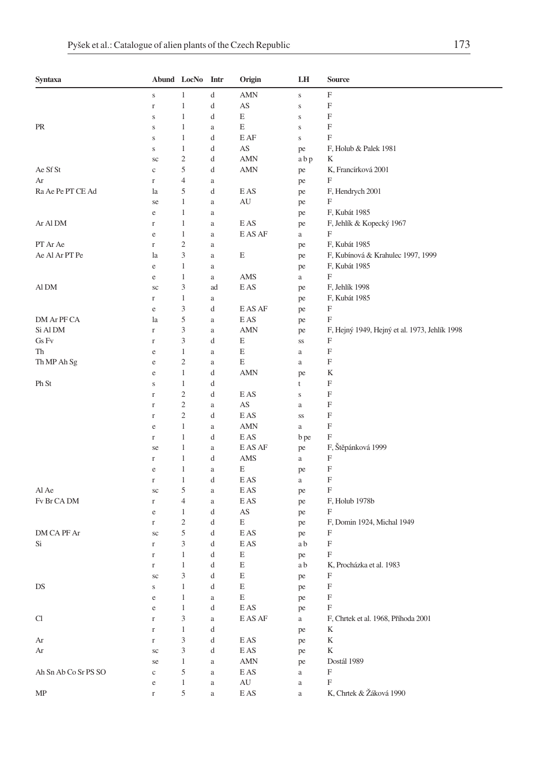| Syntaxa              |                   | Abund LocNo Intr    |          | Origin                              | LH           | Source                                             |
|----------------------|-------------------|---------------------|----------|-------------------------------------|--------------|----------------------------------------------------|
|                      | $\mathbf S$       | 1                   | d        | AMN                                 | $\mathbf S$  | F                                                  |
|                      | $\mathbf r$       | $\mathbf{1}$        | d        | AS                                  | $\bf S$      | F                                                  |
|                      | $\mathbf S$       | $\mathbf{1}$        | d        | E                                   | $\bf S$      | F                                                  |
| PR                   | $\mathbf S$       | 1                   | a        | E                                   | $\mathbf S$  | F                                                  |
|                      | S                 | $\mathbf{1}$        | d        | E AF                                | $\bf S$      | F                                                  |
|                      | S                 | $\mathbf{1}$        | d        | AS                                  | pe           | F, Holub & Palek 1981                              |
|                      | sc                | $\mathfrak{2}$      | d        | AMN                                 | abp          | K                                                  |
| Ae Sf St             | $\mathbf c$       | 5                   | d        | AMN                                 | pe           | K, Francírková 2001                                |
| Ar                   | $\Gamma$          | $\overline{4}$      | $\rm{a}$ |                                     | pe           | F                                                  |
| Ra Ae Pe PT CE Ad    | la                | 5                   | d        | E AS                                | pe           | F, Hendrych 2001                                   |
|                      | se                | $\mathbf{1}$        | a        | AU                                  | pe           | F                                                  |
|                      | $\rm e$           | $\mathbf{1}$        | a        |                                     | pe           | F, Kubát 1985                                      |
| Ar Al DM             | r                 | $\mathbf{1}$        | a        | E AS                                | pe           | F, Jehlík & Kopecký 1967                           |
| PT Ar Ae             | e                 | $\mathbf{1}$        | a        | E AS AF                             | a            | F                                                  |
| Ae Al Ar PT Pe       | $\Gamma$          | $\mathfrak{2}$<br>3 | a        | Ε                                   | pe           | F, Kubát 1985<br>F, Kubínová & Krahulec 1997, 1999 |
|                      | la<br>$\rm e$     | $\mathbf{1}$        | $\rm{a}$ |                                     | pe           | F, Kubát 1985                                      |
|                      |                   | $\mathbf{1}$        | a        | AMS                                 | pe           | F                                                  |
| Al DM                | e<br>sc           | 3                   | a<br>ad  | E AS                                | a            | F, Jehlík 1998                                     |
|                      | $\mathbf r$       | $\mathbf{1}$        | a        |                                     | pe<br>pe     | F, Kubát 1985                                      |
|                      | e                 | 3                   | d        | E AS AF                             | pe           | F                                                  |
| DM Ar PF CA          | la                | 5                   | a        | E AS                                | pe           | F                                                  |
| Si Al DM             | $\Gamma$          | 3                   | $\rm{a}$ | AMN                                 | pe           | F, Hejný 1949, Hejný et al. 1973, Jehlík 1998      |
| Gs Fv                | $\mathbf r$       | 3                   | d        | Е                                   | SS           | F                                                  |
| Th                   | e                 | $\mathbf{1}$        | $\rm{a}$ | E                                   | a            | F                                                  |
| Th MP Ah Sg          | e                 | $\mathfrak{2}$      | a        | Е                                   | $\mathbf{a}$ | F                                                  |
|                      | e                 | 1                   | d        | AMN                                 | pe           | K                                                  |
| Ph St                | S                 | $\mathbf{1}$        | d        |                                     | t            | F                                                  |
|                      | r                 | $\mathfrak{2}$      | d        | E AS                                | S            | F                                                  |
|                      | $\Gamma$          | $\mathfrak{2}$      | a        | AS                                  | $\rm{a}$     | F                                                  |
|                      | $\mathbf r$       | $\mathfrak{2}$      | d        | E AS                                | SS           | F                                                  |
|                      | e                 | $\mathbf{1}$        | a        | <b>AMN</b>                          | $\rm{a}$     | F                                                  |
|                      | $\Gamma$          | $\mathbf{1}$        | d        | E AS                                | b pe         | F                                                  |
|                      | se                | 1                   | a        | E AS AF                             | pe           | F, Štěpánková 1999                                 |
|                      | $\mathbf r$       | $\mathbf{1}$        | d        | AMS                                 | a            | F                                                  |
|                      | e                 | $\mathbf{1}$        | a        | Е                                   | pe           | F                                                  |
|                      | $\Gamma$          | $\mathbf{1}$        | d        | E AS                                | a            | F                                                  |
| Al Ae                | sc                | 5                   | a        | E AS                                | pe           | F                                                  |
| Fv Br CA DM          | $\Gamma$          | $\overline{4}$      | $\rm{a}$ | E AS                                | pe           | F, Holub 1978b                                     |
|                      | e                 | $\mathbf{1}$        | d        | AS                                  | pe           | F                                                  |
|                      | $\Gamma$          | $\mathfrak{2}$      | d        | Е                                   | pe           | F, Domin 1924, Michal 1949                         |
| DM CA PF Ar          | sc                | 5                   | d        | E AS                                | pe           | F                                                  |
| Si                   | r                 | 3<br>$\mathbf{1}$   | d        | E AS<br>E                           | a b          | F<br>F                                             |
|                      | r                 | 1                   | d        | E                                   | pe           |                                                    |
|                      | $\mathbf r$<br>sc | 3                   | d<br>d   | Е                                   | a b          | K, Procházka et al. 1983<br>F                      |
| DS                   | $\bf S$           | 1                   | d        | E                                   | pe           | F                                                  |
|                      | $\rm e$           | $\mathbf{1}$        | $\rm{a}$ | E                                   | pe<br>pe     | $\mathbf F$                                        |
|                      | $\rm e$           | $1\,$               | d        | $\mathop{\hbox{\rm E}}\nolimits$ AS | pe           | F                                                  |
| Cl                   | $\Gamma$          | 3                   | $\rm{a}$ | E AS AF                             | $\mathbf{a}$ | F, Chrtek et al. 1968, Příhoda 2001                |
|                      | $\Gamma$          | $\mathbf{1}$        | d        |                                     | pe           | K                                                  |
| Ar                   | $\Gamma$          | 3                   | d        | E AS                                | pe           | K                                                  |
| Ar                   | $\rm{sc}$         | 3                   | d        | E AS                                | pe           | K                                                  |
|                      | se                | $\mathbf{1}$        | $\rm{a}$ | AMN                                 | pe           | Dostál 1989                                        |
| Ah Sn Ab Co Sr PS SO | $\rm _c$          | 5                   | $\rm{a}$ | EAS                                 | $\rm{a}$     | $\boldsymbol{\mathrm{F}}$                          |
|                      | $\rm e$           | $\mathbf{1}$        | a        | AU                                  | $\rm{a}$     | F                                                  |
| MP                   | $\mathbf r$       | $\sqrt{5}$          | $\rm{a}$ | E AS                                | $\rm{a}$     | K, Chrtek & Žáková 1990                            |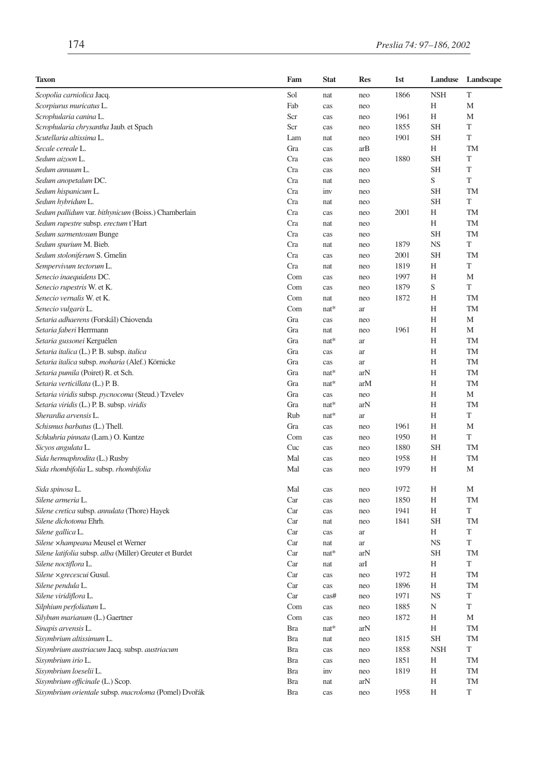| Taxon                                                   | Fam        | <b>Stat</b> | <b>Res</b> | 1st  | Landuse    | Landscape   |
|---------------------------------------------------------|------------|-------------|------------|------|------------|-------------|
| Scopolia carniolica Jacq.                               | Sol        | nat         | neo        | 1866 | <b>NSH</b> | T           |
| Scorpiurus muricatus L.                                 | Fab        | cas         | neo        |      | Н          | M           |
| Scrophularia canina L.                                  | Scr        | cas         | neo        | 1961 | Н          | M           |
| Scrophularia chrysantha Jaub. et Spach                  | Scr        | cas         | neo        | 1855 | <b>SH</b>  | T           |
| Scutellaria altissima L.                                | Lam        | nat         | neo        | 1901 | <b>SH</b>  | T           |
| Secale cereale L.                                       | Gra        | cas         | arB        |      | Н          | TM          |
| Sedum aizoon L.                                         | Cra        | cas         | neo        | 1880 | <b>SH</b>  | T           |
| Sedum annuum L.                                         | Cra        | cas         | neo        |      | <b>SH</b>  | T           |
| Sedum anopetalum DC.                                    | Cra        | nat         | neo        |      | S          | T           |
| Sedum hispanicum L.                                     | Cra        | inv         | neo        |      | <b>SH</b>  | TM          |
| Sedum hybridum L.                                       | Cra        | nat         | neo        |      | <b>SH</b>  | T           |
| Sedum pallidum var. bithynicum (Boiss.) Chamberlain     | Cra        | cas         | neo        | 2001 | Н          | <b>TM</b>   |
| Sedum rupestre subsp. erectum t'Hart                    | Cra        | nat         | neo        |      | Н          | TM          |
| Sedum sarmentosum Bunge                                 | Cra        | cas         | neo        |      | <b>SH</b>  | TM          |
| Sedum spurium M. Bieb.                                  | Cra        | nat         | neo        | 1879 | <b>NS</b>  | T           |
| Sedum stoloniferum S. Gmelin                            | Cra        | cas         | neo        | 2001 | <b>SH</b>  | TM          |
| Sempervivum tectorum L.                                 | Cra        | nat         | neo        | 1819 | Н          | T           |
| Senecio inaequidens DC.                                 | Com        | cas         | neo        | 1997 | H          | M           |
| Senecio rupestris W. et K.                              | Com        | cas         | neo        | 1879 | S          | T           |
| Senecio vernalis W. et K.                               | Com        | nat         | neo        | 1872 | Н          | TM          |
| Senecio vulgaris L.                                     | Com        | nat*        | ar         |      | H          | <b>TM</b>   |
| Setaria adhaerens (Forskål) Chiovenda                   | Gra        | cas         | neo        |      | Н          | M           |
| Setaria faberi Herrmann                                 | Gra        | nat         | neo        | 1961 | Н          | М           |
| Setaria gussonei Kerguélen                              | Gra        | nat*        | ar         |      | Н          | <b>TM</b>   |
| Setaria italica (L.) P. B. subsp. italica               | Gra        | cas         | ar         |      | Н          | TM          |
| Setaria italica subsp. moharia (Alef.) Körnicke         | Gra        | cas         | ar         |      | Н          | <b>TM</b>   |
| Setaria pumila (Poiret) R. et Sch.                      | Gra        | $nat*$      | arN        |      | Н          | <b>TM</b>   |
| Setaria verticillata (L.) P. B.                         | Gra        | $nat*$      | arM        |      | Н          | TM          |
| Setaria viridis subsp. pycnocoma (Steud.) Tzvelev       | Gra        | cas         | neo        |      | Н          | М           |
| Setaria viridis (L.) P. B. subsp. viridis               | Gra        | nat*        | arN        |      | H          | <b>TM</b>   |
| Sherardia arvensis L.                                   | Rub        | nat*        | ar         |      | Н          | T           |
| Schismus barbatus (L.) Thell.                           | Gra        | cas         | neo        | 1961 | Н          | M           |
| Schkuhria pinnata (Lam.) O. Kuntze                      | Com        | cas         | neo        | 1950 | Н          | T           |
| Sicyos angulata L.                                      | Cuc        | cas         | neo        | 1880 | <b>SH</b>  | TM          |
| Sida hermaphrodita (L.) Rusby                           | Mal        | cas         | neo        | 1958 | Н          | <b>TM</b>   |
| Sida rhombifolia L. subsp. rhombifolia                  | Mal        | cas         | neo        | 1979 | Н          | M           |
|                                                         | Mal        |             |            | 1972 | Н          | M           |
| Sida spinosa L.                                         |            | cas         | neo        | 1850 | Н          | TM          |
| Silene armeria L.                                       | Car        | cas         | neo        |      |            | T           |
| Silene cretica subsp. annulata (Thore) Hayek            | Car        | cas         | neo        | 1941 | Н          |             |
| Silene dichotoma Ehrh.                                  | Car        | nat         | neo        | 1841 | <b>SH</b>  | TM          |
| Silene gallica L.                                       | Car        | cas         | ar         |      | Н          | T           |
| Silene xhampeana Meusel et Werner                       | Car        | nat         | ar         |      | <b>NS</b>  | T           |
| Silene latifolia subsp. alba (Miller) Greuter et Burdet | Car        | $nat*$      | arN        |      | <b>SH</b>  | TM<br>T     |
| Silene noctiflora L.                                    | Car        | nat         | arI        |      | Н          |             |
| <i>Silene ×grecescui</i> Gusul.                         | Car        | cas         | neo        | 1972 | Н          | TM          |
| Silene pendula L.                                       | Car        | cas         | neo        | 1896 | Η          | TM          |
| Silene viridiflora L.                                   | Car        | cas#        | neo        | 1971 | <b>NS</b>  | T           |
| Silphium perfoliatum L.                                 | Com        | cas         | neo        | 1885 | N          | $\mathbf T$ |
| Silybum marianum (L.) Gaertner                          | Com        | cas         | neo        | 1872 | Η          | М           |
| Sinapis arvensis L.                                     | <b>Bra</b> | $nat*$      | arN        |      | Н          | TM          |
| Sisymbrium altissimum L.                                | <b>Bra</b> | nat         | neo        | 1815 | <b>SH</b>  | TM          |
| Sisymbrium austriacum Jacq. subsp. austriacum           | <b>Bra</b> | cas         | neo        | 1858 | <b>NSH</b> | T           |
| Sisymbrium irio L.                                      | <b>Bra</b> | cas         | neo        | 1851 | Η          | TM          |
| Sisymbrium loeselii L.                                  | Bra        | inv         | neo        | 1819 | Η          | TM          |
| Sisymbrium officinale (L.) Scop.                        | <b>Bra</b> | nat         | arN        |      | Η          | TM          |
| Sisymbrium orientale subsp. macroloma (Pomel) Dvořák    | <b>Bra</b> | cas         | neo        | 1958 | Η          | T           |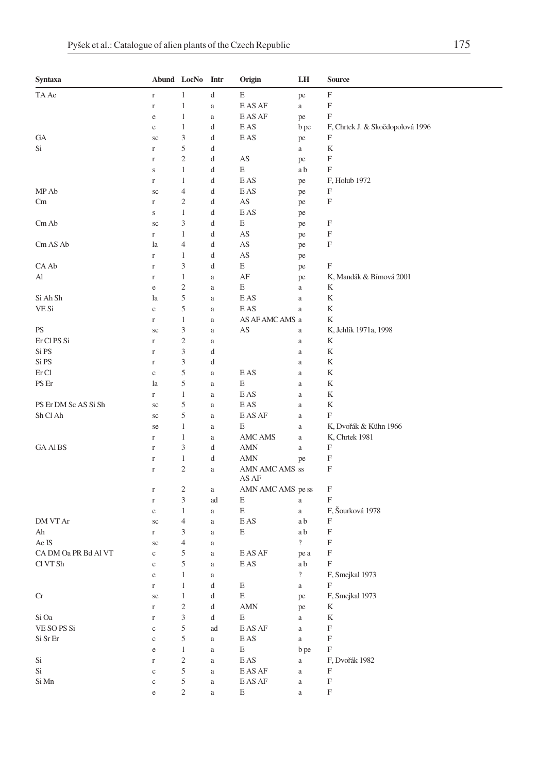| Syntaxa                    |             | Abund LocNo Intr            |                                               | Origin                                 | LH             | Source                           |
|----------------------------|-------------|-----------------------------|-----------------------------------------------|----------------------------------------|----------------|----------------------------------|
| TA Ae                      | $\mathbf r$ | 1                           | d                                             | E                                      | pe             | F                                |
|                            | $\Gamma$    | $\mathbf{1}$                | $\rm{a}$                                      | E AS AF                                | a              | F                                |
|                            | $\rm e$     | $\mathbf{1}$                | $\rm{a}$                                      | E AS AF                                | pe             | F                                |
|                            | e           | $\mathbf{1}$                | d                                             | E AS                                   | b pe           | F, Chrtek J. & Skočdopolová 1996 |
| GA                         | sc          | 3                           | d                                             | E AS                                   | pe             | F                                |
| Si                         | $\Gamma$    | 5                           | d                                             |                                        | a              | K                                |
|                            | $\mathbf r$ | $\overline{c}$              | d                                             | AS                                     | pe             | F                                |
|                            | S           | 1                           | d                                             | E                                      | a b            | F                                |
|                            | $\Gamma$    | $\mathbf{1}$                | d                                             | E AS                                   | pe             | F, Holub 1972                    |
| MP Ab                      | sc          | 4                           | d                                             | E AS                                   | pe             | F                                |
| Cm                         | $\mathbf r$ | $\mathfrak{2}$              | d                                             | AS                                     | pe             | F                                |
|                            | $\mathbf S$ | 1                           | d                                             | E AS                                   | pe             |                                  |
| Cm Ab                      | sc          | 3                           | d                                             | E                                      | pe             | F                                |
|                            | $\Gamma$    | 1                           | d                                             | AS                                     | pe             | F                                |
| Cm AS Ab                   | la          | 4                           | d                                             | AS                                     | pe             | F                                |
|                            | $\mathbf r$ | 1                           | d                                             | AS                                     | pe             |                                  |
| CA Ab                      | $\Gamma$    | 3                           | d                                             | E                                      | pe             | F                                |
| Al                         | $\mathbf r$ | 1                           | $\rm{a}$                                      | AF                                     | pe             | K, Mandák & Bímová 2001          |
|                            | e           | $\overline{c}$              | a                                             | E                                      | a              | K                                |
| Si Ah Sh                   | la          | 5                           | a                                             | $\mathop{\hbox{\rm E}}\nolimits$ AS    | $\rm{a}$       | K                                |
| VE Si                      | $\mathbf c$ | 5                           | $\rm{a}$                                      | E AS                                   | a              | K                                |
|                            | r           | 1                           | a                                             | AS AF AMC AMS a                        |                | K                                |
| PS                         | sc          | 3                           | a                                             | AS                                     | a              | K, Jehlík 1971a, 1998            |
| Er Cl PS Si                | r           | $\mathfrak{2}$              | a                                             |                                        | $\rm{a}$       | K                                |
| Si PS                      | $\mathbf r$ | $\mathfrak{Z}$              | d                                             |                                        | $\rm{a}$       | K                                |
| Si PS                      | $\mathbf r$ | 3                           | d                                             |                                        | a              | K                                |
| Er Cl                      | $\mathbf c$ | 5                           | $\rm{a}$                                      | E AS                                   | a              | K                                |
| PS Er                      | la          | 5                           | $\rm{a}$                                      | Е                                      | $\rm{a}$       | K                                |
|                            | r           | 1                           | $\rm{a}$                                      | E AS                                   | $\rm{a}$       | K                                |
| PS Er DM Sc AS Si Sh       | sc          | 5                           | $\rm{a}$                                      | E AS                                   | $\rm{a}$       | K                                |
| Sh Cl Ah                   | sc          | 5                           | a                                             | E AS AF                                | a              | F                                |
|                            | se          | 1                           | $\rm{a}$                                      | E                                      | $\rm{a}$       | K, Dvořák & Kühn 1966            |
|                            | $\mathbf r$ | 1                           | a                                             | AMC AMS                                | a              | K, Chrtek 1981                   |
| <b>GA AIBS</b>             | r           | 3                           | d                                             | <b>AMN</b>                             | a              | F                                |
|                            | $\Gamma$    | $\mathbf{1}$                | d                                             | <b>AMN</b>                             | pe             | F                                |
|                            | $\Gamma$    | $\overline{c}$              | $\rm{a}$                                      | AMN AMC AMS ss                         |                | F                                |
|                            |             |                             |                                               | AS AF                                  |                |                                  |
|                            | $\Gamma$    | $\overline{c}$              | a                                             | AMN AMC AMS pe ss                      |                | F                                |
|                            | $\Gamma$    | $\ensuremath{\mathfrak{Z}}$ | ad                                            | Е                                      | $\rm{a}$       | F                                |
|                            | e           | $\mathbf{1}$                | a                                             | E                                      | $\rm{a}$       | F, Šourková 1978                 |
| DM VT Ar                   | sc          | 4                           | $\rm{a}$                                      | E AS                                   | a b            | F                                |
| Ah                         | r           | 3                           | $\rm{a}$                                      | E                                      | a b            | F                                |
| Ae IS                      | sc          | 4                           | a                                             |                                        | $\overline{?}$ | F                                |
| CA DM Oa PR Bd Al VT       | $\mathbf c$ | 5                           | a                                             | E AS AF                                | pe a           | F                                |
| Cl VT Sh                   | $\rm _c$    | 5                           | a                                             | E AS                                   | a b            | F                                |
|                            | $\rm e$     | 1                           | a                                             |                                        | $\overline{?}$ | F, Smejkal 1973                  |
|                            | $\Gamma$    | 1                           | d                                             | E                                      | $\mathbf{a}$   | F                                |
| Cr                         | se          | $\mathbf{1}$                | $\mathrm{d}% \left\  \mathbf{G}\right\  ^{2}$ | E                                      | pe             | F, Smejkal 1973                  |
|                            | $\Gamma$    | $\sqrt{2}$                  | d                                             | $\mbox{AMN}$                           | pe             | K                                |
| Si Oa                      | $\Gamma$    | 3                           | d                                             | E                                      | $\rm{a}$       | $\mathbf K$                      |
| VE SO PS Si                | $\rm _c$    | 5                           | ad                                            | E AS AF                                | $\rm{a}$       | $\boldsymbol{\mathrm{F}}$        |
| Si Sr Er                   | $\rm c$     | 5                           | $\rm{a}$                                      | $\mathop{\hbox{\rm E}}\nolimits$ AS    | $\rm{a}$       | F                                |
|                            | $\rm e$     | $\,1\,$                     | $\rm{a}$                                      | E                                      | b pe           | $\boldsymbol{\mathrm{F}}$        |
| $\mathrm{Si}$              | $\mathbf r$ | $\sqrt{2}$                  | $\rm{a}$                                      | $\mathop{\hbox{\rm E}}\nolimits$ AS    | $\rm{a}$       | F, Dvořák 1982                   |
| Si                         | $\rm c$     | $\mathfrak s$               | $\rm{a}$                                      | $\mathop{\hbox{\rm E}}\nolimits$ AS AF | $\rm{a}$       | F                                |
| $\mathrm{Si}\ \mathrm{Mn}$ | $\mathbf c$ | 5                           | $\rm{a}$                                      | $\mathop{\hbox{\rm E}}\nolimits$ AS AF | $\rm{a}$       | $\boldsymbol{\mathrm{F}}$        |
|                            | $\rm e$     | $\sqrt{2}$                  | $\rm{a}$                                      | E                                      | $\rm{a}$       | $\mathbf F$                      |
|                            |             |                             |                                               |                                        |                |                                  |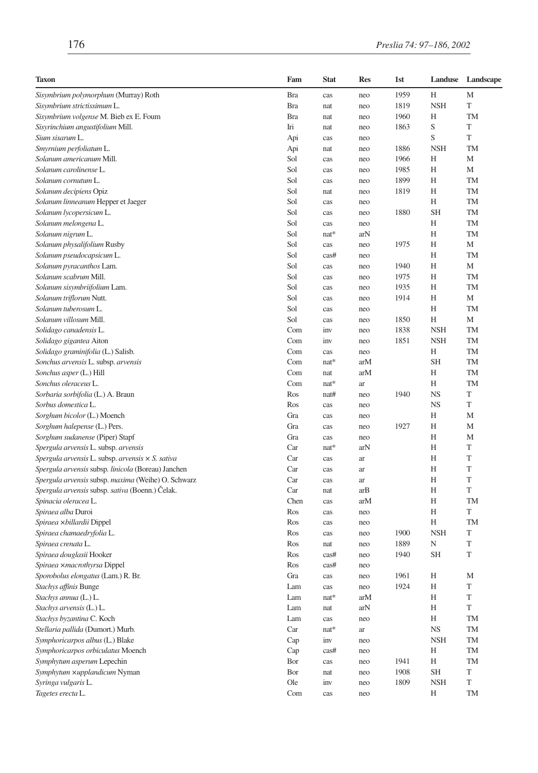| <b>Taxon</b>                                            | Fam        | <b>Stat</b> | <b>Res</b> | 1st  | Landuse                | Landscape   |
|---------------------------------------------------------|------------|-------------|------------|------|------------------------|-------------|
| Sisymbrium polymorphum (Murray) Roth                    | Bra        | cas         | neo        | 1959 | Н                      | М           |
| Sisymbrium strictissimum L.                             | <b>Bra</b> | nat         | neo        | 1819 | <b>NSH</b>             | T           |
| Sisymbrium volgense M. Bieb ex E. Foum                  | <b>Bra</b> | nat         | neo        | 1960 | Н                      | <b>TM</b>   |
| Sisyrinchium angustifolium Mill.                        | Iri        | nat         | neo        | 1863 | S                      | T           |
| Sium sisarum L.                                         | Api        | cas         | neo        |      | S                      | T           |
| Smyrnium perfoliatum L.                                 | Api        | nat         | neo        | 1886 | <b>NSH</b>             | TM          |
| Solanum americanum Mill.                                | Sol        | cas         | neo        | 1966 | H                      | M           |
| Solanum carolinense L.                                  | Sol        | cas         | neo        | 1985 | Н                      | М           |
| Solanum cornutum L.                                     | Sol        | cas         | neo        | 1899 | Н                      | TM          |
| Solanum decipiens Opiz                                  | Sol        | nat         | neo        | 1819 | Н                      | TM          |
| Solanum linneanum Hepper et Jaeger                      | Sol        | cas         | neo        |      | H                      | <b>TM</b>   |
| Solanum lycopersicum L.                                 | Sol        | cas         | neo        | 1880 | <b>SH</b>              | <b>TM</b>   |
| Solanum melongena L.                                    | Sol        | cas         | neo        |      | Н                      | TM          |
| Solanum nigrum L.                                       | Sol        | $nat*$      | arN        |      | H                      | <b>TM</b>   |
| Solanum physalifolium Rusby                             | Sol        | cas         | neo        | 1975 | Н                      | M           |
| Solanum pseudocapsicum L.                               | Sol        | cas#        | neo        |      | Н                      | <b>TM</b>   |
| Solanum pyracanthos Lam.                                | Sol        | cas         | neo        | 1940 | Η                      | M           |
| Solanum scabrum Mill.                                   | Sol        | cas         | neo        | 1975 | H                      | <b>TM</b>   |
| Solanum sisymbriifolium Lam.                            | Sol        | cas         | neo        | 1935 | Н                      | <b>TM</b>   |
| Solanum triflorum Nutt.                                 | Sol        | cas         | neo        | 1914 | Н                      | M           |
| Solanum tuberosum L.                                    | Sol        | cas         | neo        |      | H                      | TM          |
| Solanum villosum Mill.                                  | Sol        | cas         | neo        | 1850 | Н                      | M           |
| Solidago canadensis L.                                  | Com        | inv         | neo        | 1838 | <b>NSH</b>             | TM          |
| Solidago gigantea Aiton                                 | Com        | inv         | neo        | 1851 | <b>NSH</b>             | TM          |
| Solidago graminifolia (L.) Salisb.                      | Com        | cas         | neo        |      | Н                      | TM          |
| Sonchus arvensis L. subsp. arvensis                     | Com        | nat*        | arM        |      | <b>SH</b>              | <b>TM</b>   |
| Sonchus asper (L.) Hill                                 | Com        | nat         | arM        |      | H                      | TM          |
| Sonchus oleraceus L.                                    | Com        | $nat*$      | ar         |      | Н                      | TM          |
|                                                         | Ros        |             |            | 1940 |                        | T           |
| Sorbaria sorbifolia (L.) A. Braun                       | Ros        | nat#        | neo        |      | <b>NS</b><br><b>NS</b> | T           |
| Sorbus domestica L.                                     |            | cas         | neo        |      |                        |             |
| Sorghum bicolor (L.) Moench                             | Gra        | cas         | neo        |      | Η                      | M           |
| Sorghum halepense (L.) Pers.                            | Gra        | cas         | neo        | 1927 | Н                      | M           |
| Sorghum sudanense (Piper) Stapf                         | Gra        | cas         | neo        |      | H                      | M           |
| Spergula arvensis L. subsp. arvensis                    | Car        | $nat*$      | arN        |      | Н                      | T           |
| Spergula arvensis L. subsp. arvensis $\times$ S. sativa | Car        | cas         | ar         |      | H                      | T           |
| Spergula arvensis subsp. linicola (Boreau) Janchen      | Car        | cas         | ar         |      | H                      | T           |
| Spergula arvensis subsp. maxima (Weihe) O. Schwarz      | Car        | cas         | ar         |      | H                      | T           |
| Spergula arvensis subsp. sativa (Boenn.) Celak.         | Car        | nat         | arB        |      | Н                      | $\mathbf T$ |
| Spinacia oleracea L.                                    | Chen       | cas         | arM        |      | Η                      | <b>TM</b>   |
| Spiraea alba Duroi                                      | Ros        | cas         | neo        |      | Н                      | T           |
| Spiraea xbillardii Dippel                               | Ros        | cas         | neo        |      | H                      | <b>TM</b>   |
| Spiraea chamaedryfolia L.                               | Ros        | cas         | neo        | 1900 | <b>NSH</b>             | T           |
| Spiraea crenata L.                                      | Ros        | nat         | neo        | 1889 | N                      | T           |
| Spiraea douglasii Hooker                                | Ros        | cas#        | neo        | 1940 | SH                     | T           |
| Spiraea xmacrothyrsa Dippel                             | Ros        | cas#        | neo        |      |                        |             |
| Sporobolus elongatus (Lam.) R. Br.                      | Gra        | cas         | neo        | 1961 | Н                      | M           |
| Stachys affinis Bunge                                   | Lam        | cas         | neo        | 1924 | H                      | T           |
| Stachys annua (L.) L.                                   | Lam        | nat*        | arM        |      | H                      | T           |
| Stachys arvensis (L.) L.                                | Lam        | nat         | arN        |      | H                      | T           |
| Stachys byzantina C. Koch                               | Lam        | cas         | neo        |      | Н                      | TM          |
| Stellaria pallida (Dumort.) Murb.                       | Car        | $nat*$      | ar         |      | <b>NS</b>              | TM          |
| Symphoricarpos albus (L.) Blake                         | Cap        | inv         | neo        |      | <b>NSH</b>             | TM          |
| Symphoricarpos orbiculatus Moench                       | Cap        | cas#        | neo        |      | H                      | TM          |
| Symphytum asperum Lepechin                              | Bor        | cas         | neo        | 1941 | Н                      | TM          |
| Symphytum xupplandicum Nyman                            | Bor        | nat         | neo        | 1908 | <b>SH</b>              | T           |
| Syringa vulgaris L.                                     | Ole        | inv         | neo        | 1809 | <b>NSH</b>             | T           |
| Tagetes erecta L.                                       | Com        | cas         | neo        |      | Н                      | TM          |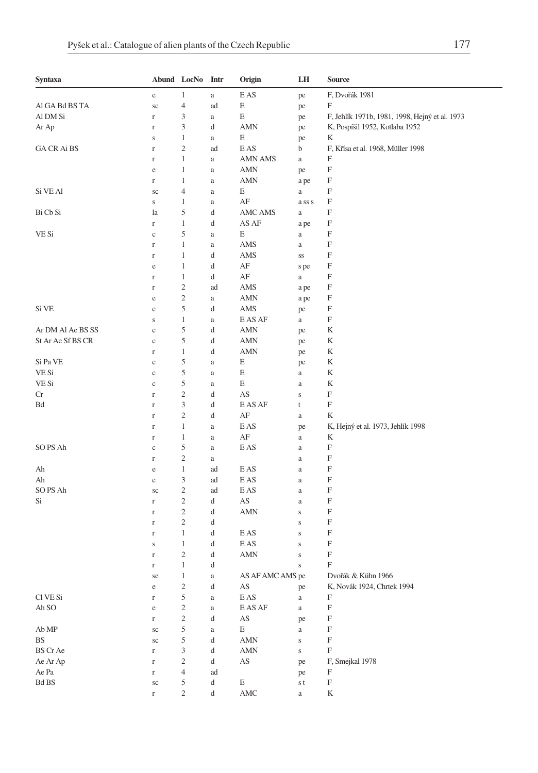| Syntaxa           |              | Abund LocNo Intr            |                                                | Origin                              | LH          | <b>Source</b>                                  |
|-------------------|--------------|-----------------------------|------------------------------------------------|-------------------------------------|-------------|------------------------------------------------|
|                   | e            | 1                           | $\rm{a}$                                       | E AS                                | pe          | F, Dvořák 1981                                 |
| Al GA Bd BS TA    | sc           | $\overline{4}$              | ad                                             | E                                   | pe          | $\boldsymbol{\mathrm{F}}$                      |
| Al DM Si          | r            | 3                           | $\rm{a}$                                       | E                                   | pe          | F, Jehlík 1971b, 1981, 1998, Hejný et al. 1973 |
| Ar Ap             | r            | 3                           | d                                              | AMN                                 | pe          | K, Pospíšil 1952, Kotlaba 1952                 |
|                   | S            | $\mathbf{1}$                | $\rm{a}$                                       | E                                   | pe          | K                                              |
| GA CR Ai BS       | $\mathbf r$  | $\mathfrak{2}$              | ad                                             | E AS                                | b           | F, Křísa et al. 1968, Müller 1998              |
|                   | $\mathbf r$  | $\mathbf{1}$                | $\rm{a}$                                       | AMN AMS                             | $\rm{a}$    | F                                              |
|                   | e            | 1                           | $\rm{a}$                                       | AMN                                 | pe          | F                                              |
|                   | $\Gamma$     | 1                           | $\rm{a}$                                       | AMN                                 | a pe        | F                                              |
| Si VE Al          | sc           | 4                           | $\rm{a}$                                       | E                                   | $\rm{a}$    | F                                              |
|                   | $\bf S$      | 1                           | $\rm{a}$                                       | $\rm AF$                            | ass s       | F                                              |
| Bi Cb Si          | la           | 5                           | d                                              | AMC AMS                             | $\rm{a}$    | F                                              |
|                   | $\Gamma$     | 1                           | d                                              | AS AF                               | a pe        | F                                              |
| VE Si             | $\mathbf c$  | 5                           | $\rm{a}$                                       | E                                   | $\rm{a}$    | F                                              |
|                   | $\mathbf r$  | 1                           | $\rm{a}$                                       | AMS                                 | $\rm{a}$    | F                                              |
|                   | $\mathbf r$  | $\mathbf{1}$                | d                                              | AMS                                 | SS          | F                                              |
|                   | e            | 1                           | d                                              | AF                                  | s pe        | F                                              |
|                   | $\mathbf r$  | $\mathbf{1}$                | d                                              | AF                                  | $\rm{a}$    | F                                              |
|                   | $\Gamma$     | $\sqrt{2}$                  | ad                                             | AMS                                 | a pe        | F                                              |
|                   | e            | $\mathfrak{2}$              | $\rm{a}$                                       | <b>AMN</b>                          | a pe        | F                                              |
| Si VE             | $\mathbf c$  | 5                           | d                                              | AMS                                 | pe          | F                                              |
|                   | $\bf S$      | 1                           | $\rm{a}$                                       | E AS AF                             | $\rm{a}$    | F                                              |
| Ar DM Al Ae BS SS | $\mathbf c$  | 5                           | d                                              | <b>AMN</b>                          | pe          | K                                              |
| St Ar Ae Sf BS CR | $\mathbf c$  | 5                           | d                                              | <b>AMN</b>                          | pe          | K                                              |
|                   | $\Gamma$     | $\mathbf{1}$                | d                                              | AMN                                 | pe          | K                                              |
| Si Pa VE          | $\mathbf c$  | 5                           | $\rm{a}$                                       | E                                   | pe          | K                                              |
| VE Si             | $\rm{c}$     | 5                           | $\rm{a}$                                       | E                                   | $\rm{a}$    | K                                              |
| VE Si             | $\mathbf c$  | 5                           | $\rm{a}$                                       | E                                   | $\rm{a}$    | K                                              |
| Cr                | $\mathbf r$  | $\overline{c}$              | d                                              | AS                                  | $\mathbf S$ | F                                              |
| Bd                | $\mathbf r$  | $\mathfrak{Z}$              | d                                              | E AS AF                             | $\mathsf t$ | $\boldsymbol{\mathrm{F}}$                      |
|                   | $\Gamma$     | $\mathfrak{2}$              | d                                              | AF                                  | $\rm{a}$    | K                                              |
|                   | $\mathbf r$  | $\mathbf{1}$                | $\rm{a}$                                       | E AS                                | pe          | K, Hejný et al. 1973, Jehlík 1998              |
|                   | $\mathbf r$  | 1                           | $\rm{a}$                                       | AF                                  | $\rm{a}$    | K                                              |
| SO PS Ah          | $\rm{c}$     | 5                           | $\rm{a}$                                       | E AS                                | $\rm{a}$    | F                                              |
|                   | $\Gamma$     | $\mathfrak{2}$              | a                                              |                                     | $\rm{a}$    | F                                              |
| Ah                | $\rm e$      | $\mathbf{1}$                | ad                                             | E AS                                | $\rm{a}$    | F                                              |
| Ah                | $\rm e$      | $\mathfrak{Z}$              | ad                                             | E AS                                | $\rm{a}$    | F                                              |
| SO PS Ah          | sc           | $\mathfrak{2}$              | ad                                             | E AS                                | $\rm{a}$    | F                                              |
| Si                | $\mathbf r$  | $\sqrt{2}$                  | d                                              | AS                                  | $\rm{a}$    | F                                              |
|                   | $\mathbf r$  | $\sqrt{2}$                  | d                                              | AMN                                 | $\mathbf S$ | F                                              |
|                   | $\mathbf r$  | $\sqrt{2}$                  | d                                              |                                     | $\mathbf S$ | F                                              |
|                   | r            | 1                           | d                                              | E AS                                | $\mathbf S$ | F                                              |
|                   | S            | 1                           | d                                              | E AS                                | $\mathbf S$ | F                                              |
|                   | $\Gamma$     | $\sqrt{2}$                  | d                                              | AMN                                 | $\mathbf S$ | F                                              |
|                   | r            | 1                           | d                                              |                                     | $\bf S$     | F                                              |
|                   | se           | $\mathbf{1}$                | $\rm{a}$                                       | AS AF AMC AMS pe                    |             | Dvořák & Kühn 1966                             |
|                   | $\rm e$      | $\sqrt{2}$                  | d                                              | $\mathbf{A}\mathbf{S}$              | pe          | K, Novák 1924, Chrtek 1994                     |
| Cl VE Si          | $\mathbf r$  | $\mathfrak s$               | $\rm{a}$                                       | $\mathop{\hbox{\rm E}}\nolimits$ AS | $\rm{a}$    | F                                              |
| Ah SO             | $\rm e$      | $\sqrt{2}$                  | $\rm{a}$                                       | E AS AF                             | $\rm{a}$    | $\boldsymbol{\mathrm{F}}$                      |
|                   | $\mathbf r$  | $\sqrt{2}$                  | d                                              | $\mathbf{A}\mathbf{S}$              | pe          | $\boldsymbol{\mathrm{F}}$                      |
| Ab MP             | $\rm{sc}$    | $\mathfrak s$               | $\rm{a}$                                       | E                                   | $\rm{a}$    | $\boldsymbol{\mathrm{F}}$                      |
| BS                | $\rm{sc}$    | 5                           | d                                              | $\mbox{AMN}$                        | $\mathbf S$ | $\boldsymbol{\mathrm{F}}$                      |
| <b>BS</b> Cr Ae   | $\Gamma$     | $\ensuremath{\mathfrak{Z}}$ | d                                              | AMN                                 | $\mathbf S$ | $\boldsymbol{\mathrm{F}}$                      |
| Ae Ar Ap          | $\Gamma$     | $\mathfrak{2}$              | d                                              | AS                                  | pe          | F, Smejkal 1978                                |
| Ae Pa             | $\Gamma$     | $\overline{4}$              | ad                                             |                                     | pe          | $\boldsymbol{\mathrm{F}}$                      |
| Bd BS             | $\rm{sc}$    | 5                           | $\mathrm{d}% \left\  \mathcal{H}\right\  _{A}$ | E                                   | s t         | $\boldsymbol{\mathrm{F}}$                      |
|                   | $\mathbf{r}$ | $\overline{c}$              | $\mathrm{d}% \left\  \mathcal{H}\right\  _{A}$ | $\operatorname{AMC}$                | $\rm{a}$    | K                                              |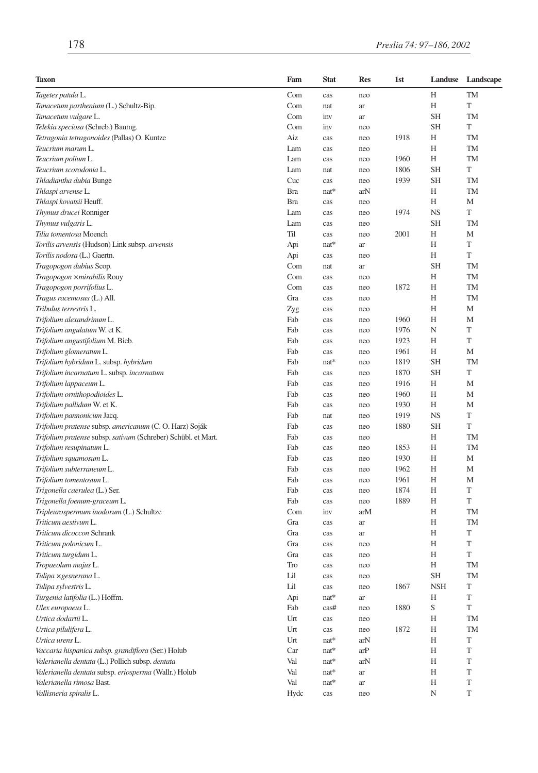| <b>Taxon</b>                                                  | Fam        | <b>Stat</b> | <b>Res</b> | 1st  | Landuse    | Landscape   |
|---------------------------------------------------------------|------------|-------------|------------|------|------------|-------------|
| Tagetes patula L.                                             | Com        | cas         | neo        |      | Н          | TM          |
| Tanacetum parthenium (L.) Schultz-Bip.                        | Com        | nat         | ar         |      | H          | T           |
| Tanacetum vulgare L.                                          | Com        | inv         | ar         |      | <b>SH</b>  | TM          |
| Telekia speciosa (Schreb.) Baumg.                             | Com        | inv         | neo        |      | <b>SH</b>  | T           |
| Tetragonia tetragonoides (Pallas) O. Kuntze                   | Aiz        | cas         | neo        | 1918 | Н          | TM          |
| Teucrium marum L.                                             | Lam        | cas         | neo        |      | Н          | TM          |
| Teucrium polium L.                                            | Lam        | cas         | neo        | 1960 | Н          | TM          |
| Teucrium scorodonia L.                                        | Lam        | nat         | neo        | 1806 | <b>SH</b>  | T           |
| Thladiantha dubia Bunge                                       | Cuc        | cas         | neo        | 1939 | <b>SH</b>  | TM          |
| Thlaspi arvense L.                                            | <b>Bra</b> | nat*        | arN        |      | Н          | <b>TM</b>   |
| Thlaspi kovatsii Heuff.                                       | <b>Bra</b> | cas         | neo        |      | Н          | M           |
| Thymus drucei Ronniger                                        | Lam        | cas         | neo        | 1974 | <b>NS</b>  | T           |
| Thymus vulgaris L.                                            | Lam        | cas         | neo        |      | <b>SH</b>  | TM          |
| Tilia tomentosa Moench                                        | Til        | cas         | neo        | 2001 | Н          | M           |
| Torilis arvensis (Hudson) Link subsp. arvensis                | Api        | $nat*$      | ar         |      | Н          | T           |
| Torilis nodosa (L.) Gaertn.                                   | Api        | cas         | neo        |      | Н          | T           |
| Tragopogon dubius Scop.                                       | Com        | nat         | ar         |      | <b>SH</b>  | TM          |
| Tragopogon xmirabilis Rouy                                    | Com        | cas         | neo        |      | Н          | TM          |
| Tragopogon porrifolius L.                                     | Com        | cas         | neo        | 1872 | Н          | <b>TM</b>   |
| Tragus racemosus (L.) All.                                    | Gra        | cas         | neo        |      | Н          | <b>TM</b>   |
| Tribulus terrestris L.                                        | Zyg        | cas         | neo        |      | Н          | M           |
| Trifolium alexandrinum L.                                     | Fab        | cas         | neo        | 1960 | Н          | M           |
| Trifolium angulatum W. et K.                                  | Fab        | cas         | neo        | 1976 | N          | T           |
| Trifolium angustifolium M. Bieb.                              | Fab        | cas         | neo        | 1923 | Н          | T           |
| Trifolium glomeratum L.                                       | Fab        | cas         | neo        | 1961 | Н          | M           |
| Trifolium hybridum L. subsp. hybridum                         | Fab        | $nat*$      | neo        | 1819 | <b>SH</b>  | <b>TM</b>   |
| Trifolium incarnatum L. subsp. incarnatum                     | Fab        | cas         | neo        | 1870 | <b>SH</b>  | T           |
| Trifolium lappaceum L.                                        | Fab        | cas         | neo        | 1916 | Н          | M           |
| Trifolium ornithopodioides L.                                 | Fab        | cas         | neo        | 1960 | Н          | M           |
| Trifolium pallidum W. et K.                                   | Fab        | cas         | neo        | 1930 | Н          | M           |
| Trifolium pannonicum Jacq.                                    | Fab        | nat         | neo        | 1919 | <b>NS</b>  | $\mathbf T$ |
| Trifolium pratense subsp. americanum (C. O. Harz) Soják       | Fab        | cas         | neo        | 1880 | <b>SH</b>  | T           |
| Trifolium pratense subsp. sativum (Schreber) Schübl. et Mart. | Fab        | cas         | neo        |      | Н          | <b>TM</b>   |
| Trifolium resupinatum L.                                      | Fab        | cas         | neo        | 1853 | H          | TM          |
| Trifolium squamosum L.                                        | Fab        | cas         | neo        | 1930 | Н          | M           |
| Trifolium subterraneum L.                                     | Fab        | cas         | neo        | 1962 | Н          | М           |
| Trifolium tomentosum L.                                       | Fab        | cas         | neo        | 1961 | Н          | M           |
| Trigonella caerulea (L.) Ser.                                 | Fab        | cas         | neo        | 1874 | Н          | T           |
| Trigonella foenum-graceum L.                                  | Fab        | cas         | neo        | 1889 | Н          | T           |
| Tripleurospermum inodorum (L.) Schultze                       | Com        | inv         | arM        |      | Н          | <b>TM</b>   |
| Triticum aestivum L.                                          | Gra        | cas         | ar         |      | Н          | TM          |
| Triticum dicoccon Schrank                                     | Gra        | cas         | ar         |      | Н          | T           |
| Triticum polonicum L.                                         | Gra        | cas         | neo        |      | Н          | T           |
| Triticum turgidum L.                                          | Gra        | cas         | neo        |      | Н          | T           |
| Tropaeolum majus L.                                           | Tro        | cas         | neo        |      | Н          | TM          |
| Tulipa × gesnerana L.                                         | Lil        | cas         | neo        |      | <b>SH</b>  | <b>TM</b>   |
| Tulipa sylvestris L.                                          | Lil        | cas         | neo        | 1867 | <b>NSH</b> | T           |
| Turgenia latifolia (L.) Hoffm.                                | Api        | $nat*$      | ar         |      | Η          | T           |
| Ulex europaeus L.                                             | Fab        | cas#        | neo        | 1880 | S          | T           |
| Urtica dodartii L.                                            | Urt        | cas         | neo        |      | H          | TM          |
| Urtica pilulifera L.                                          | Urt        | cas         | neo        | 1872 | Η          | TM          |
| Urtica urens L.                                               | Urt        | nat*        | arN        |      | Η          | T           |
| Vaccaria hispanica subsp. grandiflora (Ser.) Holub            | Car        | $nat*$      | arP        |      | Η          | T           |
| Valerianella dentata (L.) Pollich subsp. dentata              | Val        | $nat*$      | arN        |      | Η          | T           |
| Valerianella dentata subsp. eriosperma (Wallr.) Holub         | Val        | $nat*$      | ar         |      | Η          | T           |
| Valerianella rimosa Bast.                                     | Val        | $nat*$      | ar         |      | Η          | T           |
| Vallisneria spiralis L.                                       | Hydc       | cas         | neo        |      | N          | T           |
|                                                               |            |             |            |      |            |             |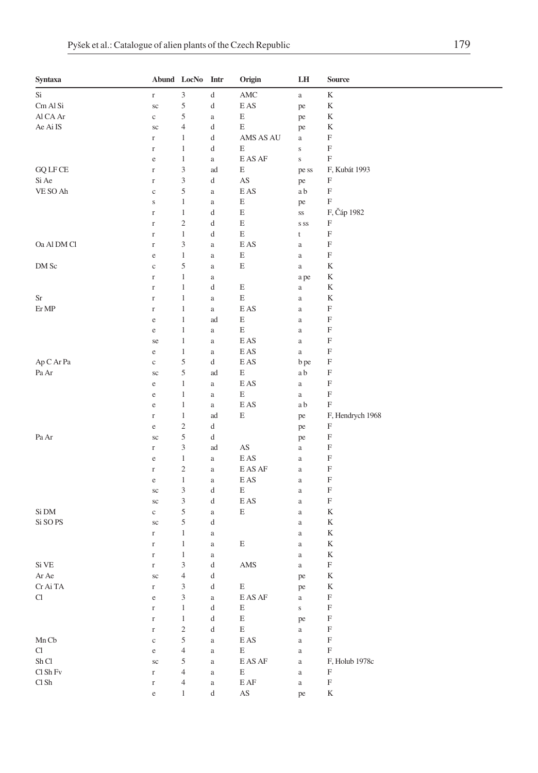| Syntaxa         |                          | Abund LocNo Intr             |          | Origin                               | LH             | <b>Source</b>             |
|-----------------|--------------------------|------------------------------|----------|--------------------------------------|----------------|---------------------------|
| Si              | $\Gamma$                 | $\ensuremath{\mathfrak{Z}}$  | d        | $\operatorname{AMC}$                 | $\rm{a}$       | $\mathbf K$               |
| Cm Al Si        | $\rm{sc}$                | $\sqrt{5}$                   | d        | $\mathop{\hbox{\rm E}}\nolimits$ AS  | pe             | K                         |
| Al CA Ar        | $\mathbf c$              | 5                            | $\rm{a}$ | $\mathbf E$                          | pe             | K                         |
| Ae Ai IS        | $\rm{sc}$                | $\overline{4}$               | d        | E                                    | pe             | K                         |
|                 | $\mathbf r$              | $\mathbf{1}$                 | d        | AMS AS AU                            | a              | F                         |
|                 | $\mathbf r$              | $\mathbf{1}$                 | d        | E                                    | $\mathbf S$    | F                         |
|                 | e                        | $\mathbf{1}$                 | $\rm{a}$ | E AS AF                              | $\mathbf S$    | F                         |
| <b>GQ LF CE</b> | $\mathbf r$              | 3                            | ad       | E                                    | pe ss          | F, Kubát 1993             |
| Si Ae           | $\Gamma$                 | $\ensuremath{\mathfrak{Z}}$  | d        | AS                                   | pe             | F                         |
| VE SO Ah        | $\mathbf c$              | 5                            | $\rm{a}$ | E AS                                 | a b            | F                         |
|                 | S                        | $\mathbf{1}$                 | $\rm{a}$ | E                                    | pe             | F                         |
|                 | $\mathbf r$              | $\mathbf{1}$                 | d        | E                                    | $_{\rm SS}$    | F, Čáp 1982               |
|                 | $\Gamma$                 | $\overline{\mathbf{c}}$      | d        | E                                    | S SS           | F                         |
|                 | $\mathbf r$              | $\mathbf{1}$                 | d        | E                                    | t              | F                         |
| Oa Al DM Cl     | $\mathbf r$              | 3                            | $\rm{a}$ | E AS                                 | a              | F                         |
|                 | $\rm e$                  | $\mathbf{1}$                 | $\rm{a}$ | $\mathbf E$                          | $\rm{a}$       | F                         |
| DM Sc           | $\mathbf c$              | 5                            | a        | E                                    | $\rm{a}$       | K                         |
|                 | $\Gamma$                 | $\mathbf{1}$                 | $\rm{a}$ |                                      | a pe           | K                         |
|                 | $\Gamma$                 | $\mathbf{1}$                 | d        | $\mathbf E$                          | $\rm{a}$       | K                         |
| Sr              | $\Gamma$                 | $\mathbf{1}$                 | $\rm{a}$ | E                                    | $\rm{a}$       | K                         |
| Er MP           | $\mathbf r$              | $\mathbf{1}$                 | $\rm{a}$ | E AS                                 | $\rm{a}$       | F                         |
|                 | e                        | $\mathbf{1}$                 | ad       | E                                    | $\rm{a}$       | F                         |
|                 | $\rm e$                  | $\mathbf{1}$                 | $\rm{a}$ | E                                    | $\rm{a}$       | F                         |
|                 | se                       | $\mathbf{1}$                 | a        | E AS                                 | $\rm{a}$       | F                         |
|                 | e                        | $\mathbf{1}$                 | a        | E AS                                 | $\rm{a}$       | $\boldsymbol{\mathrm{F}}$ |
| Ap C Ar Pa      | $\mathbf c$              | $\sqrt{5}$                   | d        | E AS                                 | b pe           | F                         |
| Pa Ar           | $\rm{sc}$                | $\sqrt{5}$                   | ad       | Ε                                    | a b            | F                         |
|                 | $\rm e$                  | $\mathbf{1}$                 | a        | E AS                                 | $\rm{a}$       | F                         |
|                 | e                        | $\mathbf{1}$                 | $\rm{a}$ | E                                    | $\rm{a}$       | F                         |
|                 | e                        | $\mathbf{1}$                 | $\rm{a}$ | $\mathop{\hbox{\rm E}}\nolimits$ AS  | a b            | F                         |
|                 | $\mathbf r$              | $\mathbf{1}$                 | ad       | E                                    | pe             | F, Hendrych 1968          |
|                 | e                        | $\sqrt{2}$                   | d        |                                      | pe             | F                         |
| Pa Ar           | sc                       | $\sqrt{5}$                   | d        |                                      | pe             | F                         |
|                 | $\mathbf r$              | 3                            | ad       | $\mathbf{A}\mathbf{S}$               | $\rm{a}$       | F                         |
|                 | $\rm e$                  | $\mathbf{1}$                 | $\rm{a}$ | $\mathop{\hbox{\rm E}}\nolimits$ AS  | $\rm{a}$       | F                         |
|                 | $\mathbf r$              | $\overline{\mathbf{c}}$      | a        | E AS AF                              | $\rm{a}$       | F                         |
|                 | e                        | $\mathbf{1}$                 | $\rm{a}$ | E AS                                 | $\rm{a}$       | F                         |
|                 | $\rm{sc}$                | 3                            | d        | E                                    | $\rm{a}$       | F                         |
|                 | $\rm{sc}$                | $\ensuremath{\mathfrak{Z}}$  | d        | E AS                                 | $\rm{a}$       | F                         |
| Si DM           | $\rm{c}$                 | 5                            | $\rm{a}$ | E                                    | $\rm{a}$       | K                         |
| Si SO PS        | sc                       | 5                            | d        |                                      | $\rm{a}$       | K                         |
|                 | $\mathbf r$              | $\mathbf{1}$<br>$\mathbf{1}$ | $\rm{a}$ | E                                    | $\rm{a}$       | K<br>K                    |
|                 | $\mathbf r$              | $\mathbf{1}$                 | $\rm{a}$ |                                      | $\rm{a}$       | K                         |
| Si VE           | $\mathbf r$              | 3                            | a        | AMS                                  | $\rm{a}$       | F                         |
| Ar Ae           | $\mathbf r$<br>$\rm{sc}$ | $\overline{4}$               | d<br>d   |                                      | $\rm{a}$       | K                         |
| Cr Ai TA        | $\mathbf{r}$             | 3                            | d        | Е                                    | pe             | K                         |
| Cl              | $\rm e$                  | $\ensuremath{\mathfrak{Z}}$  | $\rm{a}$ | E AS AF                              | pe<br>$\rm{a}$ | F                         |
|                 | $\Gamma$                 | $\mathbf{1}$                 | d        | E                                    | $\mathbf S$    | $\boldsymbol{\mathrm{F}}$ |
|                 | $\Gamma$                 | $\mathbf{1}$                 | d        | $\mathbf E$                          | pe             | F                         |
|                 | $\Gamma$                 | $\sqrt{2}$                   | d        | $\mathbf E$                          | $\rm{a}$       | $\mathbf F$               |
| Mn Cb           | $\mathbf c$              | $\sqrt{5}$                   | $\rm{a}$ | E AS                                 | $\rm{a}$       | F                         |
| Cl              | $\rm e$                  | $\overline{4}$               | $\rm{a}$ | E                                    | $\rm{a}$       | F                         |
| Sh Cl           | $\rm{sc}$                | 5                            | a        | E AS AF                              | $\rm{a}$       | F, Holub 1978c            |
| Cl Sh Fv        | $\Gamma$                 | $\overline{4}$               | a        | E                                    | $\rm{a}$       | $\boldsymbol{\mathrm{F}}$ |
| Cl Sh           | $\Gamma$                 | $\overline{4}$               | $\rm{a}$ | $\operatorname{E} \operatorname{AF}$ | $\rm{a}$       | $\mathbf F$               |
|                 | $\rm e$                  | $\mathbf{1}$                 | d        | AS                                   | pe             | $\mathbf K$               |
|                 |                          |                              |          |                                      |                |                           |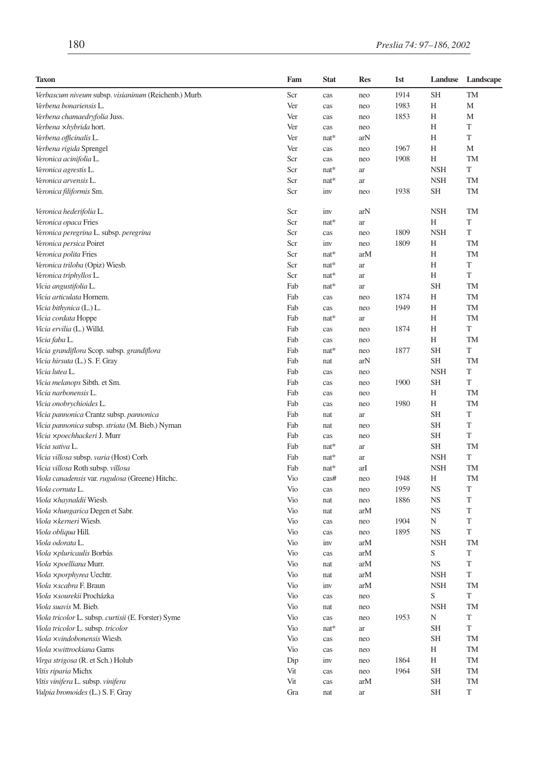| <b>Taxon</b>                                         | Fam        | <b>Stat</b> | <b>Res</b> | 1st          | Landuse        | Landscape |
|------------------------------------------------------|------------|-------------|------------|--------------|----------------|-----------|
| Verbascum niveum subsp. visianinum (Reichenb.) Murb. | Scr        | cas         | neo        | 1914         | <b>SH</b>      | TM        |
| Verbena bonariensis L.                               | Ver        | cas         | neo        | 1983         | H              | M         |
| Verbena chamaedryfolia Juss.                         | Ver        | cas         | neo        | 1853         | Н              | M         |
| Verbena xhybrida hort.                               | Ver        | cas         | neo        |              | Н              | T         |
| Verbena officinalis L.                               | Ver        | nat*        | arN        |              | H              | T         |
| Verbena rigida Sprengel                              | Ver        | cas         | neo        | 1967         | Н              | М         |
| Veronica acinifolia L.                               | Scr        | cas         | neo        | 1908         | Н              | TM        |
| Veronica agrestis L.                                 | Scr        | $nat*$      | ar         |              | <b>NSH</b>     | T         |
| Veronica arvensis L.                                 | Scr        | $nat*$      | ar         |              | <b>NSH</b>     | TM        |
| Veronica filiformis Sm.                              | Scr        | inv         | neo        | 1938         | <b>SH</b>      | <b>TM</b> |
| Veronica hederifolia L.                              | Scr        | inv         | arN        |              | <b>NSH</b>     | <b>TM</b> |
| Veronica opaca Fries                                 | Scr        | $nat*$      | ar         |              | Н              | T         |
| Veronica peregrina L. subsp. peregrina               | Scr        | cas         | neo        | 1809         | <b>NSH</b>     | T         |
| Veronica persica Poiret                              | Scr        | inv         | neo        | 1809         | Н              | TM        |
| Veronica polita Fries                                | Scr        | $nat*$      | arM        |              | H              | TM        |
| Veronica triloba (Opiz) Wiesb.                       | Scr        | $nat*$      | ar         |              | H              | T         |
| Veronica triphyllos L.                               | Scr        | $nat*$      | ar         |              | H              | T         |
| Vicia angustifolia L.                                | Fab        | $nat*$      | ar         |              | <b>SH</b>      | <b>TM</b> |
| Vicia articulata Hornem.                             | Fab        | cas         | neo        | 1874         | H              | <b>TM</b> |
| Vicia bithynica (L.) L.                              | Fab        | cas         | neo        | 1949         | H              | <b>TM</b> |
| Vicia cordata Hoppe                                  | Fab        | $nat*$      | ar         |              | H              | TM        |
| Vicia ervilia (L.) Willd.                            | Fab        | cas         | neo        | 1874         | H              | T         |
| Vicia faba L.                                        | Fab        | cas         | neo        |              | Н              | TM        |
| Vicia grandiflora Scop. subsp. grandiflora           | Fab        | nat*        | neo        | 1877         | <b>SH</b>      | T         |
| Vicia hirsuta (L.) S. F. Gray                        | Fab        | nat         | arN        |              | SH             | <b>TM</b> |
| Vicia lutea L.                                       | Fab        | cas         | neo        |              | <b>NSH</b>     | T         |
| Vicia melanops Sibth. et Sm.                         | Fab        | cas         | neo        | 1900         | <b>SH</b>      | T         |
| Vicia narbonensis L.                                 | Fab        | cas         | neo        |              | Н              | TM        |
| Vicia onobrychioides L.                              | Fab        | cas         | neo        | 1980         | H              | <b>TM</b> |
| Vicia pannonica Crantz subsp. pannonica              | Fab        | nat         | ar         |              | SH             | T         |
| Vicia pannonica subsp. striata (M. Bieb.) Nyman      | Fab        | nat         | neo        |              | <b>SH</b>      | T         |
| Vicia xpoechhackeri J. Murr                          | Fab        | cas         | neo        |              | SH             | T         |
| Vicia sativa L.                                      | Fab        | $nat*$      |            |              | <b>SH</b>      | <b>TM</b> |
|                                                      | Fab        | $nat*$      | ar         |              | <b>NSH</b>     | T         |
| Vicia villosa subsp. varia (Host) Corb.              |            |             | ar         |              |                | TM        |
| Vicia villosa Roth subsp. villosa                    | Fab        | $nat*$      | arI        |              | <b>NSH</b>     | <b>TM</b> |
| Viola canadensis var. rugulosa (Greene) Hitchc.      | Vio<br>Vio | cas#        | neo        | 1948<br>1959 | H<br><b>NS</b> | T         |
| Viola cornuta L.                                     |            | cas         | neo        | 1886         |                | T         |
| Viola xhaynaldii Wiesb.                              | Vio        | nat         | neo        |              | <b>NS</b>      |           |
| Viola xhungarica Degen et Sabr.                      | Vio        | nat         | arM        |              | <b>NS</b>      | T         |
| Viola xkerneri Wiesb.                                | Vio        | cas         | neo        | 1904         | N              | T         |
| Viola obliqua Hill.                                  | Vio        | cas         | neo        | 1895         | <b>NS</b>      | T         |
| Viola odorata L.                                     | Vio        | inv         | arM        |              | <b>NSH</b>     | TM        |
| Viola xpluricaulis Borbás                            | Vio        | cas         | arM        |              | S              | T         |
| Viola xpoelliana Murr.                               | Vio        | nat         | arM        |              | <b>NS</b>      | T         |
| <i>Viola ×porphyrea</i> Uechtr.                      | Vio        | nat         | arM        |              | <b>NSH</b>     | T         |
| Viola xscabra F. Braun                               | Vio        | inv         | arM        |              | <b>NSH</b>     | TM        |
| Viola xsourekii Procházka                            | Vio        | cas         | neo        |              | S              | T         |
| Viola suavis M. Bieb.                                | Vio        | nat         | neo        |              | <b>NSH</b>     | TM        |
| Viola tricolor L. subsp. curtisii (E. Forster) Syme  | Vio        | cas         | neo        | 1953         | N              | T         |
| Viola tricolor L. subsp. tricolor                    | Vio        | nat*        | ar         |              | <b>SH</b>      | T         |
| Viola xvindobonensis Wiesb.                          | Vio        | cas         | neo        |              | <b>SH</b>      | TM        |
| Viola ×wittrockiana Gams                             | Vio        | cas         | neo        |              | Н              | TM        |
| Virga strigosa (R. et Sch.) Holub                    | Dip        | inv         | neo        | 1864         | Η              | TM        |
| Vitis riparia Michx                                  | Vit        | cas         | neo        | 1964         | SH             | TM        |
| Vitis vinifera L. subsp. vinifera                    | Vit        | cas         | arM        |              | SH             | TM        |
| Vulpia bromoides (L.) S. F. Gray                     | Gra        | nat         | ar         |              | SH             | T         |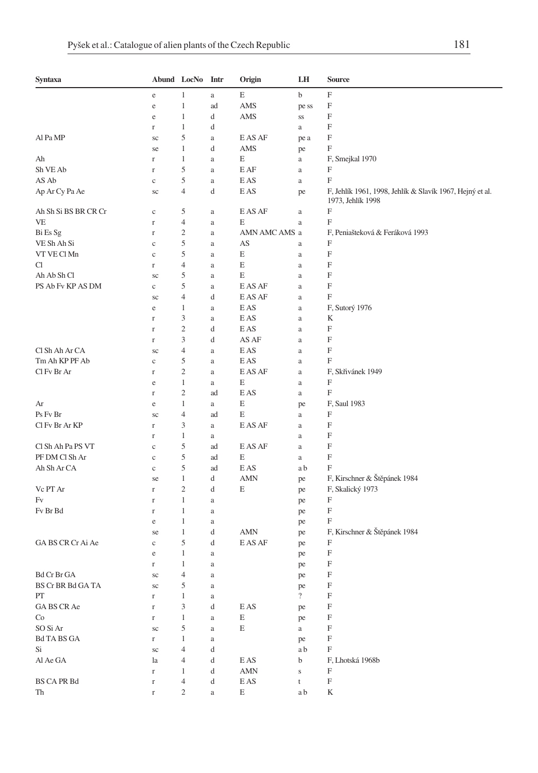| Syntaxa              |               | Abund LocNo Intr        |          | Origin                              | LH             | Source                                                                        |
|----------------------|---------------|-------------------------|----------|-------------------------------------|----------------|-------------------------------------------------------------------------------|
|                      | e             | 1                       | $\rm{a}$ | E                                   | b              | F                                                                             |
|                      | e             | $\mathbf{1}$            | ad       | AMS                                 | pe ss          | F                                                                             |
|                      | e             | 1                       | d        | AMS                                 | SS             | F                                                                             |
|                      | $\Gamma$      | 1                       | d        |                                     | a              | F                                                                             |
| Al Pa MP             | sc            | 5                       | $\rm{a}$ | E AS AF                             | pe a           | F                                                                             |
|                      | se            | 1                       | d        | AMS                                 | pe             | F                                                                             |
| Ah                   | $\Gamma$      | $\mathbf{1}$            | $\rm{a}$ | E                                   | $\rm{a}$       | F, Smejkal 1970                                                               |
| Sh VE Ab             | r             | 5                       | $\rm{a}$ | E AF                                | $\rm{a}$       | F                                                                             |
| AS Ab                | $\rm _c$      | 5                       | $\rm{a}$ | E AS                                | $\rm{a}$       | F                                                                             |
| Ap Ar Cy Pa Ae       | sc            | $\overline{4}$          | d        | E AS                                | pe             | F, Jehlík 1961, 1998, Jehlík & Slavík 1967, Hejný et al.<br>1973, Jehlík 1998 |
| Ah Sh Si BS BR CR Cr | $\mathbf c$   | 5                       | $\rm{a}$ | E AS AF                             | a              | F                                                                             |
| VE                   | $\Gamma$      | $\overline{4}$          | a        | E                                   | $\rm{a}$       | F                                                                             |
| Bi Es Sg             | $\Gamma$      | $\mathbf{2}$            | a        | AMN AMC AMS a                       |                | F, Peniašteková & Feráková 1993                                               |
| VE Sh Ah Si          | $\mathbf c$   | 5                       | $\rm{a}$ | AS                                  | a              | F                                                                             |
| VT VE Cl Mn          | $\mathbf c$   | 5                       | $\rm{a}$ | E                                   | $\rm{a}$       | F                                                                             |
| Cl                   | $\Gamma$      | $\overline{4}$          | $\rm{a}$ | Ε                                   | $\rm{a}$       | F                                                                             |
| Ah Ab Sh Cl          | sc            | 5                       | a        | E                                   | a              | F                                                                             |
| PS Ab Fv KP AS DM    | c             | 5                       | a        | E AS AF                             | a              | F                                                                             |
|                      | sc            | $\overline{4}$          | d        | E AS AF                             | $\rm{a}$       | F                                                                             |
|                      | e             | 1                       | $\rm{a}$ | E AS                                | $\rm{a}$       | F, Sutorý 1976                                                                |
|                      | $\Gamma$      | 3                       | a        | E AS                                | a              | K                                                                             |
|                      | $\Gamma$      | $\overline{2}$          | d        | E AS                                | a              | F                                                                             |
|                      | $\Gamma$      | 3                       | d        | AS AF                               | $\rm{a}$       | F                                                                             |
| Cl Sh Ah Ar CA       | sc            | $\overline{4}$          | $\rm{a}$ | E AS                                | $\rm{a}$       | F                                                                             |
| Tm Ah KP PF Ab       | $\rm _c$      | 5                       | $\rm{a}$ | E AS                                | $\rm{a}$       | F                                                                             |
| Cl Fv Br Ar          | $\Gamma$      | $\overline{c}$          | $\rm{a}$ | E AS AF                             | $\rm{a}$       | F, Skřivánek 1949                                                             |
|                      | e             | $\mathbf{1}$            | $\rm{a}$ | E                                   | $\rm{a}$       | F                                                                             |
|                      |               | $\mathbf{2}$            | ad       | E AS                                |                | F                                                                             |
| Ar                   | $\Gamma$<br>e | $\mathbf{1}$            | a        | E                                   | a              | F, Saul 1983                                                                  |
| Ps Fv Br             |               | $\overline{4}$          | ad       | E                                   | pe             | F                                                                             |
| Cl Fv Br Ar KP       | sc            | 3                       |          | E AS AF                             | $\rm{a}$       | F                                                                             |
|                      | $\Gamma$      | 1                       | a        |                                     | $\rm{a}$       | F                                                                             |
|                      | r             | 5                       | a        | E AS AF                             | a              | F                                                                             |
| Cl Sh Ah Pa PS VT    | $\mathbf c$   |                         | ad       |                                     | a              | F                                                                             |
| PF DM Cl Sh Ar       | $\mathbf c$   | 5                       | ad       | E                                   | $\rm{a}$       | F                                                                             |
| Ah Sh Ar CA          | $\mathbf c$   | 5                       | ad       | E AS                                | a b            |                                                                               |
|                      | se            | 1                       | d        | <b>AMN</b>                          | pe             | F, Kirschner & Štěpánek 1984                                                  |
| Vc PT Ar             | $\Gamma$      | $\overline{2}$          | d        | E                                   | pe             | F, Skalický 1973                                                              |
| Fv                   | $\Gamma$      | $\mathbf{1}$            | $\rm{a}$ |                                     | pe             | F                                                                             |
| Fv Br Bd             | $\Gamma$      | 1                       | a        |                                     | pe             | F                                                                             |
|                      | e             | $\mathbf{1}$            | $\rm{a}$ |                                     | pe             | F                                                                             |
|                      | se            | 1                       | d        | AMN                                 | pe             | F, Kirschner & Štěpánek 1984                                                  |
| GA BS CR Cr Ai Ae    | $\rm _c$      | 5                       | d        | E AS AF                             | pe             | F                                                                             |
|                      | e             | 1                       | a        |                                     | pe             | F                                                                             |
|                      | $\Gamma$      | 1                       | a        |                                     | pe             | F                                                                             |
| Bd Cr Br GA          | sc            | $\overline{4}$          | a        |                                     | pe             | F                                                                             |
| BS Cr BR Bd GA TA    | sc            | 5                       | a        |                                     | pe             | F                                                                             |
| PT                   | $\Gamma$      | $\mathbf{1}$            | $\rm{a}$ |                                     | $\overline{?}$ | F                                                                             |
| GA BS CR Ae          | $\mathbf r$   | 3                       | d        | $\mathop{\hbox{\rm E}}\nolimits$ AS | pe             | F                                                                             |
| Co                   | $\mathbf r$   | $\mathbf{1}$            | $\rm{a}$ | E                                   | pe             | F                                                                             |
| SO Si Ar             | sc            | 5                       | $\rm{a}$ | E                                   | $\rm{a}$       | F                                                                             |
| <b>BdTABSGA</b>      | $\Gamma$      | $\mathbf{1}$            | $\rm{a}$ |                                     | pe             | F                                                                             |
| Si                   | sc            | $\overline{4}$          | d        |                                     | a b            | F                                                                             |
| Al Ae GA             | la            | $\overline{4}$          | d        | E AS                                | b              | F, Lhotská 1968b                                                              |
|                      | $\mathbf r$   | $\mathbf{1}$            | d        | AMN                                 | $\mathbf S$    | F                                                                             |
| <b>BS CA PR Bd</b>   | $\Gamma$      | $\overline{4}$          | d        | E AS                                | $\mathsf t$    | F                                                                             |
| Th                   | $\mathbf r$   | $\overline{\mathbf{c}}$ | $\rm{a}$ | E                                   | a b            | K                                                                             |
|                      |               |                         |          |                                     |                |                                                                               |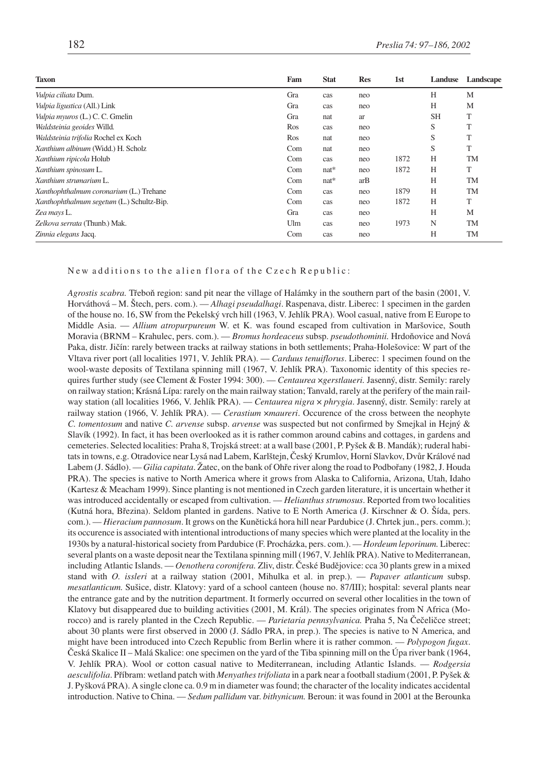| <b>Taxon</b>                              | Fam | <b>Stat</b> | <b>Res</b> | 1 <sub>st</sub> | Landuse   | Landscape |
|-------------------------------------------|-----|-------------|------------|-----------------|-----------|-----------|
| Vulpia ciliata Dum.                       | Gra | cas         | neo        |                 | H         | M         |
| Vulpia ligustica (All.) Link              | Gra | cas         | neo        |                 | H         | M         |
| Vulpia myuros (L.) C. C. Gmelin           | Gra | nat         | ar         |                 | <b>SH</b> | T         |
| Waldsteinia geoides Willd.                | Ros | cas         | neo        |                 | S         | T         |
| Waldsteinia trifolia Rochel ex Koch       | Ros | nat         | neo        |                 | S         | T         |
| Xanthium albinum (Widd.) H. Scholz        | Com | nat         | neo        |                 | S         | T         |
| Xanthium ripicola Holub                   | Com | cas         | neo        | 1872            | H         | <b>TM</b> |
| Xanthium spinosum L.                      | Com | $nat*$      | neo        | 1872            | H         | T         |
| Xanthium strumarium L.                    | Com | $nat*$      | arB        |                 | H         | <b>TM</b> |
| Xanthophthalmum coronarium (L.) Trehane   | Com | cas         | neo        | 1879            | H         | <b>TM</b> |
| Xanthophthalmum segetum (L.) Schultz-Bip. | Com | cas         | neo        | 1872            | H         | T         |
| Zea mays L.                               | Gra | cas         | neo        |                 | H         | M         |
| Zelkova serrata (Thunb.) Mak.             | Ulm | cas         | neo        | 1973            | N         | <b>TM</b> |
| Zinnia elegans Jacq.                      | Com | cas         | neo        |                 | H         | <b>TM</b> |

## New additions to the alien flora of the Czech Republic:

*Agrostis scabra.* Třeboň region: sand pit near the village of Halámky in the southern part of the basin (2001, V. Horváthová – M. Štech, pers. com.). — *Alhagi pseudalhagi*. Raspenava, distr. Liberec: 1 specimen in the garden of the house no. 16, SW from the Pekelský vrch hill (1963, V. Jehlík PRA). Wool casual, native from E Europe to Middle Asia. — *Allium atropurpureum* W. et K. was found escaped from cultivation in Maršovice, South Moravia (BRNM – Krahulec, pers. com.). — *Bromus hordeaceus* subsp. *pseudothominii.* Hrdoňovice and Nová Paka, distr. Jičín: rarely between tracks at railway stations in both settlements; Praha-Holešovice: W part of the Vltava river port (all localities 1971, V. Jehlík PRA). — *Carduus tenuiflorus*. Liberec: 1 specimen found on the wool-waste deposits of Textilana spinning mill (1967, V. Jehlík PRA). Taxonomic identity of this species requires further study (see Clement & Foster 1994: 300). — *Centaurea* ×*gerstlaueri.* Jasenný, distr. Semily: rarely on railway station; Krásná Lípa: rarely on the main railway station; Tanvald, rarely at the perifery of the main railway station (all localities 1966, V. Jehlík PRA). — *Centaurea nigra* × *phrygia*. Jasenný, distr. Semily: rarely at railway station (1966, V. Jehlík PRA). — *Cerastium* ×*maureri*. Occurence of the cross between the neophyte *C. tomentosum* and native *C. arvense* subsp. *arvense* was suspected but not confirmed by Smejkal in Hejný & Slavík (1992). In fact, it has been overlooked as it is rather common around cabins and cottages, in gardens and cemeteries. Selected localities: Praha 8, Trojská street: at a wall base (2001, P. Pyšek & B. Mandák); ruderal habitats in towns, e.g. Otradovice near Lysá nad Labem, Karlštejn, Český Krumlov, Horní Slavkov, Dvůr Králové nad Labem (J. Sádlo). — *Gilia capitata*. Žatec, on the bank of Ohře river along the road to Podbořany (1982, J. Houda PRA). The species is native to North America where it grows from Alaska to California, Arizona, Utah, Idaho (Kartesz & Meacham 1999). Since planting is not mentioned in Czech garden literature, it is uncertain whether it was introduced accidentally or escaped from cultivation. — *Helianthus strumosus*. Reported from two localities (Kutná hora, Březina). Seldom planted in gardens. Native to E North America (J. Kirschner & O. Šída, pers. com.). — *Hieracium pannosum*. It grows on the Kunětická hora hill near Pardubice (J. Chrtek jun., pers. comm.); its occurence is associated with intentional introductions of many species which were planted at the locality in the 1930s by a natural-historical society from Pardubice (F. Procházka, pers. com.). — *Hordeum leporinum.* Liberec: several plants on a waste deposit near the Textilana spinning mill (1967, V. Jehlík PRA). Native to Mediterranean, including Atlantic Islands. — *Oenothera coronifera.* Zliv, distr. České Budějovice: cca 30 plants grew in a mixed stand with *O. issleri* at a railway station (2001, Mihulka et al. in prep.). — *Papaver atlanticum* subsp. *mesatlanticum.* Sušice, distr. Klatovy: yard of a school canteen (house no. 87/III); hospital: several plants near the entrance gate and by the nutrition department. It formerly occurred on several other localities in the town of Klatovy but disappeared due to building activities (2001, M. Král). The species originates from N Africa (Morocco) and is rarely planted in the Czech Republic. — *Parietaria pennsylvanica.* Praha 5, Na Čečeličce street; about 30 plants were first observed in 2000 (J. Sádlo PRA, in prep.). The species is native to N America, and might have been introduced into Czech Republic from Berlin where it is rather common. — *Polypogon fugax*. Česká Skalice II – Malá Skalice: one specimen on the yard of the Tiba spinning mill on the Úpa river bank (1964, V. Jehlík PRA). Wool or cotton casual native to Mediterranean, including Atlantic Islands. — *Rodgersia aesculifolia*. Příbram: wetland patch with *Menyathes trifoliata* in a park near a football stadium (2001, P. Pyšek & J. Pyšková PRA). A single clone ca. 0.9 m in diameter was found; the character of the locality indicates accidental introduction. Native to China. — *Sedum pallidum* var. *bithynicum.* Beroun: it was found in 2001 at the Berounka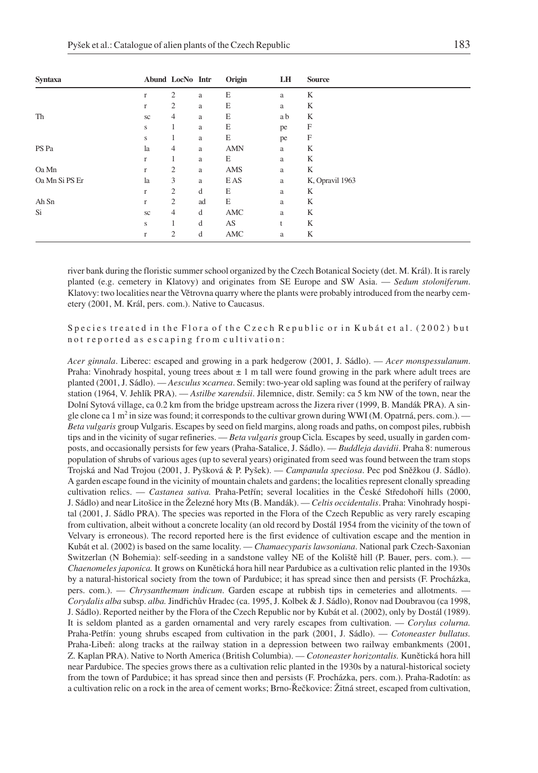| <b>Syntaxa</b> |              | Abund LocNo Intr |    | Origin     | LH  | <b>Source</b>   |
|----------------|--------------|------------------|----|------------|-----|-----------------|
|                | r            | $\mathfrak{2}$   | a  | E          | a   | K               |
|                | $\mathbf{r}$ | $\overline{c}$   | a  | E          | a   | K               |
| Th             | sc           | 4                | a  | E          | a b | K               |
|                | s            | 1                | a  | E          | pe  | F               |
|                | s            | 1                | a  | E          | pe  | F               |
| PS Pa          | la           | 4                | a  | <b>AMN</b> | a   | K               |
|                | $\mathbf{r}$ | 1                | a  | E          | a   | K               |
| Oa Mn          | $\mathbf{r}$ | $\overline{c}$   | a  | AMS        | a   | K               |
| Oa Mn Si PS Er | la           | 3                | a  | E AS       | a   | K, Opravil 1963 |
|                | $\mathbf{r}$ | $\overline{c}$   | d  | E          | a   | K               |
| Ah Sn          | $\mathbf{r}$ | 2                | ad | E          | a   | K               |
| Si             | sc           | 4                | d  | AMC        | a   | K               |
|                | S            |                  | d  | AS         | t   | K               |
|                | r            | $\overline{c}$   | d  | AMC        | a   | K               |

river bank during the floristic summer school organized by the Czech Botanical Society (det. M. Král). It is rarely planted (e.g. cemetery in Klatovy) and originates from SE Europe and SW Asia. — *Sedum stoloniferum*. Klatovy: two localities near the Větrovna quarry where the plants were probably introduced from the nearby cemetery (2001, M. Král, pers. com.). Native to Caucasus.

Species treated in the Flora of the Czech Republic or in Kubát et al. (2002) but not reported as escaping from cultivation:

*Acer ginnala*. Liberec: escaped and growing in a park hedgerow (2001, J. Sádlo). — *Acer monspessulanum*. Praha: Vinohrady hospital, young trees about  $\pm 1$  m tall were found growing in the park where adult trees are planted (2001, J. Sádlo). — *Aesculus* ×*carnea*. Semily: two-year old sapling was found at the perifery of railway station (1964, V. Jehlík PRA). — *Astilbe* ×*arendsii*. Jilemnice, distr. Semily: ca 5 km NW of the town, near the Dolní Sytová village, ca 0.2 km from the bridge upstream across the Jizera river (1999, B. Mandák PRA). A single clone ca 1 m<sup>2</sup> in size was found; it corresponds to the cultivar grown during WWI (M. Opatrná, pers. com.). — *Beta vulgaris* group Vulgaris. Escapes by seed on field margins, along roads and paths, on compost piles, rubbish tips and in the vicinity of sugar refineries. — *Beta vulgaris* group Cicla*.* Escapes by seed, usually in garden composts, and occasionally persists for few years (Praha-Satalice, J. Sádlo). — *Buddleja davidii*. Praha 8: numerous population of shrubs of various ages (up to several years) originated from seed was found between the tram stops Trojská and Nad Trojou (2001, J. Pyšková & P. Pyšek). — *Campanula speciosa*. Pec pod Sněžkou (J. Sádlo). A garden escape found in the vicinity of mountain chalets and gardens; the localities represent clonally spreading cultivation relics. — *Castanea sativa.* Praha-Petřín; several localities in the České Středohoří hills (2000, J. Sádlo) and near Litošice in the Železné hory Mts (B. Mandák). — *Celtis occidentalis*. Praha: Vinohrady hospital (2001, J. Sádlo PRA). The species was reported in the Flora of the Czech Republic as very rarely escaping from cultivation, albeit without a concrete locality (an old record by Dostál 1954 from the vicinity of the town of Velvary is erroneous). The record reported here is the first evidence of cultivation escape and the mention in Kubát et al. (2002) is based on the same locality. — *Chamaecyparis lawsoniana*. National park Czech-Saxonian Switzerlan (N Bohemia): self-seeding in a sandstone valley NE of the Koliště hill (P. Bauer, pers. com.). — *Chaenomeles japonica.* It grows on Kunětická hora hill near Pardubice as a cultivation relic planted in the 1930s by a natural-historical society from the town of Pardubice; it has spread since then and persists (F. Procházka, pers. com.). — *Chrysanthemum indicum*. Garden escape at rubbish tips in cemeteries and allotments. — *Corydalis alba* subsp. *alba.* Jindřichův Hradec (ca. 1995, J. Kolbek & J. Sádlo), Ronov nad Doubravou (ca 1998, J. Sádlo). Reported neither by the Flora of the Czech Republic nor by Kubát et al. (2002), only by Dostál (1989). It is seldom planted as a garden ornamental and very rarely escapes from cultivation. — *Corylus colurna.* Praha-Petřín: young shrubs escaped from cultivation in the park (2001, J. Sádlo). — *Cotoneaster bullatus.* Praha-Libeň: along tracks at the railway station in a depression between two railway embankments (2001, Z. Kaplan PRA). Native to North America (British Columbia). — *Cotoneaster horizontalis.* Kunětická hora hill near Pardubice. The species grows there as a cultivation relic planted in the 1930s by a natural-historical society from the town of Pardubice; it has spread since then and persists (F. Procházka, pers. com.). Praha-Radotín: as a cultivation relic on a rock in the area of cement works; Brno-Řečkovice: Žitná street, escaped from cultivation,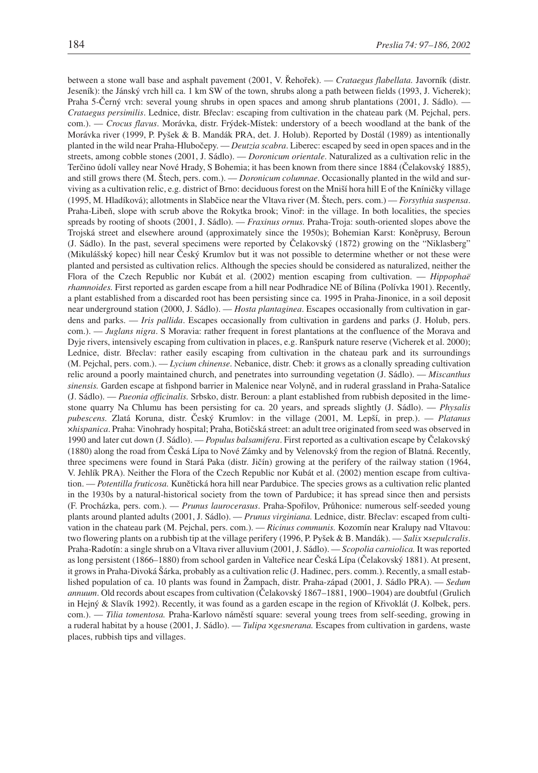between a stone wall base and asphalt pavement (2001, V. Řehořek). — *Crataegus flabellata.* Javorník (distr. Jeseník): the Jánský vrch hill ca. 1 km SW of the town, shrubs along a path between fields (1993, J. Vicherek); Praha 5-Černý vrch: several young shrubs in open spaces and among shrub plantations (2001, J. Sádlo). — *Crataegus persimilis*. Lednice, distr. Břeclav: escaping from cultivation in the chateau park (M. Pejchal, pers. com.). — *Crocus flavus*. Morávka, distr. Frýdek-Místek: understory of a beech woodland at the bank of the Morávka river (1999, P. Pyšek & B. Mandák PRA, det. J. Holub). Reported by Dostál (1989) as intentionally planted in the wild near Praha-Hlubočepy. — *Deutzia scabra*. Liberec: escaped by seed in open spaces and in the streets, among cobble stones (2001, J. Sádlo). — *Doronicum orientale*. Naturalized as a cultivation relic in the Terčino údolí valley near Nové Hrady, S Bohemia; it has been known from there since 1884 (Čelakovský 1885), and still grows there (M. Štech, pers. com.). — *Doronicum columnae*. Occasionally planted in the wild and surviving as a cultivation relic, e.g. district of Brno: deciduous forest on the Mniší hora hill E of the Kníničky village (1995, M. Hladíková); allotments in Slabčice near the Vltava river (M. Štech, pers. com.) — *Forsythia suspensa*. Praha-Libeň, slope with scrub above the Rokytka brook; Vinoř: in the village. In both localities, the species spreads by rooting of shoots (2001, J. Sádlo). — *Fraxinus ornus.* Praha-Troja: south-oriented slopes above the Trojská street and elsewhere around (approximately since the 1950s); Bohemian Karst: Koněprusy, Beroun (J. Sádlo). In the past, several specimens were reported by Čelakovský (1872) growing on the "Niklasberg" (Mikulášský kopec) hill near Český Krumlov but it was not possible to determine whether or not these were planted and persisted as cultivation relics. Although the species should be considered as naturalized, neither the Flora of the Czech Republic nor Kubát et al. (2002) mention escaping from cultivation. — *Hippophaë rhamnoides.* First reported as garden escape from a hill near Podhradice NE of Bílina (Polívka 1901). Recently, a plant established from a discarded root has been persisting since ca. 1995 in Praha-Jinonice, in a soil deposit near underground station (2000, J. Sádlo). — *Hosta plantaginea*. Escapes occasionally from cultivation in gardens and parks. — *Iris pallida*. Escapes occasionally from cultivation in gardens and parks (J. Holub, pers. com.). — *Juglans nigra*. S Moravia: rather frequent in forest plantations at the confluence of the Morava and Dyje rivers, intensively escaping from cultivation in places, e.g. Ranšpurk nature reserve (Vicherek et al. 2000); Lednice, distr. Břeclav: rather easily escaping from cultivation in the chateau park and its surroundings (M. Pejchal, pers. com.). — *Lycium chinense*. Nebanice, distr. Cheb: it grows as a clonally spreading cultivation relic around a poorly maintained church, and penetrates into surrounding vegetation (J. Sádlo). — *Miscanthus sinensis.* Garden escape at fishpond barrier in Malenice near Volyně, and in ruderal grassland in Praha-Satalice (J. Sádlo). — *Paeonia officinalis.* Srbsko, distr. Beroun: a plant established from rubbish deposited in the limestone quarry Na Chlumu has been persisting for ca. 20 years, and spreads slightly (J. Sádlo). — *Physalis pubescens.* Zlatá Koruna, distr. Český Krumlov: in the village (2001, M. Lepší, in prep.). — *Platanus* ×*hispanica*. Praha: Vinohrady hospital; Praha, Botičská street: an adult tree originated from seed was observed in 1990 and later cut down (J. Sádlo). — *Populus balsamifera*. First reported as a cultivation escape by Čelakovský (1880) along the road from Česká Lípa to Nové Zámky and by Velenovský from the region of Blatná. Recently, three specimens were found in Stará Paka (distr. Jičín) growing at the perifery of the railway station (1964, V. Jehlík PRA). Neither the Flora of the Czech Republic nor Kubát et al. (2002) mention escape from cultivation. — *Potentilla fruticosa.* Kunětická hora hill near Pardubice. The species grows as a cultivation relic planted in the 1930s by a natural-historical society from the town of Pardubice; it has spread since then and persists (F. Procházka, pers. com.). — *Prunus laurocerasus*. Praha-Spořilov, Průhonice: numerous self-seeded young plants around planted adults (2001, J. Sádlo). — *Prunus virginiana.* Lednice, distr. Břeclav: escaped from cultivation in the chateau park (M. Pejchal, pers. com.). — *Ricinus communis.* Kozomín near Kralupy nad Vltavou: two flowering plants on a rubbish tip at the village perifery (1996, P. Pyšek & B. Mandák). — *Salix* ×*sepulcralis*. Praha-Radotín: a single shrub on a Vltava river alluvium (2001, J. Sádlo). — *Scopolia carniolica.* It was reported as long persistent (1866–1880) from school garden in Valteřice near Česká Lípa (Čelakovský 1881). At present, it grows in Praha-Divoká Šárka, probably as a cultivation relic (J. Hadinec, pers. comm.). Recently, a small established population of ca. 10 plants was found in Žampach, distr. Praha-západ (2001, J. Sádlo PRA). — *Sedum annuum*. Old records about escapes from cultivation (Čelakovský 1867–1881, 1900–1904) are doubtful (Grulich in Hejný & Slavík 1992). Recently, it was found as a garden escape in the region of Křivoklát (J. Kolbek, pers. com.). — *Tilia tomentosa.* Praha-Karlovo náměstí square: several young trees from self-seeding, growing in a ruderal habitat by a house (2001, J. Sádlo). — *Tulipa* ×*gesnerana.* Escapes from cultivation in gardens, waste places, rubbish tips and villages.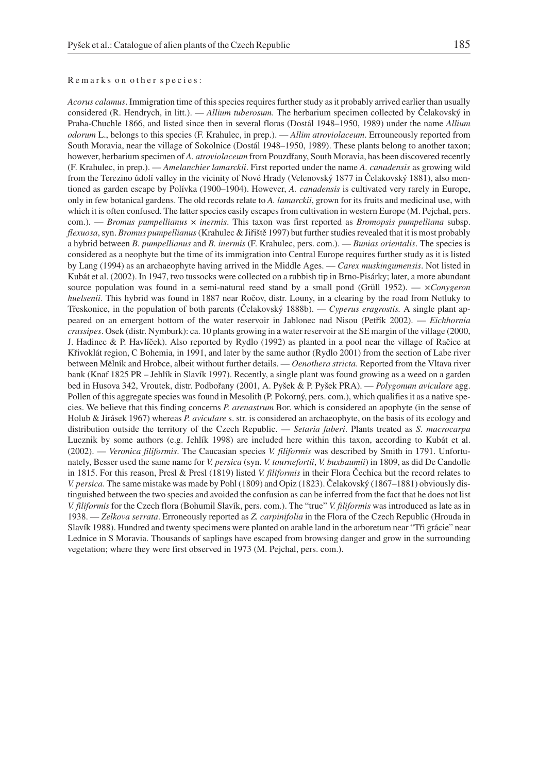## Remarks on other species:

*Acorus calamus*. Immigration time of this species requires further study as it probably arrived earlier than usually considered (R. Hendrych, in litt.). — *Allium tuberosum*. The herbarium specimen collected by Čelakovský in Praha-Chuchle 1866, and listed since then in several floras (Dostál 1948–1950, 1989) under the name *Allium odorum* L., belongs to this species (F. Krahulec, in prep.). — *Allim atroviolaceum*. Errouneously reported from South Moravia, near the village of Sokolnice (Dostál 1948–1950, 1989). These plants belong to another taxon; however, herbarium specimen of *A. atroviolaceum* from Pouzdřany, South Moravia, has been discovered recently (F. Krahulec, in prep.). — *Amelanchier lamarckii*. First reported under the name *A. canadensis* as growing wild from the Terezino údolí valley in the vicinity of Nové Hrady (Velenovský 1877 in Čelakovský 1881), also mentioned as garden escape by Polívka (1900–1904). However, *A. canadensis* is cultivated very rarely in Europe, only in few botanical gardens. The old records relate to *A. lamarckii*, grown for its fruits and medicinal use, with which it is often confused. The latter species easily escapes from cultivation in western Europe (M. Pejchal, pers. com.). — *Bromus pumpellianus* × *inermis*. This taxon was first reported as *Bromopsis pumpelliana* subsp. *flexuosa*, syn. *Bromus pumpellianus*(Krahulec & Jiřiště 1997) but further studies revealed that it is most probably a hybrid between *B. pumpellianus* and *B. inermis* (F. Krahulec, pers. com.). — *Bunias orientalis*. The species is considered as a neophyte but the time of its immigration into Central Europe requires further study as it is listed by Lang (1994) as an archaeophyte having arrived in the Middle Ages. — *Carex muskingumensis*. Not listed in Kubát et al. (2002). In 1947, two tussocks were collected on a rubbish tip in Brno-Pisárky; later, a more abundant source population was found in a semi-natural reed stand by a small pond (Grüll 1952). — *×Conygeron huelsenii*. This hybrid was found in 1887 near Ročov, distr. Louny, in a clearing by the road from Netluky to Třeskonice, in the population of both parents (Čelakovský 1888b). — *Cyperus eragrostis.* A single plant appeared on an emergent bottom of the water reservoir in Jablonec nad Nisou (Petřík 2002). — *Eichhornia crassipes*. Osek (distr. Nymburk): ca. 10 plants growing in a water reservoir at the SE margin of the village (2000, J. Hadinec & P. Havlíček). Also reported by Rydlo (1992) as planted in a pool near the village of Račice at Křivoklát region, C Bohemia, in 1991, and later by the same author (Rydlo 2001) from the section of Labe river between Mělník and Hrobce, albeit without further details. — *Oenothera stricta*. Reported from the Vltava river bank (Knaf 1825 PR – Jehlík in Slavík 1997). Recently, a single plant was found growing as a weed on a garden bed in Husova 342, Vroutek, distr. Podbořany (2001, A. Pyšek & P. Pyšek PRA). — *Polygonum aviculare* agg. Pollen of this aggregate species was found in Mesolith (P. Pokorný, pers. com.), which qualifies it as a native species. We believe that this finding concerns *P. arenastrum* Bor. which is considered an apophyte (in the sense of Holub & Jirásek 1967) whereas *P. aviculare* s. str. is considered an archaeophyte, on the basis of its ecology and distribution outside the territory of the Czech Republic. — *Setaria faberi*. Plants treated as *S. macrocarpa* Lucznik by some authors (e.g. Jehlík 1998) are included here within this taxon, according to Kubát et al. (2002). — *Veronica filiformis*. The Caucasian species *V. filiformis* was described by Smith in 1791. Unfortunately, Besser used the same name for *V. persica* (syn. *V. tournefortii*, *V. buxbaumii*) in 1809, as did De Candolle in 1815. For this reason, Presl & Presl (1819) listed *V. filiformis* in their Flora Čechica but the record relates to *V. persica*. The same mistake was made by Pohl (1809) and Opiz (1823). Čelakovský (1867–1881) obviously distinguished between the two species and avoided the confusion as can be inferred from the fact that he does not list *V. filiformis* for the Czech flora (Bohumil Slavík, pers. com.). The "true" *V. filiformis* was introduced as late as in 1938. — *Zelkova serrata*. Erroneously reported as *Z. carpinifolia* in the Flora of the Czech Republic (Hrouda in Slavík 1988). Hundred and twenty specimens were planted on arable land in the arboretum near "Tři grácie" near Lednice in S Moravia. Thousands of saplings have escaped from browsing danger and grow in the surrounding vegetation; where they were first observed in 1973 (M. Pejchal, pers. com.).